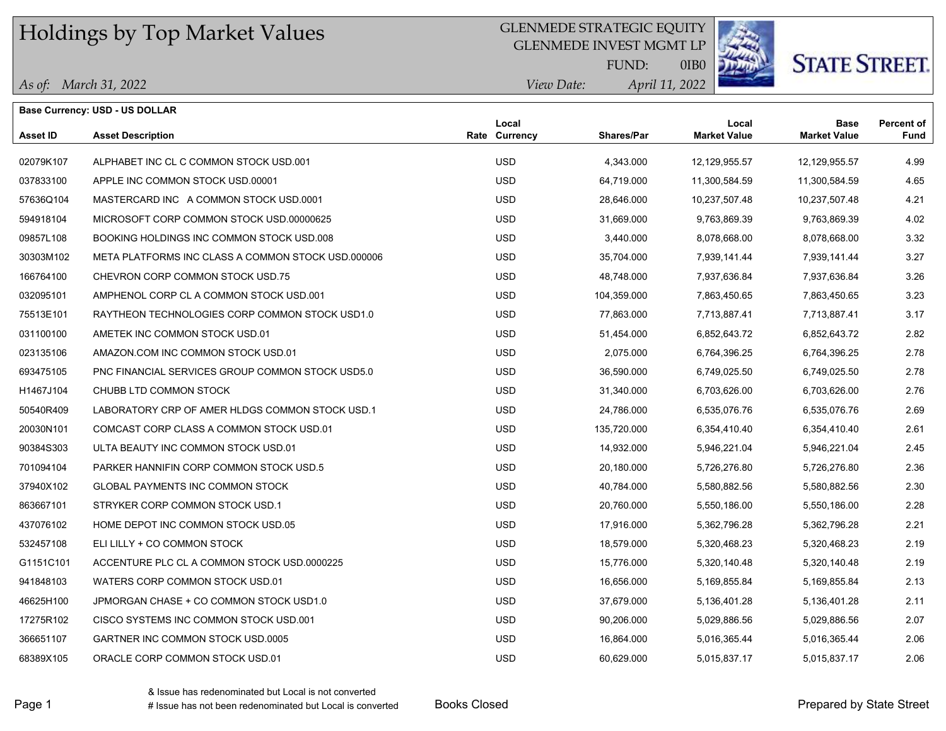## GLENMEDE STRATEGIC EQUITY

GLENMEDE INVEST MGMT LP



# **STATE STREET**

*April 11, 2022 View Date:* FUND:

0IB0

**Base Currency: USD - US DOLLAR**

| Asset ID  | <b>Asset Description</b>                           | Local<br><b>Rate Currency</b> | Shares/Par  | Local<br><b>Market Value</b> | <b>Base</b><br><b>Market Value</b> | <b>Percent of</b><br><b>Fund</b> |
|-----------|----------------------------------------------------|-------------------------------|-------------|------------------------------|------------------------------------|----------------------------------|
| 02079K107 | ALPHABET INC CL C COMMON STOCK USD 001             | <b>USD</b>                    | 4,343.000   | 12,129,955.57                | 12,129,955.57                      | 4.99                             |
| 037833100 | APPLE INC COMMON STOCK USD 00001                   | <b>USD</b>                    | 64,719.000  | 11,300,584.59                | 11,300,584.59                      | 4.65                             |
| 57636Q104 | MASTERCARD INC A COMMON STOCK USD.0001             | <b>USD</b>                    | 28,646.000  | 10,237,507.48                | 10,237,507.48                      | 4.21                             |
| 594918104 | MICROSOFT CORP COMMON STOCK USD 00000625           | <b>USD</b>                    | 31,669.000  | 9,763,869.39                 | 9,763,869.39                       | 4.02                             |
| 09857L108 | BOOKING HOLDINGS INC COMMON STOCK USD.008          | <b>USD</b>                    | 3,440.000   | 8,078,668.00                 | 8,078,668.00                       | 3.32                             |
| 30303M102 | META PLATFORMS INC CLASS A COMMON STOCK USD.000006 | <b>USD</b>                    | 35,704.000  | 7,939,141.44                 | 7,939,141.44                       | 3.27                             |
| 166764100 | CHEVRON CORP COMMON STOCK USD.75                   | <b>USD</b>                    | 48,748.000  | 7,937,636.84                 | 7,937,636.84                       | 3.26                             |
| 032095101 | AMPHENOL CORP CL A COMMON STOCK USD.001            | <b>USD</b>                    | 104,359.000 | 7,863,450.65                 | 7,863,450.65                       | 3.23                             |
| 75513E101 | RAYTHEON TECHNOLOGIES CORP COMMON STOCK USD1.0     | <b>USD</b>                    | 77,863.000  | 7,713,887.41                 | 7,713,887.41                       | 3.17                             |
| 031100100 | AMETEK INC COMMON STOCK USD.01                     | <b>USD</b>                    | 51,454.000  | 6,852,643.72                 | 6,852,643.72                       | 2.82                             |
| 023135106 | AMAZON COM INC COMMON STOCK USD.01                 | <b>USD</b>                    | 2,075.000   | 6,764,396.25                 | 6,764,396.25                       | 2.78                             |
| 693475105 | PNC FINANCIAL SERVICES GROUP COMMON STOCK USD5.0   | <b>USD</b>                    | 36,590.000  | 6,749,025.50                 | 6,749,025.50                       | 2.78                             |
| H1467J104 | CHUBB LTD COMMON STOCK                             | <b>USD</b>                    | 31,340.000  | 6,703,626.00                 | 6,703,626.00                       | 2.76                             |
| 50540R409 | LABORATORY CRP OF AMER HLDGS COMMON STOCK USD.1    | <b>USD</b>                    | 24,786.000  | 6,535,076.76                 | 6,535,076.76                       | 2.69                             |
| 20030N101 | COMCAST CORP CLASS A COMMON STOCK USD.01           | <b>USD</b>                    | 135,720.000 | 6,354,410.40                 | 6,354,410.40                       | 2.61                             |
| 90384S303 | ULTA BEAUTY INC COMMON STOCK USD.01                | <b>USD</b>                    | 14,932.000  | 5,946,221.04                 | 5,946,221.04                       | 2.45                             |
| 701094104 | PARKER HANNIFIN CORP COMMON STOCK USD.5            | <b>USD</b>                    | 20,180.000  | 5,726,276.80                 | 5,726,276.80                       | 2.36                             |
| 37940X102 | <b>GLOBAL PAYMENTS INC COMMON STOCK</b>            | <b>USD</b>                    | 40,784.000  | 5,580,882.56                 | 5,580,882.56                       | 2.30                             |
| 863667101 | STRYKER CORP COMMON STOCK USD.1                    | <b>USD</b>                    | 20,760.000  | 5,550,186.00                 | 5,550,186.00                       | 2.28                             |
| 437076102 | HOME DEPOT INC COMMON STOCK USD.05                 | <b>USD</b>                    | 17,916.000  | 5,362,796.28                 | 5,362,796.28                       | 2.21                             |
| 532457108 | ELI LILLY + CO COMMON STOCK                        | <b>USD</b>                    | 18,579.000  | 5,320,468.23                 | 5,320,468.23                       | 2.19                             |
| G1151C101 | ACCENTURE PLC CL A COMMON STOCK USD.0000225        | <b>USD</b>                    | 15,776.000  | 5,320,140.48                 | 5,320,140.48                       | 2.19                             |
| 941848103 | WATERS CORP COMMON STOCK USD.01                    | <b>USD</b>                    | 16,656.000  | 5,169,855.84                 | 5,169,855.84                       | 2.13                             |
| 46625H100 | JPMORGAN CHASE + CO COMMON STOCK USD1.0            | <b>USD</b>                    | 37,679.000  | 5,136,401.28                 | 5,136,401.28                       | 2.11                             |
| 17275R102 | CISCO SYSTEMS INC COMMON STOCK USD.001             | <b>USD</b>                    | 90,206.000  | 5,029,886.56                 | 5,029,886.56                       | 2.07                             |
| 366651107 | GARTNER INC COMMON STOCK USD.0005                  | <b>USD</b>                    | 16,864.000  | 5,016,365.44                 | 5,016,365.44                       | 2.06                             |

68389X105 ORACLE CORP COMMON STOCK USD.01 USD 60,629.000 5,015,837.17 5,015,837.17 2.06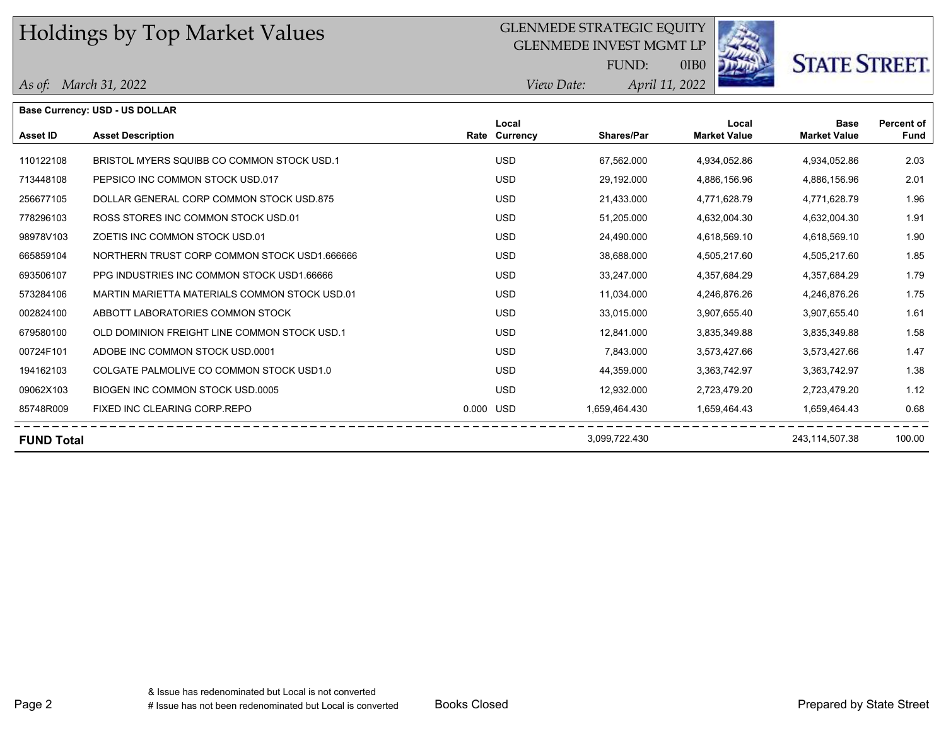### GLENMEDE STRATEGIC EQUITY

GLENMEDE INVEST MGMT LP



# **STATE STREET.**

*April 11, 2022 View Date:* FUND:

0IB0

#### *As of: March 31, 2022*

|                   | Base Currency: USD - US DOLLAR                |                        |                   |                              |                                    |                           |
|-------------------|-----------------------------------------------|------------------------|-------------------|------------------------------|------------------------------------|---------------------------|
| <b>Asset ID</b>   | <b>Asset Description</b>                      | Local<br>Rate Currency | <b>Shares/Par</b> | Local<br><b>Market Value</b> | <b>Base</b><br><b>Market Value</b> | Percent of<br><b>Fund</b> |
| 110122108         | BRISTOL MYERS SQUIBB CO COMMON STOCK USD 1    | <b>USD</b>             | 67,562.000        | 4,934,052.86                 | 4.934.052.86                       | 2.03                      |
| 713448108         | PEPSICO INC COMMON STOCK USD.017              | <b>USD</b>             | 29,192.000        | 4,886,156.96                 | 4,886,156.96                       | 2.01                      |
| 256677105         | DOLLAR GENERAL CORP COMMON STOCK USD.875      | <b>USD</b>             | 21,433.000        | 4,771,628.79                 | 4,771,628.79                       | 1.96                      |
| 778296103         | ROSS STORES INC COMMON STOCK USD.01           | <b>USD</b>             | 51,205.000        | 4,632,004.30                 | 4,632,004.30                       | 1.91                      |
| 98978V103         | ZOETIS INC COMMON STOCK USD.01                | <b>USD</b>             | 24,490.000        | 4,618,569.10                 | 4,618,569.10                       | 1.90                      |
| 665859104         | NORTHERN TRUST CORP COMMON STOCK USD1.666666  | <b>USD</b>             | 38,688.000        | 4,505,217.60                 | 4,505,217.60                       | 1.85                      |
| 693506107         | PPG INDUSTRIES INC COMMON STOCK USD1.66666    | <b>USD</b>             | 33,247.000        | 4,357,684.29                 | 4,357,684.29                       | 1.79                      |
| 573284106         | MARTIN MARIETTA MATERIALS COMMON STOCK USD.01 | <b>USD</b>             | 11.034.000        | 4,246,876.26                 | 4,246,876.26                       | 1.75                      |
| 002824100         | ABBOTT LABORATORIES COMMON STOCK              | <b>USD</b>             | 33,015.000        | 3,907,655.40                 | 3,907,655.40                       | 1.61                      |
| 679580100         | OLD DOMINION FREIGHT LINE COMMON STOCK USD.1  | <b>USD</b>             | 12,841.000        | 3,835,349.88                 | 3,835,349.88                       | 1.58                      |
| 00724F101         | ADOBE INC COMMON STOCK USD 0001               | USD.                   | 7,843.000         | 3,573,427.66                 | 3,573,427.66                       | 1.47                      |
| 194162103         | COLGATE PALMOLIVE CO COMMON STOCK USD1.0      | <b>USD</b>             | 44,359.000        | 3,363,742.97                 | 3,363,742.97                       | 1.38                      |
| 09062X103         | BIOGEN INC COMMON STOCK USD.0005              | <b>USD</b>             | 12,932.000        | 2,723,479.20                 | 2,723,479.20                       | 1.12                      |
| 85748R009         | FIXED INC CLEARING CORP.REPO                  | 0.000 USD              | 1,659,464.430     | 1,659,464.43                 | 1,659,464.43                       | 0.68                      |
| <b>FUND Total</b> |                                               |                        | 3,099,722.430     |                              | 243.114.507.38                     | 100.00                    |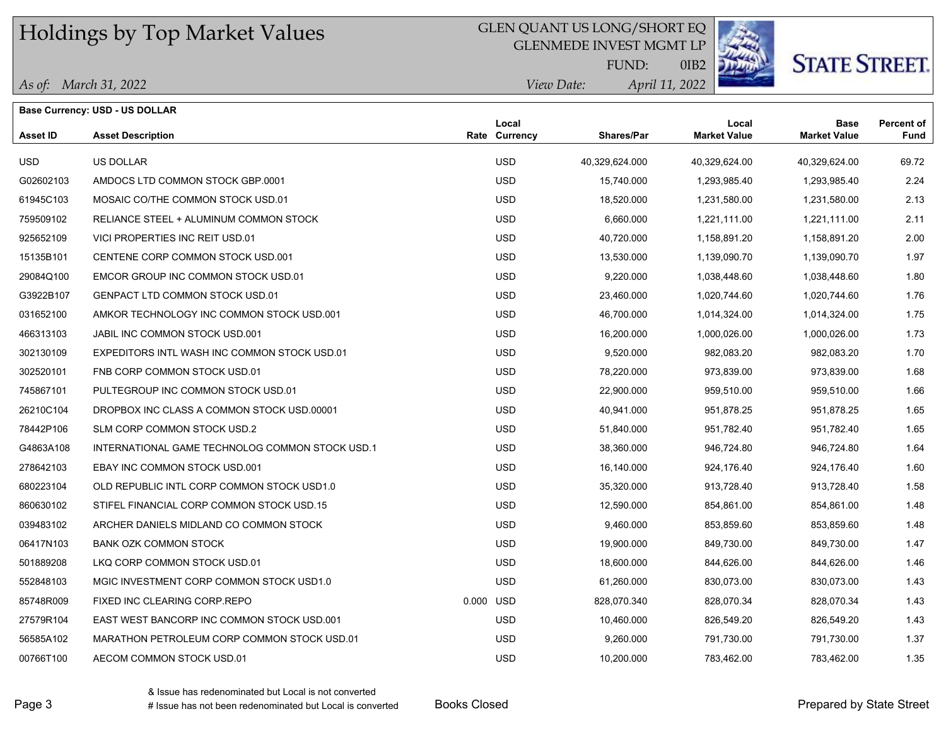### GLEN QUANT US LONG/SHORT EQ

GLENMEDE INVEST MGMT LP



0IB2

**STATE STREET.** 

|  | As of: March 31, 2022 |
|--|-----------------------|
|--|-----------------------|

| <b>Base Currency: USD - US DOLLAR</b> |                                                 |           |                        |                   |                              |                                    |                           |  |
|---------------------------------------|-------------------------------------------------|-----------|------------------------|-------------------|------------------------------|------------------------------------|---------------------------|--|
| <b>Asset ID</b>                       | <b>Asset Description</b>                        |           | Local<br>Rate Currency | <b>Shares/Par</b> | Local<br><b>Market Value</b> | <b>Base</b><br><b>Market Value</b> | Percent of<br><b>Fund</b> |  |
| USD.                                  | <b>US DOLLAR</b>                                |           | <b>USD</b>             | 40,329,624.000    | 40,329,624.00                | 40,329,624.00                      | 69.72                     |  |
| G02602103                             | AMDOCS LTD COMMON STOCK GBP.0001                |           | <b>USD</b>             | 15,740.000        | 1,293,985.40                 | 1,293,985.40                       | 2.24                      |  |
| 61945C103                             | MOSAIC CO/THE COMMON STOCK USD.01               |           | <b>USD</b>             | 18,520.000        | 1,231,580.00                 | 1,231,580.00                       | 2.13                      |  |
| 759509102                             | RELIANCE STEEL + ALUMINUM COMMON STOCK          |           | <b>USD</b>             | 6,660.000         | 1,221,111.00                 | 1,221,111.00                       | 2.11                      |  |
| 925652109                             | VICI PROPERTIES INC REIT USD.01                 |           | <b>USD</b>             | 40,720.000        | 1,158,891.20                 | 1,158,891.20                       | 2.00                      |  |
| 15135B101                             | CENTENE CORP COMMON STOCK USD.001               |           | <b>USD</b>             | 13,530.000        | 1,139,090.70                 | 1,139,090.70                       | 1.97                      |  |
| 29084Q100                             | EMCOR GROUP INC COMMON STOCK USD.01             |           | <b>USD</b>             | 9,220.000         | 1,038,448.60                 | 1,038,448.60                       | 1.80                      |  |
| G3922B107                             | GENPACT LTD COMMON STOCK USD 01                 |           | <b>USD</b>             | 23,460.000        | 1,020,744.60                 | 1,020,744.60                       | 1.76                      |  |
| 031652100                             | AMKOR TECHNOLOGY INC COMMON STOCK USD.001       |           | <b>USD</b>             | 46,700.000        | 1,014,324.00                 | 1,014,324.00                       | 1.75                      |  |
| 466313103                             | JABIL INC COMMON STOCK USD 001                  |           | <b>USD</b>             | 16,200.000        | 1,000,026.00                 | 1,000,026.00                       | 1.73                      |  |
| 302130109                             | EXPEDITORS INTL WASH INC COMMON STOCK USD.01    |           | <b>USD</b>             | 9,520.000         | 982,083.20                   | 982,083.20                         | 1.70                      |  |
| 302520101                             | FNB CORP COMMON STOCK USD.01                    |           | <b>USD</b>             | 78,220.000        | 973,839.00                   | 973,839.00                         | 1.68                      |  |
| 745867101                             | PULTEGROUP INC COMMON STOCK USD.01              |           | <b>USD</b>             | 22,900.000        | 959,510.00                   | 959,510.00                         | 1.66                      |  |
| 26210C104                             | DROPBOX INC CLASS A COMMON STOCK USD.00001      |           | <b>USD</b>             | 40,941.000        | 951,878.25                   | 951,878.25                         | 1.65                      |  |
| 78442P106                             | SLM CORP COMMON STOCK USD.2                     |           | <b>USD</b>             | 51,840.000        | 951,782.40                   | 951,782.40                         | 1.65                      |  |
| G4863A108                             | INTERNATIONAL GAME TECHNOLOG COMMON STOCK USD.1 |           | <b>USD</b>             | 38,360.000        | 946,724.80                   | 946,724.80                         | 1.64                      |  |
| 278642103                             | EBAY INC COMMON STOCK USD.001                   |           | <b>USD</b>             | 16,140.000        | 924,176.40                   | 924,176.40                         | 1.60                      |  |
| 680223104                             | OLD REPUBLIC INTL CORP COMMON STOCK USD1.0      |           | <b>USD</b>             | 35,320.000        | 913,728.40                   | 913,728.40                         | 1.58                      |  |
| 860630102                             | STIFEL FINANCIAL CORP COMMON STOCK USD.15       |           | <b>USD</b>             | 12,590.000        | 854,861.00                   | 854,861.00                         | 1.48                      |  |
| 039483102                             | ARCHER DANIELS MIDLAND CO COMMON STOCK          |           | <b>USD</b>             | 9,460.000         | 853,859.60                   | 853,859.60                         | 1.48                      |  |
| 06417N103                             | <b>BANK OZK COMMON STOCK</b>                    |           | <b>USD</b>             | 19,900.000        | 849,730.00                   | 849,730.00                         | 1.47                      |  |
| 501889208                             | LKQ CORP COMMON STOCK USD.01                    |           | <b>USD</b>             | 18,600.000        | 844,626.00                   | 844,626.00                         | 1.46                      |  |
| 552848103                             | MGIC INVESTMENT CORP COMMON STOCK USD1.0        |           | <b>USD</b>             | 61,260.000        | 830,073.00                   | 830,073.00                         | 1.43                      |  |
| 85748R009                             | FIXED INC CLEARING CORP.REPO                    | 0.000 USD |                        | 828,070.340       | 828,070.34                   | 828,070.34                         | 1.43                      |  |
| 27579R104                             | EAST WEST BANCORP INC COMMON STOCK USD 001      |           | <b>USD</b>             | 10,460.000        | 826,549.20                   | 826,549.20                         | 1.43                      |  |
| 56585A102                             | MARATHON PETROLEUM CORP COMMON STOCK USD.01     |           | <b>USD</b>             | 9,260.000         | 791,730.00                   | 791,730.00                         | 1.37                      |  |
| 00766T100                             | AECOM COMMON STOCK USD.01                       |           | <b>USD</b>             | 10,200.000        | 783,462.00                   | 783,462.00                         | 1.35                      |  |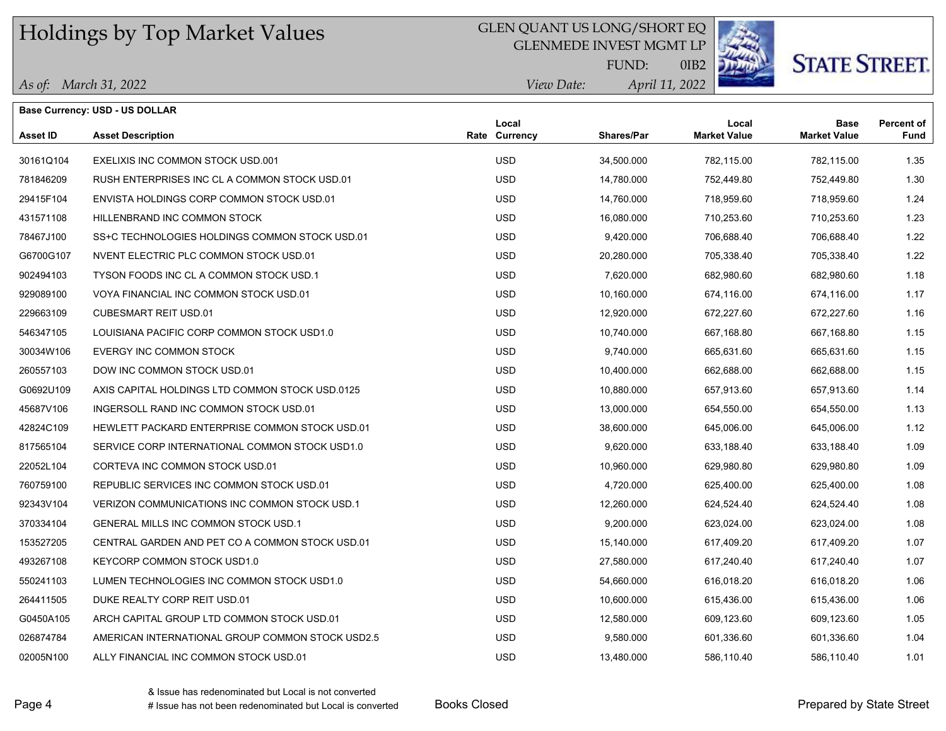## GLEN QUANT US LONG/SHORT EQ

GLENMEDE INVEST MGMT LP



# **STATE STREET.**

*April 11, 2022 View Date:* FUND:

0IB2

|  | As of: March 31, 2022 |
|--|-----------------------|
|--|-----------------------|

|                 | <b>Base Currency: USD - US DOLLAR</b>            |                        |                   |                              |                                    |                                  |
|-----------------|--------------------------------------------------|------------------------|-------------------|------------------------------|------------------------------------|----------------------------------|
| <b>Asset ID</b> | <b>Asset Description</b>                         | Local<br>Rate Currency | <b>Shares/Par</b> | Local<br><b>Market Value</b> | <b>Base</b><br><b>Market Value</b> | <b>Percent of</b><br><b>Fund</b> |
| 30161Q104       | EXELIXIS INC COMMON STOCK USD.001                | <b>USD</b>             | 34,500.000        | 782,115.00                   | 782,115.00                         | 1.35                             |
| 781846209       | RUSH ENTERPRISES INC CL A COMMON STOCK USD.01    | <b>USD</b>             | 14,780.000        | 752,449.80                   | 752,449.80                         | 1.30                             |
| 29415F104       | ENVISTA HOLDINGS CORP COMMON STOCK USD.01        | <b>USD</b>             | 14,760.000        | 718,959.60                   | 718,959.60                         | 1.24                             |
| 431571108       | HILLENBRAND INC COMMON STOCK                     | <b>USD</b>             | 16,080.000        | 710,253.60                   | 710,253.60                         | 1.23                             |
| 78467J100       | SS+C TECHNOLOGIES HOLDINGS COMMON STOCK USD.01   | <b>USD</b>             | 9,420.000         | 706,688.40                   | 706,688.40                         | 1.22                             |
| G6700G107       | NVENT ELECTRIC PLC COMMON STOCK USD.01           | <b>USD</b>             | 20,280.000        | 705,338.40                   | 705,338.40                         | 1.22                             |
| 902494103       | TYSON FOODS INC CL A COMMON STOCK USD.1          | <b>USD</b>             | 7,620.000         | 682,980.60                   | 682,980.60                         | 1.18                             |
| 929089100       | VOYA FINANCIAL INC COMMON STOCK USD 01           | <b>USD</b>             | 10,160.000        | 674,116.00                   | 674,116.00                         | 1.17                             |
| 229663109       | <b>CUBESMART REIT USD.01</b>                     | <b>USD</b>             | 12,920.000        | 672,227.60                   | 672,227.60                         | 1.16                             |
| 546347105       | LOUISIANA PACIFIC CORP COMMON STOCK USD1.0       | <b>USD</b>             | 10,740.000        | 667,168.80                   | 667,168.80                         | 1.15                             |
| 30034W106       | EVERGY INC COMMON STOCK                          | <b>USD</b>             | 9,740.000         | 665,631.60                   | 665,631.60                         | 1.15                             |
| 260557103       | DOW INC COMMON STOCK USD.01                      | <b>USD</b>             | 10,400.000        | 662,688.00                   | 662,688.00                         | 1.15                             |
| G0692U109       | AXIS CAPITAL HOLDINGS LTD COMMON STOCK USD 0125  | <b>USD</b>             | 10,880.000        | 657,913.60                   | 657,913.60                         | 1.14                             |
| 45687V106       | INGERSOLL RAND INC COMMON STOCK USD.01           | <b>USD</b>             | 13,000.000        | 654,550.00                   | 654,550.00                         | 1.13                             |
| 42824C109       | HEWLETT PACKARD ENTERPRISE COMMON STOCK USD.01   | <b>USD</b>             | 38,600.000        | 645,006.00                   | 645,006.00                         | 1.12                             |
| 817565104       | SERVICE CORP INTERNATIONAL COMMON STOCK USD1.0   | <b>USD</b>             | 9,620.000         | 633,188.40                   | 633,188.40                         | 1.09                             |
| 22052L104       | CORTEVA INC COMMON STOCK USD.01                  | <b>USD</b>             | 10,960.000        | 629,980.80                   | 629,980.80                         | 1.09                             |
| 760759100       | REPUBLIC SERVICES INC COMMON STOCK USD.01        | <b>USD</b>             | 4,720.000         | 625,400.00                   | 625,400.00                         | 1.08                             |
| 92343V104       | VERIZON COMMUNICATIONS INC COMMON STOCK USD.1    | <b>USD</b>             | 12,260.000        | 624,524.40                   | 624,524.40                         | 1.08                             |
| 370334104       | <b>GENERAL MILLS INC COMMON STOCK USD.1</b>      | <b>USD</b>             | 9,200.000         | 623,024.00                   | 623,024.00                         | 1.08                             |
| 153527205       | CENTRAL GARDEN AND PET CO A COMMON STOCK USD.01  | <b>USD</b>             | 15,140.000        | 617,409.20                   | 617,409.20                         | 1.07                             |
| 493267108       | KEYCORP COMMON STOCK USD1.0                      | <b>USD</b>             | 27,580.000        | 617,240.40                   | 617,240.40                         | 1.07                             |
| 550241103       | LUMEN TECHNOLOGIES INC COMMON STOCK USD1.0       | <b>USD</b>             | 54,660.000        | 616,018.20                   | 616,018.20                         | 1.06                             |
| 264411505       | DUKE REALTY CORP REIT USD.01                     | <b>USD</b>             | 10,600.000        | 615,436.00                   | 615,436.00                         | 1.06                             |
| G0450A105       | ARCH CAPITAL GROUP LTD COMMON STOCK USD.01       | <b>USD</b>             | 12,580.000        | 609,123.60                   | 609,123.60                         | 1.05                             |
| 026874784       | AMERICAN INTERNATIONAL GROUP COMMON STOCK USD2.5 | <b>USD</b>             | 9,580.000         | 601,336.60                   | 601,336.60                         | 1.04                             |
| 02005N100       | ALLY FINANCIAL INC COMMON STOCK USD.01           | <b>USD</b>             | 13,480.000        | 586,110.40                   | 586,110.40                         | 1.01                             |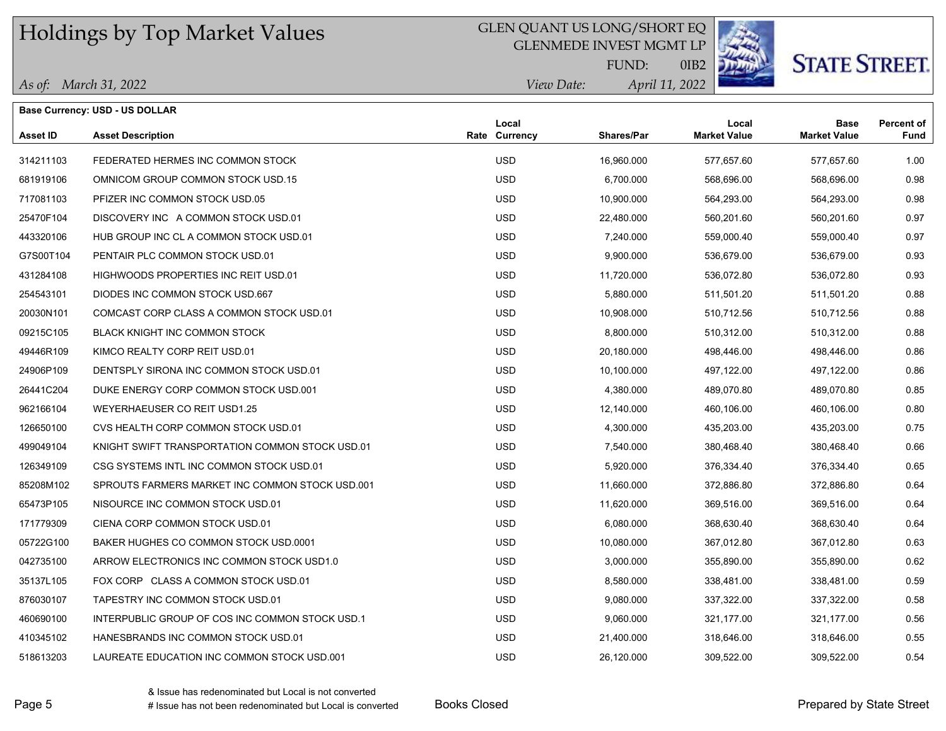### GLEN QUANT US LONG/SHORT EQ

GLENMEDE INVEST MGMT LP



0IB2

# **STATE STREET**

*April 11, 2022 View Date:* FUND:

| As of: March 31, 2022 |  |
|-----------------------|--|
|-----------------------|--|

|           | <b>Base Currency: USD - US DOLLAR</b>           |                        |            |                              |                                    |                                  |
|-----------|-------------------------------------------------|------------------------|------------|------------------------------|------------------------------------|----------------------------------|
| Asset ID  | <b>Asset Description</b>                        | Local<br>Rate Currency | Shares/Par | Local<br><b>Market Value</b> | <b>Base</b><br><b>Market Value</b> | <b>Percent of</b><br><b>Fund</b> |
| 314211103 | FEDERATED HERMES INC COMMON STOCK               | <b>USD</b>             | 16,960.000 | 577,657.60                   | 577,657.60                         | 1.00                             |
| 681919106 | OMNICOM GROUP COMMON STOCK USD.15               | <b>USD</b>             | 6,700.000  | 568,696.00                   | 568,696.00                         | 0.98                             |
| 717081103 | PFIZER INC COMMON STOCK USD.05                  | <b>USD</b>             | 10,900.000 | 564,293.00                   | 564,293.00                         | 0.98                             |
| 25470F104 | DISCOVERY INC A COMMON STOCK USD.01             | <b>USD</b>             | 22,480.000 | 560,201.60                   | 560,201.60                         | 0.97                             |
| 443320106 | HUB GROUP INC CL A COMMON STOCK USD.01          | <b>USD</b>             | 7,240.000  | 559,000.40                   | 559,000.40                         | 0.97                             |
| G7S00T104 | PENTAIR PLC COMMON STOCK USD.01                 | <b>USD</b>             | 9,900.000  | 536,679.00                   | 536,679.00                         | 0.93                             |
| 431284108 | HIGHWOODS PROPERTIES INC REIT USD.01            | <b>USD</b>             | 11,720.000 | 536,072.80                   | 536,072.80                         | 0.93                             |
| 254543101 | DIODES INC COMMON STOCK USD 667                 | <b>USD</b>             | 5,880.000  | 511,501.20                   | 511,501.20                         | 0.88                             |
| 20030N101 | COMCAST CORP CLASS A COMMON STOCK USD.01        | <b>USD</b>             | 10,908.000 | 510,712.56                   | 510,712.56                         | 0.88                             |
| 09215C105 | BLACK KNIGHT INC COMMON STOCK                   | <b>USD</b>             | 8,800.000  | 510,312.00                   | 510,312.00                         | 0.88                             |
| 49446R109 | KIMCO REALTY CORP REIT USD.01                   | <b>USD</b>             | 20,180.000 | 498,446.00                   | 498,446.00                         | 0.86                             |
| 24906P109 | DENTSPLY SIRONA INC COMMON STOCK USD.01         | <b>USD</b>             | 10,100.000 | 497,122.00                   | 497,122.00                         | 0.86                             |
| 26441C204 | DUKE ENERGY CORP COMMON STOCK USD 001           | <b>USD</b>             | 4,380.000  | 489,070.80                   | 489,070.80                         | 0.85                             |
| 962166104 | WEYERHAEUSER CO REIT USD1.25                    | <b>USD</b>             | 12,140.000 | 460,106.00                   | 460,106.00                         | 0.80                             |
| 126650100 | CVS HEALTH CORP COMMON STOCK USD.01             | <b>USD</b>             | 4,300.000  | 435,203.00                   | 435,203.00                         | 0.75                             |
| 499049104 | KNIGHT SWIFT TRANSPORTATION COMMON STOCK USD.01 | <b>USD</b>             | 7,540.000  | 380,468.40                   | 380,468.40                         | 0.66                             |
| 126349109 | CSG SYSTEMS INTL INC COMMON STOCK USD.01        | <b>USD</b>             | 5,920,000  | 376,334.40                   | 376,334.40                         | 0.65                             |
| 85208M102 | SPROUTS FARMERS MARKET INC COMMON STOCK USD.001 | <b>USD</b>             | 11,660.000 | 372,886.80                   | 372,886.80                         | 0.64                             |
| 65473P105 | NISOURCE INC COMMON STOCK USD.01                | <b>USD</b>             | 11,620.000 | 369,516.00                   | 369,516.00                         | 0.64                             |
| 171779309 | CIENA CORP COMMON STOCK USD.01                  | <b>USD</b>             | 6,080.000  | 368,630.40                   | 368,630.40                         | 0.64                             |
| 05722G100 | BAKER HUGHES CO COMMON STOCK USD.0001           | <b>USD</b>             | 10,080.000 | 367,012.80                   | 367,012.80                         | 0.63                             |
| 042735100 | ARROW ELECTRONICS INC COMMON STOCK USD1.0       | <b>USD</b>             | 3,000.000  | 355,890.00                   | 355,890.00                         | 0.62                             |
| 35137L105 | FOX CORP CLASS A COMMON STOCK USD.01            | <b>USD</b>             | 8,580.000  | 338,481.00                   | 338,481.00                         | 0.59                             |
| 876030107 | TAPESTRY INC COMMON STOCK USD.01                | <b>USD</b>             | 9,080.000  | 337,322.00                   | 337,322.00                         | 0.58                             |
| 460690100 | INTERPUBLIC GROUP OF COS INC COMMON STOCK USD.1 | <b>USD</b>             | 9,060.000  | 321,177.00                   | 321,177.00                         | 0.56                             |

410345102 HANESBRANDS INC COMMON STOCK USD.01 USD 21,400.000 318,646.00 318,646.00 0.55 518613203 LAUREATE EDUCATION INC COMMON STOCK USD.001 USD 26,120.000 309,522.00 309,522.00 0.54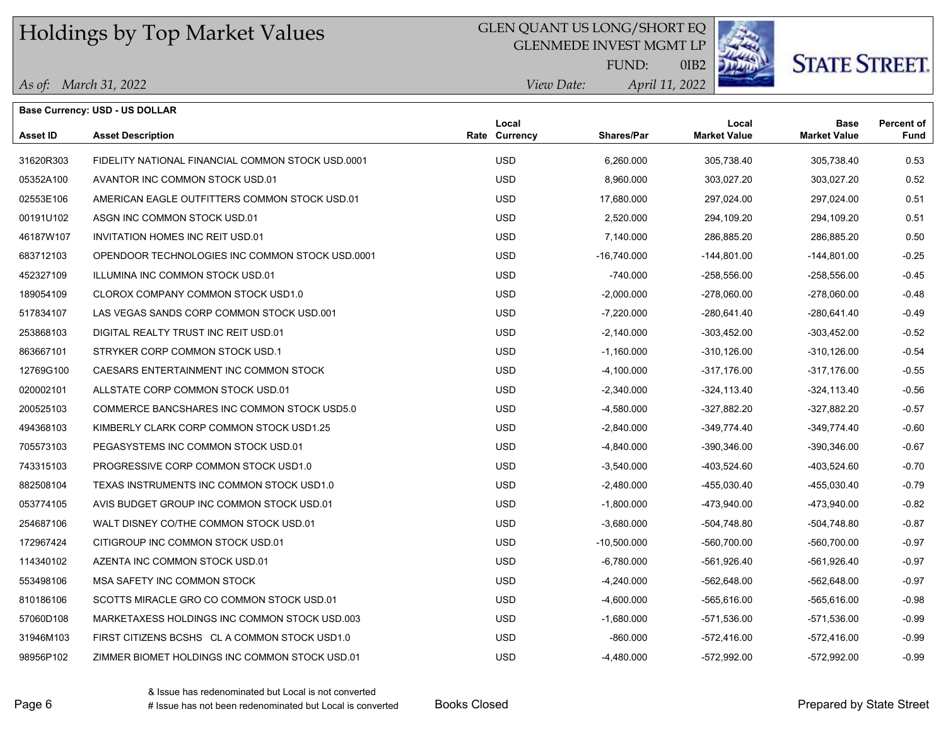## GLEN QUANT US LONG/SHORT EQ

GLENMEDE INVEST MGMT LP



# **STATE STREET.**

*April 11, 2022 View Date:* FUND:

0IB2

| Base Currency: USD - US DOLLAR |                                                   |  |                        |               |                              |                                    |                                  |
|--------------------------------|---------------------------------------------------|--|------------------------|---------------|------------------------------|------------------------------------|----------------------------------|
| <b>Asset ID</b>                | <b>Asset Description</b>                          |  | Local<br>Rate Currency | Shares/Par    | Local<br><b>Market Value</b> | <b>Base</b><br><b>Market Value</b> | <b>Percent of</b><br><b>Fund</b> |
| 31620R303                      | FIDELITY NATIONAL FINANCIAL COMMON STOCK USD.0001 |  | <b>USD</b>             | 6,260.000     | 305,738.40                   | 305,738.40                         | 0.53                             |
| 05352A100                      | AVANTOR INC COMMON STOCK USD.01                   |  | <b>USD</b>             | 8,960.000     | 303,027.20                   | 303,027.20                         | 0.52                             |
| 02553E106                      | AMERICAN EAGLE OUTFITTERS COMMON STOCK USD.01     |  | <b>USD</b>             | 17,680.000    | 297,024.00                   | 297,024.00                         | 0.51                             |
| 00191U102                      | ASGN INC COMMON STOCK USD 01                      |  | <b>USD</b>             | 2,520.000     | 294,109.20                   | 294,109.20                         | 0.51                             |
| 46187W107                      | <b>INVITATION HOMES INC REIT USD.01</b>           |  | <b>USD</b>             | 7,140.000     | 286,885.20                   | 286,885.20                         | 0.50                             |
| 683712103                      | OPENDOOR TECHNOLOGIES INC COMMON STOCK USD 0001   |  | <b>USD</b>             | $-16,740.000$ | -144,801.00                  | $-144,801.00$                      | $-0.25$                          |
| 452327109                      | ILLUMINA INC COMMON STOCK USD.01                  |  | <b>USD</b>             | $-740.000$    | $-258,556.00$                | $-258,556.00$                      | $-0.45$                          |
| 189054109                      | CLOROX COMPANY COMMON STOCK USD1.0                |  | <b>USD</b>             | $-2,000.000$  | -278,060.00                  | $-278,060.00$                      | $-0.48$                          |
| 517834107                      | LAS VEGAS SANDS CORP COMMON STOCK USD 001         |  | <b>USD</b>             | $-7,220.000$  | -280,641.40                  | -280,641.40                        | $-0.49$                          |
| 253868103                      | DIGITAL REALTY TRUST INC REIT USD.01              |  | <b>USD</b>             | $-2,140.000$  | -303,452.00                  | $-303,452.00$                      | $-0.52$                          |
| 863667101                      | STRYKER CORP COMMON STOCK USD 1                   |  | <b>USD</b>             | $-1,160.000$  | $-310, 126.00$               | $-310, 126.00$                     | $-0.54$                          |
| 12769G100                      | CAESARS ENTERTAINMENT INC COMMON STOCK            |  | <b>USD</b>             | $-4,100.000$  | $-317,176.00$                | $-317,176.00$                      | $-0.55$                          |
| 020002101                      | ALLSTATE CORP COMMON STOCK USD.01                 |  | <b>USD</b>             | $-2,340.000$  | $-324, 113.40$               | $-324, 113.40$                     | $-0.56$                          |
| 200525103                      | COMMERCE BANCSHARES INC COMMON STOCK USD5.0       |  | <b>USD</b>             | $-4,580.000$  | -327,882.20                  | -327,882.20                        | $-0.57$                          |
| 494368103                      | KIMBERLY CLARK CORP COMMON STOCK USD1.25          |  | <b>USD</b>             | $-2,840.000$  | $-349,774.40$                | $-349,774.40$                      | $-0.60$                          |
| 705573103                      | PEGASYSTEMS INC COMMON STOCK USD.01               |  | <b>USD</b>             | $-4,840.000$  | -390,346.00                  | -390,346.00                        | $-0.67$                          |
| 743315103                      | PROGRESSIVE CORP COMMON STOCK USD1.0              |  | <b>USD</b>             | $-3,540.000$  | -403,524.60                  | -403,524.60                        | $-0.70$                          |
| 882508104                      | TEXAS INSTRUMENTS INC COMMON STOCK USD1.0         |  | <b>USD</b>             | $-2,480.000$  | -455,030.40                  | -455,030.40                        | $-0.79$                          |
| 053774105                      | AVIS BUDGET GROUP INC COMMON STOCK USD.01         |  | <b>USD</b>             | $-1,800.000$  | -473,940.00                  | -473,940.00                        | $-0.82$                          |
| 254687106                      | WALT DISNEY CO/THE COMMON STOCK USD.01            |  | <b>USD</b>             | $-3,680.000$  | -504,748.80                  | $-504,748.80$                      | $-0.87$                          |
| 172967424                      | CITIGROUP INC COMMON STOCK USD.01                 |  | <b>USD</b>             | $-10,500.000$ | -560,700.00                  | -560,700.00                        | $-0.97$                          |
| 114340102                      | AZENTA INC COMMON STOCK USD.01                    |  | <b>USD</b>             | $-6,780.000$  | -561,926.40                  | -561,926.40                        | $-0.97$                          |
| 553498106                      | MSA SAFETY INC COMMON STOCK                       |  | <b>USD</b>             | $-4,240.000$  | -562,648.00                  | $-562,648.00$                      | $-0.97$                          |
| 810186106                      | SCOTTS MIRACLE GRO CO COMMON STOCK USD.01         |  | <b>USD</b>             | $-4,600.000$  | -565,616.00                  | -565,616.00                        | $-0.98$                          |
| 57060D108                      | MARKETAXESS HOLDINGS INC COMMON STOCK USD.003     |  | <b>USD</b>             | $-1,680.000$  | -571,536.00                  | -571,536.00                        | $-0.99$                          |
| 31946M103                      | FIRST CITIZENS BCSHS CL A COMMON STOCK USD1.0     |  | <b>USD</b>             | $-860.000$    | $-572,416.00$                | $-572,416.00$                      | $-0.99$                          |
| 98956P102                      | ZIMMER BIOMET HOLDINGS INC COMMON STOCK USD.01    |  | <b>USD</b>             | $-4,480.000$  | $-572,992.00$                | $-572,992.00$                      | $-0.99$                          |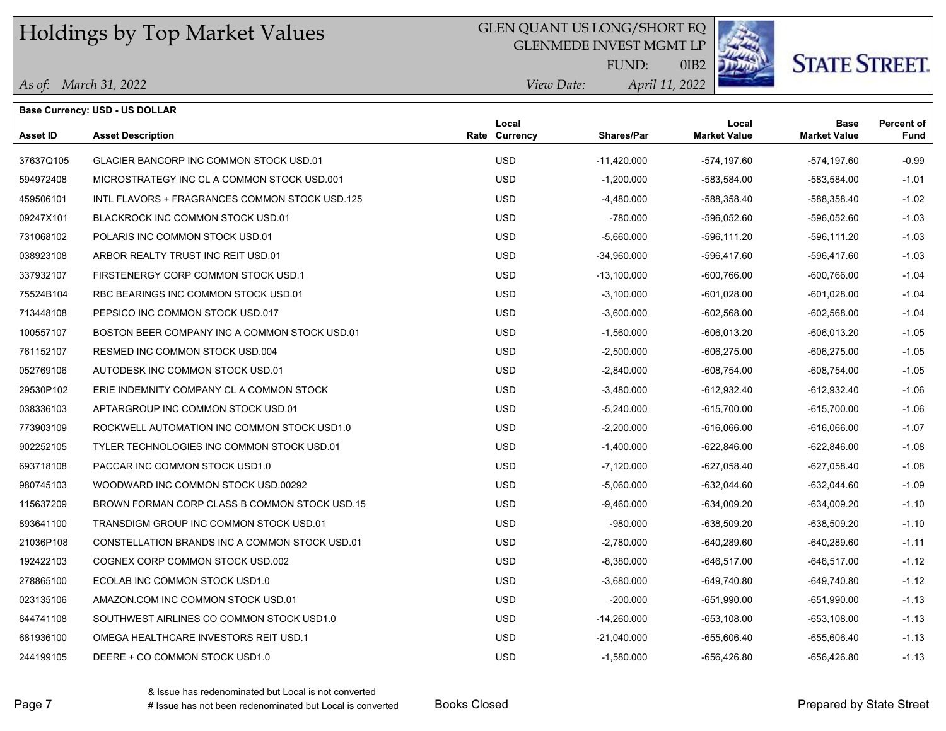### GLEN QUANT US LONG/SHORT EQ

GLENMEDE INVEST MGMT LP



**STATE STREET.** 

*April 11, 2022 View Date:* FUND:

0IB2

#### *As of: March 31, 2022*

|                 | <b>Base Currency: USD - US DOLLAR</b>          |                               |               |                              |                                    |                           |
|-----------------|------------------------------------------------|-------------------------------|---------------|------------------------------|------------------------------------|---------------------------|
| <b>Asset ID</b> | <b>Asset Description</b>                       | Local<br><b>Rate Currency</b> | Shares/Par    | Local<br><b>Market Value</b> | <b>Base</b><br><b>Market Value</b> | <b>Percent of</b><br>Fund |
| 37637Q105       | GLACIER BANCORP INC COMMON STOCK USD.01        | <b>USD</b>                    | $-11,420.000$ | -574,197.60                  | -574,197.60                        | $-0.99$                   |
| 594972408       | MICROSTRATEGY INC CL A COMMON STOCK USD.001    | <b>USD</b>                    | $-1,200.000$  | -583,584.00                  | -583,584.00                        | $-1.01$                   |
| 459506101       | INTL FLAVORS + FRAGRANCES COMMON STOCK USD.125 | <b>USD</b>                    | -4,480.000    | -588,358.40                  | -588,358.40                        | $-1.02$                   |
| 09247X101       | BLACKROCK INC COMMON STOCK USD.01              | <b>USD</b>                    | $-780.000$    | -596,052.60                  | -596,052.60                        | $-1.03$                   |
| 731068102       | POLARIS INC COMMON STOCK USD.01                | <b>USD</b>                    | -5,660.000    | -596,111.20                  | -596,111.20                        | $-1.03$                   |
| 038923108       | ARBOR REALTY TRUST INC REIT USD.01             | <b>USD</b>                    | $-34,960.000$ | -596,417.60                  | -596,417.60                        | $-1.03$                   |
| 337932107       | FIRSTENERGY CORP COMMON STOCK USD.1            | <b>USD</b>                    | $-13,100.000$ | $-600,766.00$                | $-600,766.00$                      | $-1.04$                   |
| 75524B104       | RBC BEARINGS INC COMMON STOCK USD.01           | <b>USD</b>                    | $-3,100.000$  | -601,028.00                  | $-601,028.00$                      | $-1.04$                   |
| 713448108       | PEPSICO INC COMMON STOCK USD.017               | <b>USD</b>                    | $-3,600.000$  | $-602,568.00$                | $-602,568.00$                      | $-1.04$                   |
| 100557107       | BOSTON BEER COMPANY INC A COMMON STOCK USD.01  | <b>USD</b>                    | $-1,560.000$  | -606,013.20                  | -606.013.20                        | $-1.05$                   |
| 761152107       | RESMED INC COMMON STOCK USD.004                | <b>USD</b>                    | $-2,500.000$  | $-606,275.00$                | -606,275.00                        | $-1.05$                   |
| 052769106       | AUTODESK INC COMMON STOCK USD.01               | <b>USD</b>                    | $-2,840.000$  | $-608,754.00$                | $-608,754.00$                      | $-1.05$                   |
| 29530P102       | ERIE INDEMNITY COMPANY CL A COMMON STOCK       | <b>USD</b>                    | -3,480.000    | $-612,932.40$                | $-612,932.40$                      | $-1.06$                   |
| 038336103       | APTARGROUP INC COMMON STOCK USD.01             | <b>USD</b>                    | -5,240.000    | $-615,700.00$                | $-615,700.00$                      | $-1.06$                   |
| 773903109       | ROCKWELL AUTOMATION INC COMMON STOCK USD1.0    | <b>USD</b>                    | $-2,200.000$  | $-616,066.00$                | $-616,066.00$                      | $-1.07$                   |
| 902252105       | TYLER TECHNOLOGIES INC COMMON STOCK USD.01     | <b>USD</b>                    | $-1,400.000$  | $-622,846.00$                | $-622.846.00$                      | $-1.08$                   |
| 693718108       | PACCAR INC COMMON STOCK USD1.0                 | <b>USD</b>                    | $-7,120.000$  | -627,058.40                  | -627,058.40                        | $-1.08$                   |
| 980745103       | WOODWARD INC COMMON STOCK USD 00292            | <b>USD</b>                    | -5,060.000    | -632,044.60                  | -632,044.60                        | $-1.09$                   |
| 115637209       | BROWN FORMAN CORP CLASS B COMMON STOCK USD.15  | <b>USD</b>                    | -9,460.000    | $-634,009.20$                | $-634,009.20$                      | $-1.10$                   |
| 893641100       | TRANSDIGM GROUP INC COMMON STOCK USD.01        | <b>USD</b>                    | $-980.000$    | -638,509.20                  | $-638,509.20$                      | $-1.10$                   |
| 21036P108       | CONSTELLATION BRANDS INC A COMMON STOCK USD.01 | <b>USD</b>                    | -2,780.000    | $-640,289.60$                | $-640,289.60$                      | $-1.11$                   |
| 192422103       | COGNEX CORP COMMON STOCK USD.002               | <b>USD</b>                    | $-8,380.000$  | $-646,517.00$                | $-646,517.00$                      | $-1.12$                   |
| 278865100       | ECOLAB INC COMMON STOCK USD1.0                 | <b>USD</b>                    | $-3,680.000$  | -649,740.80                  | -649,740.80                        | $-1.12$                   |
| 023135106       | AMAZON.COM INC COMMON STOCK USD.01             | <b>USD</b>                    | $-200.000$    | -651,990.00                  | -651,990.00                        | $-1.13$                   |
| 844741108       | SOUTHWEST AIRLINES CO COMMON STOCK USD1.0      | <b>USD</b>                    | $-14,260.000$ | -653,108.00                  | $-653, 108.00$                     | $-1.13$                   |
| 681936100       | OMEGA HEALTHCARE INVESTORS REIT USD.1          | <b>USD</b>                    | $-21,040.000$ | -655,606.40                  | -655,606.40                        | $-1.13$                   |
| 244199105       | DEERE + CO COMMON STOCK USD1.0                 | <b>USD</b>                    | $-1,580.000$  | -656,426.80                  | -656,426.80                        | $-1.13$                   |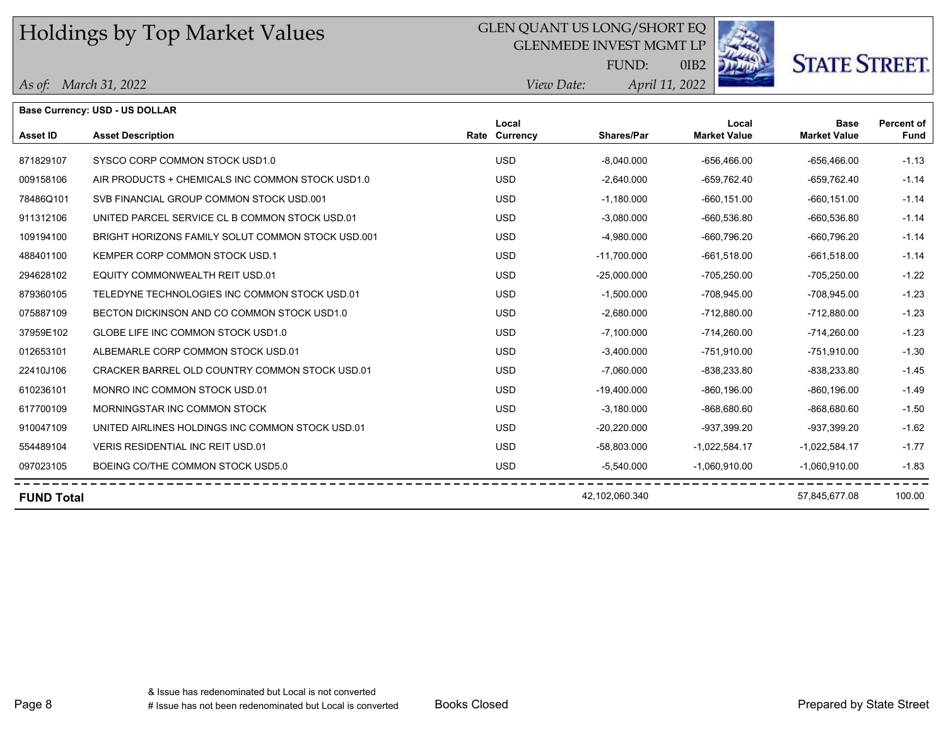## GLEN QUANT US LONG/SHORT EQ

GLENMEDE INVEST MGMT LP

FUND:



0IB2

*April 11, 2022*

## *View Date:*

| As of: March 31, 2022 |  |
|-----------------------|--|
|                       |  |

|                   | Base Currency: USD - US DOLLAR                    |                        |                |                              |                                    |                           |
|-------------------|---------------------------------------------------|------------------------|----------------|------------------------------|------------------------------------|---------------------------|
| <b>Asset ID</b>   | <b>Asset Description</b>                          | Local<br>Rate Currency | Shares/Par     | Local<br><b>Market Value</b> | <b>Base</b><br><b>Market Value</b> | <b>Percent of</b><br>Fund |
| 871829107         | SYSCO CORP COMMON STOCK USD1.0                    | <b>USD</b>             | $-8,040.000$   | $-656,466.00$                | $-656.466.00$                      | $-1.13$                   |
| 009158106         | AIR PRODUCTS + CHEMICALS INC COMMON STOCK USD1.0  | <b>USD</b>             | $-2,640.000$   | -659,762.40                  | -659,762.40                        | $-1.14$                   |
| 78486Q101         | SVB FINANCIAL GROUP COMMON STOCK USD.001          | <b>USD</b>             | $-1,180.000$   | $-660, 151.00$               | $-660.151.00$                      | $-1.14$                   |
| 911312106         | UNITED PARCEL SERVICE CL B COMMON STOCK USD.01    | <b>USD</b>             | $-3,080.000$   | $-660,536.80$                | $-660.536.80$                      | $-1.14$                   |
| 109194100         | BRIGHT HORIZONS FAMILY SOLUT COMMON STOCK USD.001 | <b>USD</b>             | $-4,980.000$   | $-660,796.20$                | $-660,796.20$                      | $-1.14$                   |
| 488401100         | KEMPER CORP COMMON STOCK USD.1                    | <b>USD</b>             | $-11,700.000$  | $-661,518.00$                | $-661,518.00$                      | $-1.14$                   |
| 294628102         | EQUITY COMMONWEALTH REIT USD.01                   | <b>USD</b>             | $-25,000.000$  | $-705,250.00$                | $-705,250.00$                      | $-1.22$                   |
| 879360105         | TELEDYNE TECHNOLOGIES INC COMMON STOCK USD.01     | <b>USD</b>             | $-1,500.000$   | -708,945.00                  | -708,945.00                        | $-1.23$                   |
| 075887109         | BECTON DICKINSON AND CO COMMON STOCK USD1.0       | <b>USD</b>             | $-2,680.000$   | $-712,880.00$                | $-712,880.00$                      | $-1.23$                   |
| 37959E102         | GLOBE LIFE INC COMMON STOCK USD1.0                | <b>USD</b>             | $-7,100.000$   | $-714,260.00$                | $-714,260.00$                      | $-1.23$                   |
| 012653101         | ALBEMARLE CORP COMMON STOCK USD.01                | <b>USD</b>             | $-3,400.000$   | $-751,910.00$                | -751,910.00                        | $-1.30$                   |
| 22410J106         | CRACKER BARREL OLD COUNTRY COMMON STOCK USD.01    | <b>USD</b>             | $-7,060.000$   | $-838,233.80$                | $-838,233.80$                      | $-1.45$                   |
| 610236101         | MONRO INC COMMON STOCK USD.01                     | <b>USD</b>             | $-19,400.000$  | $-860, 196.00$               | $-860, 196.00$                     | $-1.49$                   |
| 617700109         | MORNINGSTAR INC COMMON STOCK                      | <b>USD</b>             | $-3,180.000$   | -868,680.60                  | $-868,680.60$                      | $-1.50$                   |
| 910047109         | UNITED AIRLINES HOLDINGS INC COMMON STOCK USD.01  | <b>USD</b>             | $-20,220.000$  | -937,399.20                  | -937,399.20                        | $-1.62$                   |
| 554489104         | <b>VERIS RESIDENTIAL INC REIT USD.01</b>          | <b>USD</b>             | -58,803.000    | $-1,022,584.17$              | $-1,022,584.17$                    | $-1.77$                   |
| 097023105         | BOEING CO/THE COMMON STOCK USD5.0                 | <b>USD</b>             | $-5,540.000$   | $-1,060,910.00$              | $-1,060,910.00$                    | $-1.83$                   |
| <b>FUND Total</b> |                                                   |                        | 42,102,060.340 |                              | 57,845,677.08                      | 100.00                    |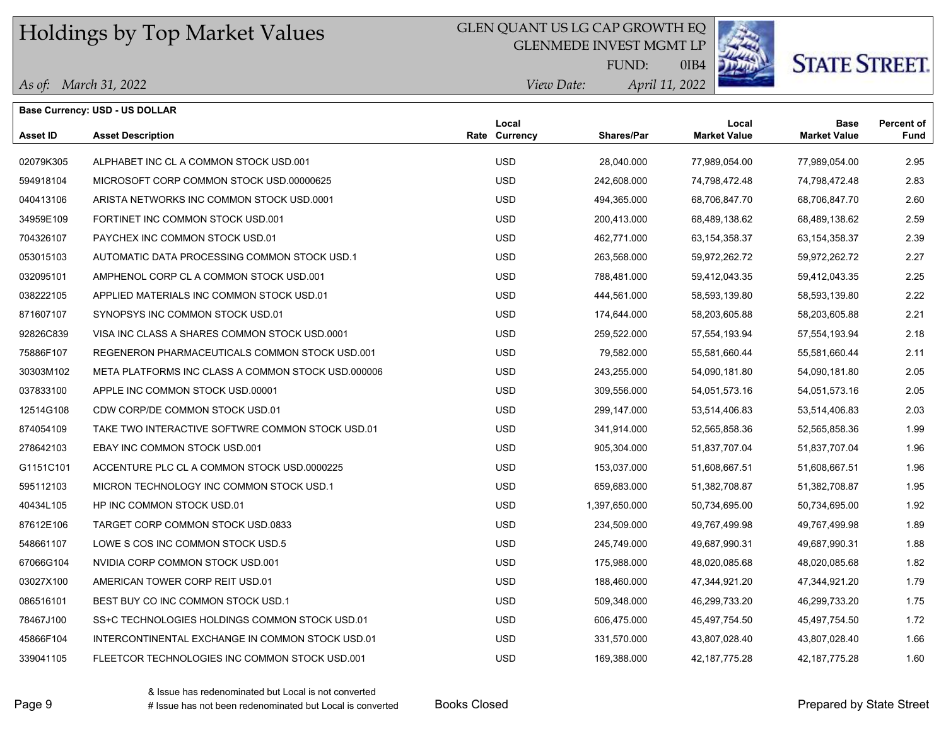### GLEN QUANT US LG CAP GROWTH EQ

GLENMEDE INVEST MGMT LP



# **STATE STREET.**

*April 11, 2022 View Date:* FUND:

0IB4

|  | As of: March 31, 2022 |
|--|-----------------------|
|--|-----------------------|

|           | <b>Base Currency: USD - US DOLLAR</b>              |                        |                   |                              |                             |                           |
|-----------|----------------------------------------------------|------------------------|-------------------|------------------------------|-----------------------------|---------------------------|
| Asset ID  | <b>Asset Description</b>                           | Local<br>Rate Currency | <b>Shares/Par</b> | Local<br><b>Market Value</b> | Base<br><b>Market Value</b> | <b>Percent of</b><br>Fund |
| 02079K305 | ALPHABET INC CL A COMMON STOCK USD.001             | <b>USD</b>             | 28.040.000        | 77,989,054.00                | 77,989,054.00               | 2.95                      |
| 594918104 | MICROSOFT CORP COMMON STOCK USD 00000625           | <b>USD</b>             | 242,608.000       | 74,798,472.48                | 74,798,472.48               | 2.83                      |
| 040413106 | ARISTA NETWORKS INC COMMON STOCK USD 0001          | <b>USD</b>             | 494,365.000       | 68,706,847.70                | 68,706,847.70               | 2.60                      |
| 34959E109 | FORTINET INC COMMON STOCK USD.001                  | <b>USD</b>             | 200,413.000       | 68,489,138.62                | 68,489,138.62               | 2.59                      |
| 704326107 | PAYCHEX INC COMMON STOCK USD.01                    | <b>USD</b>             | 462,771.000       | 63, 154, 358. 37             | 63, 154, 358. 37            | 2.39                      |
| 053015103 | AUTOMATIC DATA PROCESSING COMMON STOCK USD.1       | <b>USD</b>             | 263,568.000       | 59,972,262.72                | 59,972,262.72               | 2.27                      |
| 032095101 | AMPHENOL CORP CL A COMMON STOCK USD.001            | <b>USD</b>             | 788,481.000       | 59,412,043.35                | 59,412,043.35               | 2.25                      |
| 038222105 | APPLIED MATERIALS INC COMMON STOCK USD.01          | <b>USD</b>             | 444,561.000       | 58,593,139.80                | 58,593,139.80               | 2.22                      |
| 871607107 | SYNOPSYS INC COMMON STOCK USD.01                   | <b>USD</b>             | 174,644.000       | 58,203,605.88                | 58,203,605.88               | 2.21                      |
| 92826C839 | VISA INC CLASS A SHARES COMMON STOCK USD 0001      | <b>USD</b>             | 259,522.000       | 57,554,193.94                | 57,554,193.94               | 2.18                      |
| 75886F107 | REGENERON PHARMACEUTICALS COMMON STOCK USD.001     | <b>USD</b>             | 79,582.000        | 55,581,660.44                | 55,581,660.44               | 2.11                      |
| 30303M102 | META PLATFORMS INC CLASS A COMMON STOCK USD.000006 | <b>USD</b>             | 243,255.000       | 54,090,181.80                | 54,090,181.80               | 2.05                      |
| 037833100 | APPLE INC COMMON STOCK USD.00001                   | <b>USD</b>             | 309,556.000       | 54,051,573.16                | 54,051,573.16               | 2.05                      |
| 12514G108 | CDW CORP/DE COMMON STOCK USD.01                    | <b>USD</b>             | 299,147.000       | 53,514,406.83                | 53,514,406.83               | 2.03                      |
| 874054109 | TAKE TWO INTERACTIVE SOFTWRE COMMON STOCK USD.01   | <b>USD</b>             | 341,914.000       | 52,565,858.36                | 52,565,858.36               | 1.99                      |
| 278642103 | EBAY INC COMMON STOCK USD.001                      | <b>USD</b>             | 905,304.000       | 51,837,707.04                | 51,837,707.04               | 1.96                      |
| G1151C101 | ACCENTURE PLC CL A COMMON STOCK USD 0000225        | <b>USD</b>             | 153,037.000       | 51,608,667.51                | 51,608,667.51               | 1.96                      |
| 595112103 | MICRON TECHNOLOGY INC COMMON STOCK USD.1           | <b>USD</b>             | 659,683.000       | 51,382,708.87                | 51,382,708.87               | 1.95                      |
| 40434L105 | HP INC COMMON STOCK USD.01                         | <b>USD</b>             | 1,397,650.000     | 50,734,695.00                | 50,734,695.00               | 1.92                      |
| 87612E106 | TARGET CORP COMMON STOCK USD 0833                  | <b>USD</b>             | 234,509.000       | 49,767,499.98                | 49,767,499.98               | 1.89                      |
| 548661107 | LOWE S COS INC COMMON STOCK USD.5                  | <b>USD</b>             | 245,749.000       | 49,687,990.31                | 49,687,990.31               | 1.88                      |
| 67066G104 | NVIDIA CORP COMMON STOCK USD.001                   | <b>USD</b>             | 175,988.000       | 48,020,085.68                | 48,020,085.68               | 1.82                      |
| 03027X100 | AMERICAN TOWER CORP REIT USD.01                    | <b>USD</b>             | 188,460.000       | 47,344,921.20                | 47,344,921.20               | 1.79                      |
| 086516101 | BEST BUY CO INC COMMON STOCK USD.1                 | <b>USD</b>             | 509,348.000       | 46,299,733.20                | 46,299,733.20               | 1.75                      |
| 78467J100 | SS+C TECHNOLOGIES HOLDINGS COMMON STOCK USD.01     | <b>USD</b>             | 606,475.000       | 45,497,754.50                | 45,497,754.50               | 1.72                      |
| 45866F104 | INTERCONTINENTAL EXCHANGE IN COMMON STOCK USD.01   | <b>USD</b>             | 331,570.000       | 43,807,028.40                | 43,807,028.40               | 1.66                      |
| 339041105 | FLEETCOR TECHNOLOGIES INC COMMON STOCK USD.001     | <b>USD</b>             | 169,388.000       | 42.187.775.28                | 42.187.775.28               | 1.60                      |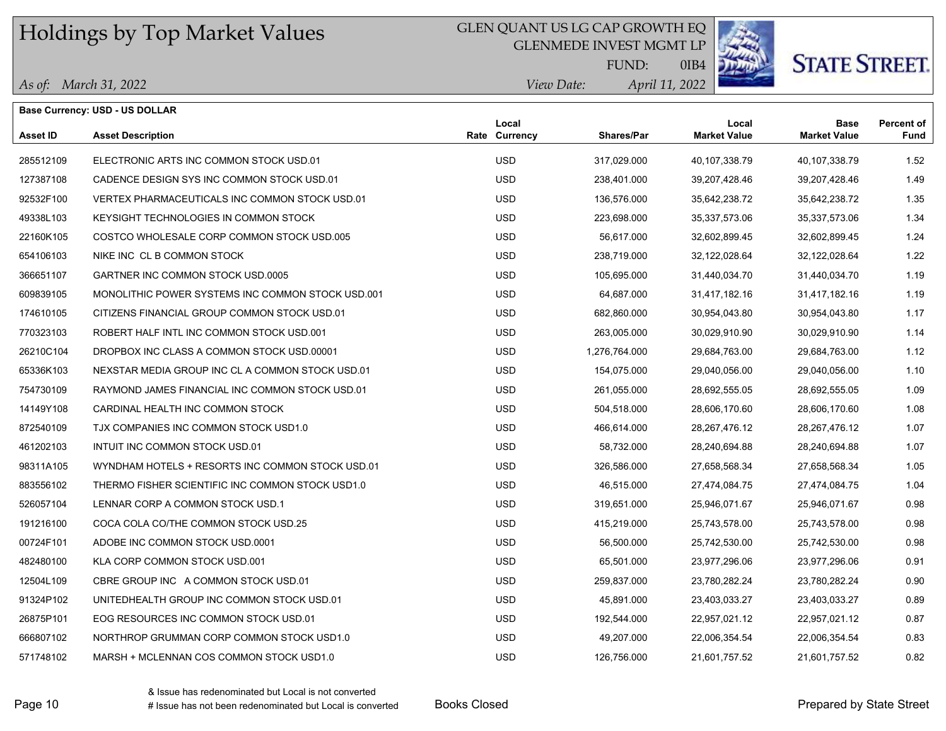### GLEN QUANT US LG CAP GROWTH EQ

GLENMEDE INVEST MGMT LP



# **STATE STREET.**

*April 11, 2022 View Date:* FUND:

0IB4

*As of: March 31, 2022*

|                 | <b>Base Currency: USD - US DOLLAR</b>             |                        |                   |                              |                                    |                           |
|-----------------|---------------------------------------------------|------------------------|-------------------|------------------------------|------------------------------------|---------------------------|
| <b>Asset ID</b> | <b>Asset Description</b>                          | Local<br>Rate Currency | <b>Shares/Par</b> | Local<br><b>Market Value</b> | <b>Base</b><br><b>Market Value</b> | <b>Percent of</b><br>Fund |
| 285512109       | ELECTRONIC ARTS INC COMMON STOCK USD.01           | <b>USD</b>             | 317,029.000       | 40,107,338.79                | 40,107,338.79                      | 1.52                      |
| 127387108       | CADENCE DESIGN SYS INC COMMON STOCK USD.01        | <b>USD</b>             | 238,401.000       | 39,207,428.46                | 39,207,428.46                      | 1.49                      |
| 92532F100       | VERTEX PHARMACEUTICALS INC COMMON STOCK USD.01    | <b>USD</b>             | 136,576.000       | 35,642,238.72                | 35,642,238.72                      | 1.35                      |
| 49338L103       | KEYSIGHT TECHNOLOGIES IN COMMON STOCK             | <b>USD</b>             | 223,698.000       | 35,337,573.06                | 35,337,573.06                      | 1.34                      |
| 22160K105       | COSTCO WHOLESALE CORP COMMON STOCK USD.005        | <b>USD</b>             | 56,617.000        | 32,602,899.45                | 32,602,899.45                      | 1.24                      |
| 654106103       | NIKE INC CL B COMMON STOCK                        | <b>USD</b>             | 238,719.000       | 32,122,028.64                | 32,122,028.64                      | 1.22                      |
| 366651107       | GARTNER INC COMMON STOCK USD 0005                 | <b>USD</b>             | 105,695.000       | 31,440,034.70                | 31,440,034.70                      | 1.19                      |
| 609839105       | MONOLITHIC POWER SYSTEMS INC COMMON STOCK USD.001 | <b>USD</b>             | 64,687.000        | 31,417,182.16                | 31,417,182.16                      | 1.19                      |
| 174610105       | CITIZENS FINANCIAL GROUP COMMON STOCK USD.01      | <b>USD</b>             | 682,860.000       | 30,954,043.80                | 30,954,043.80                      | 1.17                      |
| 770323103       | ROBERT HALF INTL INC COMMON STOCK USD.001         | <b>USD</b>             | 263,005.000       | 30,029,910.90                | 30,029,910.90                      | 1.14                      |
| 26210C104       | DROPBOX INC CLASS A COMMON STOCK USD 00001        | <b>USD</b>             | 1,276,764.000     | 29,684,763.00                | 29,684,763.00                      | 1.12                      |
| 65336K103       | NEXSTAR MEDIA GROUP INC CL A COMMON STOCK USD 01  | <b>USD</b>             | 154,075.000       | 29,040,056.00                | 29,040,056.00                      | 1.10                      |
| 754730109       | RAYMOND JAMES FINANCIAL INC COMMON STOCK USD.01   | <b>USD</b>             | 261,055.000       | 28,692,555.05                | 28,692,555.05                      | 1.09                      |
| 14149Y108       | CARDINAL HEALTH INC COMMON STOCK                  | <b>USD</b>             | 504,518.000       | 28,606,170.60                | 28,606,170.60                      | 1.08                      |
| 872540109       | TJX COMPANIES INC COMMON STOCK USD1.0             | <b>USD</b>             | 466,614.000       | 28,267,476.12                | 28,267,476.12                      | 1.07                      |
| 461202103       | INTUIT INC COMMON STOCK USD.01                    | <b>USD</b>             | 58,732.000        | 28,240,694.88                | 28,240,694.88                      | 1.07                      |
| 98311A105       | WYNDHAM HOTELS + RESORTS INC COMMON STOCK USD.01  | <b>USD</b>             | 326,586.000       | 27,658,568.34                | 27,658,568.34                      | 1.05                      |
| 883556102       | THERMO FISHER SCIENTIFIC INC COMMON STOCK USD1.0  | <b>USD</b>             | 46,515.000        | 27,474,084.75                | 27,474,084.75                      | 1.04                      |
| 526057104       | LENNAR CORP A COMMON STOCK USD.1                  | <b>USD</b>             | 319,651.000       | 25,946,071.67                | 25,946,071.67                      | 0.98                      |
| 191216100       | COCA COLA CO/THE COMMON STOCK USD.25              | <b>USD</b>             | 415,219.000       | 25,743,578.00                | 25,743,578.00                      | 0.98                      |
| 00724F101       | ADOBE INC COMMON STOCK USD.0001                   | <b>USD</b>             | 56,500.000        | 25,742,530.00                | 25,742,530.00                      | 0.98                      |
| 482480100       | KLA CORP COMMON STOCK USD.001                     | <b>USD</b>             | 65,501.000        | 23,977,296.06                | 23,977,296.06                      | 0.91                      |
| 12504L109       | CBRE GROUP INC A COMMON STOCK USD.01              | <b>USD</b>             | 259,837.000       | 23,780,282.24                | 23,780,282.24                      | 0.90                      |
| 91324P102       | UNITEDHEALTH GROUP INC COMMON STOCK USD.01        | <b>USD</b>             | 45,891.000        | 23,403,033.27                | 23,403,033.27                      | 0.89                      |
| 26875P101       | EOG RESOURCES INC COMMON STOCK USD.01             | <b>USD</b>             | 192,544.000       | 22,957,021.12                | 22,957,021.12                      | 0.87                      |
| 666807102       | NORTHROP GRUMMAN CORP COMMON STOCK USD1.0         | <b>USD</b>             | 49,207.000        | 22,006,354.54                | 22,006,354.54                      | 0.83                      |
| 571748102       | MARSH + MCLENNAN COS COMMON STOCK USD1.0          | <b>USD</b>             | 126,756.000       | 21,601,757.52                | 21,601,757.52                      | 0.82                      |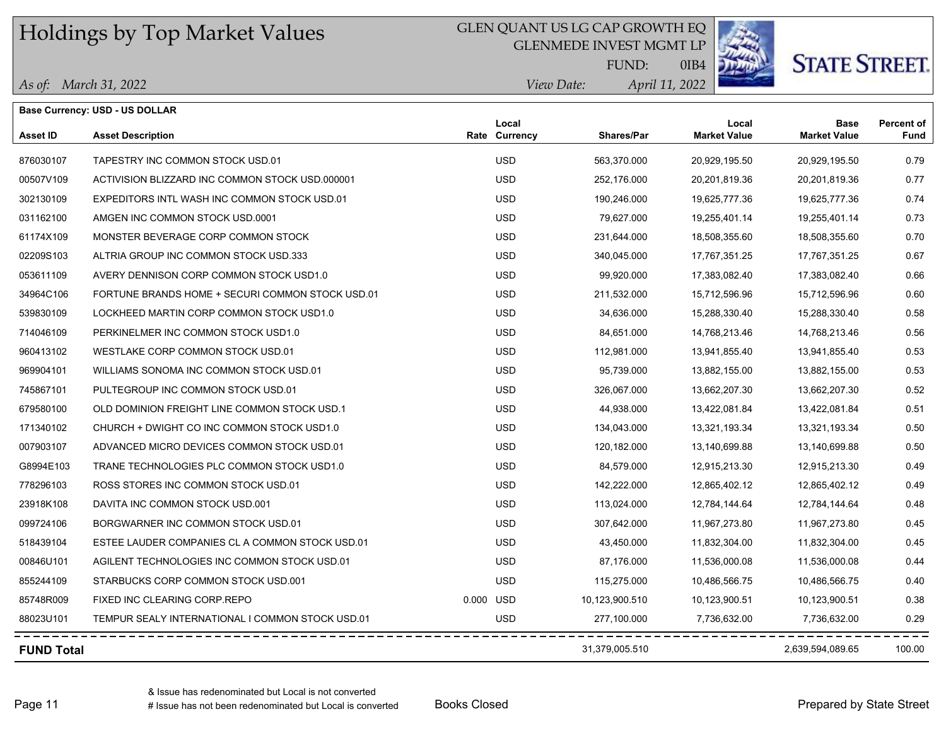## GLEN QUANT US LG CAP GROWTH EQ

GLENMEDE INVEST MGMT LP



# **STATE STREET.**

*April 11, 2022 View Date:* FUND:

0IB4

|  | As of: March 31, 2022 |
|--|-----------------------|
|--|-----------------------|

|                   | <b>Base Currency: USD - US DOLLAR</b>            |           |                        |                |                              |                                    |                                  |
|-------------------|--------------------------------------------------|-----------|------------------------|----------------|------------------------------|------------------------------------|----------------------------------|
| <b>Asset ID</b>   | <b>Asset Description</b>                         |           | Local<br>Rate Currency | Shares/Par     | Local<br><b>Market Value</b> | <b>Base</b><br><b>Market Value</b> | <b>Percent of</b><br><b>Fund</b> |
| 876030107         | TAPESTRY INC COMMON STOCK USD.01                 |           | <b>USD</b>             | 563,370.000    | 20,929,195.50                | 20,929,195.50                      | 0.79                             |
| 00507V109         | ACTIVISION BLIZZARD INC COMMON STOCK USD.000001  |           | <b>USD</b>             | 252,176.000    | 20,201,819.36                | 20,201,819.36                      | 0.77                             |
| 302130109         | EXPEDITORS INTL WASH INC COMMON STOCK USD.01     |           | <b>USD</b>             | 190,246.000    | 19,625,777.36                | 19,625,777.36                      | 0.74                             |
| 031162100         | AMGEN INC COMMON STOCK USD 0001                  |           | <b>USD</b>             | 79,627.000     | 19,255,401.14                | 19,255,401.14                      | 0.73                             |
| 61174X109         | MONSTER BEVERAGE CORP COMMON STOCK               |           | <b>USD</b>             | 231,644.000    | 18,508,355.60                | 18,508,355.60                      | 0.70                             |
| 02209S103         | ALTRIA GROUP INC COMMON STOCK USD.333            |           | <b>USD</b>             | 340,045.000    | 17,767,351.25                | 17,767,351.25                      | 0.67                             |
| 053611109         | AVERY DENNISON CORP COMMON STOCK USD1.0          |           | <b>USD</b>             | 99,920.000     | 17,383,082.40                | 17,383,082.40                      | 0.66                             |
| 34964C106         | FORTUNE BRANDS HOME + SECURI COMMON STOCK USD.01 |           | <b>USD</b>             | 211,532.000    | 15,712,596.96                | 15,712,596.96                      | 0.60                             |
| 539830109         | LOCKHEED MARTIN CORP COMMON STOCK USD1.0         |           | <b>USD</b>             | 34,636.000     | 15,288,330.40                | 15,288,330.40                      | 0.58                             |
| 714046109         | PERKINELMER INC COMMON STOCK USD1.0              |           | <b>USD</b>             | 84,651.000     | 14,768,213.46                | 14,768,213.46                      | 0.56                             |
| 960413102         | WESTLAKE CORP COMMON STOCK USD.01                |           | <b>USD</b>             | 112,981.000    | 13,941,855.40                | 13,941,855.40                      | 0.53                             |
| 969904101         | WILLIAMS SONOMA INC COMMON STOCK USD.01          |           | <b>USD</b>             | 95,739.000     | 13,882,155.00                | 13,882,155.00                      | 0.53                             |
| 745867101         | PULTEGROUP INC COMMON STOCK USD.01               |           | <b>USD</b>             | 326,067.000    | 13,662,207.30                | 13,662,207.30                      | 0.52                             |
| 679580100         | OLD DOMINION FREIGHT LINE COMMON STOCK USD.1     |           | <b>USD</b>             | 44,938.000     | 13,422,081.84                | 13,422,081.84                      | 0.51                             |
| 171340102         | CHURCH + DWIGHT CO INC COMMON STOCK USD1.0       |           | <b>USD</b>             | 134,043.000    | 13,321,193.34                | 13,321,193.34                      | 0.50                             |
| 007903107         | ADVANCED MICRO DEVICES COMMON STOCK USD.01       |           | <b>USD</b>             | 120,182.000    | 13,140,699.88                | 13,140,699.88                      | 0.50                             |
| G8994E103         | TRANE TECHNOLOGIES PLC COMMON STOCK USD1.0       |           | <b>USD</b>             | 84,579.000     | 12,915,213.30                | 12,915,213.30                      | 0.49                             |
| 778296103         | ROSS STORES INC COMMON STOCK USD.01              |           | <b>USD</b>             | 142,222.000    | 12,865,402.12                | 12,865,402.12                      | 0.49                             |
| 23918K108         | DAVITA INC COMMON STOCK USD.001                  |           | <b>USD</b>             | 113,024.000    | 12,784,144.64                | 12,784,144.64                      | 0.48                             |
| 099724106         | BORGWARNER INC COMMON STOCK USD.01               |           | <b>USD</b>             | 307,642.000    | 11,967,273.80                | 11,967,273.80                      | 0.45                             |
| 518439104         | ESTEE LAUDER COMPANIES CL A COMMON STOCK USD.01  |           | <b>USD</b>             | 43,450.000     | 11,832,304.00                | 11,832,304.00                      | 0.45                             |
| 00846U101         | AGILENT TECHNOLOGIES INC COMMON STOCK USD.01     |           | <b>USD</b>             | 87.176.000     | 11,536,000.08                | 11,536,000.08                      | 0.44                             |
| 855244109         | STARBUCKS CORP COMMON STOCK USD 001              |           | <b>USD</b>             | 115,275.000    | 10,486,566.75                | 10,486,566.75                      | 0.40                             |
| 85748R009         | FIXED INC CLEARING CORP.REPO                     | 0.000 USD |                        | 10,123,900.510 | 10,123,900.51                | 10,123,900.51                      | 0.38                             |
| 88023U101         | TEMPUR SEALY INTERNATIONAL I COMMON STOCK USD.01 |           | <b>USD</b>             | 277,100.000    | 7,736,632.00                 | 7,736,632.00                       | 0.29                             |
| <b>FUND Total</b> |                                                  |           |                        | 31,379,005.510 |                              | 2,639,594,089.65                   | 100.00                           |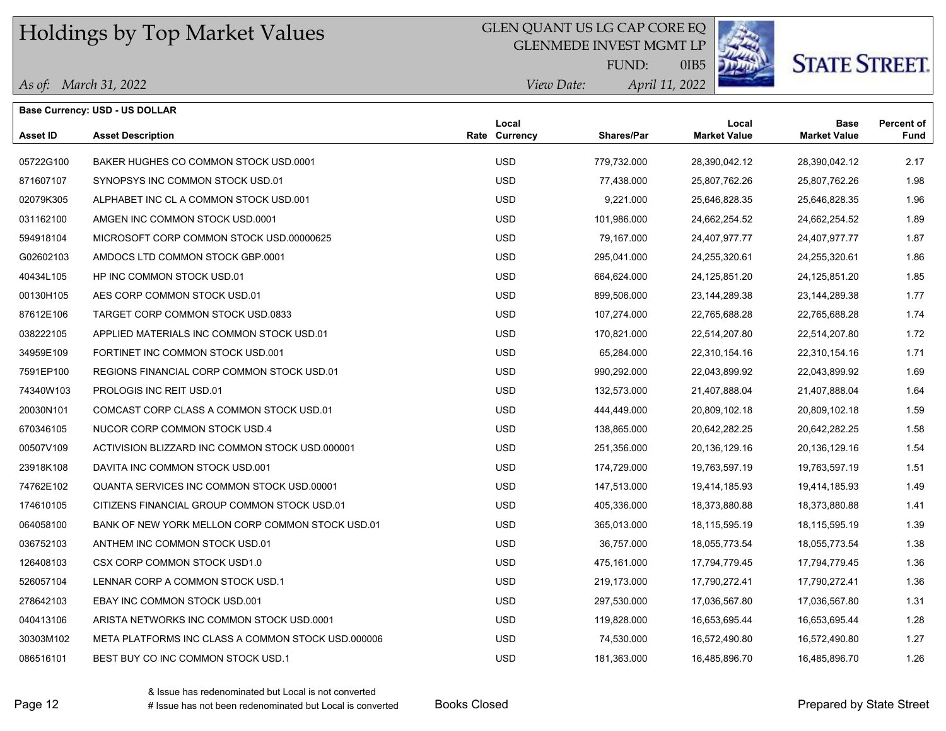### GLEN QUANT US LG CAP CORE EQ

GLENMEDE INVEST MGMT LP



# **STATE STREET.**

*April 11, 2022 View Date:* FUND:

0IB5

| As of: March 31, 2022 |
|-----------------------|
|-----------------------|

|           | <b>Base Currency: USD - US DOLLAR</b>              |  |                        |                   |                              |                                    |                                  |
|-----------|----------------------------------------------------|--|------------------------|-------------------|------------------------------|------------------------------------|----------------------------------|
| Asset ID  | <b>Asset Description</b>                           |  | Local<br>Rate Currency | <b>Shares/Par</b> | Local<br><b>Market Value</b> | <b>Base</b><br><b>Market Value</b> | <b>Percent of</b><br><b>Fund</b> |
| 05722G100 | BAKER HUGHES CO COMMON STOCK USD 0001              |  | <b>USD</b>             | 779,732.000       | 28,390,042.12                | 28,390,042.12                      | 2.17                             |
| 871607107 | SYNOPSYS INC COMMON STOCK USD.01                   |  | <b>USD</b>             | 77,438.000        | 25,807,762.26                | 25,807,762.26                      | 1.98                             |
| 02079K305 | ALPHABET INC CL A COMMON STOCK USD 001             |  | <b>USD</b>             | 9,221.000         | 25,646,828.35                | 25,646,828.35                      | 1.96                             |
| 031162100 | AMGEN INC COMMON STOCK USD 0001                    |  | <b>USD</b>             | 101,986.000       | 24,662,254.52                | 24,662,254.52                      | 1.89                             |
| 594918104 | MICROSOFT CORP COMMON STOCK USD 00000625           |  | <b>USD</b>             | 79,167.000        | 24,407,977.77                | 24,407,977.77                      | 1.87                             |
| G02602103 | AMDOCS LTD COMMON STOCK GBP.0001                   |  | <b>USD</b>             | 295,041.000       | 24,255,320.61                | 24,255,320.61                      | 1.86                             |
| 40434L105 | HP INC COMMON STOCK USD.01                         |  | <b>USD</b>             | 664,624.000       | 24,125,851.20                | 24,125,851.20                      | 1.85                             |
| 00130H105 | AES CORP COMMON STOCK USD 01                       |  | <b>USD</b>             | 899,506.000       | 23,144,289.38                | 23,144,289.38                      | 1.77                             |
| 87612E106 | TARGET CORP COMMON STOCK USD 0833                  |  | <b>USD</b>             | 107,274.000       | 22,765,688.28                | 22,765,688.28                      | 1.74                             |
| 038222105 | APPLIED MATERIALS INC COMMON STOCK USD.01          |  | <b>USD</b>             | 170,821.000       | 22,514,207.80                | 22,514,207.80                      | 1.72                             |
| 34959E109 | FORTINET INC COMMON STOCK USD.001                  |  | <b>USD</b>             | 65,284.000        | 22,310,154.16                | 22,310,154.16                      | 1.71                             |
| 7591EP100 | REGIONS FINANCIAL CORP COMMON STOCK USD.01         |  | <b>USD</b>             | 990,292.000       | 22,043,899.92                | 22,043,899.92                      | 1.69                             |
| 74340W103 | PROLOGIS INC REIT USD.01                           |  | <b>USD</b>             | 132,573.000       | 21,407,888.04                | 21,407,888.04                      | 1.64                             |
| 20030N101 | COMCAST CORP CLASS A COMMON STOCK USD.01           |  | <b>USD</b>             | 444,449.000       | 20,809,102.18                | 20,809,102.18                      | 1.59                             |
| 670346105 | NUCOR CORP COMMON STOCK USD.4                      |  | <b>USD</b>             | 138,865.000       | 20,642,282.25                | 20,642,282.25                      | 1.58                             |
| 00507V109 | ACTIVISION BLIZZARD INC COMMON STOCK USD 000001    |  | <b>USD</b>             | 251,356.000       | 20,136,129.16                | 20,136,129.16                      | 1.54                             |
| 23918K108 | DAVITA INC COMMON STOCK USD.001                    |  | <b>USD</b>             | 174,729.000       | 19,763,597.19                | 19,763,597.19                      | 1.51                             |
| 74762E102 | <b>QUANTA SERVICES INC COMMON STOCK USD 00001</b>  |  | <b>USD</b>             | 147,513.000       | 19,414,185.93                | 19,414,185.93                      | 1.49                             |
| 174610105 | CITIZENS FINANCIAL GROUP COMMON STOCK USD.01       |  | <b>USD</b>             | 405,336.000       | 18,373,880.88                | 18,373,880.88                      | 1.41                             |
| 064058100 | BANK OF NEW YORK MELLON CORP COMMON STOCK USD.01   |  | <b>USD</b>             | 365,013.000       | 18,115,595.19                | 18,115,595.19                      | 1.39                             |
| 036752103 | ANTHEM INC COMMON STOCK USD.01                     |  | <b>USD</b>             | 36,757.000        | 18,055,773.54                | 18,055,773.54                      | 1.38                             |
| 126408103 | CSX CORP COMMON STOCK USD1.0                       |  | <b>USD</b>             | 475,161.000       | 17,794,779.45                | 17,794,779.45                      | 1.36                             |
| 526057104 | LENNAR CORP A COMMON STOCK USD.1                   |  | <b>USD</b>             | 219,173.000       | 17,790,272.41                | 17,790,272.41                      | 1.36                             |
| 278642103 | EBAY INC COMMON STOCK USD.001                      |  | <b>USD</b>             | 297,530.000       | 17,036,567.80                | 17,036,567.80                      | 1.31                             |
| 040413106 | ARISTA NETWORKS INC COMMON STOCK USD.0001          |  | <b>USD</b>             | 119,828.000       | 16,653,695.44                | 16,653,695.44                      | 1.28                             |
| 30303M102 | META PLATFORMS INC CLASS A COMMON STOCK USD.000006 |  | <b>USD</b>             | 74,530.000        | 16,572,490.80                | 16,572,490.80                      | 1.27                             |
| 086516101 | BEST BUY CO INC COMMON STOCK USD.1                 |  | <b>USD</b>             | 181,363.000       | 16,485,896.70                | 16,485,896.70                      | 1.26                             |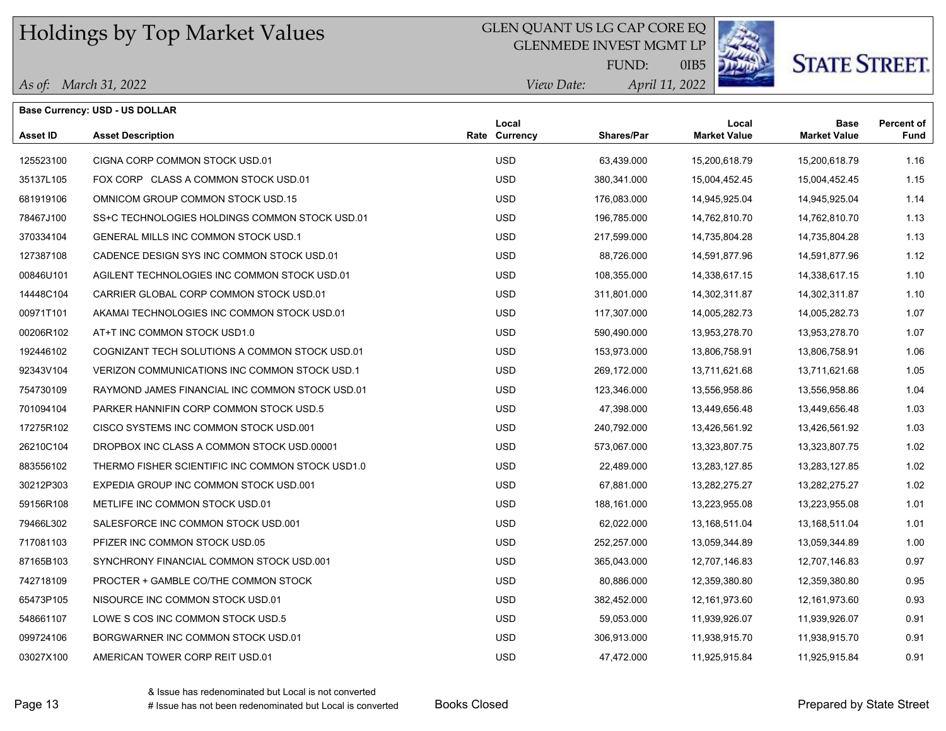### GLEN QUANT US LG CAP CORE EQ

GLENMEDE INVEST MGMT LP



# **STATE STREET**

*April 11, 2022 View Date:* FUND:

0IB5

|  | As of: March 31, 2022 |
|--|-----------------------|
|--|-----------------------|

**Base Currency: USD - US DOLLAR**

| Asset ID  | <b>Asset Description</b>                         | Local<br>Rate Currency | Shares/Par  | Local<br><b>Market Value</b> | Base<br><b>Market Value</b> | <b>Percent of</b><br>Fund |
|-----------|--------------------------------------------------|------------------------|-------------|------------------------------|-----------------------------|---------------------------|
| 125523100 | CIGNA CORP COMMON STOCK USD.01                   | <b>USD</b>             | 63,439.000  | 15,200,618.79                | 15,200,618.79               | 1.16                      |
| 35137L105 | FOX CORP CLASS A COMMON STOCK USD.01             | <b>USD</b>             | 380,341.000 | 15,004,452.45                | 15,004,452.45               | 1.15                      |
| 681919106 | OMNICOM GROUP COMMON STOCK USD.15                | <b>USD</b>             | 176,083.000 | 14,945,925.04                | 14,945,925.04               | 1.14                      |
| 78467J100 | SS+C TECHNOLOGIES HOLDINGS COMMON STOCK USD.01   | <b>USD</b>             | 196,785.000 | 14,762,810.70                | 14,762,810.70               | 1.13                      |
| 370334104 | GENERAL MILLS INC COMMON STOCK USD.1             | <b>USD</b>             | 217,599.000 | 14,735,804.28                | 14,735,804.28               | 1.13                      |
| 127387108 | CADENCE DESIGN SYS INC COMMON STOCK USD.01       | <b>USD</b>             | 88,726.000  | 14,591,877.96                | 14,591,877.96               | 1.12                      |
| 00846U101 | AGILENT TECHNOLOGIES INC COMMON STOCK USD.01     | <b>USD</b>             | 108,355.000 | 14,338,617.15                | 14,338,617.15               | 1.10                      |
| 14448C104 | CARRIER GLOBAL CORP COMMON STOCK USD.01          | <b>USD</b>             | 311,801.000 | 14,302,311.87                | 14,302,311.87               | 1.10                      |
| 00971T101 | AKAMAI TECHNOLOGIES INC COMMON STOCK USD.01      | <b>USD</b>             | 117,307.000 | 14,005,282.73                | 14,005,282.73               | 1.07                      |
| 00206R102 | AT+T INC COMMON STOCK USD1.0                     | <b>USD</b>             | 590,490.000 | 13,953,278.70                | 13,953,278.70               | 1.07                      |
| 192446102 | COGNIZANT TECH SOLUTIONS A COMMON STOCK USD.01   | <b>USD</b>             | 153,973.000 | 13,806,758.91                | 13,806,758.91               | 1.06                      |
| 92343V104 | VERIZON COMMUNICATIONS INC COMMON STOCK USD.1    | <b>USD</b>             | 269,172.000 | 13,711,621.68                | 13,711,621.68               | 1.05                      |
| 754730109 | RAYMOND JAMES FINANCIAL INC COMMON STOCK USD.01  | <b>USD</b>             | 123,346.000 | 13,556,958.86                | 13,556,958.86               | 1.04                      |
| 701094104 | PARKER HANNIFIN CORP COMMON STOCK USD.5          | <b>USD</b>             | 47,398.000  | 13,449,656.48                | 13,449,656.48               | 1.03                      |
| 17275R102 | CISCO SYSTEMS INC COMMON STOCK USD 001           | <b>USD</b>             | 240,792.000 | 13,426,561.92                | 13,426,561.92               | 1.03                      |
| 26210C104 | DROPBOX INC CLASS A COMMON STOCK USD 00001       | <b>USD</b>             | 573,067.000 | 13,323,807.75                | 13,323,807.75               | 1.02                      |
| 883556102 | THERMO FISHER SCIENTIFIC INC COMMON STOCK USD1.0 | <b>USD</b>             | 22,489.000  | 13,283,127.85                | 13,283,127.85               | 1.02                      |
| 30212P303 | EXPEDIA GROUP INC COMMON STOCK USD.001           | <b>USD</b>             | 67,881.000  | 13,282,275.27                | 13,282,275.27               | 1.02                      |
| 59156R108 | METLIFE INC COMMON STOCK USD.01                  | <b>USD</b>             | 188,161.000 | 13,223,955.08                | 13,223,955.08               | 1.01                      |
| 79466L302 | SALESFORCE INC COMMON STOCK USD 001              | <b>USD</b>             | 62,022.000  | 13,168,511.04                | 13,168,511.04               | 1.01                      |
| 717081103 | PFIZER INC COMMON STOCK USD.05                   | <b>USD</b>             | 252,257.000 | 13,059,344.89                | 13,059,344.89               | 1.00                      |
| 87165B103 | SYNCHRONY FINANCIAL COMMON STOCK USD 001         | <b>USD</b>             | 365,043.000 | 12,707,146.83                | 12,707,146.83               | 0.97                      |
| 742718109 | PROCTER + GAMBLE CO/THE COMMON STOCK             | <b>USD</b>             | 80,886.000  | 12,359,380.80                | 12,359,380.80               | 0.95                      |
| 65473P105 | NISOURCE INC COMMON STOCK USD.01                 | <b>USD</b>             | 382,452.000 | 12,161,973.60                | 12,161,973.60               | 0.93                      |
| 548661107 | LOWE S COS INC COMMON STOCK USD.5                | <b>USD</b>             | 59,053.000  | 11,939,926.07                | 11,939,926.07               | 0.91                      |
| 099724106 | BORGWARNER INC COMMON STOCK USD.01               | <b>USD</b>             | 306,913.000 | 11,938,915.70                | 11,938,915.70               | 0.91                      |
| 03027X100 | AMERICAN TOWER CORP REIT USD.01                  | <b>USD</b>             | 47.472.000  | 11,925,915.84                | 11,925,915.84               | 0.91                      |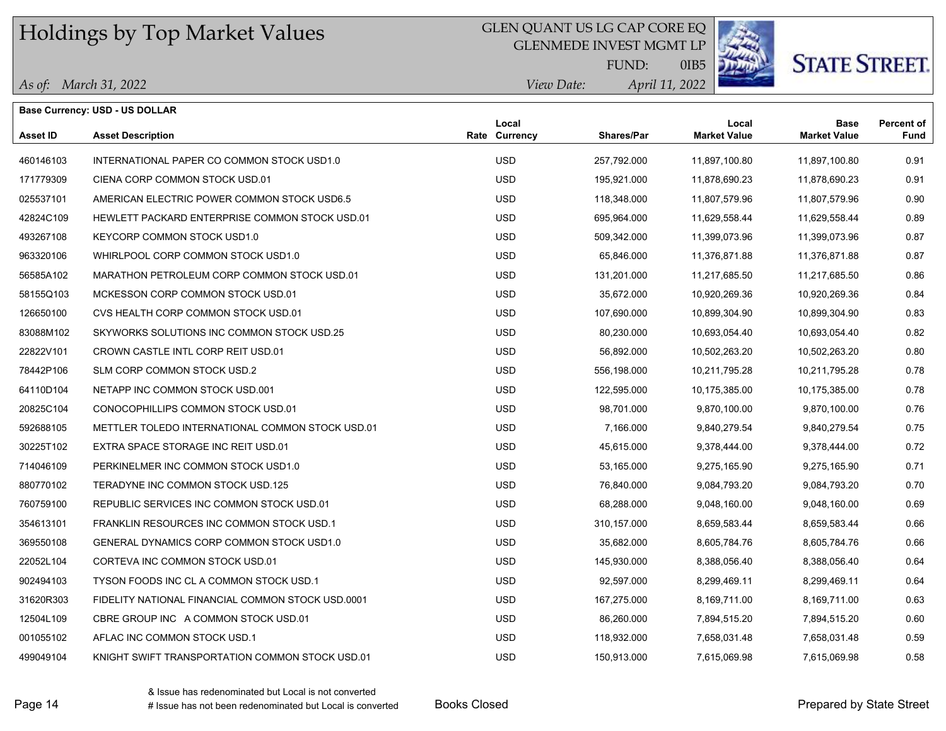### GLEN QUANT US LG CAP CORE EQ

GLENMEDE INVEST MGMT LP



0IB5

# **STATE STREET.**

| As of: March 31, 2022 |  |  |
|-----------------------|--|--|
|-----------------------|--|--|

| Base Currency: USD - US DOLLAR |                                                   |  |                        |             |                              |                                    |                           |
|--------------------------------|---------------------------------------------------|--|------------------------|-------------|------------------------------|------------------------------------|---------------------------|
| Asset ID                       | <b>Asset Description</b>                          |  | Local<br>Rate Currency | Shares/Par  | Local<br><b>Market Value</b> | <b>Base</b><br><b>Market Value</b> | <b>Percent of</b><br>Fund |
| 460146103                      | INTERNATIONAL PAPER CO COMMON STOCK USD1.0        |  | <b>USD</b>             | 257,792.000 | 11,897,100.80                | 11,897,100.80                      | 0.91                      |
| 171779309                      | CIENA CORP COMMON STOCK USD.01                    |  | <b>USD</b>             | 195,921.000 | 11,878,690.23                | 11,878,690.23                      | 0.91                      |
| 025537101                      | AMERICAN ELECTRIC POWER COMMON STOCK USD6.5       |  | <b>USD</b>             | 118,348.000 | 11,807,579.96                | 11,807,579.96                      | 0.90                      |
| 42824C109                      | HEWLETT PACKARD ENTERPRISE COMMON STOCK USD.01    |  | <b>USD</b>             | 695,964.000 | 11,629,558.44                | 11,629,558.44                      | 0.89                      |
| 493267108                      | KEYCORP COMMON STOCK USD1.0                       |  | <b>USD</b>             | 509,342.000 | 11,399,073.96                | 11,399,073.96                      | 0.87                      |
| 963320106                      | WHIRLPOOL CORP COMMON STOCK USD1.0                |  | <b>USD</b>             | 65,846.000  | 11,376,871.88                | 11,376,871.88                      | 0.87                      |
| 56585A102                      | MARATHON PETROLEUM CORP COMMON STOCK USD.01       |  | <b>USD</b>             | 131,201.000 | 11,217,685.50                | 11,217,685.50                      | 0.86                      |
| 58155Q103                      | MCKESSON CORP COMMON STOCK USD.01                 |  | <b>USD</b>             | 35,672.000  | 10,920,269.36                | 10,920,269.36                      | 0.84                      |
| 126650100                      | CVS HEALTH CORP COMMON STOCK USD.01               |  | <b>USD</b>             | 107,690.000 | 10,899,304.90                | 10,899,304.90                      | 0.83                      |
| 83088M102                      | SKYWORKS SOLUTIONS INC COMMON STOCK USD.25        |  | <b>USD</b>             | 80,230.000  | 10,693,054.40                | 10,693,054.40                      | 0.82                      |
| 22822V101                      | CROWN CASTLE INTL CORP REIT USD.01                |  | <b>USD</b>             | 56,892.000  | 10,502,263.20                | 10,502,263.20                      | 0.80                      |
| 78442P106                      | SLM CORP COMMON STOCK USD.2                       |  | <b>USD</b>             | 556,198.000 | 10,211,795.28                | 10,211,795.28                      | 0.78                      |
| 64110D104                      | NETAPP INC COMMON STOCK USD.001                   |  | <b>USD</b>             | 122,595.000 | 10,175,385.00                | 10,175,385.00                      | 0.78                      |
| 20825C104                      | CONOCOPHILLIPS COMMON STOCK USD.01                |  | <b>USD</b>             | 98,701.000  | 9,870,100.00                 | 9,870,100.00                       | 0.76                      |
| 592688105                      | METTLER TOLEDO INTERNATIONAL COMMON STOCK USD.01  |  | <b>USD</b>             | 7,166.000   | 9,840,279.54                 | 9,840,279.54                       | 0.75                      |
| 30225T102                      | EXTRA SPACE STORAGE INC REIT USD.01               |  | <b>USD</b>             | 45,615.000  | 9,378,444.00                 | 9,378,444.00                       | 0.72                      |
| 714046109                      | PERKINELMER INC COMMON STOCK USD1.0               |  | <b>USD</b>             | 53,165.000  | 9,275,165.90                 | 9,275,165.90                       | 0.71                      |
| 880770102                      | TERADYNE INC COMMON STOCK USD.125                 |  | <b>USD</b>             | 76,840.000  | 9,084,793.20                 | 9,084,793.20                       | 0.70                      |
| 760759100                      | REPUBLIC SERVICES INC COMMON STOCK USD.01         |  | <b>USD</b>             | 68,288.000  | 9,048,160.00                 | 9,048,160.00                       | 0.69                      |
| 354613101                      | FRANKLIN RESOURCES INC COMMON STOCK USD.1         |  | <b>USD</b>             | 310,157.000 | 8,659,583.44                 | 8,659,583.44                       | 0.66                      |
| 369550108                      | GENERAL DYNAMICS CORP COMMON STOCK USD1.0         |  | <b>USD</b>             | 35,682.000  | 8,605,784.76                 | 8,605,784.76                       | 0.66                      |
| 22052L104                      | CORTEVA INC COMMON STOCK USD.01                   |  | <b>USD</b>             | 145,930.000 | 8,388,056.40                 | 8,388,056.40                       | 0.64                      |
| 902494103                      | TYSON FOODS INC CL A COMMON STOCK USD.1           |  | <b>USD</b>             | 92,597.000  | 8,299,469.11                 | 8,299,469.11                       | 0.64                      |
| 31620R303                      | FIDELITY NATIONAL FINANCIAL COMMON STOCK USD.0001 |  | <b>USD</b>             | 167,275.000 | 8,169,711.00                 | 8,169,711.00                       | 0.63                      |
| 12504L109                      | CBRE GROUP INC A COMMON STOCK USD.01              |  | <b>USD</b>             | 86,260.000  | 7,894,515.20                 | 7,894,515.20                       | 0.60                      |
| 001055102                      | AFLAC INC COMMON STOCK USD.1                      |  | <b>USD</b>             | 118,932.000 | 7,658,031.48                 | 7,658,031.48                       | 0.59                      |
| 499049104                      | KNIGHT SWIFT TRANSPORTATION COMMON STOCK USD.01   |  | <b>USD</b>             | 150,913.000 | 7,615,069.98                 | 7,615,069.98                       | 0.58                      |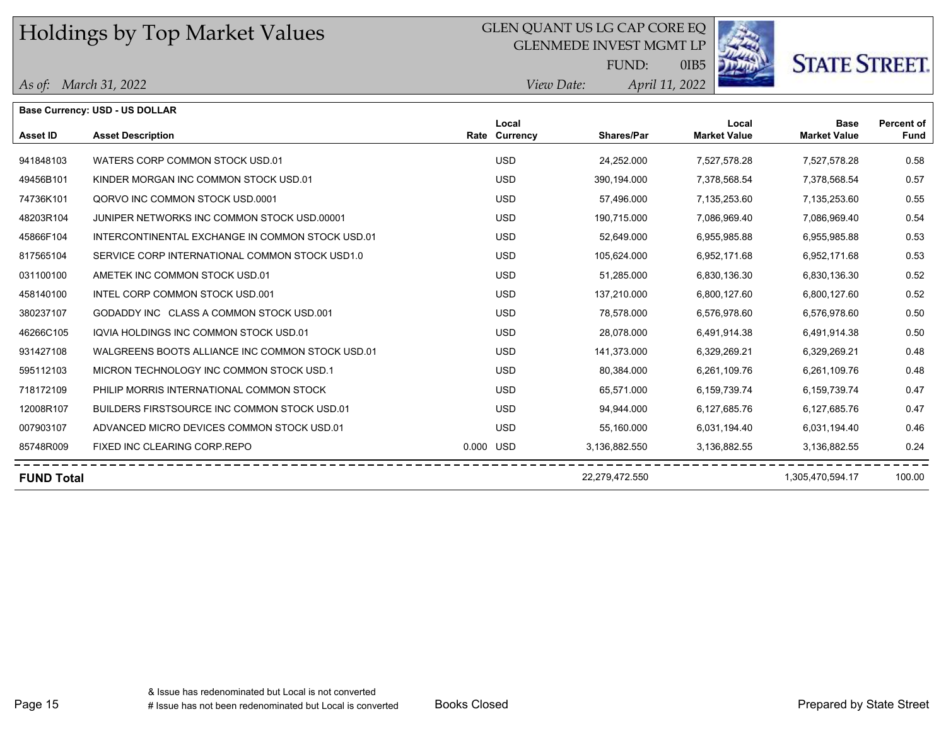## GLEN QUANT US LG CAP CORE EQ

GLENMEDE INVEST MGMT LP



# **STATE STREET.**

*April 11, 2022 View Date:* FUND:

0IB5

#### *As of: March 31, 2022*

|                   | <b>Base Currency: USD - US DOLLAR</b>            |           |                   |                   |                              |                                    |                                  |
|-------------------|--------------------------------------------------|-----------|-------------------|-------------------|------------------------------|------------------------------------|----------------------------------|
| Asset ID          | <b>Asset Description</b>                         | Rate      | Local<br>Currency | <b>Shares/Par</b> | Local<br><b>Market Value</b> | <b>Base</b><br><b>Market Value</b> | <b>Percent of</b><br><b>Fund</b> |
| 941848103         | WATERS CORP COMMON STOCK USD.01                  |           | <b>USD</b>        | 24,252.000        | 7,527,578.28                 | 7,527,578.28                       | 0.58                             |
| 49456B101         | KINDER MORGAN INC COMMON STOCK USD.01            |           | <b>USD</b>        | 390,194.000       | 7,378,568.54                 | 7,378,568.54                       | 0.57                             |
| 74736K101         | QORVO INC COMMON STOCK USD.0001                  |           | <b>USD</b>        | 57,496.000        | 7,135,253.60                 | 7,135,253.60                       | 0.55                             |
| 48203R104         | JUNIPER NETWORKS INC COMMON STOCK USD.00001      |           | <b>USD</b>        | 190.715.000       | 7,086,969.40                 | 7,086,969.40                       | 0.54                             |
| 45866F104         | INTERCONTINENTAL EXCHANGE IN COMMON STOCK USD.01 |           | <b>USD</b>        | 52,649.000        | 6,955,985.88                 | 6,955,985.88                       | 0.53                             |
| 817565104         | SERVICE CORP INTERNATIONAL COMMON STOCK USD1.0   |           | <b>USD</b>        | 105,624.000       | 6,952,171.68                 | 6,952,171.68                       | 0.53                             |
| 031100100         | AMETEK INC COMMON STOCK USD.01                   |           | <b>USD</b>        | 51,285.000        | 6,830,136.30                 | 6,830,136.30                       | 0.52                             |
| 458140100         | INTEL CORP COMMON STOCK USD.001                  |           | <b>USD</b>        | 137,210.000       | 6,800,127.60                 | 6,800,127.60                       | 0.52                             |
| 380237107         | GODADDY INC CLASS A COMMON STOCK USD 001         |           | <b>USD</b>        | 78,578.000        | 6,576,978.60                 | 6,576,978.60                       | 0.50                             |
| 46266C105         | IQVIA HOLDINGS INC COMMON STOCK USD.01           |           | <b>USD</b>        | 28.078.000        | 6,491,914.38                 | 6,491,914.38                       | 0.50                             |
| 931427108         | WALGREENS BOOTS ALLIANCE INC COMMON STOCK USD.01 |           | <b>USD</b>        | 141,373.000       | 6,329,269.21                 | 6,329,269.21                       | 0.48                             |
| 595112103         | MICRON TECHNOLOGY INC COMMON STOCK USD.1         |           | <b>USD</b>        | 80,384.000        | 6,261,109.76                 | 6,261,109.76                       | 0.48                             |
| 718172109         | PHILIP MORRIS INTERNATIONAL COMMON STOCK         |           | <b>USD</b>        | 65,571.000        | 6,159,739.74                 | 6,159,739.74                       | 0.47                             |
| 12008R107         | BUILDERS FIRSTSOURCE INC COMMON STOCK USD.01     |           | <b>USD</b>        | 94,944.000        | 6,127,685.76                 | 6,127,685.76                       | 0.47                             |
| 007903107         | ADVANCED MICRO DEVICES COMMON STOCK USD.01       |           | <b>USD</b>        | 55,160.000        | 6,031,194.40                 | 6,031,194.40                       | 0.46                             |
| 85748R009         | FIXED INC CLEARING CORP.REPO                     | 0.000 USD |                   | 3,136,882.550     | 3,136,882.55                 | 3,136,882.55                       | 0.24                             |
| <b>FUND Total</b> |                                                  |           |                   | 22,279,472.550    |                              | 1,305,470,594.17                   | 100.00                           |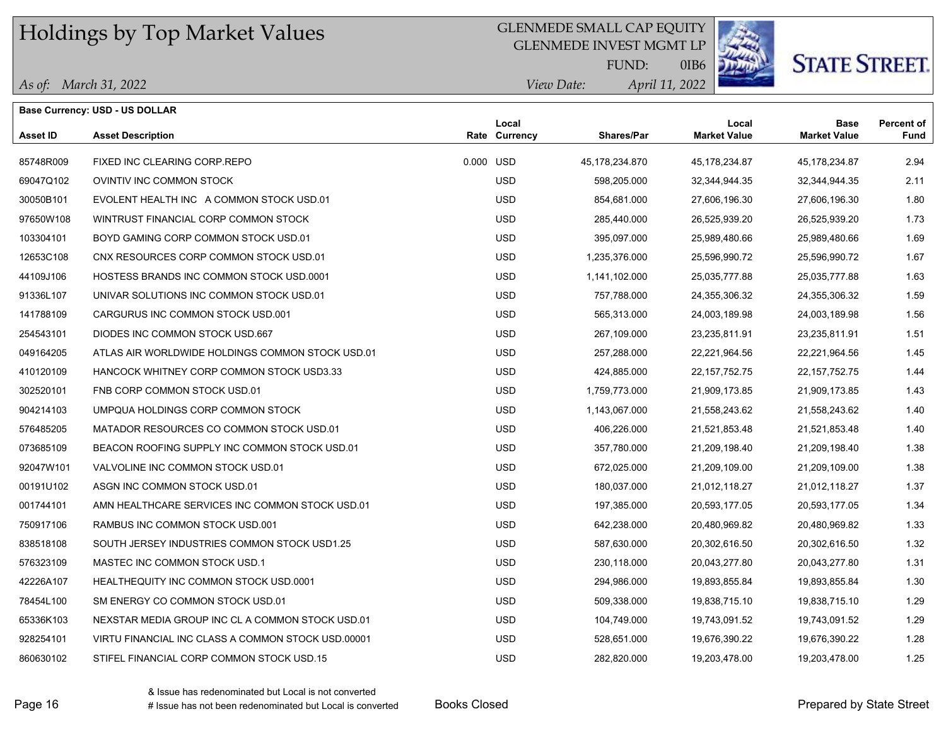### GLENMEDE SMALL CAP EQUITY

GLENMEDE INVEST MGMT LP



0IB6

*April 11, 2022 View Date:* FUND:

*As of: March 31, 2022*

|           | AS 0J: Wurch 31, 2022                            |           | <i>view Dute:</i>      | Apru 11, 2022  |                              |                                    |                    |
|-----------|--------------------------------------------------|-----------|------------------------|----------------|------------------------------|------------------------------------|--------------------|
|           | Base Currency: USD - US DOLLAR                   |           |                        |                |                              |                                    |                    |
| Asset ID  | <b>Asset Description</b>                         |           | Local<br>Rate Currency | Shares/Par     | Local<br><b>Market Value</b> | <b>Base</b><br><b>Market Value</b> | Percent of<br>Fund |
|           |                                                  |           |                        |                |                              |                                    |                    |
| 85748R009 | FIXED INC CLEARING CORP.REPO                     | 0.000 USD |                        | 45,178,234.870 | 45,178,234.87                | 45,178,234.87                      | 2.94               |
| 69047Q102 | OVINTIV INC COMMON STOCK                         |           | <b>USD</b>             | 598,205.000    | 32,344,944.35                | 32,344,944.35                      | 2.11               |
| 30050B101 | EVOLENT HEALTH INC A COMMON STOCK USD.01         |           | <b>USD</b>             | 854,681.000    | 27,606,196.30                | 27,606,196.30                      | 1.80               |
| 97650W108 | WINTRUST FINANCIAL CORP COMMON STOCK             |           | <b>USD</b>             | 285,440.000    | 26,525,939.20                | 26,525,939.20                      | 1.73               |
| 103304101 | BOYD GAMING CORP COMMON STOCK USD.01             |           | <b>USD</b>             | 395,097.000    | 25,989,480.66                | 25,989,480.66                      | 1.69               |
| 12653C108 | CNX RESOURCES CORP COMMON STOCK USD.01           |           | <b>USD</b>             | 1,235,376.000  | 25,596,990.72                | 25,596,990.72                      | 1.67               |
| 44109J106 | <b>HOSTESS BRANDS INC COMMON STOCK USD.0001</b>  |           | <b>USD</b>             | 1,141,102.000  | 25,035,777.88                | 25,035,777.88                      | 1.63               |
| 91336L107 | UNIVAR SOLUTIONS INC COMMON STOCK USD.01         |           | <b>USD</b>             | 757,788.000    | 24,355,306.32                | 24,355,306.32                      | 1.59               |
| 141788109 | CARGURUS INC COMMON STOCK USD.001                |           | <b>USD</b>             | 565,313.000    | 24,003,189.98                | 24,003,189.98                      | 1.56               |
| 254543101 | DIODES INC COMMON STOCK USD.667                  |           | <b>USD</b>             | 267,109.000    | 23,235,811.91                | 23,235,811.91                      | 1.51               |
| 049164205 | ATLAS AIR WORLDWIDE HOLDINGS COMMON STOCK USD.01 |           | <b>USD</b>             | 257,288.000    | 22,221,964.56                | 22,221,964.56                      | 1.45               |
| 410120109 | HANCOCK WHITNEY CORP COMMON STOCK USD3.33        |           | <b>USD</b>             | 424,885.000    | 22, 157, 752. 75             | 22, 157, 752. 75                   | 1.44               |
| 302520101 | FNB CORP COMMON STOCK USD 01                     |           | <b>USD</b>             | 1,759,773.000  | 21,909,173.85                | 21,909,173.85                      | 1.43               |
| 904214103 | UMPQUA HOLDINGS CORP COMMON STOCK                |           | <b>USD</b>             | 1,143,067.000  | 21,558,243.62                | 21,558,243.62                      | 1.40               |
| 576485205 | MATADOR RESOURCES CO COMMON STOCK USD.01         |           | <b>USD</b>             | 406,226.000    | 21,521,853.48                | 21,521,853.48                      | 1.40               |
| 073685109 | BEACON ROOFING SUPPLY INC COMMON STOCK USD.01    |           | <b>USD</b>             | 357,780.000    | 21,209,198.40                | 21,209,198.40                      | 1.38               |
| 92047W101 | VALVOLINE INC COMMON STOCK USD.01                |           | <b>USD</b>             | 672,025.000    | 21,209,109.00                | 21,209,109.00                      | 1.38               |
| 00191U102 | ASGN INC COMMON STOCK USD 01                     |           | <b>USD</b>             | 180,037.000    | 21,012,118.27                | 21,012,118.27                      | 1.37               |
| 001744101 | AMN HEALTHCARE SERVICES INC COMMON STOCK USD.01  |           | <b>USD</b>             | 197,385.000    | 20,593,177.05                | 20,593,177.05                      | 1.34               |

750917106 RAMBUS INC COMMON STOCK USD.001 USD 642,238.000 20,480,969.82 20,480,969.82 1.33 838518108 SOUTH JERSEY INDUSTRIES COMMON STOCK USD1.25 USD 587,630.000 20,302,616.50 20,302,616.50 1.32 576323109 MASTEC INC COMMON STOCK USD.1 USD 230,118.000 20,043,277.80 20,043,277.80 1.31 42226A107 HEALTHEQUITY INC COMMON STOCK USD.0001 USD 294,986.000 19,893,855.84 19,893,855.84 1.30 78454L100 SM ENERGY CO COMMON STOCK USD.01 USD 509,338.000 19,838,715.10 19,838,715.10 1.29 65336K103 NEXSTAR MEDIA GROUP INC CL A COMMON STOCK USD.01 USD 104,749.000 19,743,091.52 19,743,091.52 1.29 928254101 VIRTU FINANCIAL INC CLASS A COMMON STOCK USD.00001 USD 528,651.000 19,676,390.22 19,676,390.22 1.28 860630102 STIFEL FINANCIAL CORP COMMON STOCK USD.15 USD USD 282,820.000 19,203,478.00 19,203,478.00 1.25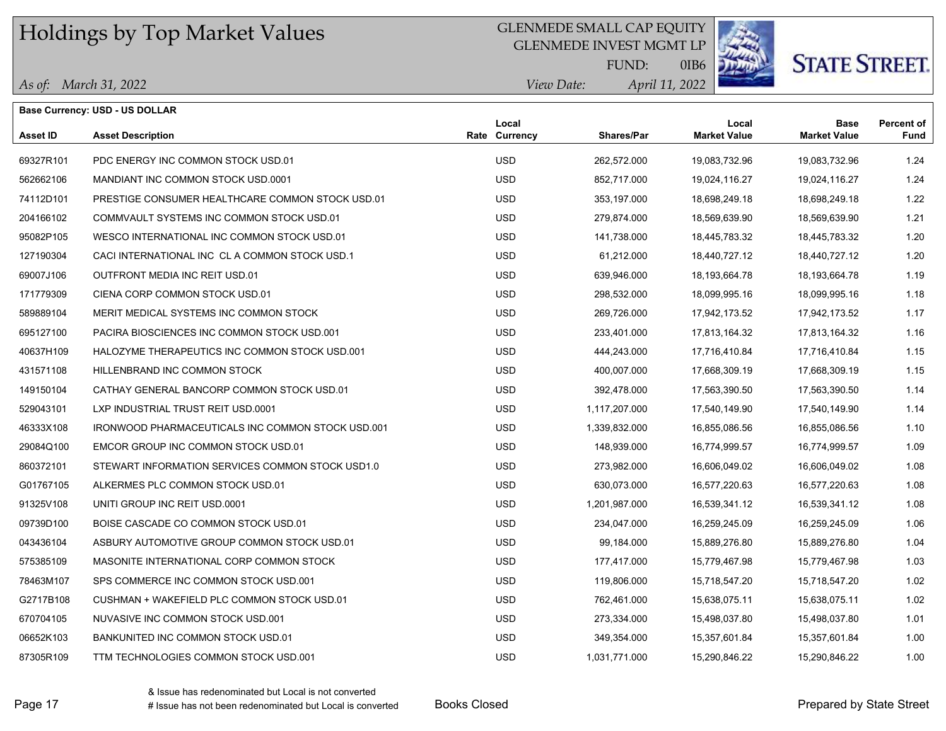### GLENMEDE SMALL CAP EQUITY

GLENMEDE INVEST MGMT LP



#### **STATE STREET.** 0IB6

|                 | <b>Base Currency: USD - US DOLLAR</b>                    |                        |                   |                              |                                    |                    |
|-----------------|----------------------------------------------------------|------------------------|-------------------|------------------------------|------------------------------------|--------------------|
| <b>Asset ID</b> | <b>Asset Description</b>                                 | Local<br>Rate Currency | <b>Shares/Par</b> | Local<br><b>Market Value</b> | <b>Base</b><br><b>Market Value</b> | Percent of<br>Fund |
| 69327R101       | PDC ENERGY INC COMMON STOCK USD.01                       | <b>USD</b>             | 262,572.000       | 19,083,732.96                | 19,083,732.96                      | 1.24               |
| 562662106       | MANDIANT INC COMMON STOCK USD 0001                       | <b>USD</b>             | 852,717.000       | 19,024,116.27                | 19,024,116.27                      | 1.24               |
| 74112D101       | PRESTIGE CONSUMER HEALTHCARE COMMON STOCK USD.01         | <b>USD</b>             | 353,197.000       | 18,698,249.18                | 18,698,249.18                      | 1.22               |
| 204166102       | COMMVAULT SYSTEMS INC COMMON STOCK USD.01                | <b>USD</b>             | 279,874.000       | 18,569,639.90                | 18,569,639.90                      | 1.21               |
| 95082P105       | WESCO INTERNATIONAL INC COMMON STOCK USD.01              | <b>USD</b>             | 141,738.000       | 18,445,783.32                | 18,445,783.32                      | 1.20               |
| 127190304       | CACI INTERNATIONAL INC CL A COMMON STOCK USD 1           | <b>USD</b>             | 61,212.000        | 18,440,727.12                | 18,440,727.12                      | 1.20               |
| 69007J106       | OUTFRONT MEDIA INC REIT USD.01                           | <b>USD</b>             | 639,946.000       | 18,193,664.78                | 18,193,664.78                      | 1.19               |
| 171779309       | CIENA CORP COMMON STOCK USD.01                           | <b>USD</b>             | 298,532.000       | 18,099,995.16                | 18,099,995.16                      | 1.18               |
| 589889104       | MERIT MEDICAL SYSTEMS INC COMMON STOCK                   | <b>USD</b>             | 269,726.000       | 17,942,173.52                | 17,942,173.52                      | 1.17               |
| 695127100       | PACIRA BIOSCIENCES INC COMMON STOCK USD.001              | <b>USD</b>             | 233,401.000       | 17,813,164.32                | 17,813,164.32                      | 1.16               |
| 40637H109       | HALOZYME THERAPEUTICS INC COMMON STOCK USD.001           | <b>USD</b>             | 444,243.000       | 17,716,410.84                | 17,716,410.84                      | 1.15               |
| 431571108       | HILLENBRAND INC COMMON STOCK                             | <b>USD</b>             | 400,007.000       | 17,668,309.19                | 17,668,309.19                      | 1.15               |
| 149150104       | CATHAY GENERAL BANCORP COMMON STOCK USD.01               | <b>USD</b>             | 392,478.000       | 17,563,390.50                | 17,563,390.50                      | 1.14               |
| 529043101       | LXP INDUSTRIAL TRUST REIT USD.0001                       | <b>USD</b>             | 1,117,207.000     | 17,540,149.90                | 17,540,149.90                      | 1.14               |
| 46333X108       | <b>IRONWOOD PHARMACEUTICALS INC COMMON STOCK USD.001</b> | <b>USD</b>             | 1,339,832.000     | 16,855,086.56                | 16,855,086.56                      | 1.10               |
| 29084Q100       | EMCOR GROUP INC COMMON STOCK USD.01                      | <b>USD</b>             | 148,939.000       | 16,774,999.57                | 16,774,999.57                      | 1.09               |
| 860372101       | STEWART INFORMATION SERVICES COMMON STOCK USD1.0         | <b>USD</b>             | 273,982.000       | 16,606,049.02                | 16,606,049.02                      | 1.08               |
| G01767105       | ALKERMES PLC COMMON STOCK USD.01                         | <b>USD</b>             | 630,073.000       | 16,577,220.63                | 16,577,220.63                      | 1.08               |
| 91325V108       | UNITI GROUP INC REIT USD 0001                            | <b>USD</b>             | 1,201,987.000     | 16,539,341.12                | 16,539,341.12                      | 1.08               |
| 09739D100       | BOISE CASCADE CO COMMON STOCK USD.01                     | <b>USD</b>             | 234,047.000       | 16,259,245.09                | 16,259,245.09                      | 1.06               |
| 043436104       | ASBURY AUTOMOTIVE GROUP COMMON STOCK USD.01              | <b>USD</b>             | 99,184.000        | 15,889,276.80                | 15,889,276.80                      | 1.04               |
| 575385109       | MASONITE INTERNATIONAL CORP COMMON STOCK                 | <b>USD</b>             | 177,417.000       | 15,779,467.98                | 15,779,467.98                      | 1.03               |
| 78463M107       | SPS COMMERCE INC COMMON STOCK USD 001                    | <b>USD</b>             | 119,806.000       | 15,718,547.20                | 15,718,547.20                      | 1.02               |
| G2717B108       | CUSHMAN + WAKEFIELD PLC COMMON STOCK USD.01              | <b>USD</b>             | 762,461.000       | 15,638,075.11                | 15,638,075.11                      | 1.02               |
| 670704105       | NUVASIVE INC COMMON STOCK USD.001                        | <b>USD</b>             | 273,334.000       | 15,498,037.80                | 15,498,037.80                      | 1.01               |
| 06652K103       | BANKUNITED INC COMMON STOCK USD.01                       | <b>USD</b>             | 349,354.000       | 15,357,601.84                | 15,357,601.84                      | 1.00               |
| 87305R109       | TTM TECHNOLOGIES COMMON STOCK USD.001                    | <b>USD</b>             | 1,031,771.000     | 15,290,846.22                | 15,290,846.22                      | 1.00               |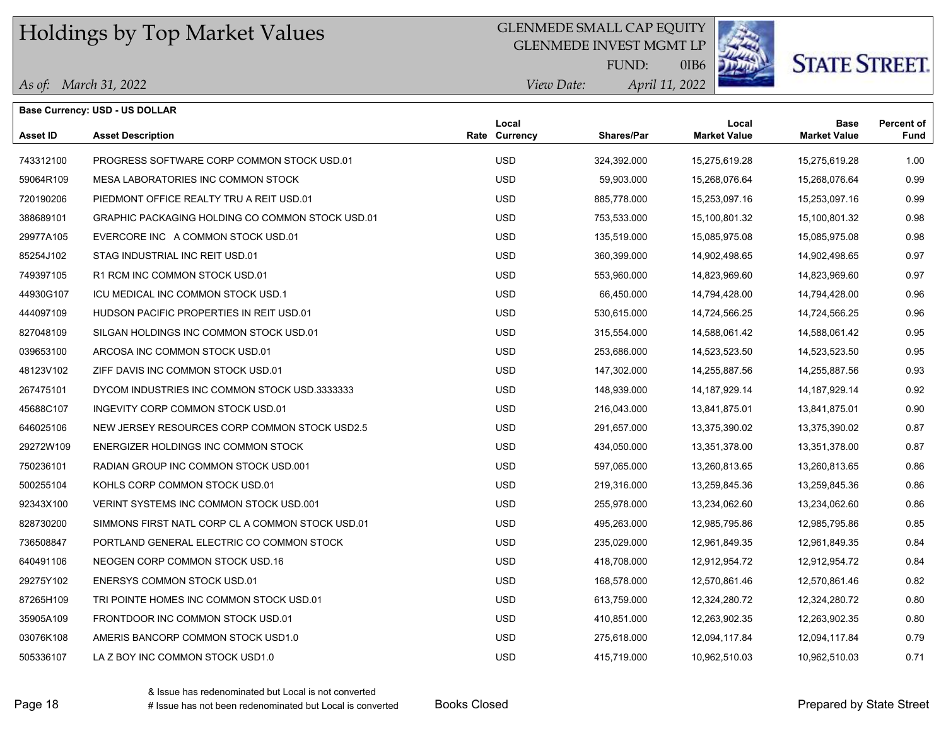### GLENMEDE SMALL CAP EQUITY

GLENMEDE INVEST MGMT LP



*April 11, 2022*

0IB6

#### *As of: March 31, 2022*

|            | FUND:       | C |
|------------|-------------|---|
| View Date: | April 11, 2 |   |

|           | Base Currency: USD - US DOLLAR                   |                        |             |                              |                                    |                           |
|-----------|--------------------------------------------------|------------------------|-------------|------------------------------|------------------------------------|---------------------------|
| Asset ID  | <b>Asset Description</b>                         | Local<br>Rate Currency | Shares/Par  | Local<br><b>Market Value</b> | <b>Base</b><br><b>Market Value</b> | <b>Percent of</b><br>Fund |
| 743312100 | PROGRESS SOFTWARE CORP COMMON STOCK USD.01       | <b>USD</b>             | 324,392.000 | 15,275,619.28                | 15,275,619.28                      | 1.00                      |
| 59064R109 | MESA LABORATORIES INC COMMON STOCK               | <b>USD</b>             | 59,903.000  | 15,268,076.64                | 15,268,076.64                      | 0.99                      |
| 720190206 | PIEDMONT OFFICE REALTY TRU A REIT USD.01         | <b>USD</b>             | 885,778.000 | 15,253,097.16                | 15,253,097.16                      | 0.99                      |
| 388689101 | GRAPHIC PACKAGING HOLDING CO COMMON STOCK USD.01 | <b>USD</b>             | 753,533.000 | 15,100,801.32                | 15,100,801.32                      | 0.98                      |
| 29977A105 | EVERCORE INC A COMMON STOCK USD.01               | <b>USD</b>             | 135,519.000 | 15,085,975.08                | 15,085,975.08                      | 0.98                      |
| 85254J102 | STAG INDUSTRIAL INC REIT USD.01                  | <b>USD</b>             | 360,399.000 | 14,902,498.65                | 14,902,498.65                      | 0.97                      |
| 749397105 | R1 RCM INC COMMON STOCK USD 01                   | <b>USD</b>             | 553,960.000 | 14,823,969.60                | 14,823,969.60                      | 0.97                      |
| 44930G107 | ICU MEDICAL INC COMMON STOCK USD.1               | <b>USD</b>             | 66,450.000  | 14,794,428.00                | 14,794,428.00                      | 0.96                      |
| 444097109 | HUDSON PACIFIC PROPERTIES IN REIT USD.01         | <b>USD</b>             | 530,615.000 | 14,724,566.25                | 14,724,566.25                      | 0.96                      |
| 827048109 | SILGAN HOLDINGS INC COMMON STOCK USD.01          | <b>USD</b>             | 315,554.000 | 14,588,061.42                | 14,588,061.42                      | 0.95                      |
| 039653100 | ARCOSA INC COMMON STOCK USD.01                   | <b>USD</b>             | 253,686.000 | 14,523,523.50                | 14,523,523.50                      | 0.95                      |
| 48123V102 | ZIFF DAVIS INC COMMON STOCK USD.01               | <b>USD</b>             | 147,302.000 | 14,255,887.56                | 14,255,887.56                      | 0.93                      |
| 267475101 | DYCOM INDUSTRIES INC COMMON STOCK USD.3333333    | <b>USD</b>             | 148,939.000 | 14, 187, 929. 14             | 14, 187, 929. 14                   | 0.92                      |
| 45688C107 | INGEVITY CORP COMMON STOCK USD.01                | <b>USD</b>             | 216,043.000 | 13,841,875.01                | 13,841,875.01                      | 0.90                      |
| 646025106 | NEW JERSEY RESOURCES CORP COMMON STOCK USD2.5    | <b>USD</b>             | 291,657.000 | 13,375,390.02                | 13,375,390.02                      | 0.87                      |
| 29272W109 | ENERGIZER HOLDINGS INC COMMON STOCK              | <b>USD</b>             | 434,050.000 | 13,351,378.00                | 13,351,378.00                      | 0.87                      |
| 750236101 | RADIAN GROUP INC COMMON STOCK USD.001            | USD                    | 597,065.000 | 13,260,813.65                | 13,260,813.65                      | 0.86                      |
| 500255104 | KOHLS CORP COMMON STOCK USD.01                   | <b>USD</b>             | 219,316.000 | 13,259,845.36                | 13,259,845.36                      | 0.86                      |
| 92343X100 | VERINT SYSTEMS INC COMMON STOCK USD 001          | <b>USD</b>             | 255,978.000 | 13,234,062.60                | 13,234,062.60                      | 0.86                      |
| 828730200 | SIMMONS FIRST NATL CORP CL A COMMON STOCK USD.01 | <b>USD</b>             | 495,263.000 | 12,985,795.86                | 12,985,795.86                      | 0.85                      |
| 736508847 | PORTLAND GENERAL ELECTRIC CO COMMON STOCK        | <b>USD</b>             | 235,029.000 | 12,961,849.35                | 12,961,849.35                      | 0.84                      |
| 640491106 | NEOGEN CORP COMMON STOCK USD.16                  | <b>USD</b>             | 418,708.000 | 12,912,954.72                | 12,912,954.72                      | 0.84                      |
| 29275Y102 | <b>ENERSYS COMMON STOCK USD.01</b>               | <b>USD</b>             | 168,578.000 | 12,570,861.46                | 12,570,861.46                      | 0.82                      |
| 87265H109 | TRI POINTE HOMES INC COMMON STOCK USD.01         | <b>USD</b>             | 613,759.000 | 12,324,280.72                | 12,324,280.72                      | 0.80                      |
| 35905A109 | FRONTDOOR INC COMMON STOCK USD.01                | <b>USD</b>             | 410,851.000 | 12,263,902.35                | 12,263,902.35                      | 0.80                      |
| 03076K108 | AMERIS BANCORP COMMON STOCK USD1.0               | <b>USD</b>             | 275,618.000 | 12,094,117.84                | 12,094,117.84                      | 0.79                      |
| 505336107 | LA Z BOY INC COMMON STOCK USD1.0                 | <b>USD</b>             | 415,719.000 | 10,962,510.03                | 10,962,510.03                      | 0.71                      |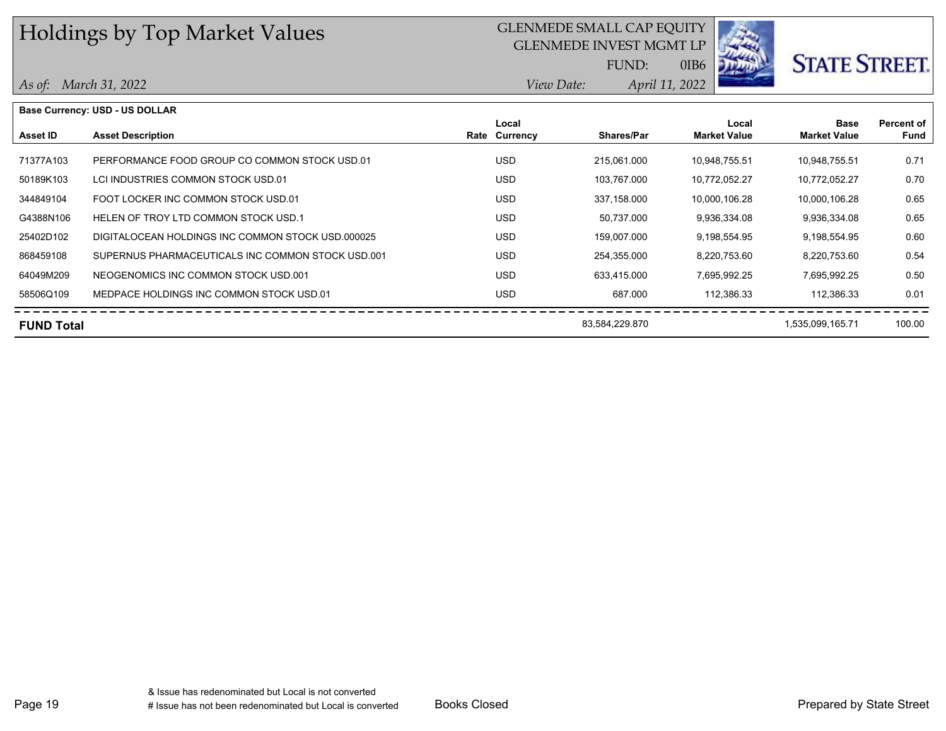### GLENMEDE SMALL CAP EQUITY

GLENMEDE INVEST MGMT LP

FUND:



0IB6

*April 11, 2022*

*View Date:*

| As of: March 31, 2022 |  |  |
|-----------------------|--|--|
|-----------------------|--|--|

|                   | <b>Base Currency: USD - US DOLLAR</b>             |               |                   |                     |                     |            |
|-------------------|---------------------------------------------------|---------------|-------------------|---------------------|---------------------|------------|
|                   |                                                   | Local         |                   | Local               | <b>Base</b>         | Percent of |
| Asset ID          | <b>Asset Description</b>                          | Rate Currency | <b>Shares/Par</b> | <b>Market Value</b> | <b>Market Value</b> | Fund       |
|                   |                                                   |               |                   |                     |                     |            |
| 71377A103         | PERFORMANCE FOOD GROUP CO COMMON STOCK USD 01     | <b>USD</b>    | 215.061.000       | 10,948,755.51       | 10,948,755.51       | 0.71       |
| 50189K103         | LCI INDUSTRIES COMMON STOCK USD.01                | <b>USD</b>    | 103,767.000       | 10,772,052.27       | 10,772,052.27       | 0.70       |
| 344849104         | FOOT LOCKER INC COMMON STOCK USD.01               | <b>USD</b>    | 337,158.000       | 10,000,106.28       | 10,000,106.28       | 0.65       |
| G4388N106         | HELEN OF TROY LTD COMMON STOCK USD.1              | <b>USD</b>    | 50,737.000        | 9,936,334.08        | 9,936,334.08        | 0.65       |
| 25402D102         | DIGITALOCEAN HOLDINGS INC COMMON STOCK USD 000025 | <b>USD</b>    | 159.007.000       | 9,198,554.95        | 9,198,554.95        | 0.60       |
| 868459108         | SUPERNUS PHARMACEUTICALS INC COMMON STOCK USD.001 | <b>USD</b>    | 254,355.000       | 8,220,753.60        | 8,220,753.60        | 0.54       |
| 64049M209         | NEOGENOMICS INC COMMON STOCK USD.001              | <b>USD</b>    | 633.415.000       | 7,695,992.25        | 7,695,992.25        | 0.50       |
| 58506Q109         | MEDPACE HOLDINGS INC COMMON STOCK USD.01          | <b>USD</b>    | 687.000           | 112,386.33          | 112,386.33          | 0.01       |
| <b>FUND Total</b> |                                                   |               | 83,584,229.870    |                     | 1,535,099,165.71    | 100.00     |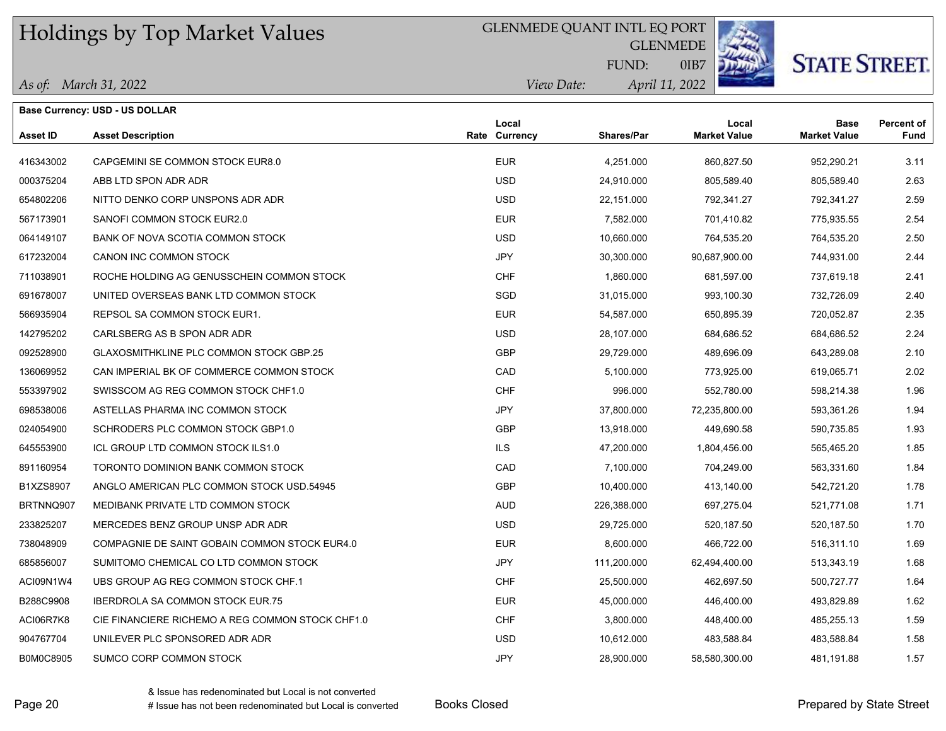### GLENMEDE QUANT INTL EQ PORT

**GLENMEDE** 



# **STATE STREET.**

0IB7 *April 11, 2022* FUND:

| As of: March 31, 2022 |
|-----------------------|
|-----------------------|

**Base Currency: USD - US DOLLAR**

| <i>View Date:</i> | April 11, 20 |
|-------------------|--------------|
|                   |              |

| Asset ID  | <b>Asset Description</b>                         | Local<br>Rate Currency | Shares/Par  | Local<br><b>Market Value</b> | Base<br><b>Market Value</b> | <b>Percent of</b><br><b>Fund</b> |
|-----------|--------------------------------------------------|------------------------|-------------|------------------------------|-----------------------------|----------------------------------|
| 416343002 | CAPGEMINI SE COMMON STOCK EUR8.0                 | <b>EUR</b>             | 4,251.000   | 860,827.50                   | 952,290.21                  | 3.11                             |
| 000375204 | ABB LTD SPON ADR ADR                             | <b>USD</b>             | 24,910.000  | 805,589.40                   | 805,589.40                  | 2.63                             |
| 654802206 | NITTO DENKO CORP UNSPONS ADR ADR                 | <b>USD</b>             | 22,151.000  | 792,341.27                   | 792,341.27                  | 2.59                             |
| 567173901 | SANOFI COMMON STOCK EUR2.0                       | <b>EUR</b>             | 7,582.000   | 701,410.82                   | 775,935.55                  | 2.54                             |
| 064149107 | BANK OF NOVA SCOTIA COMMON STOCK                 | <b>USD</b>             | 10,660.000  | 764,535.20                   | 764,535.20                  | 2.50                             |
| 617232004 | CANON INC COMMON STOCK                           | <b>JPY</b>             | 30,300.000  | 90,687,900.00                | 744,931.00                  | 2.44                             |
| 711038901 | ROCHE HOLDING AG GENUSSCHEIN COMMON STOCK        | CHF                    | 1,860.000   | 681,597.00                   | 737,619.18                  | 2.41                             |
| 691678007 | UNITED OVERSEAS BANK LTD COMMON STOCK            | SGD                    | 31,015.000  | 993,100.30                   | 732,726.09                  | 2.40                             |
| 566935904 | REPSOL SA COMMON STOCK EUR1.                     | <b>EUR</b>             | 54,587.000  | 650,895.39                   | 720,052.87                  | 2.35                             |
| 142795202 | CARLSBERG AS B SPON ADR ADR                      | <b>USD</b>             | 28,107.000  | 684,686.52                   | 684,686.52                  | 2.24                             |
| 092528900 | <b>GLAXOSMITHKLINE PLC COMMON STOCK GBP.25</b>   | <b>GBP</b>             | 29,729.000  | 489,696.09                   | 643,289.08                  | 2.10                             |
| 136069952 | CAN IMPERIAL BK OF COMMERCE COMMON STOCK         | CAD                    | 5,100.000   | 773,925.00                   | 619,065.71                  | 2.02                             |
| 553397902 | SWISSCOM AG REG COMMON STOCK CHF1.0              | <b>CHF</b>             | 996.000     | 552,780.00                   | 598,214.38                  | 1.96                             |
| 698538006 | ASTELLAS PHARMA INC COMMON STOCK                 | <b>JPY</b>             | 37,800.000  | 72,235,800.00                | 593,361.26                  | 1.94                             |
| 024054900 | SCHRODERS PLC COMMON STOCK GBP1.0                | <b>GBP</b>             | 13,918.000  | 449,690.58                   | 590,735.85                  | 1.93                             |
| 645553900 | ICL GROUP LTD COMMON STOCK ILS1.0                | <b>ILS</b>             | 47,200.000  | 1,804,456.00                 | 565,465.20                  | 1.85                             |
| 891160954 | TORONTO DOMINION BANK COMMON STOCK               | CAD                    | 7,100.000   | 704,249.00                   | 563,331.60                  | 1.84                             |
| B1XZS8907 | ANGLO AMERICAN PLC COMMON STOCK USD 54945        | GBP                    | 10,400.000  | 413,140.00                   | 542,721.20                  | 1.78                             |
| BRTNNQ907 | MEDIBANK PRIVATE LTD COMMON STOCK                | <b>AUD</b>             | 226,388.000 | 697,275.04                   | 521,771.08                  | 1.71                             |
| 233825207 | MERCEDES BENZ GROUP UNSP ADR ADR                 | <b>USD</b>             | 29,725.000  | 520,187.50                   | 520,187.50                  | 1.70                             |
| 738048909 | COMPAGNIE DE SAINT GOBAIN COMMON STOCK EUR4.0    | <b>EUR</b>             | 8,600.000   | 466,722.00                   | 516,311.10                  | 1.69                             |
| 685856007 | SUMITOMO CHEMICAL CO LTD COMMON STOCK            | <b>JPY</b>             | 111,200.000 | 62,494,400.00                | 513,343.19                  | 1.68                             |
| ACI09N1W4 | UBS GROUP AG REG COMMON STOCK CHF.1              | CHF                    | 25,500.000  | 462,697.50                   | 500,727.77                  | 1.64                             |
| B288C9908 | <b>IBERDROLA SA COMMON STOCK EUR.75</b>          | <b>EUR</b>             | 45,000.000  | 446,400.00                   | 493,829.89                  | 1.62                             |
| ACI06R7K8 | CIE FINANCIERE RICHEMO A REG COMMON STOCK CHF1.0 | <b>CHF</b>             | 3,800.000   | 448,400.00                   | 485,255.13                  | 1.59                             |
| 904767704 | UNILEVER PLC SPONSORED ADR ADR                   | <b>USD</b>             | 10,612.000  | 483,588.84                   | 483,588.84                  | 1.58                             |
| B0M0C8905 | SUMCO CORP COMMON STOCK                          | <b>JPY</b>             | 28,900.000  | 58,580,300.00                | 481,191.88                  | 1.57                             |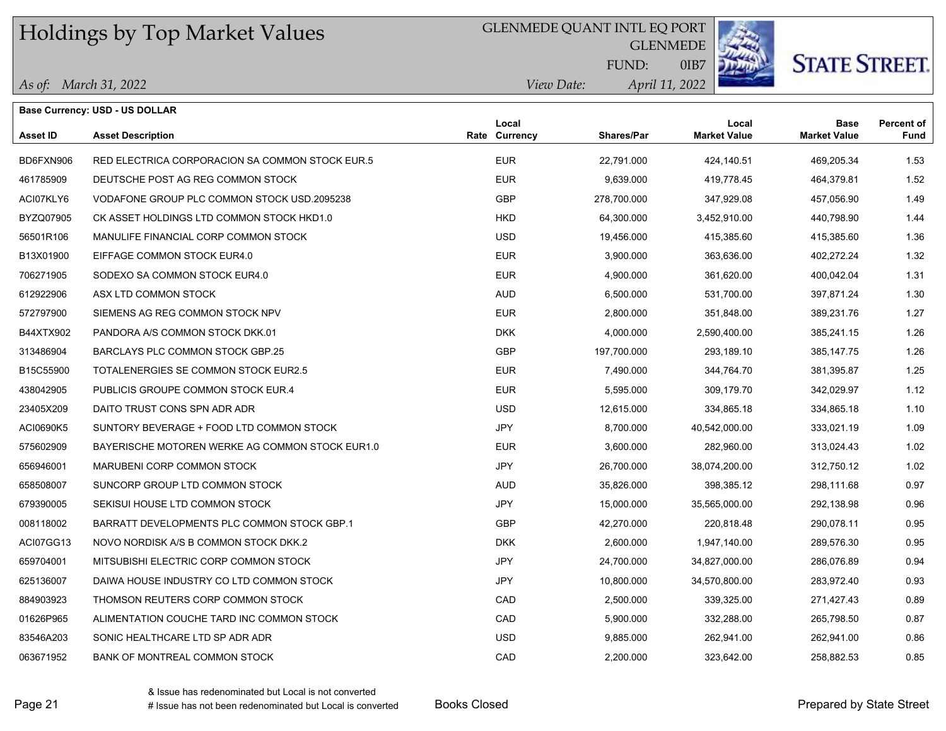GLENMEDE QUANT INTL EQ PORT

GLENMEDE

0IB7



**STATE STREET.** 

| As of: March 31, 2022 |  |
|-----------------------|--|
|-----------------------|--|

|                 | Base Currency: USD - US DOLLAR                  |                        |                   |                              |                                    |                           |
|-----------------|-------------------------------------------------|------------------------|-------------------|------------------------------|------------------------------------|---------------------------|
| <b>Asset ID</b> | <b>Asset Description</b>                        | Local<br>Rate Currency | <b>Shares/Par</b> | Local<br><b>Market Value</b> | <b>Base</b><br><b>Market Value</b> | <b>Percent of</b><br>Fund |
| BD6FXN906       | RED ELECTRICA CORPORACION SA COMMON STOCK EUR.5 | <b>EUR</b>             | 22,791.000        | 424,140.51                   | 469,205.34                         | 1.53                      |
| 461785909       | DEUTSCHE POST AG REG COMMON STOCK               | <b>EUR</b>             | 9,639.000         | 419,778.45                   | 464,379.81                         | 1.52                      |
| ACI07KLY6       | VODAFONE GROUP PLC COMMON STOCK USD 2095238     | <b>GBP</b>             | 278,700.000       | 347,929.08                   | 457,056.90                         | 1.49                      |
| BYZQ07905       | CK ASSET HOLDINGS LTD COMMON STOCK HKD1.0       | <b>HKD</b>             | 64,300.000        | 3,452,910.00                 | 440,798.90                         | 1.44                      |
| 56501R106       | MANULIFE FINANCIAL CORP COMMON STOCK            | <b>USD</b>             | 19,456.000        | 415.385.60                   | 415,385.60                         | 1.36                      |
| B13X01900       | EIFFAGE COMMON STOCK EUR4.0                     | <b>EUR</b>             | 3,900.000         | 363,636.00                   | 402,272.24                         | 1.32                      |
| 706271905       | SODEXO SA COMMON STOCK EUR4.0                   | <b>EUR</b>             | 4,900.000         | 361,620.00                   | 400,042.04                         | 1.31                      |
| 612922906       | ASX LTD COMMON STOCK                            | <b>AUD</b>             | 6,500.000         | 531,700.00                   | 397,871.24                         | 1.30                      |
| 572797900       | SIEMENS AG REG COMMON STOCK NPV                 | <b>EUR</b>             | 2,800.000         | 351,848.00                   | 389,231.76                         | 1.27                      |
| B44XTX902       | PANDORA A/S COMMON STOCK DKK.01                 | <b>DKK</b>             | 4,000.000         | 2,590,400.00                 | 385,241.15                         | 1.26                      |
| 313486904       | BARCLAYS PLC COMMON STOCK GBP.25                | <b>GBP</b>             | 197,700.000       | 293,189.10                   | 385, 147. 75                       | 1.26                      |
| B15C55900       | TOTALENERGIES SE COMMON STOCK EUR2.5            | <b>EUR</b>             | 7,490.000         | 344,764.70                   | 381,395.87                         | 1.25                      |
| 438042905       | PUBLICIS GROUPE COMMON STOCK EUR.4              | <b>EUR</b>             | 5,595.000         | 309,179.70                   | 342,029.97                         | 1.12                      |
| 23405X209       | DAITO TRUST CONS SPN ADR ADR                    | <b>USD</b>             | 12,615.000        | 334,865.18                   | 334,865.18                         | 1.10                      |
| ACI0690K5       | SUNTORY BEVERAGE + FOOD LTD COMMON STOCK        | <b>JPY</b>             | 8,700.000         | 40,542,000.00                | 333,021.19                         | 1.09                      |
| 575602909       | BAYERISCHE MOTOREN WERKE AG COMMON STOCK EUR1.0 | <b>EUR</b>             | 3,600.000         | 282,960.00                   | 313,024.43                         | 1.02                      |
| 656946001       | MARUBENI CORP COMMON STOCK                      | <b>JPY</b>             | 26,700.000        | 38,074,200.00                | 312,750.12                         | 1.02                      |
| 658508007       | SUNCORP GROUP LTD COMMON STOCK                  | <b>AUD</b>             | 35,826.000        | 398,385.12                   | 298,111.68                         | 0.97                      |
| 679390005       | SEKISUI HOUSE LTD COMMON STOCK                  | <b>JPY</b>             | 15,000.000        | 35,565,000.00                | 292,138.98                         | 0.96                      |
| 008118002       | BARRATT DEVELOPMENTS PLC COMMON STOCK GBP.1     | <b>GBP</b>             | 42,270.000        | 220,818.48                   | 290,078.11                         | 0.95                      |
| ACI07GG13       | NOVO NORDISK A/S B COMMON STOCK DKK.2           | <b>DKK</b>             | 2,600.000         | 1,947,140.00                 | 289,576.30                         | 0.95                      |
| 659704001       | MITSUBISHI ELECTRIC CORP COMMON STOCK           | JPY                    | 24,700.000        | 34,827,000.00                | 286,076.89                         | 0.94                      |
| 625136007       | DAIWA HOUSE INDUSTRY CO LTD COMMON STOCK        | JPY                    | 10,800.000        | 34,570,800.00                | 283,972.40                         | 0.93                      |
| 884903923       | THOMSON REUTERS CORP COMMON STOCK               | CAD                    | 2,500.000         | 339,325.00                   | 271,427.43                         | 0.89                      |
| 01626P965       | ALIMENTATION COUCHE TARD INC COMMON STOCK       | CAD                    | 5,900.000         | 332,288.00                   | 265,798.50                         | 0.87                      |
| 83546A203       | SONIC HEALTHCARE LTD SP ADR ADR                 | <b>USD</b>             | 9,885.000         | 262,941.00                   | 262,941.00                         | 0.86                      |
| 063671952       | BANK OF MONTREAL COMMON STOCK                   | CAD                    | 2,200.000         | 323,642.00                   | 258,882.53                         | 0.85                      |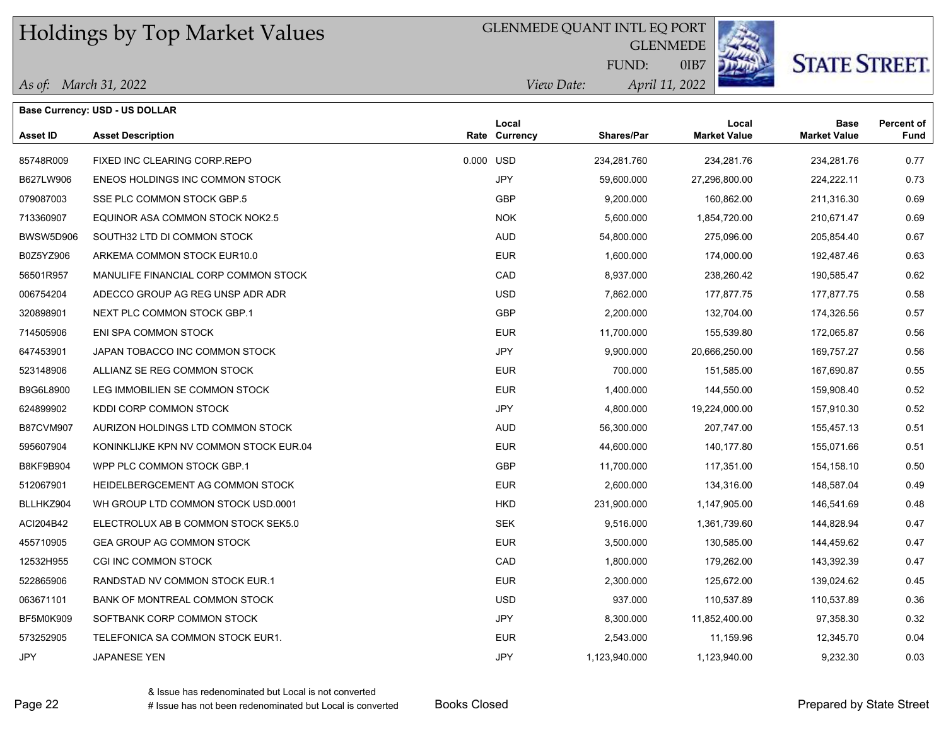GLENMEDE QUANT INTL EQ PORT

**GLENMEDE** 



# **STATE STREET.**

|  |  | As of: March 31, 2022 |  |
|--|--|-----------------------|--|
|--|--|-----------------------|--|

**Base Currency: USD - US DOLLAR**

| <i>View Date:</i> | FUND:<br>April 11, 2022 | OIB7 |       |
|-------------------|-------------------------|------|-------|
| cal               |                         |      | ∟ocal |

| <b>Asset ID</b>  | <b>Asset Description</b>               |           | Local<br>Rate Currency | <b>Shares/Par</b> | Local<br><b>Market Value</b> | <b>Base</b><br><b>Market Value</b> | <b>Percent of</b><br>Fund |
|------------------|----------------------------------------|-----------|------------------------|-------------------|------------------------------|------------------------------------|---------------------------|
| 85748R009        | FIXED INC CLEARING CORP.REPO           | 0.000 USD |                        | 234,281.760       | 234,281.76                   | 234,281.76                         | 0.77                      |
| B627LW906        | ENEOS HOLDINGS INC COMMON STOCK        |           | JPY                    | 59,600.000        | 27,296,800.00                | 224, 222.11                        | 0.73                      |
| 079087003        | SSE PLC COMMON STOCK GBP.5             |           | <b>GBP</b>             | 9,200.000         | 160,862.00                   | 211,316.30                         | 0.69                      |
| 713360907        | EQUINOR ASA COMMON STOCK NOK2.5        |           | <b>NOK</b>             | 5,600.000         | 1,854,720.00                 | 210,671.47                         | 0.69                      |
| <b>BWSW5D906</b> | SOUTH32 LTD DI COMMON STOCK            |           | <b>AUD</b>             | 54,800.000        | 275,096.00                   | 205,854.40                         | 0.67                      |
| B0Z5YZ906        | ARKEMA COMMON STOCK EUR10.0            |           | <b>EUR</b>             | 1,600.000         | 174,000.00                   | 192,487.46                         | 0.63                      |
| 56501R957        | MANULIFE FINANCIAL CORP COMMON STOCK   |           | CAD                    | 8,937.000         | 238,260.42                   | 190,585.47                         | 0.62                      |
| 006754204        | ADECCO GROUP AG REG UNSP ADR ADR       |           | <b>USD</b>             | 7,862.000         | 177,877.75                   | 177,877.75                         | 0.58                      |
| 320898901        | NEXT PLC COMMON STOCK GBP.1            |           | <b>GBP</b>             | 2,200.000         | 132,704.00                   | 174,326.56                         | 0.57                      |
| 714505906        | ENI SPA COMMON STOCK                   |           | <b>EUR</b>             | 11,700.000        | 155,539.80                   | 172,065.87                         | 0.56                      |
| 647453901        | JAPAN TOBACCO INC COMMON STOCK         |           | <b>JPY</b>             | 9,900.000         | 20,666,250.00                | 169,757.27                         | 0.56                      |
| 523148906        | ALLIANZ SE REG COMMON STOCK            |           | <b>EUR</b>             | 700.000           | 151,585.00                   | 167,690.87                         | 0.55                      |
| B9G6L8900        | LEG IMMOBILIEN SE COMMON STOCK         |           | <b>EUR</b>             | 1,400.000         | 144,550.00                   | 159,908.40                         | 0.52                      |
| 624899902        | KDDI CORP COMMON STOCK                 |           | <b>JPY</b>             | 4,800.000         | 19,224,000.00                | 157,910.30                         | 0.52                      |
| <b>B87CVM907</b> | AURIZON HOLDINGS LTD COMMON STOCK      |           | <b>AUD</b>             | 56,300.000        | 207,747.00                   | 155,457.13                         | 0.51                      |
| 595607904        | KONINKLIJKE KPN NV COMMON STOCK EUR.04 |           | <b>EUR</b>             | 44,600.000        | 140.177.80                   | 155,071.66                         | 0.51                      |
| B8KF9B904        | WPP PLC COMMON STOCK GBP.1             |           | <b>GBP</b>             | 11,700.000        | 117,351.00                   | 154, 158. 10                       | 0.50                      |
| 512067901        | HEIDELBERGCEMENT AG COMMON STOCK       |           | <b>EUR</b>             | 2,600.000         | 134,316.00                   | 148,587.04                         | 0.49                      |
| BLLHKZ904        | WH GROUP LTD COMMON STOCK USD.0001     |           | <b>HKD</b>             | 231,900.000       | 1,147,905.00                 | 146,541.69                         | 0.48                      |
| ACI204B42        | ELECTROLUX AB B COMMON STOCK SEK5.0    |           | <b>SEK</b>             | 9,516.000         | 1,361,739.60                 | 144,828.94                         | 0.47                      |
| 455710905        | <b>GEA GROUP AG COMMON STOCK</b>       |           | <b>EUR</b>             | 3,500.000         | 130,585.00                   | 144,459.62                         | 0.47                      |
| 12532H955        | CGI INC COMMON STOCK                   |           | CAD                    | 1,800.000         | 179,262.00                   | 143,392.39                         | 0.47                      |
| 522865906        | RANDSTAD NV COMMON STOCK EUR.1         |           | <b>EUR</b>             | 2,300.000         | 125,672.00                   | 139,024.62                         | 0.45                      |
| 063671101        | BANK OF MONTREAL COMMON STOCK          |           | <b>USD</b>             | 937.000           | 110,537.89                   | 110,537.89                         | 0.36                      |
| <b>BF5M0K909</b> | SOFTBANK CORP COMMON STOCK             |           | <b>JPY</b>             | 8,300.000         | 11,852,400.00                | 97,358.30                          | 0.32                      |
| 573252905        | TELEFONICA SA COMMON STOCK EUR1.       |           | <b>EUR</b>             | 2,543.000         | 11,159.96                    | 12,345.70                          | 0.04                      |
| <b>JPY</b>       | JAPANESE YEN                           |           | JPY                    | 1,123,940.000     | 1,123,940.00                 | 9,232.30                           | 0.03                      |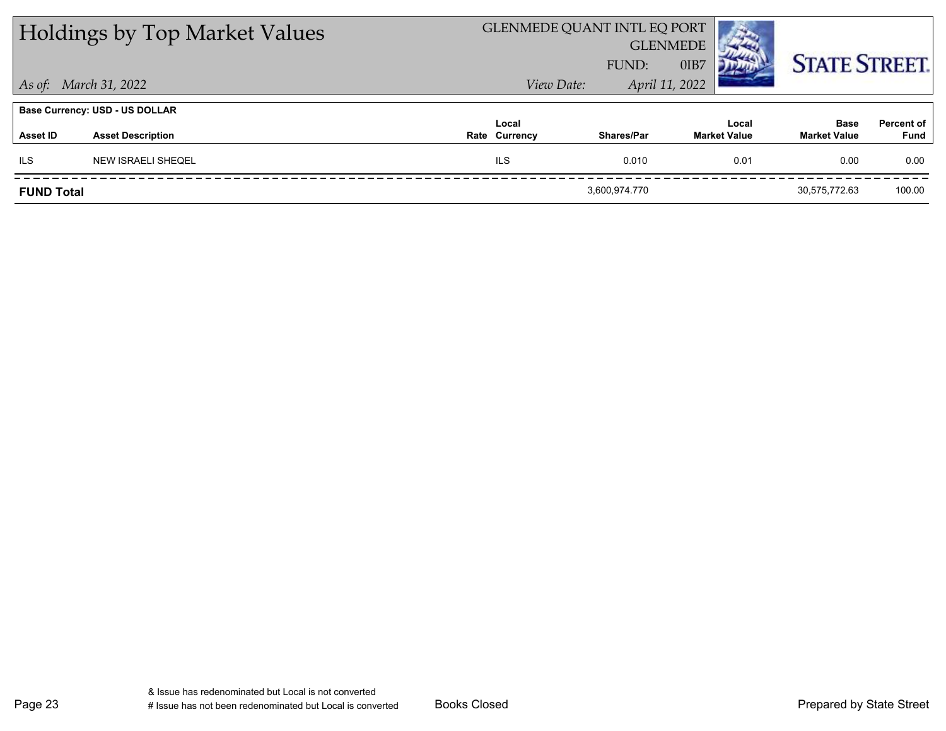|                   | <b>Holdings by Top Market Values</b>  |                        | <b>GLENMEDE QUANT INTL EQ PORT</b> | <b>GLENMEDE</b> |                              |                                    |                           |
|-------------------|---------------------------------------|------------------------|------------------------------------|-----------------|------------------------------|------------------------------------|---------------------------|
|                   |                                       |                        | FUND:                              | OIB7            |                              | <b>STATE STREET.</b>               |                           |
|                   | As of: March 31, 2022                 | View Date:             |                                    | April 11, 2022  |                              |                                    |                           |
|                   | <b>Base Currency: USD - US DOLLAR</b> |                        |                                    |                 |                              |                                    |                           |
| Asset ID          | <b>Asset Description</b>              | Local<br>Rate Currency | <b>Shares/Par</b>                  |                 | Local<br><b>Market Value</b> | <b>Base</b><br><b>Market Value</b> | <b>Percent of</b><br>Fund |
| <b>ILS</b>        | <b>NEW ISRAELI SHEQEL</b>             | <b>ILS</b>             | 0.010                              |                 | 0.01                         | 0.00                               | 0.00                      |
| <b>FUND Total</b> |                                       |                        | 3,600,974.770                      |                 |                              | 30,575,772.63                      | 100.00                    |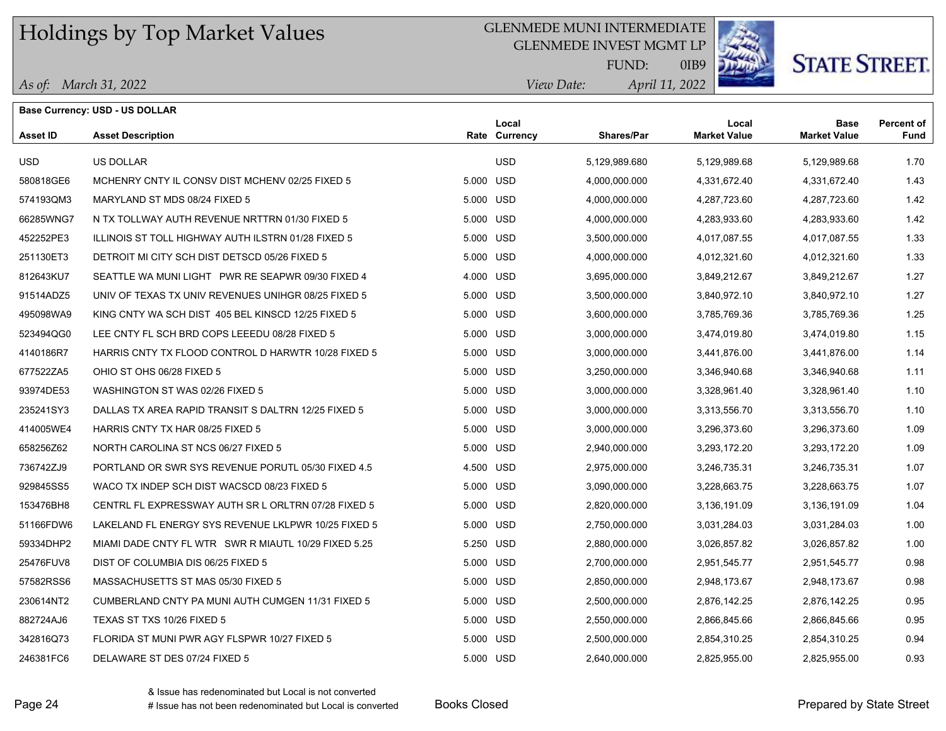### GLENMEDE MUNI INTERMEDIATE

GLENMEDE INVEST MGMT LP



0IB9

# **STATE STREET.**

| As of: March 31, 2022 |
|-----------------------|
|                       |

|                 | <b>Base Currency: USD - US DOLLAR</b>                |           |                        |                   |                              |                                    |                           |
|-----------------|------------------------------------------------------|-----------|------------------------|-------------------|------------------------------|------------------------------------|---------------------------|
| <b>Asset ID</b> | <b>Asset Description</b>                             |           | Local<br>Rate Currency | <b>Shares/Par</b> | Local<br><b>Market Value</b> | <b>Base</b><br><b>Market Value</b> | <b>Percent of</b><br>Fund |
| <b>USD</b>      | US DOLLAR                                            |           | <b>USD</b>             | 5,129,989.680     | 5,129,989.68                 | 5,129,989.68                       | 1.70                      |
| 580818GE6       | MCHENRY CNTY IL CONSV DIST MCHENV 02/25 FIXED 5      | 5.000 USD |                        | 4,000,000.000     | 4,331,672.40                 | 4,331,672.40                       | 1.43                      |
| 574193QM3       | MARYLAND ST MDS 08/24 FIXED 5                        |           | 5.000 USD              | 4,000,000.000     | 4,287,723.60                 | 4,287,723.60                       | 1.42                      |
| 66285WNG7       | N TX TOLLWAY AUTH REVENUE NRTTRN 01/30 FIXED 5       | 5.000 USD |                        | 4,000,000.000     | 4,283,933.60                 | 4,283,933.60                       | 1.42                      |
| 452252PE3       | ILLINOIS ST TOLL HIGHWAY AUTH ILSTRN 01/28 FIXED 5   |           | 5.000 USD              | 3,500,000.000     | 4,017,087.55                 | 4,017,087.55                       | 1.33                      |
| 251130ET3       | DETROIT MI CITY SCH DIST DETSCD 05/26 FIXED 5        | 5.000 USD |                        | 4,000,000.000     | 4,012,321.60                 | 4,012,321.60                       | 1.33                      |
| 812643KU7       | SEATTLE WA MUNI LIGHT PWR RE SEAPWR 09/30 FIXED 4    | 4.000 USD |                        | 3,695,000.000     | 3,849,212.67                 | 3,849,212.67                       | 1.27                      |
| 91514ADZ5       | UNIV OF TEXAS TX UNIV REVENUES UNIHGR 08/25 FIXED 5  |           | 5.000 USD              | 3,500,000.000     | 3,840,972.10                 | 3,840,972.10                       | 1.27                      |
| 495098WA9       | KING CNTY WA SCH DIST 405 BEL KINSCD 12/25 FIXED 5   | 5.000 USD |                        | 3,600,000.000     | 3,785,769.36                 | 3,785,769.36                       | 1.25                      |
| 523494QG0       | LEE CNTY FL SCH BRD COPS LEEEDU 08/28 FIXED 5        | 5.000 USD |                        | 3,000,000.000     | 3,474,019.80                 | 3,474,019.80                       | 1.15                      |
| 4140186R7       | HARRIS CNTY TX FLOOD CONTROL D HARWTR 10/28 FIXED 5  | 5.000 USD |                        | 3,000,000.000     | 3,441,876.00                 | 3,441,876.00                       | 1.14                      |
| 677522ZA5       | OHIO ST OHS 06/28 FIXED 5                            |           | 5.000 USD              | 3,250,000.000     | 3,346,940.68                 | 3,346,940.68                       | 1.11                      |
| 93974DE53       | WASHINGTON ST WAS 02/26 FIXED 5                      | 5.000 USD |                        | 3,000,000.000     | 3,328,961.40                 | 3,328,961.40                       | 1.10                      |
| 235241SY3       | DALLAS TX AREA RAPID TRANSIT S DALTRN 12/25 FIXED 5  |           | 5.000 USD              | 3,000,000.000     | 3,313,556.70                 | 3,313,556.70                       | 1.10                      |
| 414005WE4       | HARRIS CNTY TX HAR 08/25 FIXED 5                     |           | 5.000 USD              | 3,000,000.000     | 3,296,373.60                 | 3,296,373.60                       | 1.09                      |
| 658256Z62       | NORTH CAROLINA ST NCS 06/27 FIXED 5                  |           | 5.000 USD              | 2,940,000.000     | 3,293,172.20                 | 3,293,172.20                       | 1.09                      |
| 736742ZJ9       | PORTLAND OR SWR SYS REVENUE PORUTL 05/30 FIXED 4.5   | 4.500 USD |                        | 2,975,000.000     | 3,246,735.31                 | 3,246,735.31                       | 1.07                      |
| 929845SS5       | WACO TX INDEP SCH DIST WACSCD 08/23 FIXED 5          | 5.000 USD |                        | 3,090,000.000     | 3,228,663.75                 | 3,228,663.75                       | 1.07                      |
| 153476BH8       | CENTRL FL EXPRESSWAY AUTH SR L ORLTRN 07/28 FIXED 5  |           | 5.000 USD              | 2,820,000.000     | 3,136,191.09                 | 3,136,191.09                       | 1.04                      |
| 51166FDW6       | LAKELAND FL ENERGY SYS REVENUE LKLPWR 10/25 FIXED 5  |           | 5.000 USD              | 2,750,000.000     | 3,031,284.03                 | 3,031,284.03                       | 1.00                      |
| 59334DHP2       | MIAMI DADE CNTY FL WTR SWR R MIAUTL 10/29 FIXED 5.25 | 5.250 USD |                        | 2,880,000.000     | 3,026,857.82                 | 3,026,857.82                       | 1.00                      |
| 25476FUV8       | DIST OF COLUMBIA DIS 06/25 FIXED 5                   |           | 5.000 USD              | 2,700,000.000     | 2,951,545.77                 | 2,951,545.77                       | 0.98                      |
| 57582RSS6       | MASSACHUSETTS ST MAS 05/30 FIXED 5                   |           | 5.000 USD              | 2,850,000.000     | 2,948,173.67                 | 2,948,173.67                       | 0.98                      |
| 230614NT2       | CUMBERLAND CNTY PA MUNI AUTH CUMGEN 11/31 FIXED 5    |           | 5.000 USD              | 2,500,000.000     | 2,876,142.25                 | 2,876,142.25                       | 0.95                      |
| 882724AJ6       | TEXAS ST TXS 10/26 FIXED 5                           | 5.000 USD |                        | 2,550,000.000     | 2,866,845.66                 | 2,866,845.66                       | 0.95                      |
| 342816Q73       | FLORIDA ST MUNI PWR AGY FLSPWR 10/27 FIXED 5         | 5.000 USD |                        | 2,500,000.000     | 2,854,310.25                 | 2,854,310.25                       | 0.94                      |
| 246381FC6       | DELAWARE ST DES 07/24 FIXED 5                        | 5.000 USD |                        | 2,640,000.000     | 2,825,955.00                 | 2,825,955.00                       | 0.93                      |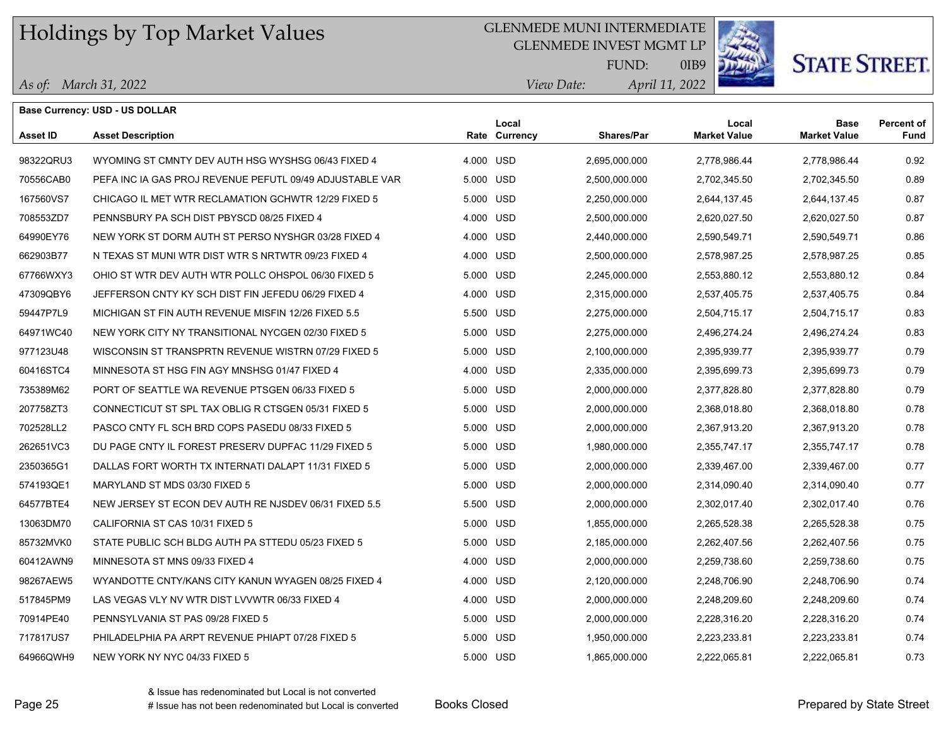*As of: March 31, 2022*

**Base Currency: USD - US DOLLAR**

### GLENMEDE MUNI INTERMEDIATE

GLENMEDE INVEST MGMT LP



0IB9

# **STATE STREET**

*April 11, 2022 View Date:* FUND:

| <b>Asset ID</b> | <b>Asset Description</b>                                 |           | Local<br>Rate Currency | Shares/Par    | Local<br><b>Market Value</b> | <b>Base</b><br><b>Market Value</b> | Percent of<br>Fund |
|-----------------|----------------------------------------------------------|-----------|------------------------|---------------|------------------------------|------------------------------------|--------------------|
| 98322QRU3       | WYOMING ST CMNTY DEV AUTH HSG WYSHSG 06/43 FIXED 4       | 4.000 USD |                        | 2,695,000.000 | 2,778,986.44                 | 2,778,986.44                       | 0.92               |
| 70556CAB0       | PEFA INC IA GAS PROJ REVENUE PEFUTL 09/49 ADJUSTABLE VAR | 5.000 USD |                        | 2,500,000.000 | 2,702,345.50                 | 2,702,345.50                       | 0.89               |
| 167560VS7       | CHICAGO IL MET WTR RECLAMATION GCHWTR 12/29 FIXED 5      | 5.000     | <b>USD</b>             | 2,250,000.000 | 2,644,137.45                 | 2,644,137.45                       | 0.87               |
| 708553ZD7       | PENNSBURY PA SCH DIST PBYSCD 08/25 FIXED 4               | 4.000 USD |                        | 2,500,000.000 | 2,620,027.50                 | 2,620,027.50                       | 0.87               |
| 64990EY76       | NEW YORK ST DORM AUTH ST PERSO NYSHGR 03/28 FIXED 4      | 4.000     | <b>USD</b>             | 2,440,000.000 | 2,590,549.71                 | 2,590,549.71                       | 0.86               |
| 662903B77       | N TEXAS ST MUNI WTR DIST WTR S NRTWTR 09/23 FIXED 4      | 4.000 USD |                        | 2,500,000.000 | 2,578,987.25                 | 2,578,987.25                       | 0.85               |
| 67766WXY3       | OHIO ST WTR DEV AUTH WTR POLLC OHSPOL 06/30 FIXED 5      | 5.000     | <b>USD</b>             | 2,245,000.000 | 2,553,880.12                 | 2,553,880.12                       | 0.84               |
| 47309QBY6       | JEFFERSON CNTY KY SCH DIST FIN JEFEDU 06/29 FIXED 4      | 4.000 USD |                        | 2,315,000.000 | 2,537,405.75                 | 2,537,405.75                       | 0.84               |
| 59447P7L9       | MICHIGAN ST FIN AUTH REVENUE MISFIN 12/26 FIXED 5.5      | 5.500     | <b>USD</b>             | 2,275,000.000 | 2,504,715.17                 | 2,504,715.17                       | 0.83               |
| 64971WC40       | NEW YORK CITY NY TRANSITIONAL NYCGEN 02/30 FIXED 5       | 5.000     | <b>USD</b>             | 2,275,000.000 | 2,496,274.24                 | 2,496,274.24                       | 0.83               |
| 977123U48       | WISCONSIN ST TRANSPRTN REVENUE WISTRN 07/29 FIXED 5      | 5.000     | <b>USD</b>             | 2,100,000.000 | 2,395,939.77                 | 2,395,939.77                       | 0.79               |
| 60416STC4       | MINNESOTA ST HSG FIN AGY MNSHSG 01/47 FIXED 4            | 4.000     | <b>USD</b>             | 2,335,000.000 | 2,395,699.73                 | 2,395,699.73                       | 0.79               |
| 735389M62       | PORT OF SEATTLE WA REVENUE PTSGEN 06/33 FIXED 5          | 5.000     | <b>USD</b>             | 2,000,000.000 | 2,377,828.80                 | 2,377,828.80                       | 0.79               |
| 207758ZT3       | CONNECTICUT ST SPL TAX OBLIG R CTSGEN 05/31 FIXED 5      | 5.000     | USD                    | 2,000,000.000 | 2,368,018.80                 | 2,368,018.80                       | 0.78               |
| 702528LL2       | PASCO CNTY FL SCH BRD COPS PASEDU 08/33 FIXED 5          | 5.000 USD |                        | 2,000,000.000 | 2,367,913.20                 | 2,367,913.20                       | 0.78               |
| 262651VC3       | DU PAGE CNTY IL FOREST PRESERV DUPFAC 11/29 FIXED 5      | 5.000     | <b>USD</b>             | 1,980,000.000 | 2,355,747.17                 | 2,355,747.17                       | 0.78               |
| 2350365G1       | DALLAS FORT WORTH TX INTERNATI DALAPT 11/31 FIXED 5      | 5.000 USD |                        | 2,000,000.000 | 2,339,467.00                 | 2,339,467.00                       | 0.77               |
| 574193QE1       | MARYLAND ST MDS 03/30 FIXED 5                            | 5.000     | <b>USD</b>             | 2,000,000.000 | 2,314,090.40                 | 2,314,090.40                       | 0.77               |
| 64577BTE4       | NEW JERSEY ST ECON DEV AUTH RE NJSDEV 06/31 FIXED 5.5    | 5.500 USD |                        | 2,000,000.000 | 2,302,017.40                 | 2,302,017.40                       | 0.76               |
| 13063DM70       | CALIFORNIA ST CAS 10/31 FIXED 5                          | 5.000     | <b>USD</b>             | 1,855,000.000 | 2,265,528.38                 | 2,265,528.38                       | 0.75               |
| 85732MVK0       | STATE PUBLIC SCH BLDG AUTH PA STTEDU 05/23 FIXED 5       | 5.000     | <b>USD</b>             | 2,185,000.000 | 2,262,407.56                 | 2,262,407.56                       | 0.75               |
| 60412AWN9       | MINNESOTA ST MNS 09/33 FIXED 4                           | 4.000     | <b>USD</b>             | 2,000,000.000 | 2,259,738.60                 | 2,259,738.60                       | 0.75               |
| 98267AEW5       | WYANDOTTE CNTY/KANS CITY KANUN WYAGEN 08/25 FIXED 4      | 4.000     | <b>USD</b>             | 2,120,000.000 | 2,248,706.90                 | 2,248,706.90                       | 0.74               |
| 517845PM9       | LAS VEGAS VLY NV WTR DIST LVVWTR 06/33 FIXED 4           | 4.000     | <b>USD</b>             | 2,000,000.000 | 2,248,209.60                 | 2,248,209.60                       | 0.74               |

70914PE40 PENNSYLVANIA ST PAS 09/28 FIXED 5 5.000 USD 2,000,000.000 2,228,316.20 2,228,316.20 0.74 717817US7 PHILADELPHIA PA ARPT REVENUE PHIAPT 07/28 FIXED 5 5.000 USD 1,950,000.000 2,223,233.81 2,223,233.81 0.74 64966QWH9 NEW YORK NY NYC 04/33 FIXED 5 5.000 USD 1,865,000.000 2,222,065.81 2,222,065.81 0.73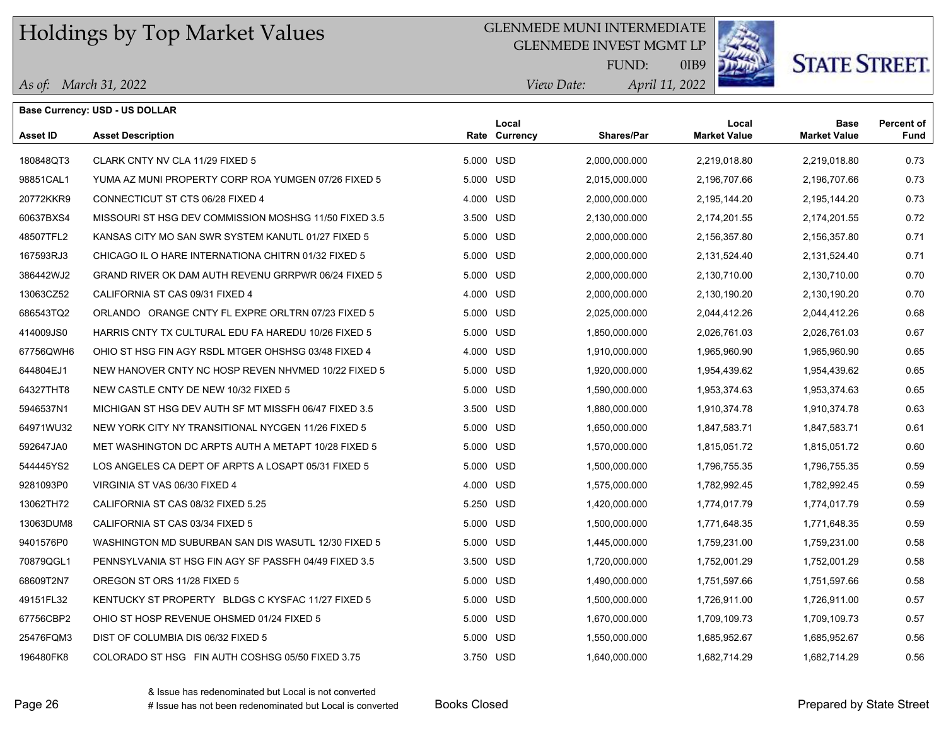### GLENMEDE MUNI INTERMEDIATE

GLENMEDE INVEST MGMT LP



0IB9

# **STATE STREET.**

|                 | <b>Base Currency: USD - US DOLLAR</b>                 |           |                        |                   |                              |                                    |                           |
|-----------------|-------------------------------------------------------|-----------|------------------------|-------------------|------------------------------|------------------------------------|---------------------------|
| <b>Asset ID</b> | <b>Asset Description</b>                              |           | Local<br>Rate Currency | <b>Shares/Par</b> | Local<br><b>Market Value</b> | <b>Base</b><br><b>Market Value</b> | <b>Percent of</b><br>Fund |
| 180848QT3       | CLARK CNTY NV CLA 11/29 FIXED 5                       | 5.000 USD |                        | 2,000,000.000     | 2,219,018.80                 | 2,219,018.80                       | 0.73                      |
| 98851CAL1       | YUMA AZ MUNI PROPERTY CORP ROA YUMGEN 07/26 FIXED 5   | 5.000 USD |                        | 2,015,000.000     | 2,196,707.66                 | 2,196,707.66                       | 0.73                      |
| 20772KKR9       | CONNECTICUT ST CTS 06/28 FIXED 4                      | 4.000 USD |                        | 2,000,000.000     | 2,195,144.20                 | 2,195,144.20                       | 0.73                      |
| 60637BXS4       | MISSOURI ST HSG DEV COMMISSION MOSHSG 11/50 FIXED 3.5 | 3.500 USD |                        | 2,130,000.000     | 2,174,201.55                 | 2,174,201.55                       | 0.72                      |
| 48507TFL2       | KANSAS CITY MO SAN SWR SYSTEM KANUTL 01/27 FIXED 5    | 5.000 USD |                        | 2,000,000.000     | 2,156,357.80                 | 2,156,357.80                       | 0.71                      |
| 167593RJ3       | CHICAGO IL O HARE INTERNATIONA CHITRN 01/32 FIXED 5   | 5.000 USD |                        | 2,000,000.000     | 2,131,524.40                 | 2,131,524.40                       | 0.71                      |
| 386442WJ2       | GRAND RIVER OK DAM AUTH REVENU GRRPWR 06/24 FIXED 5   | 5.000 USD |                        | 2,000,000.000     | 2,130,710.00                 | 2,130,710.00                       | 0.70                      |
| 13063CZ52       | CALIFORNIA ST CAS 09/31 FIXED 4                       | 4.000 USD |                        | 2,000,000.000     | 2,130,190.20                 | 2,130,190.20                       | 0.70                      |
| 686543TQ2       | ORLANDO ORANGE CNTY FL EXPRE ORLTRN 07/23 FIXED 5     | 5.000 USD |                        | 2,025,000.000     | 2,044,412.26                 | 2,044,412.26                       | 0.68                      |
| 414009JS0       | HARRIS CNTY TX CULTURAL EDU FA HAREDU 10/26 FIXED 5   | 5.000 USD |                        | 1,850,000.000     | 2,026,761.03                 | 2,026,761.03                       | 0.67                      |
| 67756QWH6       | OHIO ST HSG FIN AGY RSDL MTGER OHSHSG 03/48 FIXED 4   | 4.000 USD |                        | 1,910,000.000     | 1,965,960.90                 | 1,965,960.90                       | 0.65                      |
| 644804EJ1       | NEW HANOVER CNTY NC HOSP REVEN NHVMED 10/22 FIXED 5   | 5.000 USD |                        | 1,920,000.000     | 1,954,439.62                 | 1,954,439.62                       | 0.65                      |
| 64327THT8       | NEW CASTLE CNTY DE NEW 10/32 FIXED 5                  | 5.000 USD |                        | 1,590,000.000     | 1,953,374.63                 | 1,953,374.63                       | 0.65                      |
| 5946537N1       | MICHIGAN ST HSG DEV AUTH SF MT MISSFH 06/47 FIXED 3.5 | 3.500 USD |                        | 1,880,000.000     | 1,910,374.78                 | 1,910,374.78                       | 0.63                      |
| 64971WU32       | NEW YORK CITY NY TRANSITIONAL NYCGEN 11/26 FIXED 5    | 5.000 USD |                        | 1,650,000.000     | 1,847,583.71                 | 1,847,583.71                       | 0.61                      |
| 592647JA0       | MET WASHINGTON DC ARPTS AUTH A METAPT 10/28 FIXED 5   | 5.000 USD |                        | 1,570,000.000     | 1,815,051.72                 | 1,815,051.72                       | 0.60                      |
| 544445YS2       | LOS ANGELES CA DEPT OF ARPTS A LOSAPT 05/31 FIXED 5   | 5.000 USD |                        | 1,500,000.000     | 1,796,755.35                 | 1,796,755.35                       | 0.59                      |
| 9281093P0       | VIRGINIA ST VAS 06/30 FIXED 4                         | 4.000 USD |                        | 1,575,000.000     | 1,782,992.45                 | 1,782,992.45                       | 0.59                      |
| 13062TH72       | CALIFORNIA ST CAS 08/32 FIXED 5.25                    | 5.250 USD |                        | 1,420,000.000     | 1,774,017.79                 | 1,774,017.79                       | 0.59                      |
| 13063DUM8       | CALIFORNIA ST CAS 03/34 FIXED 5                       | 5.000 USD |                        | 1,500,000.000     | 1,771,648.35                 | 1,771,648.35                       | 0.59                      |
| 9401576P0       | WASHINGTON MD SUBURBAN SAN DIS WASUTL 12/30 FIXED 5   | 5.000 USD |                        | 1,445,000.000     | 1,759,231.00                 | 1,759,231.00                       | 0.58                      |
| 70879QGL1       | PENNSYLVANIA ST HSG FIN AGY SF PASSFH 04/49 FIXED 3.5 | 3.500 USD |                        | 1,720,000.000     | 1,752,001.29                 | 1,752,001.29                       | 0.58                      |
| 68609T2N7       | OREGON ST ORS 11/28 FIXED 5                           | 5.000 USD |                        | 1,490,000.000     | 1,751,597.66                 | 1,751,597.66                       | 0.58                      |
| 49151FL32       | KENTUCKY ST PROPERTY BLDGS C KYSFAC 11/27 FIXED 5     | 5.000 USD |                        | 1,500,000.000     | 1,726,911.00                 | 1,726,911.00                       | 0.57                      |
| 67756CBP2       | OHIO ST HOSP REVENUE OHSMED 01/24 FIXED 5             | 5.000 USD |                        | 1,670,000.000     | 1,709,109.73                 | 1,709,109.73                       | 0.57                      |
| 25476FQM3       | DIST OF COLUMBIA DIS 06/32 FIXED 5                    | 5.000 USD |                        | 1,550,000.000     | 1,685,952.67                 | 1,685,952.67                       | 0.56                      |
| 196480FK8       | COLORADO ST HSG FIN AUTH COSHSG 05/50 FIXED 3.75      | 3.750 USD |                        | 1,640,000.000     | 1,682,714.29                 | 1,682,714.29                       | 0.56                      |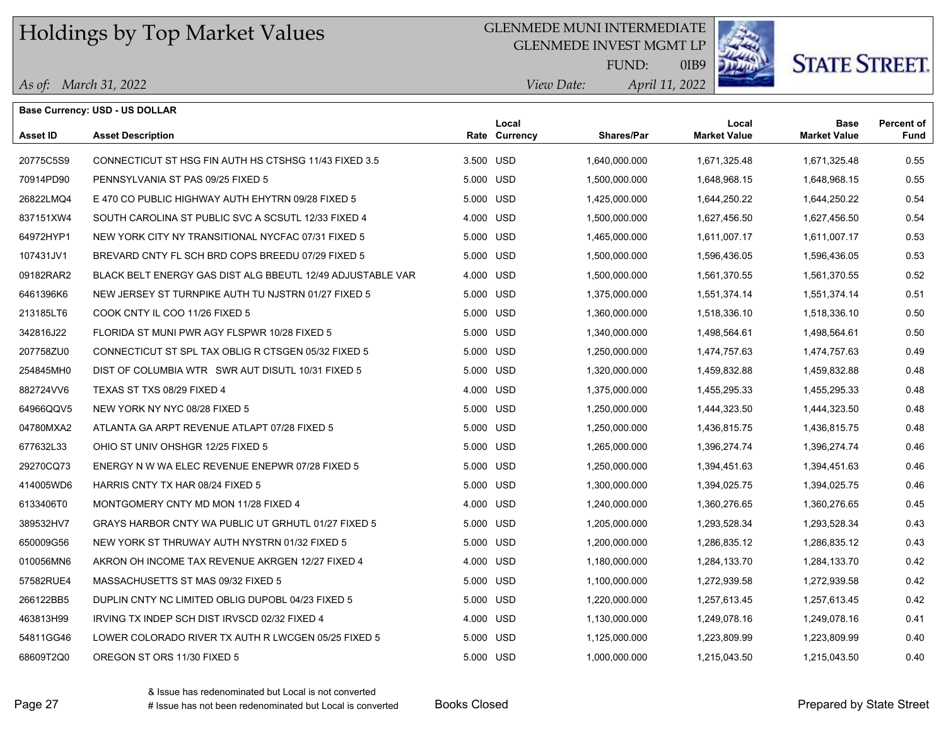### GLENMEDE MUNI INTERMEDIATE

GLENMEDE INVEST MGMT LP



0IB9

# **STATE STREET.**

|  |  | As of: March 31, 2022 |  |
|--|--|-----------------------|--|
|--|--|-----------------------|--|

|                 | <b>Base Currency: USD - US DOLLAR</b>                      |           |                        |                   |                              |                                    |                           |
|-----------------|------------------------------------------------------------|-----------|------------------------|-------------------|------------------------------|------------------------------------|---------------------------|
| <b>Asset ID</b> | <b>Asset Description</b>                                   |           | Local<br>Rate Currency | <b>Shares/Par</b> | Local<br><b>Market Value</b> | <b>Base</b><br><b>Market Value</b> | <b>Percent of</b><br>Fund |
| 20775C5S9       | CONNECTICUT ST HSG FIN AUTH HS CTSHSG 11/43 FIXED 3.5      | 3.500 USD |                        | 1,640,000.000     | 1,671,325.48                 | 1,671,325.48                       | 0.55                      |
| 70914PD90       | PENNSYLVANIA ST PAS 09/25 FIXED 5                          | 5.000 USD |                        | 1,500,000.000     | 1,648,968.15                 | 1,648,968.15                       | 0.55                      |
| 26822LMQ4       | E 470 CO PUBLIC HIGHWAY AUTH EHYTRN 09/28 FIXED 5          | 5.000 USD |                        | 1,425,000.000     | 1,644,250.22                 | 1,644,250.22                       | 0.54                      |
| 837151XW4       | SOUTH CAROLINA ST PUBLIC SVC A SCSUTL 12/33 FIXED 4        | 4.000 USD |                        | 1,500,000.000     | 1,627,456.50                 | 1,627,456.50                       | 0.54                      |
| 64972HYP1       | NEW YORK CITY NY TRANSITIONAL NYCFAC 07/31 FIXED 5         | 5.000 USD |                        | 1,465,000.000     | 1,611,007.17                 | 1,611,007.17                       | 0.53                      |
| 107431JV1       | BREVARD CNTY FL SCH BRD COPS BREEDU 07/29 FIXED 5          | 5.000 USD |                        | 1,500,000.000     | 1,596,436.05                 | 1,596,436.05                       | 0.53                      |
| 09182RAR2       | BLACK BELT ENERGY GAS DIST ALG BBEUTL 12/49 ADJUSTABLE VAR | 4.000 USD |                        | 1,500,000.000     | 1,561,370.55                 | 1,561,370.55                       | 0.52                      |
| 6461396K6       | NEW JERSEY ST TURNPIKE AUTH TU NJSTRN 01/27 FIXED 5        | 5.000 USD |                        | 1,375,000.000     | 1,551,374.14                 | 1,551,374.14                       | 0.51                      |
| 213185LT6       | COOK CNTY IL COO 11/26 FIXED 5                             | 5.000 USD |                        | 1,360,000.000     | 1,518,336.10                 | 1,518,336.10                       | 0.50                      |
| 342816J22       | FLORIDA ST MUNI PWR AGY FLSPWR 10/28 FIXED 5               | 5.000 USD |                        | 1,340,000.000     | 1,498,564.61                 | 1,498,564.61                       | 0.50                      |
| 207758ZU0       | CONNECTICUT ST SPL TAX OBLIG R CTSGEN 05/32 FIXED 5        | 5.000 USD |                        | 1,250,000.000     | 1,474,757.63                 | 1,474,757.63                       | 0.49                      |
| 254845MH0       | DIST OF COLUMBIA WTR SWR AUT DISUTL 10/31 FIXED 5          | 5.000 USD |                        | 1,320,000.000     | 1,459,832.88                 | 1,459,832.88                       | 0.48                      |
| 882724VV6       | TEXAS ST TXS 08/29 FIXED 4                                 | 4.000 USD |                        | 1,375,000.000     | 1,455,295.33                 | 1,455,295.33                       | 0.48                      |
| 64966QQV5       | NEW YORK NY NYC 08/28 FIXED 5                              | 5.000 USD |                        | 1,250,000.000     | 1,444,323.50                 | 1,444,323.50                       | 0.48                      |
| 04780MXA2       | ATLANTA GA ARPT REVENUE ATLAPT 07/28 FIXED 5               | 5.000 USD |                        | 1,250,000.000     | 1,436,815.75                 | 1,436,815.75                       | 0.48                      |
| 677632L33       | OHIO ST UNIV OHSHGR 12/25 FIXED 5                          | 5.000 USD |                        | 1,265,000.000     | 1,396,274.74                 | 1,396,274.74                       | 0.46                      |
| 29270CQ73       | ENERGY N W WA ELEC REVENUE ENEPWR 07/28 FIXED 5            | 5.000 USD |                        | 1,250,000.000     | 1,394,451.63                 | 1,394,451.63                       | 0.46                      |
| 414005WD6       | HARRIS CNTY TX HAR 08/24 FIXED 5                           | 5.000 USD |                        | 1,300,000.000     | 1,394,025.75                 | 1,394,025.75                       | 0.46                      |
| 6133406T0       | MONTGOMERY CNTY MD MON 11/28 FIXED 4                       | 4.000 USD |                        | 1,240,000.000     | 1,360,276.65                 | 1,360,276.65                       | 0.45                      |
| 389532HV7       | GRAYS HARBOR CNTY WA PUBLIC UT GRHUTL 01/27 FIXED 5        | 5.000 USD |                        | 1,205,000.000     | 1,293,528.34                 | 1,293,528.34                       | 0.43                      |
| 650009G56       | NEW YORK ST THRUWAY AUTH NYSTRN 01/32 FIXED 5              | 5.000 USD |                        | 1,200,000.000     | 1,286,835.12                 | 1,286,835.12                       | 0.43                      |
| 010056MN6       | AKRON OH INCOME TAX REVENUE AKRGEN 12/27 FIXED 4           | 4.000 USD |                        | 1,180,000.000     | 1,284,133.70                 | 1,284,133.70                       | 0.42                      |
| 57582RUE4       | MASSACHUSETTS ST MAS 09/32 FIXED 5                         | 5.000 USD |                        | 1,100,000.000     | 1,272,939.58                 | 1,272,939.58                       | 0.42                      |
| 266122BB5       | DUPLIN CNTY NC LIMITED OBLIG DUPOBL 04/23 FIXED 5          | 5.000 USD |                        | 1,220,000.000     | 1,257,613.45                 | 1,257,613.45                       | 0.42                      |
| 463813H99       | IRVING TX INDEP SCH DIST IRVSCD 02/32 FIXED 4              | 4.000 USD |                        | 1,130,000.000     | 1,249,078.16                 | 1,249,078.16                       | 0.41                      |
| 54811GG46       | LOWER COLORADO RIVER TX AUTH R LWCGEN 05/25 FIXED 5        | 5.000 USD |                        | 1,125,000.000     | 1,223,809.99                 | 1,223,809.99                       | 0.40                      |
| 68609T2Q0       | OREGON ST ORS 11/30 FIXED 5                                | 5.000 USD |                        | 1,000,000.000     | 1,215,043.50                 | 1,215,043.50                       | 0.40                      |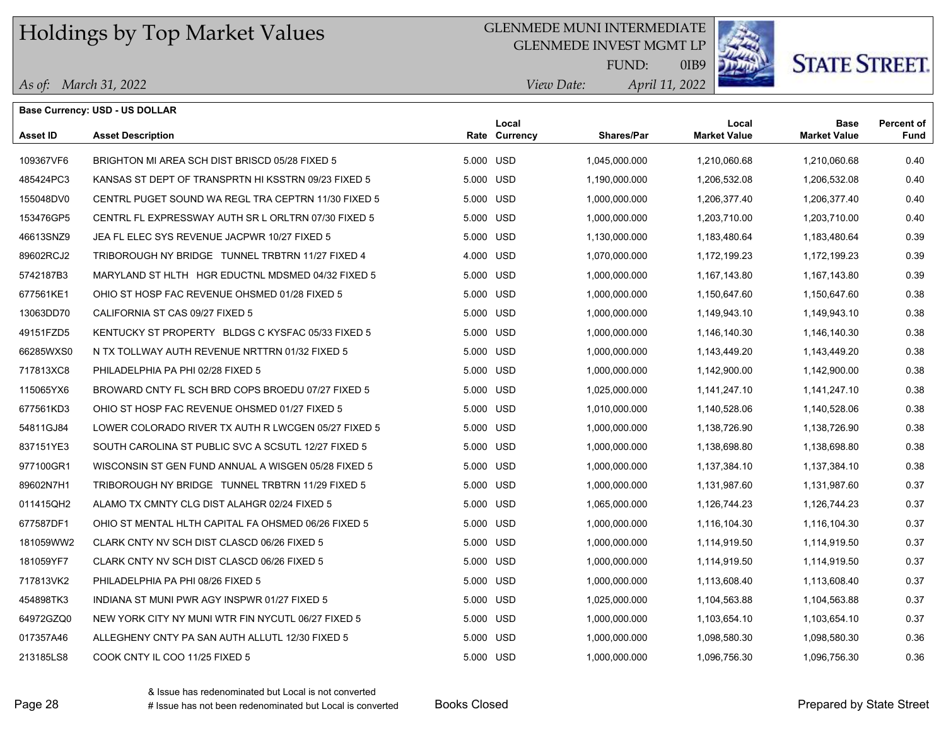### GLENMEDE MUNI INTERMEDIATE

GLENMEDE INVEST MGMT LP



0IB9

# **STATE STREET.**

|  | As of: March 31, 2022 |
|--|-----------------------|
|--|-----------------------|

|                 | <b>Base Currency: USD - US DOLLAR</b>               |           |                        |                   |                              |                                    |                           |
|-----------------|-----------------------------------------------------|-----------|------------------------|-------------------|------------------------------|------------------------------------|---------------------------|
| <b>Asset ID</b> | <b>Asset Description</b>                            |           | Local<br>Rate Currency | <b>Shares/Par</b> | Local<br><b>Market Value</b> | <b>Base</b><br><b>Market Value</b> | <b>Percent of</b><br>Fund |
| 109367VF6       | BRIGHTON MI AREA SCH DIST BRISCD 05/28 FIXED 5      |           | 5.000 USD              | 1,045,000.000     | 1,210,060.68                 | 1,210,060.68                       | 0.40                      |
| 485424PC3       | KANSAS ST DEPT OF TRANSPRTN HI KSSTRN 09/23 FIXED 5 |           | 5.000 USD              | 1,190,000.000     | 1,206,532.08                 | 1,206,532.08                       | 0.40                      |
| 155048DV0       | CENTRL PUGET SOUND WA REGL TRA CEPTRN 11/30 FIXED 5 |           | 5.000 USD              | 1,000,000.000     | 1,206,377.40                 | 1,206,377.40                       | 0.40                      |
| 153476GP5       | CENTRL FL EXPRESSWAY AUTH SR L ORLTRN 07/30 FIXED 5 |           | 5.000 USD              | 1,000,000.000     | 1,203,710.00                 | 1,203,710.00                       | 0.40                      |
| 46613SNZ9       | JEA FL ELEC SYS REVENUE JACPWR 10/27 FIXED 5        |           | 5.000 USD              | 1,130,000.000     | 1,183,480.64                 | 1,183,480.64                       | 0.39                      |
| 89602RCJ2       | TRIBOROUGH NY BRIDGE TUNNEL TRBTRN 11/27 FIXED 4    | 4.000 USD |                        | 1,070,000.000     | 1,172,199.23                 | 1,172,199.23                       | 0.39                      |
| 5742187B3       | MARYLAND ST HLTH HGR EDUCTNL MDSMED 04/32 FIXED 5   |           | 5.000 USD              | 1,000,000.000     | 1,167,143.80                 | 1,167,143.80                       | 0.39                      |
| 677561KE1       | OHIO ST HOSP FAC REVENUE OHSMED 01/28 FIXED 5       |           | 5.000 USD              | 1,000,000.000     | 1,150,647.60                 | 1,150,647.60                       | 0.38                      |
| 13063DD70       | CALIFORNIA ST CAS 09/27 FIXED 5                     |           | 5.000 USD              | 1,000,000.000     | 1,149,943.10                 | 1,149,943.10                       | 0.38                      |
| 49151FZD5       | KENTUCKY ST PROPERTY BLDGS C KYSFAC 05/33 FIXED 5   |           | 5.000 USD              | 1,000,000.000     | 1,146,140.30                 | 1,146,140.30                       | 0.38                      |
| 66285WXS0       | N TX TOLLWAY AUTH REVENUE NRTTRN 01/32 FIXED 5      |           | 5.000 USD              | 1,000,000.000     | 1,143,449.20                 | 1,143,449.20                       | 0.38                      |
| 717813XC8       | PHILADELPHIA PA PHI 02/28 FIXED 5                   |           | 5.000 USD              | 1,000,000.000     | 1,142,900.00                 | 1,142,900.00                       | 0.38                      |
| 115065YX6       | BROWARD CNTY FL SCH BRD COPS BROEDU 07/27 FIXED 5   |           | 5.000 USD              | 1,025,000.000     | 1,141,247.10                 | 1,141,247.10                       | 0.38                      |
| 677561KD3       | OHIO ST HOSP FAC REVENUE OHSMED 01/27 FIXED 5       |           | 5.000 USD              | 1,010,000.000     | 1,140,528.06                 | 1,140,528.06                       | 0.38                      |
| 54811GJ84       | LOWER COLORADO RIVER TX AUTH R LWCGEN 05/27 FIXED 5 |           | 5.000 USD              | 1,000,000.000     | 1,138,726.90                 | 1,138,726.90                       | 0.38                      |
| 837151YE3       | SOUTH CAROLINA ST PUBLIC SVC A SCSUTL 12/27 FIXED 5 |           | 5.000 USD              | 1,000,000.000     | 1,138,698.80                 | 1,138,698.80                       | 0.38                      |
| 977100GR1       | WISCONSIN ST GEN FUND ANNUAL A WISGEN 05/28 FIXED 5 |           | 5.000 USD              | 1,000,000.000     | 1,137,384.10                 | 1,137,384.10                       | 0.38                      |
| 89602N7H1       | TRIBOROUGH NY BRIDGE TUNNEL TRBTRN 11/29 FIXED 5    |           | 5.000 USD              | 1,000,000.000     | 1,131,987.60                 | 1,131,987.60                       | 0.37                      |
| 011415QH2       | ALAMO TX CMNTY CLG DIST ALAHGR 02/24 FIXED 5        |           | 5.000 USD              | 1,065,000.000     | 1,126,744.23                 | 1,126,744.23                       | 0.37                      |
| 677587DF1       | OHIO ST MENTAL HLTH CAPITAL FA OHSMED 06/26 FIXED 5 |           | 5.000 USD              | 1,000,000.000     | 1,116,104.30                 | 1,116,104.30                       | 0.37                      |
| 181059WW2       | CLARK CNTY NV SCH DIST CLASCD 06/26 FIXED 5         |           | 5.000 USD              | 1,000,000.000     | 1,114,919.50                 | 1,114,919.50                       | 0.37                      |
| 181059YF7       | CLARK CNTY NV SCH DIST CLASCD 06/26 FIXED 5         |           | 5.000 USD              | 1,000,000.000     | 1,114,919.50                 | 1,114,919.50                       | 0.37                      |
| 717813VK2       | PHILADELPHIA PA PHI 08/26 FIXED 5                   |           | 5.000 USD              | 1,000,000.000     | 1,113,608.40                 | 1,113,608.40                       | 0.37                      |
| 454898TK3       | INDIANA ST MUNI PWR AGY INSPWR 01/27 FIXED 5        | 5.000 USD |                        | 1,025,000.000     | 1,104,563.88                 | 1,104,563.88                       | 0.37                      |
| 64972GZQ0       | NEW YORK CITY NY MUNI WTR FIN NYCUTL 06/27 FIXED 5  |           | 5.000 USD              | 1,000,000.000     | 1,103,654.10                 | 1,103,654.10                       | 0.37                      |
| 017357A46       | ALLEGHENY CNTY PA SAN AUTH ALLUTL 12/30 FIXED 5     |           | 5.000 USD              | 1,000,000.000     | 1,098,580.30                 | 1,098,580.30                       | 0.36                      |
| 213185LS8       | COOK CNTY IL COO 11/25 FIXED 5                      |           | 5.000 USD              | 1,000,000.000     | 1.096.756.30                 | 1,096,756.30                       | 0.36                      |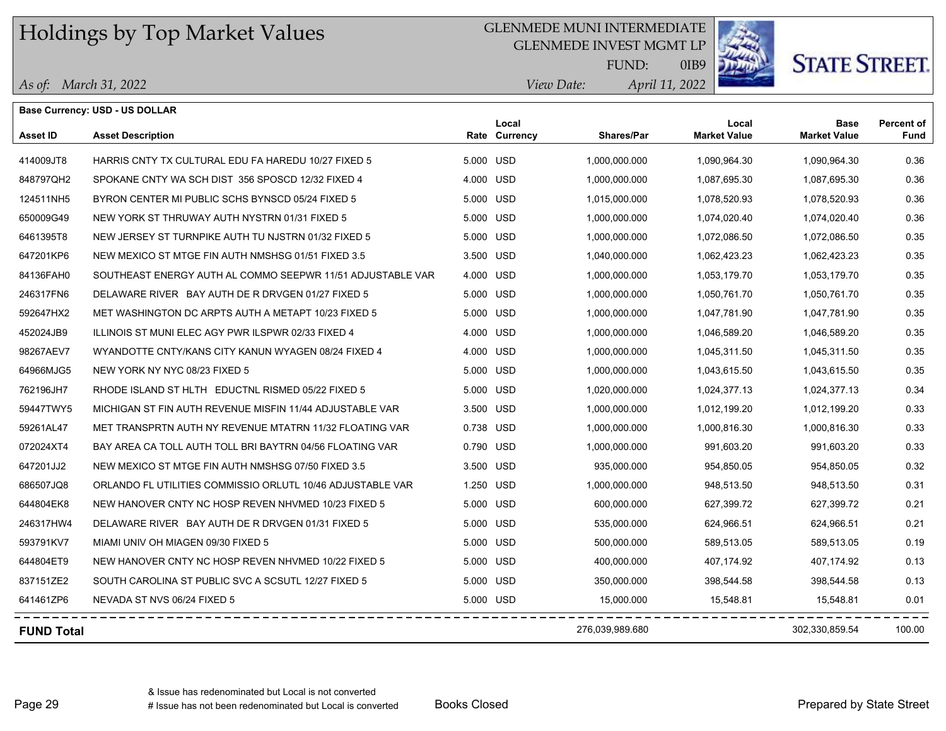### GLENMEDE MUNI INTERMEDIATE

GLENMEDE INVEST MGMT LP



0IB9

# **STATE STREET.**

| As of: March 31, 2022 |
|-----------------------|
|-----------------------|

|                   | <b>Base Currency: USD - US DOLLAR</b>                      |           |                        |                   |                              |                                    |                           |
|-------------------|------------------------------------------------------------|-----------|------------------------|-------------------|------------------------------|------------------------------------|---------------------------|
| <b>Asset ID</b>   | <b>Asset Description</b>                                   |           | Local<br>Rate Currency | <b>Shares/Par</b> | Local<br><b>Market Value</b> | <b>Base</b><br><b>Market Value</b> | <b>Percent of</b><br>Fund |
| 414009JT8         | HARRIS CNTY TX CULTURAL EDU FA HAREDU 10/27 FIXED 5        | 5.000 USD |                        | 1.000.000.000     | 1,090,964.30                 | 1,090,964.30                       | 0.36                      |
| 848797QH2         | SPOKANE CNTY WA SCH DIST 356 SPOSCD 12/32 FIXED 4          | 4.000 USD |                        | 1,000,000.000     | 1,087,695.30                 | 1,087,695.30                       | 0.36                      |
| 124511NH5         | BYRON CENTER MI PUBLIC SCHS BYNSCD 05/24 FIXED 5           | 5.000 USD |                        | 1,015,000.000     | 1,078,520.93                 | 1,078,520.93                       | 0.36                      |
| 650009G49         | NEW YORK ST THRUWAY AUTH NYSTRN 01/31 FIXED 5              | 5.000 USD |                        | 1,000,000.000     | 1,074,020.40                 | 1,074,020.40                       | 0.36                      |
| 6461395T8         | NEW JERSEY ST TURNPIKE AUTH TU NJSTRN 01/32 FIXED 5        | 5.000 USD |                        | 1,000,000.000     | 1,072,086.50                 | 1,072,086.50                       | 0.35                      |
| 647201KP6         | NEW MEXICO ST MTGE FIN AUTH NMSHSG 01/51 FIXED 3.5         | 3.500 USD |                        | 1,040,000.000     | 1,062,423.23                 | 1,062,423.23                       | 0.35                      |
| 84136FAH0         | SOUTHEAST ENERGY AUTH AL COMMO SEEPWR 11/51 ADJUSTABLE VAR | 4.000 USD |                        | 1,000,000.000     | 1,053,179.70                 | 1,053,179.70                       | 0.35                      |
| 246317FN6         | DELAWARE RIVER BAY AUTH DE R DRVGEN 01/27 FIXED 5          | 5.000 USD |                        | 1,000,000.000     | 1,050,761.70                 | 1,050,761.70                       | 0.35                      |
| 592647HX2         | MET WASHINGTON DC ARPTS AUTH A METAPT 10/23 FIXED 5        | 5.000 USD |                        | 1,000,000.000     | 1,047,781.90                 | 1,047,781.90                       | 0.35                      |
| 452024JB9         | ILLINOIS ST MUNI ELEC AGY PWR ILSPWR 02/33 FIXED 4         | 4.000 USD |                        | 1,000,000.000     | 1,046,589.20                 | 1,046,589.20                       | 0.35                      |
| 98267AEV7         | WYANDOTTE CNTY/KANS CITY KANUN WYAGEN 08/24 FIXED 4        | 4.000 USD |                        | 1,000,000.000     | 1,045,311.50                 | 1,045,311.50                       | 0.35                      |
| 64966MJG5         | NEW YORK NY NYC 08/23 FIXED 5                              | 5.000 USD |                        | 1,000,000.000     | 1,043,615.50                 | 1,043,615.50                       | 0.35                      |
| 762196JH7         | RHODE ISLAND ST HLTH EDUCTNL RISMED 05/22 FIXED 5          | 5.000 USD |                        | 1,020,000.000     | 1,024,377.13                 | 1,024,377.13                       | 0.34                      |
| 59447TWY5         | MICHIGAN ST FIN AUTH REVENUE MISFIN 11/44 ADJUSTABLE VAR   | 3.500 USD |                        | 1,000,000.000     | 1,012,199.20                 | 1,012,199.20                       | 0.33                      |
| 59261AL47         | MET TRANSPRTN AUTH NY REVENUE MTATRN 11/32 FLOATING VAR    | 0.738 USD |                        | 1,000,000.000     | 1,000,816.30                 | 1,000,816.30                       | 0.33                      |
| 072024XT4         | BAY AREA CA TOLL AUTH TOLL BRI BAYTRN 04/56 FLOATING VAR   | 0.790 USD |                        | 1,000,000.000     | 991,603.20                   | 991,603.20                         | 0.33                      |
| 647201JJ2         | NEW MEXICO ST MTGE FIN AUTH NMSHSG 07/50 FIXED 3.5         | 3.500 USD |                        | 935,000.000       | 954,850.05                   | 954,850.05                         | 0.32                      |
| 686507JQ8         | ORLANDO FL UTILITIES COMMISSIO ORLUTL 10/46 ADJUSTABLE VAR | 1.250 USD |                        | 1,000,000.000     | 948,513.50                   | 948,513.50                         | 0.31                      |
| 644804EK8         | NEW HANOVER CNTY NC HOSP REVEN NHVMED 10/23 FIXED 5        | 5.000 USD |                        | 600,000.000       | 627,399.72                   | 627,399.72                         | 0.21                      |
| 246317HW4         | DELAWARE RIVER BAY AUTH DE R DRVGEN 01/31 FIXED 5          | 5.000 USD |                        | 535,000.000       | 624,966.51                   | 624,966.51                         | 0.21                      |
| 593791KV7         | MIAMI UNIV OH MIAGEN 09/30 FIXED 5                         | 5.000 USD |                        | 500,000.000       | 589,513.05                   | 589,513.05                         | 0.19                      |
| 644804ET9         | NEW HANOVER CNTY NC HOSP REVEN NHVMED 10/22 FIXED 5        | 5.000 USD |                        | 400,000.000       | 407,174.92                   | 407,174.92                         | 0.13                      |
| 837151ZE2         | SOUTH CAROLINA ST PUBLIC SVC A SCSUTL 12/27 FIXED 5        | 5.000 USD |                        | 350,000.000       | 398,544.58                   | 398,544.58                         | 0.13                      |
| 641461ZP6         | NEVADA ST NVS 06/24 FIXED 5                                | 5.000 USD |                        | 15,000.000        | 15,548.81                    | 15,548.81                          | 0.01                      |
| <b>FUND Total</b> |                                                            |           |                        | 276,039,989.680   |                              | 302,330,859.54                     | 100.00                    |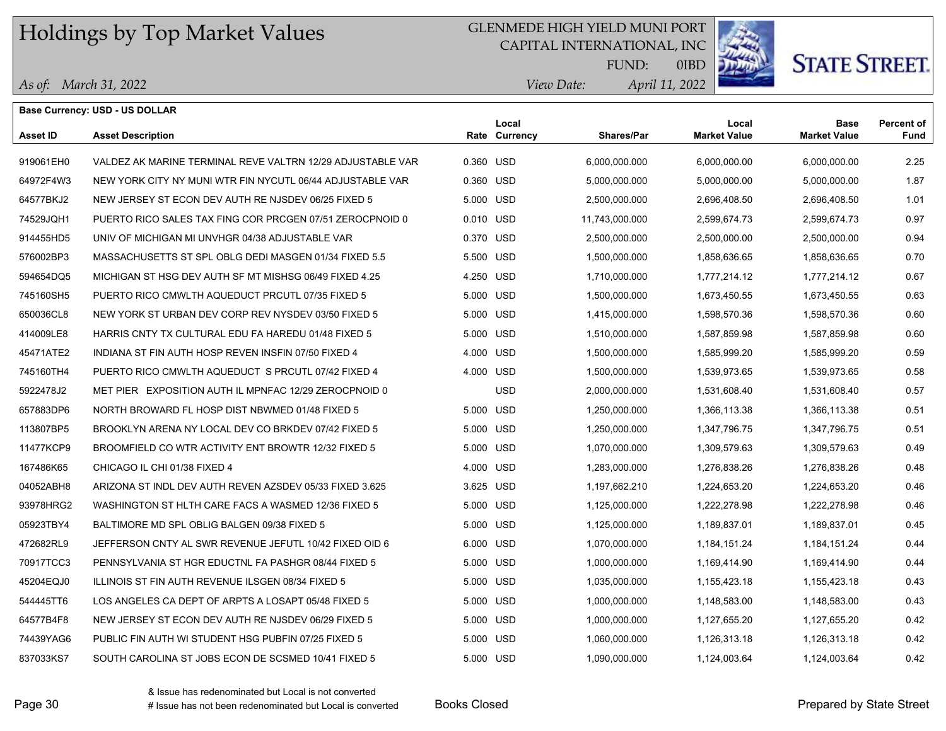## GLENMEDE HIGH YIELD MUNI PORT

CAPITAL INTERNATIONAL, INC



0IBD

**STATE STREET.** 

|  |  | As of: March 31, 2022 |
|--|--|-----------------------|
|--|--|-----------------------|

|                 | <b>Base Currency: USD - US DOLLAR</b>                      |           |                        |                   |                              |                                    |                           |
|-----------------|------------------------------------------------------------|-----------|------------------------|-------------------|------------------------------|------------------------------------|---------------------------|
| <b>Asset ID</b> | <b>Asset Description</b>                                   |           | Local<br>Rate Currency | <b>Shares/Par</b> | Local<br><b>Market Value</b> | <b>Base</b><br><b>Market Value</b> | <b>Percent of</b><br>Fund |
| 919061EH0       | VALDEZ AK MARINE TERMINAL REVE VALTRN 12/29 ADJUSTABLE VAR | 0.360 USD |                        | 6,000,000.000     | 6,000,000.00                 | 6,000,000.00                       | 2.25                      |
| 64972F4W3       | NEW YORK CITY NY MUNI WTR FIN NYCUTL 06/44 ADJUSTABLE VAR  | 0.360 USD |                        | 5,000,000.000     | 5,000,000.00                 | 5,000,000.00                       | 1.87                      |
| 64577BKJ2       | NEW JERSEY ST ECON DEV AUTH RE NJSDEV 06/25 FIXED 5        | 5.000 USD |                        | 2,500,000.000     | 2,696,408.50                 | 2,696,408.50                       | 1.01                      |
| 74529JQH1       | PUERTO RICO SALES TAX FING COR PRCGEN 07/51 ZEROCPNOID 0   | 0.010 USD |                        | 11,743,000.000    | 2,599,674.73                 | 2,599,674.73                       | 0.97                      |
| 914455HD5       | UNIV OF MICHIGAN MI UNVHGR 04/38 ADJUSTABLE VAR            | 0.370 USD |                        | 2,500,000.000     | 2,500,000.00                 | 2,500,000.00                       | 0.94                      |
| 576002BP3       | MASSACHUSETTS ST SPL OBLG DEDI MASGEN 01/34 FIXED 5.5      | 5.500 USD |                        | 1,500,000.000     | 1,858,636.65                 | 1,858,636.65                       | 0.70                      |
| 594654DQ5       | MICHIGAN ST HSG DEV AUTH SF MT MISHSG 06/49 FIXED 4.25     | 4.250 USD |                        | 1,710,000.000     | 1,777,214.12                 | 1,777,214.12                       | 0.67                      |
| 745160SH5       | PUERTO RICO CMWLTH AQUEDUCT PRCUTL 07/35 FIXED 5           | 5.000 USD |                        | 1,500,000.000     | 1,673,450.55                 | 1,673,450.55                       | 0.63                      |
| 650036CL8       | NEW YORK ST URBAN DEV CORP REV NYSDEV 03/50 FIXED 5        | 5.000 USD |                        | 1,415,000.000     | 1,598,570.36                 | 1,598,570.36                       | 0.60                      |
| 414009LE8       | HARRIS CNTY TX CULTURAL EDU FA HAREDU 01/48 FIXED 5        | 5.000 USD |                        | 1,510,000.000     | 1,587,859.98                 | 1,587,859.98                       | 0.60                      |
| 45471ATE2       | INDIANA ST FIN AUTH HOSP REVEN INSFIN 07/50 FIXED 4        | 4.000 USD |                        | 1,500,000.000     | 1,585,999.20                 | 1,585,999.20                       | 0.59                      |
| 745160TH4       | PUERTO RICO CMWLTH AQUEDUCT S PRCUTL 07/42 FIXED 4         | 4.000 USD |                        | 1,500,000.000     | 1,539,973.65                 | 1,539,973.65                       | 0.58                      |
| 5922478J2       | MET PIER EXPOSITION AUTH IL MPNFAC 12/29 ZEROCPNOID 0      |           | <b>USD</b>             | 2,000,000.000     | 1,531,608.40                 | 1,531,608.40                       | 0.57                      |
| 657883DP6       | NORTH BROWARD FL HOSP DIST NBWMED 01/48 FIXED 5            | 5.000 USD |                        | 1,250,000.000     | 1,366,113.38                 | 1,366,113.38                       | 0.51                      |
| 113807BP5       | BROOKLYN ARENA NY LOCAL DEV CO BRKDEV 07/42 FIXED 5        | 5.000 USD |                        | 1,250,000.000     | 1,347,796.75                 | 1,347,796.75                       | 0.51                      |
| 11477KCP9       | BROOMFIELD CO WTR ACTIVITY ENT BROWTR 12/32 FIXED 5        | 5.000 USD |                        | 1,070,000.000     | 1,309,579.63                 | 1,309,579.63                       | 0.49                      |
| 167486K65       | CHICAGO IL CHI 01/38 FIXED 4                               | 4.000 USD |                        | 1,283,000.000     | 1,276,838.26                 | 1,276,838.26                       | 0.48                      |
| 04052ABH8       | ARIZONA ST INDL DEV AUTH REVEN AZSDEV 05/33 FIXED 3.625    | 3.625 USD |                        | 1,197,662.210     | 1,224,653.20                 | 1,224,653.20                       | 0.46                      |
| 93978HRG2       | WASHINGTON ST HLTH CARE FACS A WASMED 12/36 FIXED 5        | 5.000 USD |                        | 1,125,000.000     | 1,222,278.98                 | 1,222,278.98                       | 0.46                      |
| 05923TBY4       | BALTIMORE MD SPL OBLIG BALGEN 09/38 FIXED 5                | 5.000 USD |                        | 1,125,000.000     | 1,189,837.01                 | 1,189,837.01                       | 0.45                      |
| 472682RL9       | JEFFERSON CNTY AL SWR REVENUE JEFUTL 10/42 FIXED OID 6     | 6.000 USD |                        | 1,070,000.000     | 1,184,151.24                 | 1,184,151.24                       | 0.44                      |
| 70917TCC3       | PENNSYLVANIA ST HGR EDUCTNL FA PASHGR 08/44 FIXED 5        | 5.000 USD |                        | 1,000,000.000     | 1,169,414.90                 | 1,169,414.90                       | 0.44                      |
| 45204EQJ0       | ILLINOIS ST FIN AUTH REVENUE ILSGEN 08/34 FIXED 5          | 5.000 USD |                        | 1,035,000.000     | 1,155,423.18                 | 1,155,423.18                       | 0.43                      |
| 544445TT6       | LOS ANGELES CA DEPT OF ARPTS A LOSAPT 05/48 FIXED 5        | 5.000 USD |                        | 1,000,000.000     | 1,148,583.00                 | 1,148,583.00                       | 0.43                      |
| 64577B4F8       | NEW JERSEY ST ECON DEV AUTH RE NJSDEV 06/29 FIXED 5        | 5.000 USD |                        | 1,000,000.000     | 1,127,655.20                 | 1,127,655.20                       | 0.42                      |
| 74439YAG6       | PUBLIC FIN AUTH WI STUDENT HSG PUBFIN 07/25 FIXED 5        | 5.000 USD |                        | 1,060,000.000     | 1,126,313.18                 | 1,126,313.18                       | 0.42                      |
| 837033KS7       | SOUTH CAROLINA ST JOBS ECON DE SCSMED 10/41 FIXED 5        | 5.000 USD |                        | 1,090,000.000     | 1,124,003.64                 | 1,124,003.64                       | 0.42                      |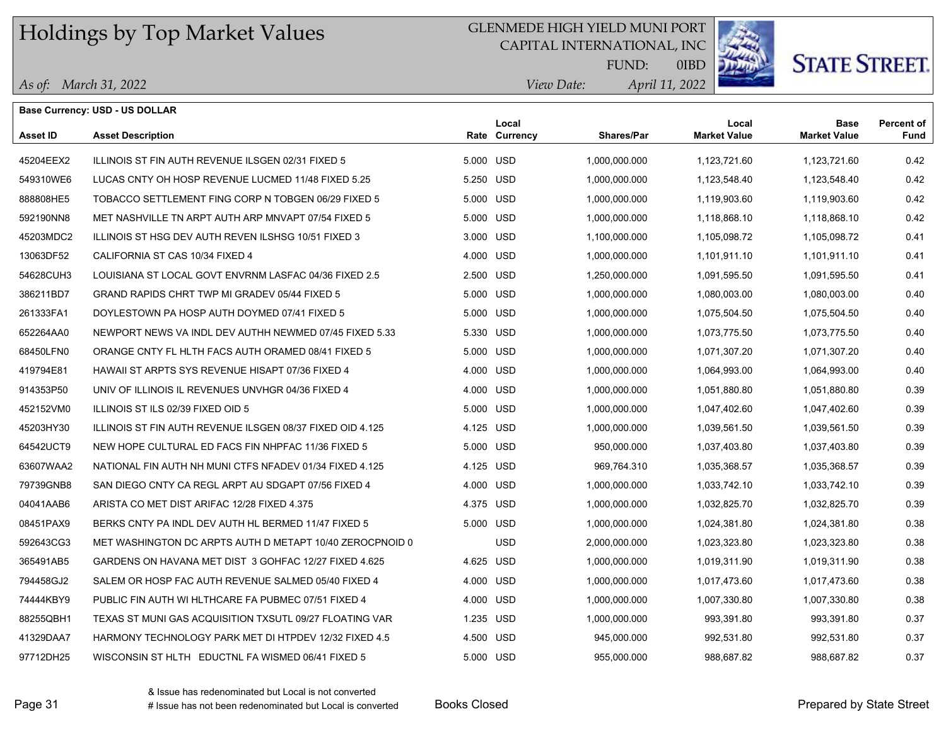## GLENMEDE HIGH YIELD MUNI PORT

CAPITAL INTERNATIONAL, INC



0IBD

# **STATE STREET.**

|  | As of: March 31, 2022 |
|--|-----------------------|
|--|-----------------------|

|                 | <b>Base Currency: USD - US DOLLAR</b>                     |           |                        |                   |                              |                                    |                           |
|-----------------|-----------------------------------------------------------|-----------|------------------------|-------------------|------------------------------|------------------------------------|---------------------------|
| <b>Asset ID</b> | <b>Asset Description</b>                                  |           | Local<br>Rate Currency | <b>Shares/Par</b> | Local<br><b>Market Value</b> | <b>Base</b><br><b>Market Value</b> | <b>Percent of</b><br>Fund |
| 45204EEX2       | ILLINOIS ST FIN AUTH REVENUE ILSGEN 02/31 FIXED 5         | 5.000 USD |                        | 1,000,000.000     | 1,123,721.60                 | 1,123,721.60                       | 0.42                      |
| 549310WE6       | LUCAS CNTY OH HOSP REVENUE LUCMED 11/48 FIXED 5.25        | 5.250 USD |                        | 1,000,000.000     | 1,123,548.40                 | 1,123,548.40                       | 0.42                      |
| 888808HE5       | TOBACCO SETTLEMENT FING CORP N TOBGEN 06/29 FIXED 5       | 5.000 USD |                        | 1,000,000.000     | 1,119,903.60                 | 1,119,903.60                       | 0.42                      |
| 592190NN8       | MET NASHVILLE TN ARPT AUTH ARP MNVAPT 07/54 FIXED 5       | 5.000 USD |                        | 1,000,000.000     | 1,118,868.10                 | 1,118,868.10                       | 0.42                      |
| 45203MDC2       | ILLINOIS ST HSG DEV AUTH REVEN ILSHSG 10/51 FIXED 3       | 3.000 USD |                        | 1,100,000.000     | 1,105,098.72                 | 1,105,098.72                       | 0.41                      |
| 13063DF52       | CALIFORNIA ST CAS 10/34 FIXED 4                           | 4.000 USD |                        | 1,000,000.000     | 1,101,911.10                 | 1,101,911.10                       | 0.41                      |
| 54628CUH3       | LOUISIANA ST LOCAL GOVT ENVRNM LASFAC 04/36 FIXED 2.5     | 2.500 USD |                        | 1,250,000.000     | 1,091,595.50                 | 1,091,595.50                       | 0.41                      |
| 386211BD7       | GRAND RAPIDS CHRT TWP MI GRADEV 05/44 FIXED 5             | 5.000 USD |                        | 1,000,000.000     | 1,080,003.00                 | 1,080,003.00                       | 0.40                      |
| 261333FA1       | DOYLESTOWN PA HOSP AUTH DOYMED 07/41 FIXED 5              | 5.000 USD |                        | 1,000,000.000     | 1,075,504.50                 | 1,075,504.50                       | 0.40                      |
| 652264AA0       | NEWPORT NEWS VA INDL DEV AUTHH NEWMED 07/45 FIXED 5.33    | 5.330 USD |                        | 1,000,000.000     | 1,073,775.50                 | 1,073,775.50                       | 0.40                      |
| 68450LFN0       | ORANGE CNTY FL HLTH FACS AUTH ORAMED 08/41 FIXED 5        | 5.000 USD |                        | 1,000,000.000     | 1,071,307.20                 | 1,071,307.20                       | 0.40                      |
| 419794E81       | <b>HAWAII ST ARPTS SYS REVENUE HISAPT 07/36 FIXED 4</b>   | 4.000 USD |                        | 1,000,000.000     | 1,064,993.00                 | 1,064,993.00                       | 0.40                      |
| 914353P50       | UNIV OF ILLINOIS IL REVENUES UNVHGR 04/36 FIXED 4         | 4.000 USD |                        | 1,000,000.000     | 1,051,880.80                 | 1,051,880.80                       | 0.39                      |
| 452152VM0       | ILLINOIS ST ILS 02/39 FIXED OID 5                         | 5.000 USD |                        | 1,000,000.000     | 1,047,402.60                 | 1,047,402.60                       | 0.39                      |
| 45203HY30       | ILLINOIS ST FIN AUTH REVENUE ILSGEN 08/37 FIXED OID 4.125 | 4.125 USD |                        | 1,000,000.000     | 1,039,561.50                 | 1,039,561.50                       | 0.39                      |
| 64542UCT9       | NEW HOPE CULTURAL ED FACS FIN NHPFAC 11/36 FIXED 5        | 5.000 USD |                        | 950,000.000       | 1,037,403.80                 | 1,037,403.80                       | 0.39                      |
| 63607WAA2       | NATIONAL FIN AUTH NH MUNI CTFS NFADEV 01/34 FIXED 4.125   | 4.125 USD |                        | 969,764.310       | 1,035,368.57                 | 1,035,368.57                       | 0.39                      |
| 79739GNB8       | SAN DIEGO CNTY CA REGL ARPT AU SDGAPT 07/56 FIXED 4       | 4.000 USD |                        | 1,000,000.000     | 1,033,742.10                 | 1,033,742.10                       | 0.39                      |
| 04041AAB6       | ARISTA CO MET DIST ARIFAC 12/28 FIXED 4.375               | 4.375 USD |                        | 1,000,000.000     | 1,032,825.70                 | 1,032,825.70                       | 0.39                      |
| 08451PAX9       | BERKS CNTY PA INDL DEV AUTH HL BERMED 11/47 FIXED 5       | 5.000 USD |                        | 1,000,000.000     | 1,024,381.80                 | 1,024,381.80                       | 0.38                      |
| 592643CG3       | MET WASHINGTON DC ARPTS AUTH D METAPT 10/40 ZEROCPNOID 0  |           | <b>USD</b>             | 2,000,000.000     | 1,023,323.80                 | 1,023,323.80                       | 0.38                      |
| 365491AB5       | GARDENS ON HAVANA MET DIST 3 GOHFAC 12/27 FIXED 4.625     | 4.625 USD |                        | 1,000,000.000     | 1,019,311.90                 | 1,019,311.90                       | 0.38                      |
| 794458GJ2       | SALEM OR HOSP FAC AUTH REVENUE SALMED 05/40 FIXED 4       | 4.000 USD |                        | 1,000,000.000     | 1,017,473.60                 | 1,017,473.60                       | 0.38                      |
| 74444KBY9       | PUBLIC FIN AUTH WI HLTHCARE FA PUBMEC 07/51 FIXED 4       | 4.000 USD |                        | 1,000,000.000     | 1,007,330.80                 | 1,007,330.80                       | 0.38                      |
| 88255QBH1       | TEXAS ST MUNI GAS ACQUISITION TXSUTL 09/27 FLOATING VAR   | 1.235 USD |                        | 1,000,000.000     | 993,391.80                   | 993,391.80                         | 0.37                      |
| 41329DAA7       | HARMONY TECHNOLOGY PARK MET DI HTPDEV 12/32 FIXED 4.5     | 4.500 USD |                        | 945,000.000       | 992,531.80                   | 992,531.80                         | 0.37                      |
| 97712DH25       | WISCONSIN ST HLTH EDUCTNL FA WISMED 06/41 FIXED 5         | 5.000 USD |                        | 955,000.000       | 988,687.82                   | 988,687.82                         | 0.37                      |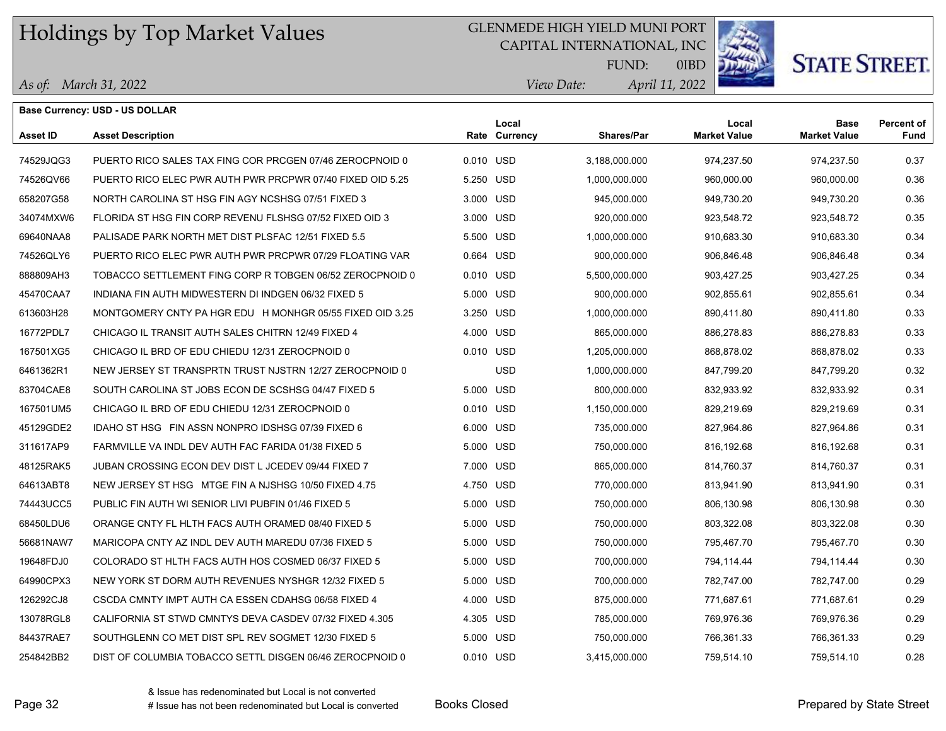## GLENMEDE HIGH YIELD MUNI PORT

CAPITAL INTERNATIONAL, INC



**STATE STREET.** 

*April 11, 2022 View Date:* FUND:

|  |  | As of: March 31, 2022 |
|--|--|-----------------------|
|--|--|-----------------------|

|                 | <b>Base Currency: USD - US DOLLAR</b>                     |           |                        |                   |                              |                                    |                           |
|-----------------|-----------------------------------------------------------|-----------|------------------------|-------------------|------------------------------|------------------------------------|---------------------------|
| <b>Asset ID</b> | <b>Asset Description</b>                                  |           | Local<br>Rate Currency | <b>Shares/Par</b> | Local<br><b>Market Value</b> | <b>Base</b><br><b>Market Value</b> | <b>Percent of</b><br>Fund |
| 74529JQG3       | PUERTO RICO SALES TAX FING COR PRCGEN 07/46 ZEROCPNOID 0  | 0.010 USD |                        | 3,188,000.000     | 974,237.50                   | 974,237.50                         | 0.37                      |
| 74526QV66       | PUERTO RICO ELEC PWR AUTH PWR PRCPWR 07/40 FIXED OID 5.25 | 5.250 USD |                        | 1,000,000.000     | 960,000.00                   | 960,000.00                         | 0.36                      |
| 658207G58       | NORTH CAROLINA ST HSG FIN AGY NCSHSG 07/51 FIXED 3        | 3.000 USD |                        | 945,000.000       | 949,730.20                   | 949,730.20                         | 0.36                      |
| 34074MXW6       | FLORIDA ST HSG FIN CORP REVENU FLSHSG 07/52 FIXED OID 3   | 3.000 USD |                        | 920,000.000       | 923,548.72                   | 923,548.72                         | 0.35                      |
| 69640NAA8       | PALISADE PARK NORTH MET DIST PLSFAC 12/51 FIXED 5.5       | 5.500 USD |                        | 1,000,000.000     | 910,683.30                   | 910,683.30                         | 0.34                      |
| 74526QLY6       | PUERTO RICO ELEC PWR AUTH PWR PRCPWR 07/29 FLOATING VAR   | 0.664 USD |                        | 900,000.000       | 906,846.48                   | 906,846.48                         | 0.34                      |
| 888809AH3       | TOBACCO SETTLEMENT FING CORP R TOBGEN 06/52 ZEROCPNOID 0  | 0.010 USD |                        | 5,500,000.000     | 903,427.25                   | 903,427.25                         | 0.34                      |
| 45470CAA7       | INDIANA FIN AUTH MIDWESTERN DI INDGEN 06/32 FIXED 5       | 5.000 USD |                        | 900,000.000       | 902,855.61                   | 902,855.61                         | 0.34                      |
| 613603H28       | MONTGOMERY CNTY PA HGR EDU H MONHGR 05/55 FIXED OID 3.25  | 3.250 USD |                        | 1,000,000.000     | 890,411.80                   | 890,411.80                         | 0.33                      |
| 16772PDL7       | CHICAGO IL TRANSIT AUTH SALES CHITRN 12/49 FIXED 4        | 4.000 USD |                        | 865,000.000       | 886,278.83                   | 886,278.83                         | 0.33                      |
| 167501XG5       | CHICAGO IL BRD OF EDU CHIEDU 12/31 ZEROCPNOID 0           | 0.010 USD |                        | 1,205,000.000     | 868,878.02                   | 868,878.02                         | 0.33                      |
| 6461362R1       | NEW JERSEY ST TRANSPRTN TRUST NJSTRN 12/27 ZEROCPNOID 0   |           | <b>USD</b>             | 1,000,000.000     | 847,799.20                   | 847,799.20                         | 0.32                      |
| 83704CAE8       | SOUTH CAROLINA ST JOBS ECON DE SCSHSG 04/47 FIXED 5       | 5.000 USD |                        | 800,000.000       | 832,933.92                   | 832,933.92                         | 0.31                      |
| 167501UM5       | CHICAGO IL BRD OF EDU CHIEDU 12/31 ZEROCPNOID 0           | 0.010 USD |                        | 1,150,000.000     | 829,219.69                   | 829,219.69                         | 0.31                      |
| 45129GDE2       | IDAHO ST HSG FIN ASSN NONPRO IDSHSG 07/39 FIXED 6         | 6.000 USD |                        | 735,000.000       | 827,964.86                   | 827,964.86                         | 0.31                      |
| 311617AP9       | FARMVILLE VA INDL DEV AUTH FAC FARIDA 01/38 FIXED 5       | 5.000 USD |                        | 750,000.000       | 816, 192.68                  | 816,192.68                         | 0.31                      |
| 48125RAK5       | JUBAN CROSSING ECON DEV DIST L JCEDEV 09/44 FIXED 7       | 7.000 USD |                        | 865,000.000       | 814,760.37                   | 814,760.37                         | 0.31                      |
| 64613ABT8       | NEW JERSEY ST HSG MTGE FIN A NJSHSG 10/50 FIXED 4.75      | 4.750 USD |                        | 770,000.000       | 813,941.90                   | 813,941.90                         | 0.31                      |
| 74443UCC5       | PUBLIC FIN AUTH WI SENIOR LIVI PUBFIN 01/46 FIXED 5       | 5.000 USD |                        | 750,000.000       | 806,130.98                   | 806,130.98                         | 0.30                      |
| 68450LDU6       | ORANGE CNTY FL HLTH FACS AUTH ORAMED 08/40 FIXED 5        | 5.000 USD |                        | 750,000.000       | 803,322.08                   | 803,322.08                         | 0.30                      |
| 56681NAW7       | MARICOPA CNTY AZ INDL DEV AUTH MAREDU 07/36 FIXED 5       | 5.000 USD |                        | 750,000.000       | 795,467.70                   | 795,467.70                         | 0.30                      |
| 19648FDJ0       | COLORADO ST HLTH FACS AUTH HOS COSMED 06/37 FIXED 5       | 5.000 USD |                        | 700,000.000       | 794,114.44                   | 794,114.44                         | 0.30                      |
| 64990CPX3       | NEW YORK ST DORM AUTH REVENUES NYSHGR 12/32 FIXED 5       | 5.000 USD |                        | 700,000.000       | 782,747.00                   | 782,747.00                         | 0.29                      |
| 126292CJ8       | CSCDA CMNTY IMPT AUTH CA ESSEN CDAHSG 06/58 FIXED 4       | 4.000 USD |                        | 875,000.000       | 771,687.61                   | 771,687.61                         | 0.29                      |
| 13078RGL8       | CALIFORNIA ST STWD CMNTYS DEVA CASDEV 07/32 FIXED 4.305   | 4.305 USD |                        | 785,000.000       | 769,976.36                   | 769,976.36                         | 0.29                      |
| 84437RAE7       | SOUTHGLENN CO MET DIST SPL REV SOGMET 12/30 FIXED 5       | 5.000 USD |                        | 750,000.000       | 766,361.33                   | 766,361.33                         | 0.29                      |
| 254842BB2       | DIST OF COLUMBIA TOBACCO SETTL DISGEN 06/46 ZEROCPNOID 0  | 0.010 USD |                        | 3,415,000.000     | 759,514.10                   | 759,514.10                         | 0.28                      |
|                 |                                                           |           |                        |                   |                              |                                    |                           |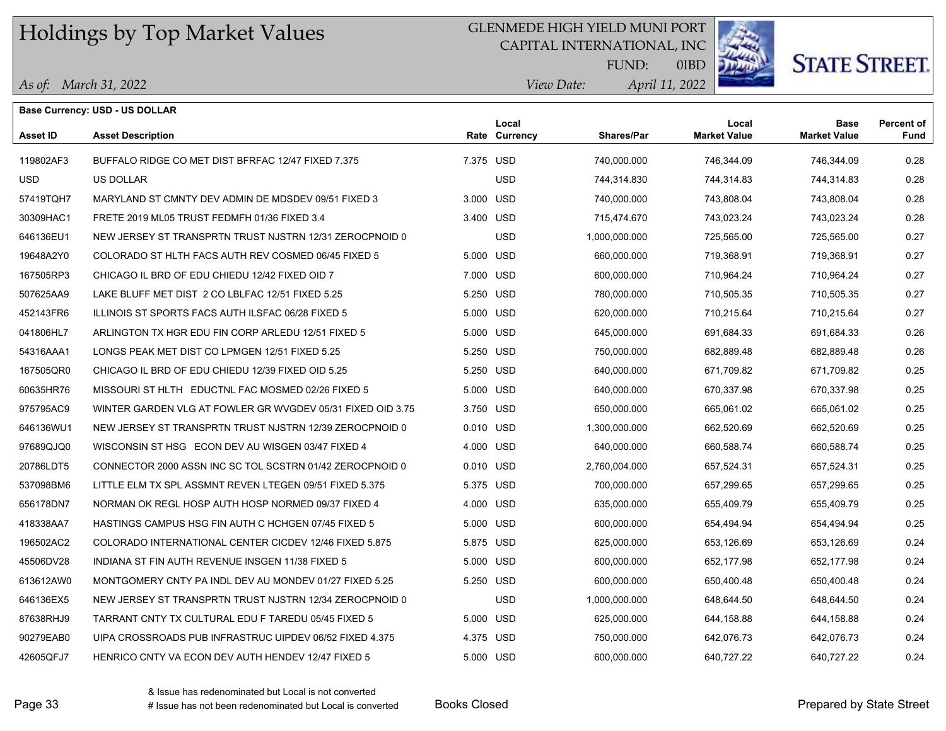## GLENMEDE HIGH YIELD MUNI PORT

CAPITAL INTERNATIONAL, INC



**STATE STREET.** 

*April 11, 2022 View Date:* FUND:

|  |  | As of: March 31, 2022 |
|--|--|-----------------------|
|--|--|-----------------------|

|                 | <b>Base Currency: USD - US DOLLAR</b>                      |           |                        |               |                              |                                    |                           |
|-----------------|------------------------------------------------------------|-----------|------------------------|---------------|------------------------------|------------------------------------|---------------------------|
| <b>Asset ID</b> | <b>Asset Description</b>                                   |           | Local<br>Rate Currency | Shares/Par    | Local<br><b>Market Value</b> | <b>Base</b><br><b>Market Value</b> | <b>Percent of</b><br>Fund |
| 119802AF3       | BUFFALO RIDGE CO MET DIST BFRFAC 12/47 FIXED 7.375         | 7.375 USD |                        | 740,000.000   | 746.344.09                   | 746,344.09                         | 0.28                      |
| USD.            | <b>US DOLLAR</b>                                           |           | <b>USD</b>             | 744,314.830   | 744,314.83                   | 744,314.83                         | 0.28                      |
| 57419TQH7       | MARYLAND ST CMNTY DEV ADMIN DE MDSDEV 09/51 FIXED 3        | 3.000 USD |                        | 740,000.000   | 743,808.04                   | 743,808.04                         | 0.28                      |
| 30309HAC1       | FRETE 2019 ML05 TRUST FEDMFH 01/36 FIXED 3.4               | 3.400 USD |                        | 715,474.670   | 743,023.24                   | 743,023.24                         | 0.28                      |
| 646136EU1       | NEW JERSEY ST TRANSPRTN TRUST NJSTRN 12/31 ZEROCPNOID 0    |           | <b>USD</b>             | 1,000,000.000 | 725,565.00                   | 725,565.00                         | 0.27                      |
| 19648A2Y0       | COLORADO ST HLTH FACS AUTH REV COSMED 06/45 FIXED 5        | 5.000 USD |                        | 660,000.000   | 719,368.91                   | 719,368.91                         | 0.27                      |
| 167505RP3       | CHICAGO IL BRD OF EDU CHIEDU 12/42 FIXED OID 7             | 7.000 USD |                        | 600,000.000   | 710,964.24                   | 710,964.24                         | 0.27                      |
| 507625AA9       | LAKE BLUFF MET DIST 2 CO LBLFAC 12/51 FIXED 5.25           | 5.250 USD |                        | 780,000.000   | 710,505.35                   | 710,505.35                         | 0.27                      |
| 452143FR6       | ILLINOIS ST SPORTS FACS AUTH ILSFAC 06/28 FIXED 5          | 5.000 USD |                        | 620,000.000   | 710,215.64                   | 710,215.64                         | 0.27                      |
| 041806HL7       | ARLINGTON TX HGR EDU FIN CORP ARLEDU 12/51 FIXED 5         | 5.000 USD |                        | 645,000.000   | 691,684.33                   | 691,684.33                         | 0.26                      |
| 54316AAA1       | LONGS PEAK MET DIST CO LPMGEN 12/51 FIXED 5.25             | 5.250 USD |                        | 750,000.000   | 682,889.48                   | 682,889.48                         | 0.26                      |
| 167505QR0       | CHICAGO IL BRD OF EDU CHIEDU 12/39 FIXED OID 5.25          | 5.250 USD |                        | 640,000.000   | 671,709.82                   | 671,709.82                         | 0.25                      |
| 60635HR76       | MISSOURI ST HLTH EDUCTNL FAC MOSMED 02/26 FIXED 5          | 5.000 USD |                        | 640,000.000   | 670,337.98                   | 670,337.98                         | 0.25                      |
| 975795AC9       | WINTER GARDEN VLG AT FOWLER GR WVGDEV 05/31 FIXED OID 3.75 | 3.750 USD |                        | 650,000.000   | 665,061.02                   | 665,061.02                         | 0.25                      |
| 646136WU1       | NEW JERSEY ST TRANSPRTN TRUST NJSTRN 12/39 ZEROCPNOID 0    | 0.010 USD |                        | 1,300,000.000 | 662,520.69                   | 662,520.69                         | 0.25                      |
| 97689QJQ0       | WISCONSIN ST HSG ECON DEV AU WISGEN 03/47 FIXED 4          | 4.000 USD |                        | 640,000.000   | 660,588.74                   | 660,588.74                         | 0.25                      |
| 20786LDT5       | CONNECTOR 2000 ASSN INC SC TOL SCSTRN 01/42 ZEROCPNOID 0   | 0.010 USD |                        | 2,760,004.000 | 657,524.31                   | 657,524.31                         | 0.25                      |
| 537098BM6       | LITTLE ELM TX SPL ASSMNT REVEN LTEGEN 09/51 FIXED 5.375    | 5.375 USD |                        | 700,000.000   | 657,299.65                   | 657,299.65                         | 0.25                      |
| 656178DN7       | NORMAN OK REGL HOSP AUTH HOSP NORMED 09/37 FIXED 4         | 4.000 USD |                        | 635,000.000   | 655,409.79                   | 655,409.79                         | 0.25                      |
| 418338AA7       | HASTINGS CAMPUS HSG FIN AUTH C HCHGEN 07/45 FIXED 5        | 5.000 USD |                        | 600,000.000   | 654,494.94                   | 654,494.94                         | 0.25                      |
| 196502AC2       | COLORADO INTERNATIONAL CENTER CICDEV 12/46 FIXED 5.875     | 5.875 USD |                        | 625,000.000   | 653,126.69                   | 653,126.69                         | 0.24                      |
| 45506DV28       | INDIANA ST FIN AUTH REVENUE INSGEN 11/38 FIXED 5           | 5.000 USD |                        | 600,000.000   | 652.177.98                   | 652,177.98                         | 0.24                      |
| 613612AW0       | MONTGOMERY CNTY PA INDL DEV AU MONDEV 01/27 FIXED 5.25     | 5.250 USD |                        | 600,000.000   | 650,400.48                   | 650,400.48                         | 0.24                      |
| 646136EX5       | NEW JERSEY ST TRANSPRTN TRUST NJSTRN 12/34 ZEROCPNOID 0    |           | <b>USD</b>             | 1,000,000.000 | 648,644.50                   | 648,644.50                         | 0.24                      |
| 87638RHJ9       | TARRANT CNTY TX CULTURAL EDU F TAREDU 05/45 FIXED 5        | 5.000 USD |                        | 625,000.000   | 644,158.88                   | 644,158.88                         | 0.24                      |
| 90279EAB0       | UIPA CROSSROADS PUB INFRASTRUC UIPDEV 06/52 FIXED 4.375    | 4.375 USD |                        | 750,000.000   | 642,076.73                   | 642,076.73                         | 0.24                      |
| 42605QFJ7       | HENRICO CNTY VA ECON DEV AUTH HENDEV 12/47 FIXED 5         | 5.000 USD |                        | 600,000.000   | 640,727.22                   | 640,727.22                         | 0.24                      |
|                 |                                                            |           |                        |               |                              |                                    |                           |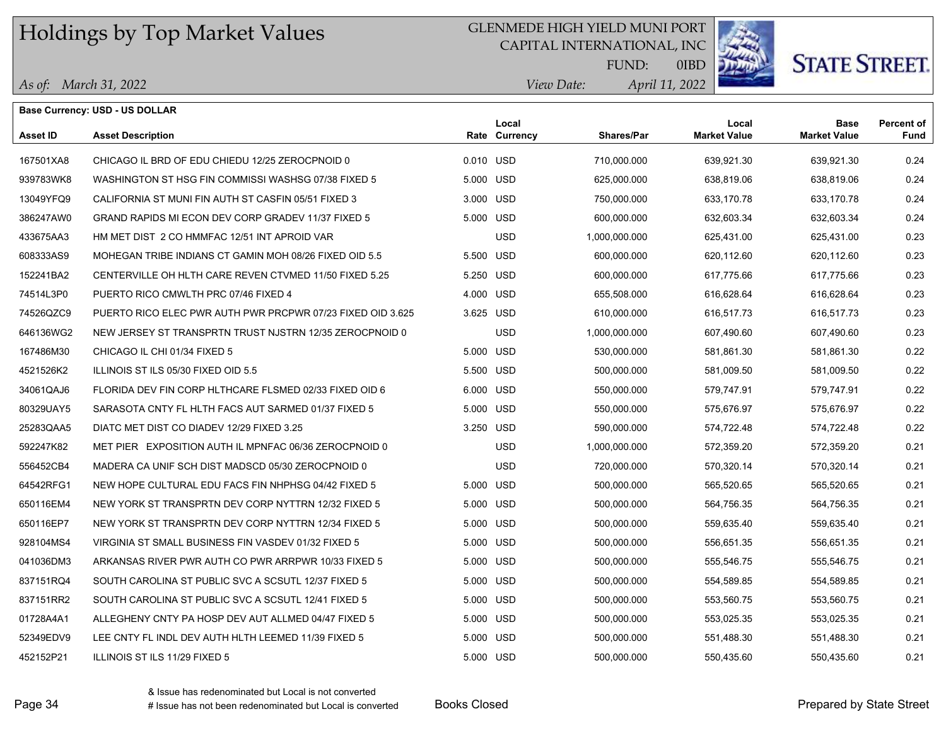## GLENMEDE HIGH YIELD MUNI PORT

CAPITAL INTERNATIONAL, INC



# **STATE STREET.**

*April 11, 2022 View Date:* FUND:

|  | As of: March 31, 2022 |
|--|-----------------------|
|--|-----------------------|

| Base Currency: USD - US DOLLAR |                                                            |           |                        |               |                              |                                    |                           |
|--------------------------------|------------------------------------------------------------|-----------|------------------------|---------------|------------------------------|------------------------------------|---------------------------|
| Asset ID                       | <b>Asset Description</b>                                   |           | Local<br>Rate Currency | Shares/Par    | Local<br><b>Market Value</b> | <b>Base</b><br><b>Market Value</b> | <b>Percent of</b><br>Fund |
| 167501XA8                      | CHICAGO IL BRD OF EDU CHIEDU 12/25 ZEROCPNOID 0            | 0.010 USD |                        | 710,000.000   | 639,921.30                   | 639,921.30                         | 0.24                      |
| 939783WK8                      | WASHINGTON ST HSG FIN COMMISSI WASHSG 07/38 FIXED 5        | 5.000 USD |                        | 625,000.000   | 638,819.06                   | 638,819.06                         | 0.24                      |
| 13049YFQ9                      | CALIFORNIA ST MUNI FIN AUTH ST CASFIN 05/51 FIXED 3        | 3.000 USD |                        | 750,000.000   | 633,170.78                   | 633,170.78                         | 0.24                      |
| 386247AW0                      | GRAND RAPIDS MI ECON DEV CORP GRADEV 11/37 FIXED 5         | 5.000 USD |                        | 600,000.000   | 632,603.34                   | 632,603.34                         | 0.24                      |
| 433675AA3                      | HM MET DIST 2 CO HMMFAC 12/51 INT APROID VAR               |           | <b>USD</b>             | 1,000,000.000 | 625,431.00                   | 625,431.00                         | 0.23                      |
| 608333AS9                      | MOHEGAN TRIBE INDIANS CT GAMIN MOH 08/26 FIXED OID 5.5     | 5.500 USD |                        | 600,000.000   | 620,112.60                   | 620,112.60                         | 0.23                      |
| 152241BA2                      | CENTERVILLE OH HLTH CARE REVEN CTVMED 11/50 FIXED 5.25     | 5.250 USD |                        | 600,000.000   | 617,775.66                   | 617,775.66                         | 0.23                      |
| 74514L3P0                      | PUERTO RICO CMWLTH PRC 07/46 FIXED 4                       | 4.000 USD |                        | 655,508.000   | 616,628.64                   | 616,628.64                         | 0.23                      |
| 74526QZC9                      | PUERTO RICO ELEC PWR AUTH PWR PRCPWR 07/23 FIXED OID 3.625 | 3.625 USD |                        | 610,000.000   | 616,517.73                   | 616,517.73                         | 0.23                      |
| 646136WG2                      | NEW JERSEY ST TRANSPRTN TRUST NJSTRN 12/35 ZEROCPNOID 0    |           | <b>USD</b>             | 1,000,000.000 | 607,490.60                   | 607,490.60                         | 0.23                      |
| 167486M30                      | CHICAGO IL CHI 01/34 FIXED 5                               | 5.000 USD |                        | 530,000.000   | 581,861.30                   | 581,861.30                         | 0.22                      |
| 4521526K2                      | ILLINOIS ST ILS 05/30 FIXED OID 5.5                        | 5.500 USD |                        | 500,000.000   | 581,009.50                   | 581,009.50                         | 0.22                      |
| 34061QAJ6                      | FLORIDA DEV FIN CORP HLTHCARE FLSMED 02/33 FIXED OID 6     | 6.000 USD |                        | 550,000.000   | 579,747.91                   | 579,747.91                         | 0.22                      |
| 80329UAY5                      | SARASOTA CNTY FL HLTH FACS AUT SARMED 01/37 FIXED 5        | 5.000 USD |                        | 550,000.000   | 575,676.97                   | 575,676.97                         | 0.22                      |
| 25283QAA5                      | DIATC MET DIST CO DIADEV 12/29 FIXED 3.25                  | 3.250 USD |                        | 590,000.000   | 574,722.48                   | 574,722.48                         | 0.22                      |
| 592247K82                      | MET PIER EXPOSITION AUTH IL MPNFAC 06/36 ZEROCPNOID 0      |           | <b>USD</b>             | 1,000,000.000 | 572,359.20                   | 572,359.20                         | 0.21                      |
| 556452CB4                      | MADERA CA UNIF SCH DIST MADSCD 05/30 ZEROCPNOID 0          |           | <b>USD</b>             | 720,000.000   | 570,320.14                   | 570,320.14                         | 0.21                      |
| 64542RFG1                      | NEW HOPE CULTURAL EDU FACS FIN NHPHSG 04/42 FIXED 5        | 5.000 USD |                        | 500,000.000   | 565,520.65                   | 565,520.65                         | 0.21                      |
| 650116EM4                      | NEW YORK ST TRANSPRTN DEV CORP NYTTRN 12/32 FIXED 5        | 5.000 USD |                        | 500,000.000   | 564,756.35                   | 564,756.35                         | 0.21                      |
| 650116EP7                      | NEW YORK ST TRANSPRTN DEV CORP NYTTRN 12/34 FIXED 5        | 5.000 USD |                        | 500,000.000   | 559,635.40                   | 559,635.40                         | 0.21                      |
| 928104MS4                      | VIRGINIA ST SMALL BUSINESS FIN VASDEV 01/32 FIXED 5        | 5.000 USD |                        | 500,000.000   | 556,651.35                   | 556,651.35                         | 0.21                      |
| 041036DM3                      | ARKANSAS RIVER PWR AUTH CO PWR ARRPWR 10/33 FIXED 5        | 5.000 USD |                        | 500,000.000   | 555,546.75                   | 555,546.75                         | 0.21                      |
| 837151RQ4                      | SOUTH CAROLINA ST PUBLIC SVC A SCSUTL 12/37 FIXED 5        | 5.000 USD |                        | 500,000.000   | 554,589.85                   | 554,589.85                         | 0.21                      |
| 837151RR2                      | SOUTH CAROLINA ST PUBLIC SVC A SCSUTL 12/41 FIXED 5        | 5.000 USD |                        | 500,000.000   | 553,560.75                   | 553,560.75                         | 0.21                      |
| 01728A4A1                      | ALLEGHENY CNTY PA HOSP DEV AUT ALLMED 04/47 FIXED 5        | 5.000 USD |                        | 500,000.000   | 553,025.35                   | 553,025.35                         | 0.21                      |
| 52349EDV9                      | LEE CNTY FL INDL DEV AUTH HLTH LEEMED 11/39 FIXED 5        | 5.000 USD |                        | 500,000.000   | 551,488.30                   | 551,488.30                         | 0.21                      |
| 452152P21                      | ILLINOIS ST ILS 11/29 FIXED 5                              | 5.000 USD |                        | 500,000.000   | 550,435.60                   | 550,435.60                         | 0.21                      |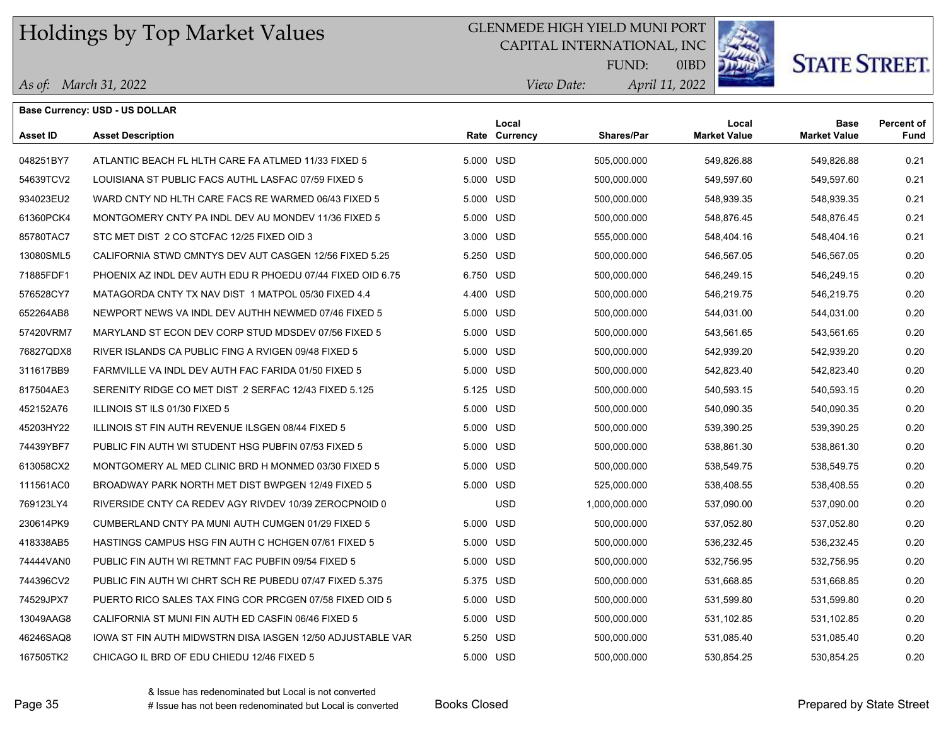## GLENMEDE HIGH YIELD MUNI PORT

CAPITAL INTERNATIONAL, INC



**STATE STREET.** 

*April 11, 2022 View Date:* FUND:

|  |  | As of: March 31, 2022 |
|--|--|-----------------------|
|--|--|-----------------------|

|                 | <b>Base Currency: USD - US DOLLAR</b>                      |           |                        |                   |                              |                                    |                           |
|-----------------|------------------------------------------------------------|-----------|------------------------|-------------------|------------------------------|------------------------------------|---------------------------|
| <b>Asset ID</b> | <b>Asset Description</b>                                   |           | Local<br>Rate Currency | <b>Shares/Par</b> | Local<br><b>Market Value</b> | <b>Base</b><br><b>Market Value</b> | <b>Percent of</b><br>Fund |
| 048251BY7       | ATLANTIC BEACH FL HLTH CARE FA ATLMED 11/33 FIXED 5        | 5.000 USD |                        | 505,000.000       | 549,826.88                   | 549,826.88                         | 0.21                      |
| 54639TCV2       | LOUISIANA ST PUBLIC FACS AUTHL LASFAC 07/59 FIXED 5        | 5.000 USD |                        | 500,000.000       | 549,597.60                   | 549,597.60                         | 0.21                      |
| 934023EU2       | WARD CNTY ND HLTH CARE FACS RE WARMED 06/43 FIXED 5        | 5.000 USD |                        | 500,000.000       | 548,939.35                   | 548,939.35                         | 0.21                      |
| 61360PCK4       | MONTGOMERY CNTY PA INDL DEV AU MONDEV 11/36 FIXED 5        | 5.000 USD |                        | 500,000.000       | 548,876.45                   | 548,876.45                         | 0.21                      |
| 85780TAC7       | STC MET DIST 2 CO STCFAC 12/25 FIXED OID 3                 | 3.000 USD |                        | 555,000.000       | 548,404.16                   | 548,404.16                         | 0.21                      |
| 13080SML5       | CALIFORNIA STWD CMNTYS DEV AUT CASGEN 12/56 FIXED 5.25     | 5.250 USD |                        | 500,000.000       | 546,567.05                   | 546,567.05                         | 0.20                      |
| 71885FDF1       | PHOENIX AZ INDL DEV AUTH EDU R PHOEDU 07/44 FIXED OID 6.75 | 6.750 USD |                        | 500,000.000       | 546,249.15                   | 546,249.15                         | 0.20                      |
| 576528CY7       | MATAGORDA CNTY TX NAV DIST 1 MATPOL 05/30 FIXED 4.4        | 4.400 USD |                        | 500,000.000       | 546,219.75                   | 546,219.75                         | 0.20                      |
| 652264AB8       | NEWPORT NEWS VA INDL DEV AUTHH NEWMED 07/46 FIXED 5        | 5.000 USD |                        | 500,000.000       | 544,031.00                   | 544,031.00                         | 0.20                      |
| 57420VRM7       | MARYLAND ST ECON DEV CORP STUD MDSDEV 07/56 FIXED 5        | 5.000 USD |                        | 500,000.000       | 543,561.65                   | 543,561.65                         | 0.20                      |
| 76827QDX8       | RIVER ISLANDS CA PUBLIC FING A RVIGEN 09/48 FIXED 5        | 5.000 USD |                        | 500,000.000       | 542,939.20                   | 542,939.20                         | 0.20                      |
| 311617BB9       | FARMVILLE VA INDL DEV AUTH FAC FARIDA 01/50 FIXED 5        | 5.000 USD |                        | 500,000.000       | 542,823.40                   | 542,823.40                         | 0.20                      |
| 817504AE3       | SERENITY RIDGE CO MET DIST 2 SERFAC 12/43 FIXED 5.125      | 5.125 USD |                        | 500,000.000       | 540,593.15                   | 540,593.15                         | 0.20                      |
| 452152A76       | ILLINOIS ST ILS 01/30 FIXED 5                              | 5.000 USD |                        | 500,000.000       | 540,090.35                   | 540,090.35                         | 0.20                      |
| 45203HY22       | ILLINOIS ST FIN AUTH REVENUE ILSGEN 08/44 FIXED 5          | 5.000 USD |                        | 500,000.000       | 539,390.25                   | 539,390.25                         | 0.20                      |
| 74439YBF7       | PUBLIC FIN AUTH WI STUDENT HSG PUBFIN 07/53 FIXED 5        | 5.000 USD |                        | 500,000.000       | 538,861.30                   | 538,861.30                         | 0.20                      |
| 613058CX2       | MONTGOMERY AL MED CLINIC BRD H MONMED 03/30 FIXED 5        | 5.000 USD |                        | 500,000.000       | 538,549.75                   | 538,549.75                         | 0.20                      |
| 111561AC0       | BROADWAY PARK NORTH MET DIST BWPGEN 12/49 FIXED 5          | 5.000 USD |                        | 525,000.000       | 538,408.55                   | 538,408.55                         | 0.20                      |
| 769123LY4       | RIVERSIDE CNTY CA REDEV AGY RIVDEV 10/39 ZEROCPNOID 0      |           | <b>USD</b>             | 1,000,000.000     | 537,090.00                   | 537,090.00                         | 0.20                      |
| 230614PK9       | CUMBERLAND CNTY PA MUNI AUTH CUMGEN 01/29 FIXED 5          | 5.000 USD |                        | 500,000.000       | 537,052.80                   | 537,052.80                         | 0.20                      |
| 418338AB5       | HASTINGS CAMPUS HSG FIN AUTH C HCHGEN 07/61 FIXED 5        | 5.000 USD |                        | 500,000.000       | 536,232.45                   | 536,232.45                         | 0.20                      |
| 74444VAN0       | PUBLIC FIN AUTH WI RETMNT FAC PUBFIN 09/54 FIXED 5         | 5.000 USD |                        | 500,000.000       | 532,756.95                   | 532,756.95                         | 0.20                      |
| 744396CV2       | PUBLIC FIN AUTH WI CHRT SCH RE PUBEDU 07/47 FIXED 5.375    | 5.375 USD |                        | 500,000.000       | 531,668.85                   | 531,668.85                         | 0.20                      |
| 74529JPX7       | PUERTO RICO SALES TAX FING COR PRCGEN 07/58 FIXED OID 5    | 5.000 USD |                        | 500,000.000       | 531,599.80                   | 531,599.80                         | 0.20                      |
| 13049AAG8       | CALIFORNIA ST MUNI FIN AUTH ED CASFIN 06/46 FIXED 5        | 5.000 USD |                        | 500,000.000       | 531,102.85                   | 531,102.85                         | 0.20                      |
| 46246SAQ8       | IOWA ST FIN AUTH MIDWSTRN DISA IASGEN 12/50 ADJUSTABLE VAR | 5.250 USD |                        | 500,000.000       | 531,085.40                   | 531,085.40                         | 0.20                      |
| 167505TK2       | CHICAGO IL BRD OF EDU CHIEDU 12/46 FIXED 5                 | 5.000 USD |                        | 500,000.000       | 530,854.25                   | 530,854.25                         | 0.20                      |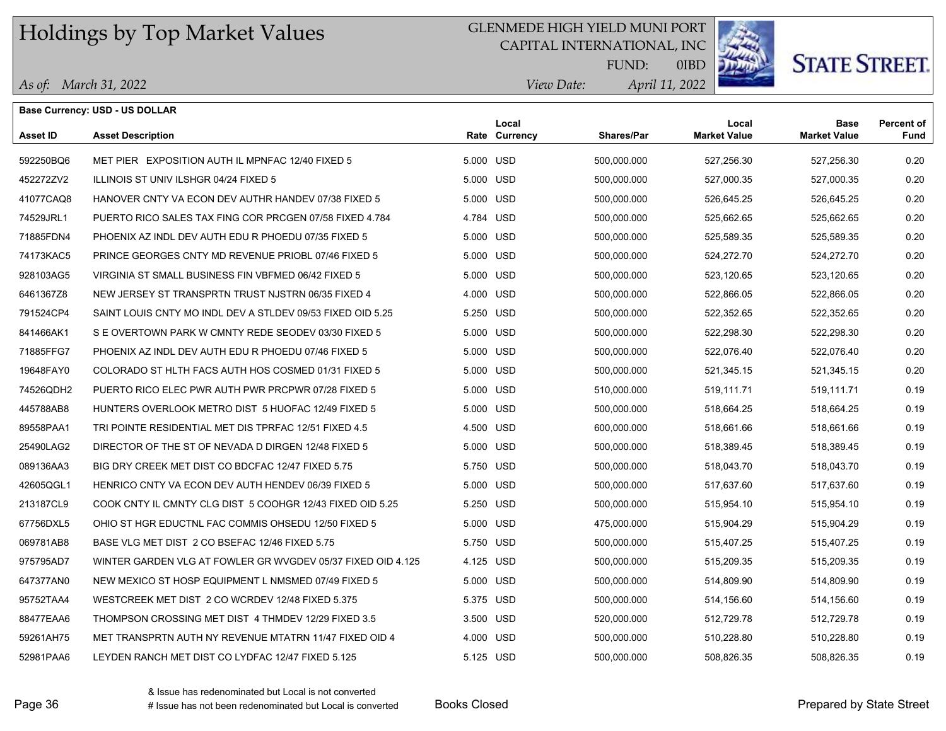## GLENMEDE HIGH YIELD MUNI PORT

CAPITAL INTERNATIONAL, INC



# **STATE STREET.**

*April 11, 2022 View Date:* FUND:

|  | As of: March 31, 2022 |
|--|-----------------------|
|--|-----------------------|

| Base Currency: USD - US DOLLAR |                                                             |           |                        |                   |                              |                                    |                           |
|--------------------------------|-------------------------------------------------------------|-----------|------------------------|-------------------|------------------------------|------------------------------------|---------------------------|
| <b>Asset ID</b>                | <b>Asset Description</b>                                    |           | Local<br>Rate Currency | <b>Shares/Par</b> | Local<br><b>Market Value</b> | <b>Base</b><br><b>Market Value</b> | <b>Percent of</b><br>Fund |
| 592250BQ6                      | MET PIER EXPOSITION AUTH IL MPNFAC 12/40 FIXED 5            | 5.000 USD |                        | 500,000.000       | 527,256.30                   | 527,256.30                         | 0.20                      |
| 452272ZV2                      | ILLINOIS ST UNIV ILSHGR 04/24 FIXED 5                       | 5.000 USD |                        | 500,000.000       | 527,000.35                   | 527,000.35                         | 0.20                      |
| 41077CAQ8                      | HANOVER CNTY VA ECON DEV AUTHR HANDEV 07/38 FIXED 5         | 5.000 USD |                        | 500,000.000       | 526,645.25                   | 526,645.25                         | 0.20                      |
| 74529JRL1                      | PUERTO RICO SALES TAX FING COR PRCGEN 07/58 FIXED 4.784     | 4.784 USD |                        | 500,000.000       | 525,662.65                   | 525,662.65                         | 0.20                      |
| 71885FDN4                      | PHOENIX AZ INDL DEV AUTH EDU R PHOEDU 07/35 FIXED 5         | 5.000 USD |                        | 500,000.000       | 525,589.35                   | 525,589.35                         | 0.20                      |
| 74173KAC5                      | PRINCE GEORGES CNTY MD REVENUE PRIOBL 07/46 FIXED 5         | 5.000 USD |                        | 500,000.000       | 524,272.70                   | 524,272.70                         | 0.20                      |
| 928103AG5                      | VIRGINIA ST SMALL BUSINESS FIN VBFMED 06/42 FIXED 5         | 5.000 USD |                        | 500,000.000       | 523,120.65                   | 523,120.65                         | 0.20                      |
| 6461367Z8                      | NEW JERSEY ST TRANSPRTN TRUST NJSTRN 06/35 FIXED 4          | 4.000 USD |                        | 500,000.000       | 522,866.05                   | 522,866.05                         | 0.20                      |
| 791524CP4                      | SAINT LOUIS CNTY MO INDL DEV A STLDEV 09/53 FIXED OID 5.25  | 5.250 USD |                        | 500,000.000       | 522,352.65                   | 522,352.65                         | 0.20                      |
| 841466AK1                      | S E OVERTOWN PARK W CMNTY REDE SEODEV 03/30 FIXED 5         | 5.000 USD |                        | 500,000.000       | 522,298.30                   | 522,298.30                         | 0.20                      |
| 71885FFG7                      | PHOENIX AZ INDL DEV AUTH EDU R PHOEDU 07/46 FIXED 5         | 5.000 USD |                        | 500,000.000       | 522,076.40                   | 522,076.40                         | 0.20                      |
| 19648FAY0                      | COLORADO ST HLTH FACS AUTH HOS COSMED 01/31 FIXED 5         | 5.000 USD |                        | 500,000.000       | 521,345.15                   | 521,345.15                         | 0.20                      |
| 74526QDH2                      | PUERTO RICO ELEC PWR AUTH PWR PRCPWR 07/28 FIXED 5          | 5.000 USD |                        | 510,000.000       | 519,111.71                   | 519,111.71                         | 0.19                      |
| 445788AB8                      | HUNTERS OVERLOOK METRO DIST 5 HUOFAC 12/49 FIXED 5          | 5.000 USD |                        | 500,000.000       | 518,664.25                   | 518,664.25                         | 0.19                      |
| 89558PAA1                      | TRI POINTE RESIDENTIAL MET DIS TPRFAC 12/51 FIXED 4.5       | 4.500 USD |                        | 600,000.000       | 518,661.66                   | 518,661.66                         | 0.19                      |
| 25490LAG2                      | DIRECTOR OF THE ST OF NEVADA D DIRGEN 12/48 FIXED 5         | 5.000 USD |                        | 500,000.000       | 518,389.45                   | 518,389.45                         | 0.19                      |
| 089136AA3                      | BIG DRY CREEK MET DIST CO BDCFAC 12/47 FIXED 5.75           | 5.750 USD |                        | 500,000.000       | 518,043.70                   | 518,043.70                         | 0.19                      |
| 42605QGL1                      | HENRICO CNTY VA ECON DEV AUTH HENDEV 06/39 FIXED 5          | 5.000 USD |                        | 500,000.000       | 517,637.60                   | 517,637.60                         | 0.19                      |
| 213187CL9                      | COOK CNTY IL CMNTY CLG DIST 5 COOHGR 12/43 FIXED OID 5.25   | 5.250 USD |                        | 500,000.000       | 515,954.10                   | 515,954.10                         | 0.19                      |
| 67756DXL5                      | OHIO ST HGR EDUCTNL FAC COMMIS OHSEDU 12/50 FIXED 5         | 5.000 USD |                        | 475,000.000       | 515,904.29                   | 515,904.29                         | 0.19                      |
| 069781AB8                      | BASE VLG MET DIST 2 CO BSEFAC 12/46 FIXED 5.75              | 5.750 USD |                        | 500,000.000       | 515,407.25                   | 515,407.25                         | 0.19                      |
| 975795AD7                      | WINTER GARDEN VLG AT FOWLER GR WVGDEV 05/37 FIXED OID 4.125 | 4.125 USD |                        | 500,000.000       | 515,209.35                   | 515,209.35                         | 0.19                      |
| 647377AN0                      | NEW MEXICO ST HOSP EQUIPMENT L NMSMED 07/49 FIXED 5         | 5.000 USD |                        | 500,000.000       | 514,809.90                   | 514,809.90                         | 0.19                      |
| 95752TAA4                      | WESTCREEK MET DIST 2 CO WCRDEV 12/48 FIXED 5.375            | 5.375 USD |                        | 500,000.000       | 514,156.60                   | 514,156.60                         | 0.19                      |
| 88477EAA6                      | THOMPSON CROSSING MET DIST 4 THMDEV 12/29 FIXED 3.5         | 3.500 USD |                        | 520,000.000       | 512,729.78                   | 512,729.78                         | 0.19                      |
| 59261AH75                      | MET TRANSPRTN AUTH NY REVENUE MTATRN 11/47 FIXED OID 4      | 4.000 USD |                        | 500,000.000       | 510,228.80                   | 510,228.80                         | 0.19                      |
| 52981PAA6                      | LEYDEN RANCH MET DIST CO LYDFAC 12/47 FIXED 5.125           | 5.125 USD |                        | 500,000.000       | 508,826.35                   | 508,826.35                         | 0.19                      |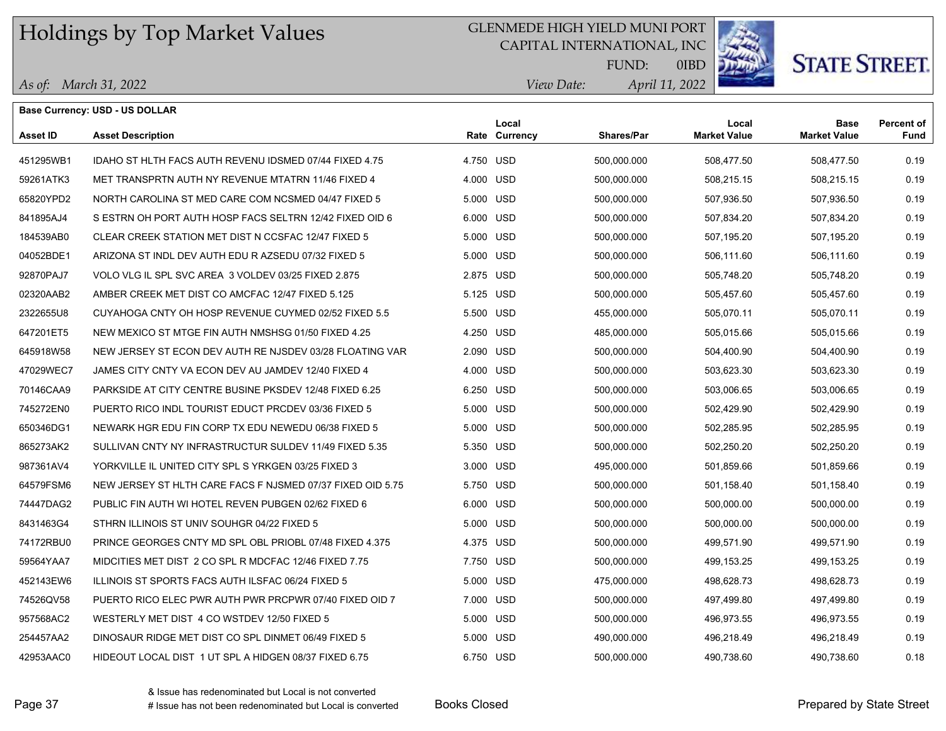## GLENMEDE HIGH YIELD MUNI PORT

CAPITAL INTERNATIONAL, INC



**STATE STREET.** 

*April 11, 2022 View Date:* FUND:

|  |  | As of: March 31, 2022 |
|--|--|-----------------------|
|--|--|-----------------------|

|                 | <b>Base Currency: USD - US DOLLAR</b>                      |           |                        |                   |                              |                                    |                           |
|-----------------|------------------------------------------------------------|-----------|------------------------|-------------------|------------------------------|------------------------------------|---------------------------|
| <b>Asset ID</b> | <b>Asset Description</b>                                   |           | Local<br>Rate Currency | <b>Shares/Par</b> | Local<br><b>Market Value</b> | <b>Base</b><br><b>Market Value</b> | <b>Percent of</b><br>Fund |
| 451295WB1       | IDAHO ST HLTH FACS AUTH REVENU IDSMED 07/44 FIXED 4.75     | 4.750 USD |                        | 500,000.000       | 508,477.50                   | 508,477.50                         | 0.19                      |
| 59261ATK3       | MET TRANSPRTN AUTH NY REVENUE MTATRN 11/46 FIXED 4         | 4.000 USD |                        | 500,000.000       | 508,215.15                   | 508,215.15                         | 0.19                      |
| 65820YPD2       | NORTH CAROLINA ST MED CARE COM NCSMED 04/47 FIXED 5        | 5.000 USD |                        | 500,000.000       | 507,936.50                   | 507,936.50                         | 0.19                      |
| 841895AJ4       | S ESTRN OH PORT AUTH HOSP FACS SELTRN 12/42 FIXED OID 6    | 6.000 USD |                        | 500,000.000       | 507,834.20                   | 507,834.20                         | 0.19                      |
| 184539AB0       | CLEAR CREEK STATION MET DIST N CCSFAC 12/47 FIXED 5        | 5.000 USD |                        | 500,000.000       | 507,195.20                   | 507,195.20                         | 0.19                      |
| 04052BDE1       | ARIZONA ST INDL DEV AUTH EDU R AZSEDU 07/32 FIXED 5        | 5.000 USD |                        | 500,000.000       | 506,111.60                   | 506,111.60                         | 0.19                      |
| 92870PAJ7       | VOLO VLG IL SPL SVC AREA 3 VOLDEV 03/25 FIXED 2.875        | 2.875 USD |                        | 500,000.000       | 505,748.20                   | 505,748.20                         | 0.19                      |
| 02320AAB2       | AMBER CREEK MET DIST CO AMCFAC 12/47 FIXED 5.125           | 5.125 USD |                        | 500,000.000       | 505,457.60                   | 505,457.60                         | 0.19                      |
| 2322655U8       | CUYAHOGA CNTY OH HOSP REVENUE CUYMED 02/52 FIXED 5.5       | 5.500 USD |                        | 455,000.000       | 505,070.11                   | 505,070.11                         | 0.19                      |
| 647201ET5       | NEW MEXICO ST MTGE FIN AUTH NMSHSG 01/50 FIXED 4.25        | 4.250 USD |                        | 485,000.000       | 505,015.66                   | 505,015.66                         | 0.19                      |
| 645918W58       | NEW JERSEY ST ECON DEV AUTH RE NJSDEV 03/28 FLOATING VAR   | 2.090 USD |                        | 500,000.000       | 504,400.90                   | 504,400.90                         | 0.19                      |
| 47029WEC7       | JAMES CITY CNTY VA ECON DEV AU JAMDEV 12/40 FIXED 4        | 4.000 USD |                        | 500,000.000       | 503,623.30                   | 503,623.30                         | 0.19                      |
| 70146CAA9       | PARKSIDE AT CITY CENTRE BUSINE PKSDEV 12/48 FIXED 6.25     | 6.250 USD |                        | 500,000.000       | 503,006.65                   | 503,006.65                         | 0.19                      |
| 745272EN0       | PUERTO RICO INDL TOURIST EDUCT PRCDEV 03/36 FIXED 5        | 5.000 USD |                        | 500,000.000       | 502,429.90                   | 502,429.90                         | 0.19                      |
| 650346DG1       | NEWARK HGR EDU FIN CORP TX EDU NEWEDU 06/38 FIXED 5        | 5.000 USD |                        | 500,000.000       | 502,285.95                   | 502,285.95                         | 0.19                      |
| 865273AK2       | SULLIVAN CNTY NY INFRASTRUCTUR SULDEV 11/49 FIXED 5.35     | 5.350 USD |                        | 500,000.000       | 502,250.20                   | 502,250.20                         | 0.19                      |
| 987361AV4       | YORKVILLE IL UNITED CITY SPL S YRKGEN 03/25 FIXED 3        | 3.000 USD |                        | 495,000.000       | 501,859.66                   | 501,859.66                         | 0.19                      |
| 64579FSM6       | NEW JERSEY ST HLTH CARE FACS F NJSMED 07/37 FIXED OID 5.75 | 5.750 USD |                        | 500,000.000       | 501,158.40                   | 501,158.40                         | 0.19                      |
| 74447DAG2       | PUBLIC FIN AUTH WI HOTEL REVEN PUBGEN 02/62 FIXED 6        | 6.000 USD |                        | 500,000.000       | 500,000.00                   | 500,000.00                         | 0.19                      |
| 8431463G4       | STHRN ILLINOIS ST UNIV SOUHGR 04/22 FIXED 5                | 5.000 USD |                        | 500,000.000       | 500,000.00                   | 500,000.00                         | 0.19                      |
| 74172RBU0       | PRINCE GEORGES CNTY MD SPL OBL PRIOBL 07/48 FIXED 4.375    | 4.375 USD |                        | 500,000.000       | 499,571.90                   | 499,571.90                         | 0.19                      |
| 59564YAA7       | MIDCITIES MET DIST 2 CO SPL R MDCFAC 12/46 FIXED 7.75      | 7.750 USD |                        | 500,000.000       | 499, 153. 25                 | 499, 153. 25                       | 0.19                      |
| 452143EW6       | ILLINOIS ST SPORTS FACS AUTH ILSFAC 06/24 FIXED 5          | 5.000 USD |                        | 475,000.000       | 498.628.73                   | 498,628.73                         | 0.19                      |
| 74526QV58       | PUERTO RICO ELEC PWR AUTH PWR PRCPWR 07/40 FIXED OID 7     | 7.000 USD |                        | 500,000.000       | 497,499.80                   | 497,499.80                         | 0.19                      |
| 957568AC2       | WESTERLY MET DIST 4 CO WSTDEV 12/50 FIXED 5                | 5.000 USD |                        | 500,000.000       | 496,973.55                   | 496,973.55                         | 0.19                      |
| 254457AA2       | DINOSAUR RIDGE MET DIST CO SPL DINMET 06/49 FIXED 5        | 5.000 USD |                        | 490,000.000       | 496,218.49                   | 496,218.49                         | 0.19                      |
| 42953AAC0       | HIDEOUT LOCAL DIST 1 UT SPL A HIDGEN 08/37 FIXED 6.75      | 6.750 USD |                        | 500,000.000       | 490,738.60                   | 490,738.60                         | 0.18                      |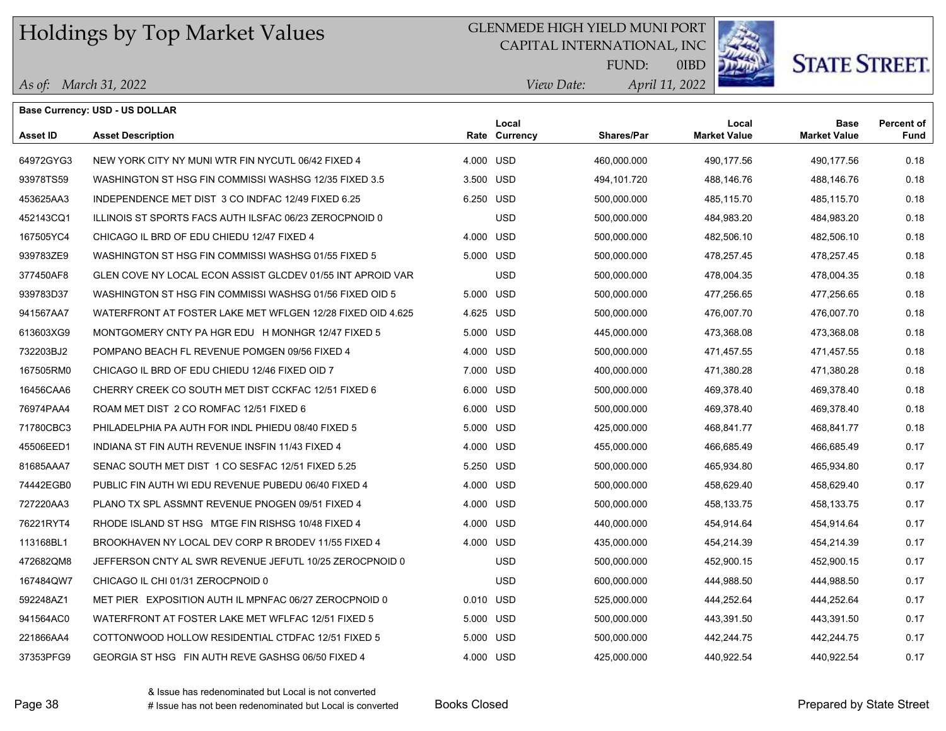*As of: March 31, 2022*

### GLENMEDE HIGH YIELD MUNI PORT

CAPITAL INTERNATIONAL, INC



# **STATE STREET.**

*April 11, 2022 View Date:* FUND:

0IBD

|           | <b>Base Currency: USD - US DOLLAR</b>                      |           |                        |             |                              |                                    |                    |
|-----------|------------------------------------------------------------|-----------|------------------------|-------------|------------------------------|------------------------------------|--------------------|
| Asset ID  | <b>Asset Description</b>                                   |           | Local<br>Rate Currency | Shares/Par  | Local<br><b>Market Value</b> | <b>Base</b><br><b>Market Value</b> | Percent of<br>Fund |
| 64972GYG3 | NEW YORK CITY NY MUNI WTR FIN NYCUTL 06/42 FIXED 4         | 4.000 USD |                        | 460,000.000 | 490,177.56                   | 490,177.56                         | 0.18               |
| 93978TS59 | WASHINGTON ST HSG FIN COMMISSI WASHSG 12/35 FIXED 3.5      | 3.500 USD |                        | 494,101.720 | 488,146.76                   | 488,146.76                         | 0.18               |
| 453625AA3 | INDEPENDENCE MET DIST 3 CO INDFAC 12/49 FIXED 6.25         | 6.250 USD |                        | 500,000.000 | 485,115.70                   | 485,115.70                         | 0.18               |
| 452143CQ1 | ILLINOIS ST SPORTS FACS AUTH ILSFAC 06/23 ZEROCPNOID 0     |           | <b>USD</b>             | 500,000.000 | 484,983.20                   | 484,983.20                         | 0.18               |
| 167505YC4 | CHICAGO IL BRD OF EDU CHIEDU 12/47 FIXED 4                 | 4.000 USD |                        | 500,000.000 | 482,506.10                   | 482,506.10                         | 0.18               |
| 939783ZE9 | WASHINGTON ST HSG FIN COMMISSI WASHSG 01/55 FIXED 5        | 5.000 USD |                        | 500,000.000 | 478,257.45                   | 478,257.45                         | 0.18               |
| 377450AF8 | GLEN COVE NY LOCAL ECON ASSIST GLCDEV 01/55 INT APROID VAR |           | <b>USD</b>             | 500,000.000 | 478,004.35                   | 478,004.35                         | 0.18               |
| 939783D37 | WASHINGTON ST HSG FIN COMMISSI WASHSG 01/56 FIXED OID 5    | 5.000 USD |                        | 500,000.000 | 477,256.65                   | 477,256.65                         | 0.18               |
| 941567AA7 | WATERFRONT AT FOSTER LAKE MET WFLGEN 12/28 FIXED OID 4.625 | 4.625 USD |                        | 500,000.000 | 476,007.70                   | 476,007.70                         | 0.18               |
| 613603XG9 | MONTGOMERY CNTY PA HGR EDU H MONHGR 12/47 FIXED 5          | 5.000 USD |                        | 445,000.000 | 473,368.08                   | 473,368.08                         | 0.18               |
| 732203BJ2 | POMPANO BEACH FL REVENUE POMGEN 09/56 FIXED 4              | 4.000 USD |                        | 500,000.000 | 471,457.55                   | 471,457.55                         | 0.18               |
| 167505RM0 | CHICAGO IL BRD OF EDU CHIEDU 12/46 FIXED OID 7             | 7.000 USD |                        | 400,000.000 | 471,380.28                   | 471,380.28                         | 0.18               |
| 16456CAA6 | CHERRY CREEK CO SOUTH MET DIST CCKFAC 12/51 FIXED 6        | 6.000 USD |                        | 500,000.000 | 469,378.40                   | 469,378.40                         | 0.18               |
| 76974PAA4 | ROAM MET DIST 2 CO ROMFAC 12/51 FIXED 6                    | 6.000 USD |                        | 500,000.000 | 469,378.40                   | 469,378.40                         | 0.18               |
| 71780CBC3 | PHILADELPHIA PA AUTH FOR INDL PHIEDU 08/40 FIXED 5         | 5.000 USD |                        | 425,000.000 | 468,841.77                   | 468,841.77                         | 0.18               |
| 45506EED1 | INDIANA ST FIN AUTH REVENUE INSFIN 11/43 FIXED 4           | 4.000 USD |                        | 455,000.000 | 466,685.49                   | 466,685.49                         | 0.17               |
| 81685AAA7 | SENAC SOUTH MET DIST 1 CO SESFAC 12/51 FIXED 5.25          | 5.250 USD |                        | 500,000.000 | 465,934.80                   | 465,934.80                         | 0.17               |
| 74442EGB0 | PUBLIC FIN AUTH WI EDU REVENUE PUBEDU 06/40 FIXED 4        | 4.000 USD |                        | 500,000.000 | 458,629.40                   | 458,629.40                         | 0.17               |
| 727220AA3 | PLANO TX SPL ASSMNT REVENUE PNOGEN 09/51 FIXED 4           | 4.000 USD |                        | 500,000.000 | 458,133.75                   | 458,133.75                         | 0.17               |
| 76221RYT4 | RHODE ISLAND ST HSG MTGE FIN RISHSG 10/48 FIXED 4          | 4.000 USD |                        | 440,000.000 | 454,914.64                   | 454,914.64                         | 0.17               |
| 113168BL1 | BROOKHAVEN NY LOCAL DEV CORP R BRODEV 11/55 FIXED 4        | 4.000 USD |                        | 435,000.000 | 454,214.39                   | 454,214.39                         | 0.17               |
| 472682QM8 | JEFFERSON CNTY AL SWR REVENUE JEFUTL 10/25 ZEROCPNOID 0    |           | <b>USD</b>             | 500,000.000 | 452,900.15                   | 452,900.15                         | 0.17               |
| 167484QW7 | CHICAGO IL CHI 01/31 ZEROCPNOID 0                          |           | <b>USD</b>             | 600,000.000 | 444,988.50                   | 444,988.50                         | 0.17               |
| 592248AZ1 | MET PIER EXPOSITION AUTH IL MPNFAC 06/27 ZEROCPNOID 0      | 0.010 USD |                        | 525,000.000 | 444,252.64                   | 444,252.64                         | 0.17               |
| 941564AC0 | WATERFRONT AT FOSTER LAKE MET WFLFAC 12/51 FIXED 5         | 5.000 USD |                        | 500,000.000 | 443,391.50                   | 443,391.50                         | 0.17               |
| 221866AA4 | COTTONWOOD HOLLOW RESIDENTIAL CTDFAC 12/51 FIXED 5         | 5.000 USD |                        | 500,000.000 | 442,244.75                   | 442,244.75                         | 0.17               |
| 37353PFG9 | GEORGIA ST HSG FIN AUTH REVE GASHSG 06/50 FIXED 4          | 4.000 USD |                        | 425,000.000 | 440.922.54                   | 440.922.54                         | 0.17               |

Page 38 The Prepared by State Street (Prepared by State Street and Street Area Books Closed Area Prepared by State Street and Area Prepared by State Street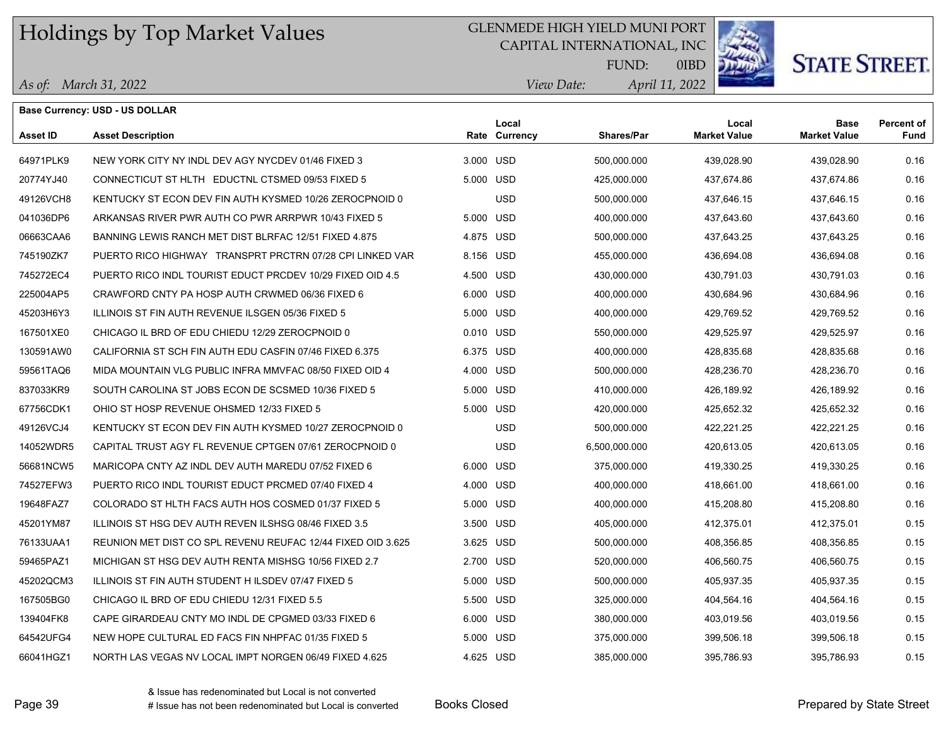## GLENMEDE HIGH YIELD MUNI PORT

CAPITAL INTERNATIONAL, INC



**STATE STREET.** 

*April 11, 2022 View Date:* FUND:

| As of: March 31, 2022 |  |
|-----------------------|--|
|                       |  |

|           | <b>Base Currency: USD - US DOLLAR</b>                       |           |                        |                   |                              |                                    |                                  |
|-----------|-------------------------------------------------------------|-----------|------------------------|-------------------|------------------------------|------------------------------------|----------------------------------|
| Asset ID  | <b>Asset Description</b>                                    |           | Local<br>Rate Currency | <b>Shares/Par</b> | Local<br><b>Market Value</b> | <b>Base</b><br><b>Market Value</b> | <b>Percent of</b><br><b>Fund</b> |
| 64971PLK9 | NEW YORK CITY NY INDL DEV AGY NYCDEV 01/46 FIXED 3          | 3.000 USD |                        | 500,000.000       | 439,028.90                   | 439,028.90                         | 0.16                             |
| 20774YJ40 | CONNECTICUT ST HLTH EDUCTNL CTSMED 09/53 FIXED 5            | 5.000 USD |                        | 425,000.000       | 437,674.86                   | 437,674.86                         | 0.16                             |
| 49126VCH8 | KENTUCKY ST ECON DEV FIN AUTH KYSMED 10/26 ZEROCPNOID 0     |           | <b>USD</b>             | 500,000.000       | 437,646.15                   | 437,646.15                         | 0.16                             |
| 041036DP6 | ARKANSAS RIVER PWR AUTH CO PWR ARRPWR 10/43 FIXED 5         | 5.000 USD |                        | 400,000.000       | 437,643.60                   | 437,643.60                         | 0.16                             |
| 06663CAA6 | BANNING LEWIS RANCH MET DIST BLRFAC 12/51 FIXED 4.875       | 4.875 USD |                        | 500,000.000       | 437,643.25                   | 437,643.25                         | 0.16                             |
| 745190ZK7 | PUERTO RICO HIGHWAY TRANSPRT PRCTRN 07/28 CPI LINKED VAR    | 8.156 USD |                        | 455,000.000       | 436,694.08                   | 436,694.08                         | 0.16                             |
| 745272EC4 | PUERTO RICO INDL TOURIST EDUCT PRCDEV 10/29 FIXED OID 4.5   | 4.500 USD |                        | 430,000.000       | 430,791.03                   | 430,791.03                         | 0.16                             |
| 225004AP5 | CRAWFORD CNTY PA HOSP AUTH CRWMED 06/36 FIXED 6             | 6.000 USD |                        | 400,000.000       | 430,684.96                   | 430,684.96                         | 0.16                             |
| 45203H6Y3 | ILLINOIS ST FIN AUTH REVENUE ILSGEN 05/36 FIXED 5           | 5.000 USD |                        | 400,000.000       | 429,769.52                   | 429,769.52                         | 0.16                             |
| 167501XE0 | CHICAGO IL BRD OF EDU CHIEDU 12/29 ZEROCPNOID 0             | 0.010 USD |                        | 550,000.000       | 429,525.97                   | 429,525.97                         | 0.16                             |
| 130591AW0 | CALIFORNIA ST SCH FIN AUTH EDU CASFIN 07/46 FIXED 6.375     | 6.375 USD |                        | 400,000.000       | 428,835.68                   | 428,835.68                         | 0.16                             |
| 59561TAQ6 | MIDA MOUNTAIN VLG PUBLIC INFRA MMVFAC 08/50 FIXED OID 4     | 4.000 USD |                        | 500,000.000       | 428,236.70                   | 428,236.70                         | 0.16                             |
| 837033KR9 | SOUTH CAROLINA ST JOBS ECON DE SCSMED 10/36 FIXED 5         | 5.000 USD |                        | 410,000.000       | 426,189.92                   | 426,189.92                         | 0.16                             |
| 67756CDK1 | OHIO ST HOSP REVENUE OHSMED 12/33 FIXED 5                   | 5.000 USD |                        | 420,000.000       | 425,652.32                   | 425,652.32                         | 0.16                             |
| 49126VCJ4 | KENTUCKY ST ECON DEV FIN AUTH KYSMED 10/27 ZEROCPNOID 0     |           | <b>USD</b>             | 500,000.000       | 422,221.25                   | 422,221.25                         | 0.16                             |
| 14052WDR5 | CAPITAL TRUST AGY FL REVENUE CPTGEN 07/61 ZEROCPNOID 0      |           | <b>USD</b>             | 6,500,000.000     | 420,613.05                   | 420,613.05                         | 0.16                             |
| 56681NCW5 | MARICOPA CNTY AZ INDL DEV AUTH MAREDU 07/52 FIXED 6         | 6.000 USD |                        | 375,000.000       | 419,330.25                   | 419,330.25                         | 0.16                             |
| 74527EFW3 | PUERTO RICO INDL TOURIST EDUCT PRCMED 07/40 FIXED 4         | 4.000 USD |                        | 400,000.000       | 418,661.00                   | 418,661.00                         | 0.16                             |
| 19648FAZ7 | COLORADO ST HLTH FACS AUTH HOS COSMED 01/37 FIXED 5         | 5.000 USD |                        | 400,000.000       | 415,208.80                   | 415,208.80                         | 0.16                             |
| 45201YM87 | ILLINOIS ST HSG DEV AUTH REVEN ILSHSG 08/46 FIXED 3.5       | 3.500 USD |                        | 405,000.000       | 412,375.01                   | 412,375.01                         | 0.15                             |
| 76133UAA1 | REUNION MET DIST CO SPL REVENU REUFAC 12/44 FIXED OID 3.625 | 3.625 USD |                        | 500,000.000       | 408,356.85                   | 408,356.85                         | 0.15                             |
| 59465PAZ1 | MICHIGAN ST HSG DEV AUTH RENTA MISHSG 10/56 FIXED 2.7       | 2.700 USD |                        | 520,000.000       | 406,560.75                   | 406,560.75                         | 0.15                             |
| 45202QCM3 | ILLINOIS ST FIN AUTH STUDENT HILSDEV 07/47 FIXED 5          | 5.000 USD |                        | 500,000.000       | 405,937.35                   | 405,937.35                         | 0.15                             |
| 167505BG0 | CHICAGO IL BRD OF EDU CHIEDU 12/31 FIXED 5.5                | 5.500 USD |                        | 325,000.000       | 404,564.16                   | 404,564.16                         | 0.15                             |
| 139404FK8 | CAPE GIRARDEAU CNTY MO INDL DE CPGMED 03/33 FIXED 6         | 6.000 USD |                        | 380,000.000       | 403,019.56                   | 403,019.56                         | 0.15                             |
| 64542UFG4 | NEW HOPE CULTURAL ED FACS FIN NHPFAC 01/35 FIXED 5          | 5.000 USD |                        | 375,000.000       | 399,506.18                   | 399,506.18                         | 0.15                             |
| 66041HGZ1 | NORTH LAS VEGAS NV LOCAL IMPT NORGEN 06/49 FIXED 4.625      | 4.625 USD |                        | 385,000.000       | 395,786.93                   | 395,786.93                         | 0.15                             |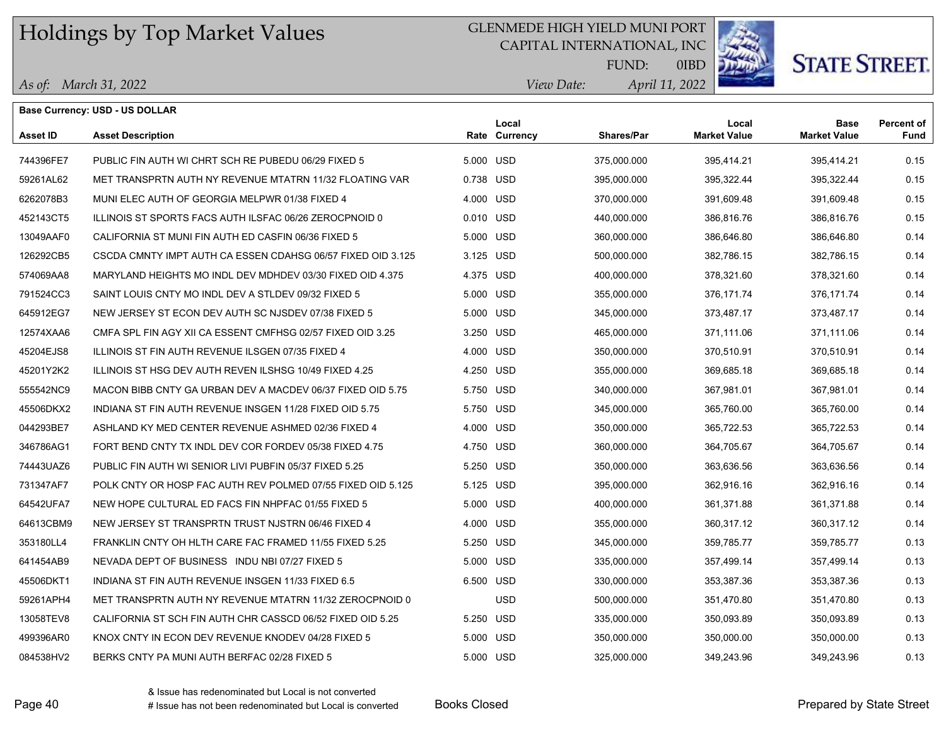## GLENMEDE HIGH YIELD MUNI PORT

CAPITAL INTERNATIONAL, INC



# **STATE STREET.**

*April 11, 2022 View Date:* FUND:

|  | As of: March 31, 2022 |  |
|--|-----------------------|--|
|--|-----------------------|--|

|                 | <b>Base Currency: USD - US DOLLAR</b>                       |           |                        |                   |                              |                                    |                           |
|-----------------|-------------------------------------------------------------|-----------|------------------------|-------------------|------------------------------|------------------------------------|---------------------------|
| <b>Asset ID</b> | <b>Asset Description</b>                                    |           | Local<br>Rate Currency | <b>Shares/Par</b> | Local<br><b>Market Value</b> | <b>Base</b><br><b>Market Value</b> | <b>Percent of</b><br>Fund |
| 744396FE7       | PUBLIC FIN AUTH WI CHRT SCH RE PUBEDU 06/29 FIXED 5         | 5.000 USD |                        | 375,000.000       | 395,414.21                   | 395,414.21                         | 0.15                      |
| 59261AL62       | MET TRANSPRTN AUTH NY REVENUE MTATRN 11/32 FLOATING VAR     | 0.738 USD |                        | 395,000.000       | 395,322.44                   | 395,322.44                         | 0.15                      |
| 6262078B3       | MUNI ELEC AUTH OF GEORGIA MELPWR 01/38 FIXED 4              | 4.000 USD |                        | 370,000.000       | 391.609.48                   | 391,609.48                         | 0.15                      |
| 452143CT5       | ILLINOIS ST SPORTS FACS AUTH ILSFAC 06/26 ZEROCPNOID 0      | 0.010 USD |                        | 440,000.000       | 386.816.76                   | 386,816.76                         | 0.15                      |
| 13049AAF0       | CALIFORNIA ST MUNI FIN AUTH ED CASFIN 06/36 FIXED 5         | 5.000 USD |                        | 360,000.000       | 386,646.80                   | 386,646.80                         | 0.14                      |
| 126292CB5       | CSCDA CMNTY IMPT AUTH CA ESSEN CDAHSG 06/57 FIXED OID 3.125 | 3.125 USD |                        | 500,000.000       | 382,786.15                   | 382,786.15                         | 0.14                      |
| 574069AA8       | MARYLAND HEIGHTS MO INDL DEV MDHDEV 03/30 FIXED OID 4.375   | 4.375 USD |                        | 400,000.000       | 378,321.60                   | 378,321.60                         | 0.14                      |
| 791524CC3       | SAINT LOUIS CNTY MO INDL DEV A STLDEV 09/32 FIXED 5         | 5.000 USD |                        | 355,000.000       | 376,171.74                   | 376,171.74                         | 0.14                      |
| 645912EG7       | NEW JERSEY ST ECON DEV AUTH SC NJSDEV 07/38 FIXED 5         | 5.000 USD |                        | 345,000.000       | 373,487.17                   | 373,487.17                         | 0.14                      |
| 12574XAA6       | CMFA SPL FIN AGY XII CA ESSENT CMFHSG 02/57 FIXED OID 3.25  | 3.250 USD |                        | 465,000.000       | 371,111.06                   | 371,111.06                         | 0.14                      |
| 45204EJS8       | ILLINOIS ST FIN AUTH REVENUE ILSGEN 07/35 FIXED 4           | 4.000 USD |                        | 350,000.000       | 370,510.91                   | 370,510.91                         | 0.14                      |
| 45201Y2K2       | ILLINOIS ST HSG DEV AUTH REVEN ILSHSG 10/49 FIXED 4.25      | 4.250 USD |                        | 355,000.000       | 369,685.18                   | 369,685.18                         | 0.14                      |
| 555542NC9       | MACON BIBB CNTY GA URBAN DEV A MACDEV 06/37 FIXED OID 5.75  | 5.750 USD |                        | 340,000.000       | 367,981.01                   | 367,981.01                         | 0.14                      |
| 45506DKX2       | INDIANA ST FIN AUTH REVENUE INSGEN 11/28 FIXED OID 5.75     | 5.750 USD |                        | 345,000.000       | 365,760.00                   | 365,760.00                         | 0.14                      |
| 044293BE7       | ASHLAND KY MED CENTER REVENUE ASHMED 02/36 FIXED 4          | 4.000 USD |                        | 350,000.000       | 365,722.53                   | 365,722.53                         | 0.14                      |
| 346786AG1       | FORT BEND CNTY TX INDL DEV COR FORDEV 05/38 FIXED 4.75      | 4.750 USD |                        | 360,000.000       | 364.705.67                   | 364.705.67                         | 0.14                      |
| 74443UAZ6       | PUBLIC FIN AUTH WI SENIOR LIVI PUBFIN 05/37 FIXED 5.25      | 5.250 USD |                        | 350,000.000       | 363,636.56                   | 363,636.56                         | 0.14                      |
| 731347AF7       | POLK CNTY OR HOSP FAC AUTH REV POLMED 07/55 FIXED OID 5.125 | 5.125 USD |                        | 395,000.000       | 362,916.16                   | 362,916.16                         | 0.14                      |
| 64542UFA7       | NEW HOPE CULTURAL ED FACS FIN NHPFAC 01/55 FIXED 5          | 5.000 USD |                        | 400,000.000       | 361,371.88                   | 361,371.88                         | 0.14                      |
| 64613CBM9       | NEW JERSEY ST TRANSPRTN TRUST NJSTRN 06/46 FIXED 4          | 4.000 USD |                        | 355,000.000       | 360,317.12                   | 360,317.12                         | 0.14                      |
| 353180LL4       | FRANKLIN CNTY OH HLTH CARE FAC FRAMED 11/55 FIXED 5.25      | 5.250 USD |                        | 345,000.000       | 359.785.77                   | 359,785.77                         | 0.13                      |
| 641454AB9       | NEVADA DEPT OF BUSINESS INDU NBI 07/27 FIXED 5              | 5.000 USD |                        | 335,000.000       | 357,499.14                   | 357,499.14                         | 0.13                      |
| 45506DKT1       | INDIANA ST FIN AUTH REVENUE INSGEN 11/33 FIXED 6.5          | 6.500 USD |                        | 330,000.000       | 353,387.36                   | 353,387.36                         | 0.13                      |
| 59261APH4       | MET TRANSPRTN AUTH NY REVENUE MTATRN 11/32 ZEROCPNOID 0     |           | <b>USD</b>             | 500,000.000       | 351,470.80                   | 351,470.80                         | 0.13                      |
| 13058TEV8       | CALIFORNIA ST SCH FIN AUTH CHR CASSCD 06/52 FIXED OID 5.25  | 5.250 USD |                        | 335,000.000       | 350.093.89                   | 350,093.89                         | 0.13                      |
| 499396AR0       | KNOX CNTY IN ECON DEV REVENUE KNODEV 04/28 FIXED 5          | 5.000 USD |                        | 350,000.000       | 350,000.00                   | 350,000.00                         | 0.13                      |
| 084538HV2       | BERKS CNTY PA MUNI AUTH BERFAC 02/28 FIXED 5                | 5.000 USD |                        | 325,000.000       | 349,243.96                   | 349,243.96                         | 0.13                      |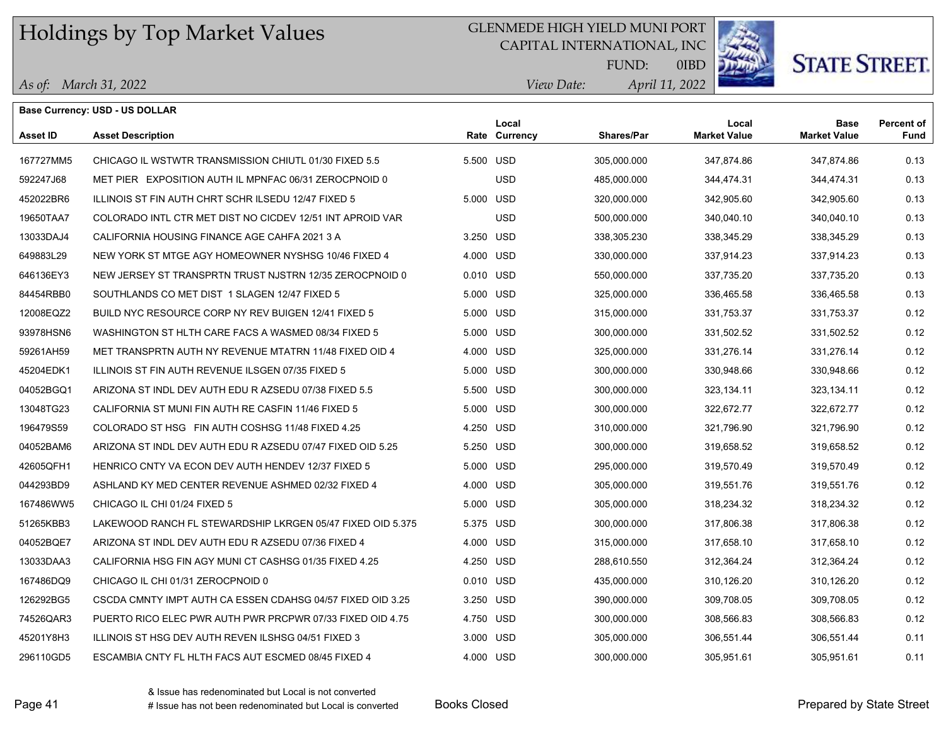## GLENMEDE HIGH YIELD MUNI PORT

CAPITAL INTERNATIONAL, INC



**STATE STREET.** 

*April 11, 2022 View Date:* FUND:

|  | As of: March 31, 2022 |
|--|-----------------------|
|--|-----------------------|

|                 | <b>Base Currency: USD - US DOLLAR</b>                      |           |                        |                   |                              |                                    |                           |
|-----------------|------------------------------------------------------------|-----------|------------------------|-------------------|------------------------------|------------------------------------|---------------------------|
| <b>Asset ID</b> | <b>Asset Description</b>                                   |           | Local<br>Rate Currency | <b>Shares/Par</b> | Local<br><b>Market Value</b> | <b>Base</b><br><b>Market Value</b> | <b>Percent of</b><br>Fund |
| 167727MM5       | CHICAGO IL WSTWTR TRANSMISSION CHIUTL 01/30 FIXED 5.5      | 5.500 USD |                        | 305,000.000       | 347,874.86                   | 347,874.86                         | 0.13                      |
| 592247J68       | MET PIER EXPOSITION AUTH IL MPNFAC 06/31 ZEROCPNOID 0      |           | <b>USD</b>             | 485,000.000       | 344,474.31                   | 344,474.31                         | 0.13                      |
| 452022BR6       | ILLINOIS ST FIN AUTH CHRT SCHR ILSEDU 12/47 FIXED 5        | 5.000 USD |                        | 320,000.000       | 342,905.60                   | 342,905.60                         | 0.13                      |
| 19650TAA7       | COLORADO INTL CTR MET DIST NO CICDEV 12/51 INT APROID VAR  |           | <b>USD</b>             | 500,000.000       | 340,040.10                   | 340,040.10                         | 0.13                      |
| 13033DAJ4       | CALIFORNIA HOUSING FINANCE AGE CAHFA 2021 3 A              | 3.250 USD |                        | 338,305.230       | 338,345.29                   | 338,345.29                         | 0.13                      |
| 649883L29       | NEW YORK ST MTGE AGY HOMEOWNER NYSHSG 10/46 FIXED 4        | 4.000 USD |                        | 330,000.000       | 337,914.23                   | 337,914.23                         | 0.13                      |
| 646136EY3       | NEW JERSEY ST TRANSPRTN TRUST NJSTRN 12/35 ZEROCPNOID 0    | 0.010 USD |                        | 550,000.000       | 337,735.20                   | 337,735.20                         | 0.13                      |
| 84454RBB0       | SOUTHLANDS CO MET DIST 1 SLAGEN 12/47 FIXED 5              | 5.000 USD |                        | 325,000.000       | 336,465.58                   | 336,465.58                         | 0.13                      |
| 12008EQZ2       | BUILD NYC RESOURCE CORP NY REV BUIGEN 12/41 FIXED 5        | 5.000 USD |                        | 315,000.000       | 331,753.37                   | 331,753.37                         | 0.12                      |
| 93978HSN6       | WASHINGTON ST HLTH CARE FACS A WASMED 08/34 FIXED 5        | 5.000 USD |                        | 300,000.000       | 331,502.52                   | 331,502.52                         | 0.12                      |
| 59261AH59       | MET TRANSPRTN AUTH NY REVENUE MTATRN 11/48 FIXED OID 4     | 4.000 USD |                        | 325,000.000       | 331,276.14                   | 331,276.14                         | 0.12                      |
| 45204EDK1       | ILLINOIS ST FIN AUTH REVENUE ILSGEN 07/35 FIXED 5          | 5.000 USD |                        | 300,000.000       | 330,948.66                   | 330,948.66                         | 0.12                      |
| 04052BGQ1       | ARIZONA ST INDL DEV AUTH EDU R AZSEDU 07/38 FIXED 5.5      | 5.500 USD |                        | 300,000.000       | 323,134.11                   | 323,134.11                         | 0.12                      |
| 13048TG23       | CALIFORNIA ST MUNI FIN AUTH RE CASFIN 11/46 FIXED 5        | 5.000 USD |                        | 300,000.000       | 322,672.77                   | 322,672.77                         | 0.12                      |
| 196479S59       | COLORADO ST HSG FIN AUTH COSHSG 11/48 FIXED 4.25           | 4.250 USD |                        | 310,000.000       | 321,796.90                   | 321,796.90                         | 0.12                      |
| 04052BAM6       | ARIZONA ST INDL DEV AUTH EDU R AZSEDU 07/47 FIXED OID 5.25 | 5.250 USD |                        | 300,000.000       | 319,658.52                   | 319,658.52                         | 0.12                      |
| 42605QFH1       | HENRICO CNTY VA ECON DEV AUTH HENDEV 12/37 FIXED 5         | 5.000 USD |                        | 295,000.000       | 319,570.49                   | 319,570.49                         | 0.12                      |
| 044293BD9       | ASHLAND KY MED CENTER REVENUE ASHMED 02/32 FIXED 4         | 4.000 USD |                        | 305,000.000       | 319,551.76                   | 319,551.76                         | 0.12                      |
| 167486WW5       | CHICAGO IL CHI 01/24 FIXED 5                               | 5.000 USD |                        | 305,000.000       | 318,234.32                   | 318,234.32                         | 0.12                      |
| 51265KBB3       | LAKEWOOD RANCH FL STEWARDSHIP LKRGEN 05/47 FIXED OID 5.375 | 5.375 USD |                        | 300,000.000       | 317,806.38                   | 317,806.38                         | 0.12                      |
| 04052BQE7       | ARIZONA ST INDL DEV AUTH EDU R AZSEDU 07/36 FIXED 4        | 4.000 USD |                        | 315,000.000       | 317,658.10                   | 317,658.10                         | 0.12                      |
| 13033DAA3       | CALIFORNIA HSG FIN AGY MUNI CT CASHSG 01/35 FIXED 4.25     | 4.250 USD |                        | 288,610.550       | 312,364.24                   | 312,364.24                         | 0.12                      |
| 167486DQ9       | CHICAGO IL CHI 01/31 ZEROCPNOID 0                          | 0.010 USD |                        | 435,000.000       | 310,126.20                   | 310,126.20                         | 0.12                      |
| 126292BG5       | CSCDA CMNTY IMPT AUTH CA ESSEN CDAHSG 04/57 FIXED OID 3.25 | 3.250 USD |                        | 390,000.000       | 309,708.05                   | 309,708.05                         | 0.12                      |
| 74526QAR3       | PUERTO RICO ELEC PWR AUTH PWR PRCPWR 07/33 FIXED OID 4.75  | 4.750 USD |                        | 300,000.000       | 308,566.83                   | 308,566.83                         | 0.12                      |
| 45201Y8H3       | ILLINOIS ST HSG DEV AUTH REVEN ILSHSG 04/51 FIXED 3        | 3.000 USD |                        | 305,000.000       | 306,551.44                   | 306,551.44                         | 0.11                      |
| 296110GD5       | ESCAMBIA CNTY FL HLTH FACS AUT ESCMED 08/45 FIXED 4        | 4.000 USD |                        | 300,000.000       | 305,951.61                   | 305,951.61                         | 0.11                      |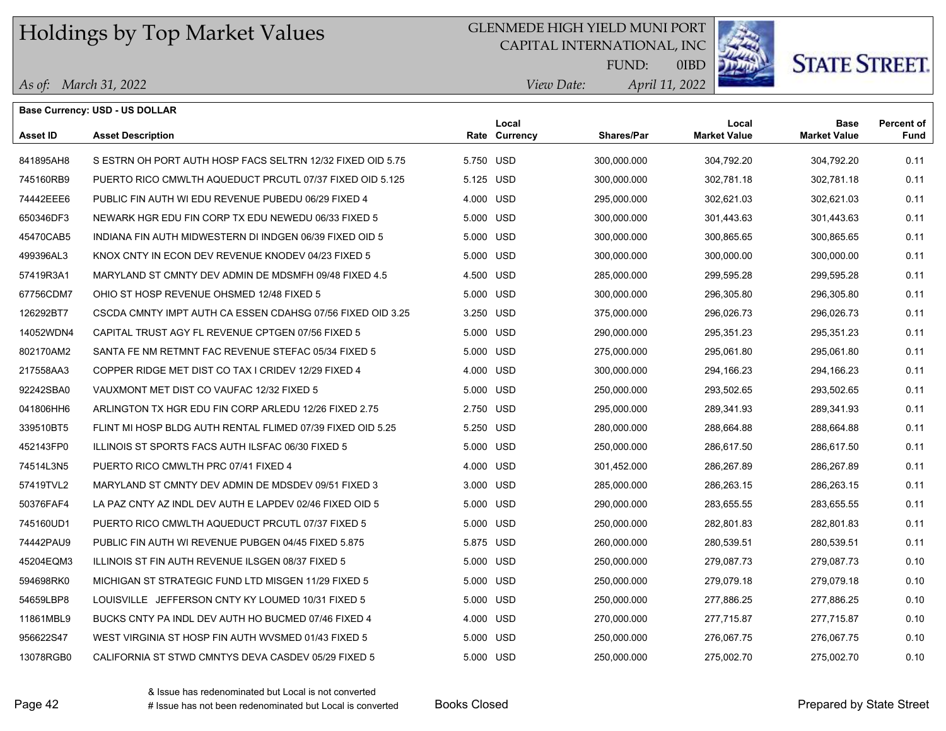## GLENMEDE HIGH YIELD MUNI PORT

CAPITAL INTERNATIONAL, INC



**STATE STREET.** 

*April 11, 2022 View Date:* FUND:

|  |  | As of: March 31, 2022 |
|--|--|-----------------------|
|--|--|-----------------------|

|                 | <b>Base Currency: USD - US DOLLAR</b>                      |           |                        |                   |                              |                                    |                           |
|-----------------|------------------------------------------------------------|-----------|------------------------|-------------------|------------------------------|------------------------------------|---------------------------|
| <b>Asset ID</b> | <b>Asset Description</b>                                   |           | Local<br>Rate Currency | <b>Shares/Par</b> | Local<br><b>Market Value</b> | <b>Base</b><br><b>Market Value</b> | <b>Percent of</b><br>Fund |
| 841895AH8       | S ESTRN OH PORT AUTH HOSP FACS SELTRN 12/32 FIXED OID 5.75 | 5.750 USD |                        | 300,000.000       | 304,792.20                   | 304,792.20                         | 0.11                      |
| 745160RB9       | PUERTO RICO CMWLTH AQUEDUCT PRCUTL 07/37 FIXED OID 5.125   | 5.125 USD |                        | 300,000.000       | 302,781.18                   | 302,781.18                         | 0.11                      |
| 74442EEE6       | PUBLIC FIN AUTH WI EDU REVENUE PUBEDU 06/29 FIXED 4        | 4.000 USD |                        | 295,000.000       | 302,621.03                   | 302,621.03                         | 0.11                      |
| 650346DF3       | NEWARK HGR EDU FIN CORP TX EDU NEWEDU 06/33 FIXED 5        | 5.000 USD |                        | 300,000.000       | 301,443.63                   | 301,443.63                         | 0.11                      |
| 45470CAB5       | INDIANA FIN AUTH MIDWESTERN DI INDGEN 06/39 FIXED OID 5    | 5.000 USD |                        | 300,000.000       | 300,865.65                   | 300,865.65                         | 0.11                      |
| 499396AL3       | KNOX CNTY IN ECON DEV REVENUE KNODEV 04/23 FIXED 5         | 5.000 USD |                        | 300,000.000       | 300,000.00                   | 300,000.00                         | 0.11                      |
| 57419R3A1       | MARYLAND ST CMNTY DEV ADMIN DE MDSMFH 09/48 FIXED 4.5      | 4.500 USD |                        | 285,000.000       | 299,595.28                   | 299,595.28                         | 0.11                      |
| 67756CDM7       | OHIO ST HOSP REVENUE OHSMED 12/48 FIXED 5                  | 5.000 USD |                        | 300,000.000       | 296,305.80                   | 296,305.80                         | 0.11                      |
| 126292BT7       | CSCDA CMNTY IMPT AUTH CA ESSEN CDAHSG 07/56 FIXED OID 3.25 | 3.250 USD |                        | 375,000.000       | 296,026.73                   | 296,026.73                         | 0.11                      |
| 14052WDN4       | CAPITAL TRUST AGY FL REVENUE CPTGEN 07/56 FIXED 5          | 5.000 USD |                        | 290,000.000       | 295,351.23                   | 295,351.23                         | 0.11                      |
| 802170AM2       | SANTA FE NM RETMNT FAC REVENUE STEFAC 05/34 FIXED 5        | 5.000 USD |                        | 275,000.000       | 295,061.80                   | 295,061.80                         | 0.11                      |
| 217558AA3       | COPPER RIDGE MET DIST CO TAX I CRIDEV 12/29 FIXED 4        | 4.000 USD |                        | 300,000.000       | 294,166.23                   | 294,166.23                         | 0.11                      |
| 92242SBA0       | VAUXMONT MET DIST CO VAUFAC 12/32 FIXED 5                  | 5.000 USD |                        | 250,000.000       | 293,502.65                   | 293,502.65                         | 0.11                      |
| 041806HH6       | ARLINGTON TX HGR EDU FIN CORP ARLEDU 12/26 FIXED 2.75      | 2.750 USD |                        | 295,000.000       | 289,341.93                   | 289,341.93                         | 0.11                      |
| 339510BT5       | FLINT MI HOSP BLDG AUTH RENTAL FLIMED 07/39 FIXED OID 5.25 | 5.250 USD |                        | 280,000.000       | 288,664.88                   | 288,664.88                         | 0.11                      |
| 452143FP0       | ILLINOIS ST SPORTS FACS AUTH ILSFAC 06/30 FIXED 5          | 5.000 USD |                        | 250,000.000       | 286,617.50                   | 286,617.50                         | 0.11                      |
| 74514L3N5       | PUERTO RICO CMWLTH PRC 07/41 FIXED 4                       | 4.000 USD |                        | 301,452.000       | 286,267.89                   | 286,267.89                         | 0.11                      |
| 57419TVL2       | MARYLAND ST CMNTY DEV ADMIN DE MDSDEV 09/51 FIXED 3        | 3.000 USD |                        | 285,000.000       | 286,263.15                   | 286,263.15                         | 0.11                      |
| 50376FAF4       | LA PAZ CNTY AZ INDL DEV AUTH E LAPDEV 02/46 FIXED OID 5    | 5.000 USD |                        | 290,000.000       | 283,655.55                   | 283,655.55                         | 0.11                      |
| 745160UD1       | PUERTO RICO CMWLTH AQUEDUCT PRCUTL 07/37 FIXED 5           | 5.000 USD |                        | 250,000.000       | 282,801.83                   | 282,801.83                         | 0.11                      |
| 74442PAU9       | PUBLIC FIN AUTH WI REVENUE PUBGEN 04/45 FIXED 5.875        | 5.875 USD |                        | 260,000.000       | 280,539.51                   | 280,539.51                         | 0.11                      |
| 45204EQM3       | ILLINOIS ST FIN AUTH REVENUE ILSGEN 08/37 FIXED 5          | 5.000 USD |                        | 250,000.000       | 279,087.73                   | 279,087.73                         | 0.10                      |
| 594698RK0       | MICHIGAN ST STRATEGIC FUND LTD MISGEN 11/29 FIXED 5        | 5.000 USD |                        | 250,000.000       | 279,079.18                   | 279,079.18                         | 0.10                      |
| 54659LBP8       | LOUISVILLE JEFFERSON CNTY KY LOUMED 10/31 FIXED 5          | 5.000 USD |                        | 250,000.000       | 277,886.25                   | 277,886.25                         | 0.10                      |
| 11861MBL9       | BUCKS CNTY PA INDL DEV AUTH HO BUCMED 07/46 FIXED 4        | 4.000 USD |                        | 270,000.000       | 277,715.87                   | 277,715.87                         | 0.10                      |
| 956622S47       | WEST VIRGINIA ST HOSP FIN AUTH WVSMED 01/43 FIXED 5        | 5.000 USD |                        | 250,000.000       | 276,067.75                   | 276,067.75                         | 0.10                      |
| 13078RGB0       | CALIFORNIA ST STWD CMNTYS DEVA CASDEV 05/29 FIXED 5        | 5.000 USD |                        | 250,000.000       | 275,002.70                   | 275,002.70                         | 0.10                      |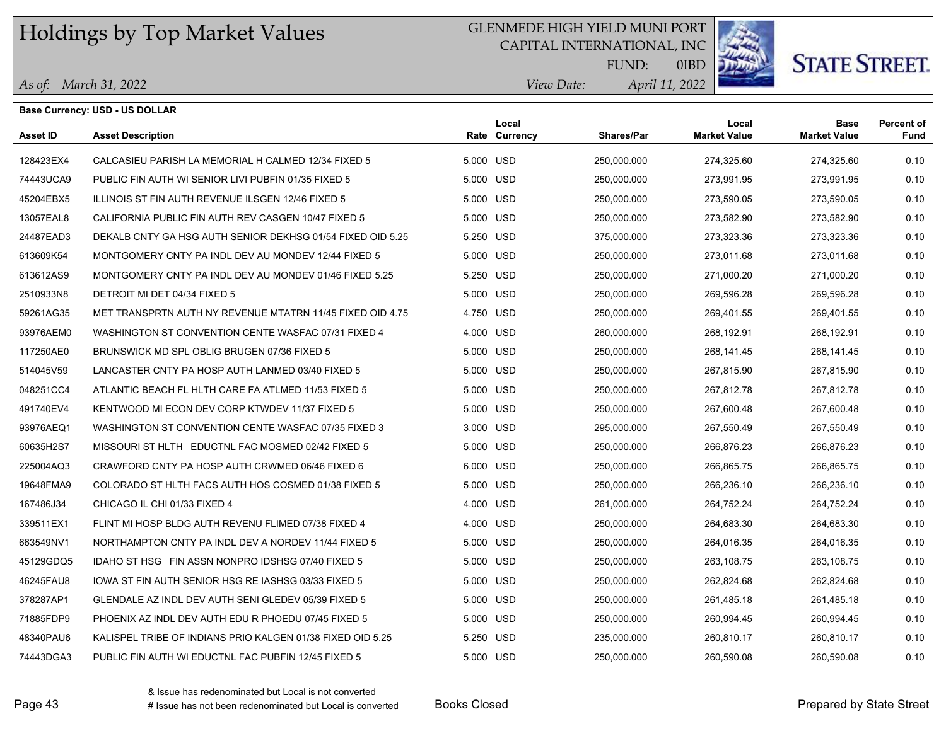*As of: March 31, 2022*

**Base Currency: USD - US DOLLAR**

### GLENMEDE HIGH YIELD MUNI PORT

CAPITAL INTERNATIONAL, INC



**STATE STREET** 

*April 11, 2022 View Date:* FUND:

| Asset ID  | <b>Asset Description</b>                                   |           | Local<br>Rate Currency | Shares/Par  | Local<br><b>Market Value</b> | <b>Base</b><br><b>Market Value</b> | <b>Percent of</b><br>Fund |
|-----------|------------------------------------------------------------|-----------|------------------------|-------------|------------------------------|------------------------------------|---------------------------|
| 128423EX4 | CALCASIEU PARISH LA MEMORIAL H CALMED 12/34 FIXED 5        | 5.000 USD |                        | 250,000.000 | 274,325.60                   | 274,325.60                         | 0.10                      |
| 74443UCA9 | PUBLIC FIN AUTH WI SENIOR LIVI PUBFIN 01/35 FIXED 5        | 5.000 USD |                        | 250,000.000 | 273,991.95                   | 273,991.95                         | 0.10                      |
| 45204EBX5 | ILLINOIS ST FIN AUTH REVENUE ILSGEN 12/46 FIXED 5          | 5.000 USD |                        | 250,000.000 | 273,590.05                   | 273,590.05                         | 0.10                      |
| 13057EAL8 | CALIFORNIA PUBLIC FIN AUTH REV CASGEN 10/47 FIXED 5        | 5.000 USD |                        | 250,000.000 | 273,582.90                   | 273,582.90                         | 0.10                      |
| 24487EAD3 | DEKALB CNTY GA HSG AUTH SENIOR DEKHSG 01/54 FIXED OID 5.25 | 5.250 USD |                        | 375,000.000 | 273,323.36                   | 273,323.36                         | 0.10                      |
| 613609K54 | MONTGOMERY CNTY PA INDL DEV AU MONDEV 12/44 FIXED 5        | 5.000 USD |                        | 250,000.000 | 273.011.68                   | 273,011.68                         | 0.10                      |
| 613612AS9 | MONTGOMERY CNTY PA INDL DEV AU MONDEV 01/46 FIXED 5.25     | 5.250 USD |                        | 250,000.000 | 271,000.20                   | 271,000.20                         | 0.10                      |
| 2510933N8 | DETROIT MI DET 04/34 FIXED 5                               | 5.000 USD |                        | 250,000.000 | 269,596.28                   | 269,596.28                         | 0.10                      |
| 59261AG35 | MET TRANSPRTN AUTH NY REVENUE MTATRN 11/45 FIXED OID 4.75  | 4.750 USD |                        | 250,000.000 | 269,401.55                   | 269,401.55                         | 0.10                      |
| 93976AEM0 | WASHINGTON ST CONVENTION CENTE WASFAC 07/31 FIXED 4        | 4.000 USD |                        | 260,000.000 | 268,192.91                   | 268,192.91                         | 0.10                      |
| 117250AE0 | BRUNSWICK MD SPL OBLIG BRUGEN 07/36 FIXED 5                | 5.000 USD |                        | 250,000.000 | 268,141.45                   | 268,141.45                         | 0.10                      |
| 514045V59 | LANCASTER CNTY PA HOSP AUTH LANMED 03/40 FIXED 5           | 5.000 USD |                        | 250,000.000 | 267,815.90                   | 267,815.90                         | 0.10                      |
| 048251CC4 | ATLANTIC BEACH FL HLTH CARE FA ATLMED 11/53 FIXED 5        | 5.000 USD |                        | 250,000.000 | 267,812.78                   | 267,812.78                         | 0.10                      |
| 491740EV4 | KENTWOOD MI ECON DEV CORP KTWDEV 11/37 FIXED 5             | 5.000 USD |                        | 250,000.000 | 267,600.48                   | 267,600.48                         | 0.10                      |
| 93976AEQ1 | WASHINGTON ST CONVENTION CENTE WASFAC 07/35 FIXED 3        | 3.000 USD |                        | 295,000.000 | 267,550.49                   | 267,550.49                         | 0.10                      |
| 60635H2S7 | MISSOURI ST HLTH EDUCTNL FAC MOSMED 02/42 FIXED 5          | 5.000 USD |                        | 250,000.000 | 266.876.23                   | 266.876.23                         | 0.10                      |
| 225004AQ3 | CRAWFORD CNTY PA HOSP AUTH CRWMED 06/46 FIXED 6            | 6.000 USD |                        | 250,000.000 | 266,865.75                   | 266,865.75                         | 0.10                      |
| 19648FMA9 | COLORADO ST HLTH FACS AUTH HOS COSMED 01/38 FIXED 5        | 5.000 USD |                        | 250,000.000 | 266,236.10                   | 266,236.10                         | 0.10                      |
| 167486J34 | CHICAGO IL CHI 01/33 FIXED 4                               | 4.000 USD |                        | 261,000.000 | 264,752.24                   | 264,752.24                         | 0.10                      |
| 339511EX1 | FLINT MI HOSP BLDG AUTH REVENU FLIMED 07/38 FIXED 4        | 4.000 USD |                        | 250,000.000 | 264,683.30                   | 264,683.30                         | 0.10                      |
| 663549NV1 | NORTHAMPTON CNTY PA INDL DEV A NORDEV 11/44 FIXED 5        | 5.000 USD |                        | 250,000.000 | 264,016.35                   | 264,016.35                         | 0.10                      |
| 45129GDQ5 | IDAHO ST HSG FIN ASSN NONPRO IDSHSG 07/40 FIXED 5          | 5.000 USD |                        | 250,000.000 | 263,108.75                   | 263,108.75                         | 0.10                      |
| 46245FAU8 | IOWA ST FIN AUTH SENIOR HSG RE IASHSG 03/33 FIXED 5        | 5.000 USD |                        | 250,000.000 | 262,824.68                   | 262,824.68                         | 0.10                      |
| 378287AP1 | GLENDALE AZ INDL DEV AUTH SENI GLEDEV 05/39 FIXED 5        | 5.000 USD |                        | 250,000.000 | 261,485.18                   | 261,485.18                         | 0.10                      |
| 71885FDP9 | PHOENIX AZ INDL DEV AUTH EDU R PHOEDU 07/45 FIXED 5        | 5.000 USD |                        | 250,000.000 | 260,994.45                   | 260,994.45                         | 0.10                      |
| 48340PAU6 | KALISPEL TRIBE OF INDIANS PRIO KALGEN 01/38 FIXED OID 5.25 | 5.250 USD |                        | 235,000.000 | 260,810.17                   | 260,810.17                         | 0.10                      |
| 74443DGA3 | PUBLIC FIN AUTH WI EDUCTNL FAC PUBFIN 12/45 FIXED 5        | 5.000 USD |                        | 250,000.000 | 260.590.08                   | 260,590.08                         | 0.10                      |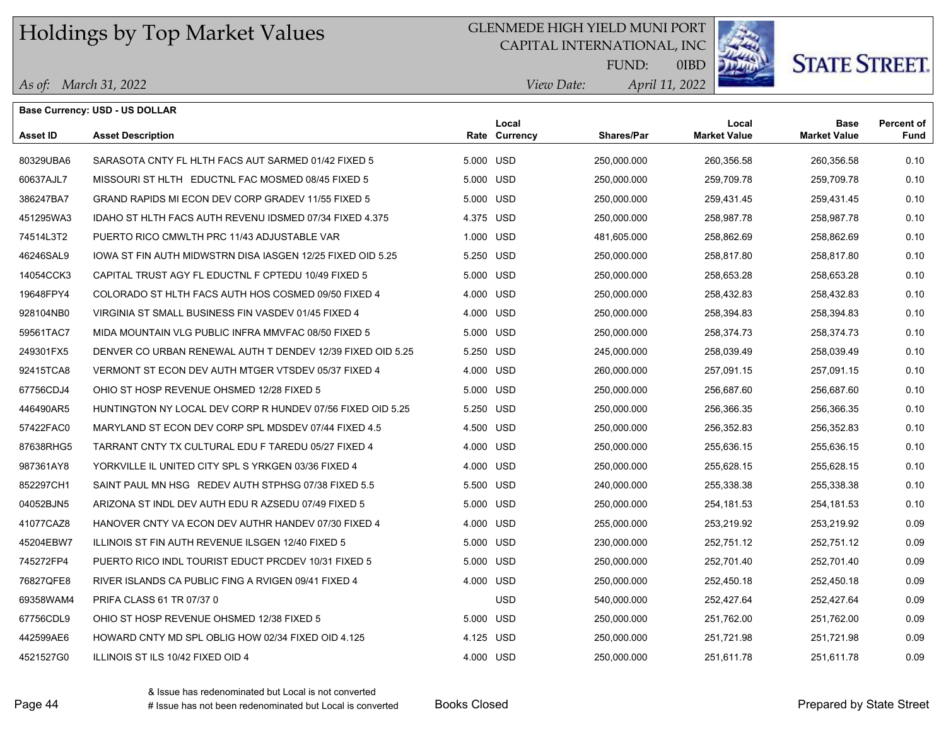## GLENMEDE HIGH YIELD MUNI PORT

CAPITAL INTERNATIONAL, INC



**STATE STREET.** 

*April 11, 2022 View Date:* FUND:

0IBD

| As of: March 31, 2022 |  |
|-----------------------|--|
|-----------------------|--|

|           | Base Currency: USD - US DOLLAR                             |           |                        |                   |                              |                                    |                           |
|-----------|------------------------------------------------------------|-----------|------------------------|-------------------|------------------------------|------------------------------------|---------------------------|
| Asset ID  | <b>Asset Description</b>                                   |           | Local<br>Rate Currency | <b>Shares/Par</b> | Local<br><b>Market Value</b> | <b>Base</b><br><b>Market Value</b> | <b>Percent of</b><br>Fund |
| 80329UBA6 | SARASOTA CNTY FL HLTH FACS AUT SARMED 01/42 FIXED 5        | 5.000 USD |                        | 250,000.000       | 260,356.58                   | 260,356.58                         | 0.10                      |
| 60637AJL7 | MISSOURI ST HLTH EDUCTNL FAC MOSMED 08/45 FIXED 5          | 5.000 USD |                        | 250,000.000       | 259.709.78                   | 259.709.78                         | 0.10                      |
| 386247BA7 | GRAND RAPIDS MI ECON DEV CORP GRADEV 11/55 FIXED 5         | 5.000 USD |                        | 250,000.000       | 259,431.45                   | 259,431.45                         | 0.10                      |
| 451295WA3 | IDAHO ST HLTH FACS AUTH REVENU IDSMED 07/34 FIXED 4.375    | 4.375 USD |                        | 250,000.000       | 258,987.78                   | 258,987.78                         | 0.10                      |
| 74514L3T2 | PUERTO RICO CMWLTH PRC 11/43 ADJUSTABLE VAR                | 1.000 USD |                        | 481,605.000       | 258,862.69                   | 258,862.69                         | 0.10                      |
| 46246SAL9 | IOWA ST FIN AUTH MIDWSTRN DISA IASGEN 12/25 FIXED OID 5.25 | 5.250 USD |                        | 250,000.000       | 258,817.80                   | 258,817.80                         | 0.10                      |
| 14054CCK3 | CAPITAL TRUST AGY FL EDUCTNL F CPTEDU 10/49 FIXED 5        | 5.000 USD |                        | 250,000.000       | 258,653.28                   | 258,653.28                         | 0.10                      |
| 19648FPY4 | COLORADO ST HLTH FACS AUTH HOS COSMED 09/50 FIXED 4        | 4.000 USD |                        | 250,000.000       | 258,432.83                   | 258,432.83                         | 0.10                      |
| 928104NB0 | VIRGINIA ST SMALL BUSINESS FIN VASDEV 01/45 FIXED 4        | 4.000 USD |                        | 250,000.000       | 258,394.83                   | 258,394.83                         | 0.10                      |
| 59561TAC7 | MIDA MOUNTAIN VLG PUBLIC INFRA MMVFAC 08/50 FIXED 5        | 5.000 USD |                        | 250,000.000       | 258,374.73                   | 258,374.73                         | 0.10                      |
| 249301FX5 | DENVER CO URBAN RENEWAL AUTH T DENDEV 12/39 FIXED OID 5.25 | 5.250 USD |                        | 245,000.000       | 258,039.49                   | 258,039.49                         | 0.10                      |
| 92415TCA8 | VERMONT ST ECON DEV AUTH MTGER VTSDEV 05/37 FIXED 4        | 4.000 USD |                        | 260,000.000       | 257,091.15                   | 257,091.15                         | 0.10                      |
| 67756CDJ4 | OHIO ST HOSP REVENUE OHSMED 12/28 FIXED 5                  | 5.000 USD |                        | 250,000.000       | 256,687.60                   | 256,687.60                         | 0.10                      |
| 446490AR5 | HUNTINGTON NY LOCAL DEV CORP R HUNDEV 07/56 FIXED OID 5.25 | 5.250 USD |                        | 250,000.000       | 256,366.35                   | 256,366.35                         | 0.10                      |
| 57422FAC0 | MARYLAND ST ECON DEV CORP SPL MDSDEV 07/44 FIXED 4.5       | 4.500 USD |                        | 250,000.000       | 256,352.83                   | 256,352.83                         | 0.10                      |
| 87638RHG5 | TARRANT CNTY TX CULTURAL EDU F TAREDU 05/27 FIXED 4        | 4.000 USD |                        | 250,000.000       | 255,636.15                   | 255,636.15                         | 0.10                      |
| 987361AY8 | YORKVILLE IL UNITED CITY SPL S YRKGEN 03/36 FIXED 4        | 4.000 USD |                        | 250,000.000       | 255,628.15                   | 255,628.15                         | 0.10                      |
| 852297CH1 | SAINT PAUL MN HSG REDEV AUTH STPHSG 07/38 FIXED 5.5        | 5.500 USD |                        | 240,000.000       | 255,338.38                   | 255,338.38                         | 0.10                      |
| 04052BJN5 | ARIZONA ST INDL DEV AUTH EDU R AZSEDU 07/49 FIXED 5        | 5.000 USD |                        | 250,000.000       | 254,181.53                   | 254,181.53                         | 0.10                      |
| 41077CAZ8 | HANOVER CNTY VA ECON DEV AUTHR HANDEV 07/30 FIXED 4        | 4.000 USD |                        | 255,000.000       | 253,219.92                   | 253,219.92                         | 0.09                      |
| 45204EBW7 | ILLINOIS ST FIN AUTH REVENUE ILSGEN 12/40 FIXED 5          | 5.000 USD |                        | 230,000.000       | 252,751.12                   | 252,751.12                         | 0.09                      |
| 745272FP4 | PUERTO RICO INDL TOURIST EDUCT PRCDEV 10/31 FIXED 5        | 5.000 USD |                        | 250,000.000       | 252,701.40                   | 252,701.40                         | 0.09                      |
| 76827QFE8 | RIVER ISLANDS CA PUBLIC FING A RVIGEN 09/41 FIXED 4        | 4.000 USD |                        | 250,000.000       | 252,450.18                   | 252,450.18                         | 0.09                      |
| 69358WAM4 | PRIFA CLASS 61 TR 07/37 0                                  |           | <b>USD</b>             | 540,000.000       | 252,427.64                   | 252,427.64                         | 0.09                      |
| 67756CDL9 | OHIO ST HOSP REVENUE OHSMED 12/38 FIXED 5                  | 5.000 USD |                        | 250,000.000       | 251,762.00                   | 251,762.00                         | 0.09                      |
| 442599AE6 | HOWARD CNTY MD SPL OBLIG HOW 02/34 FIXED OID 4.125         | 4.125 USD |                        | 250,000.000       | 251,721.98                   | 251,721.98                         | 0.09                      |
| 4521527G0 | ILLINOIS ST ILS 10/42 FIXED OID 4                          | 4.000 USD |                        | 250,000.000       | 251,611.78                   | 251,611.78                         | 0.09                      |

& Issue has redenominated but Local is not converted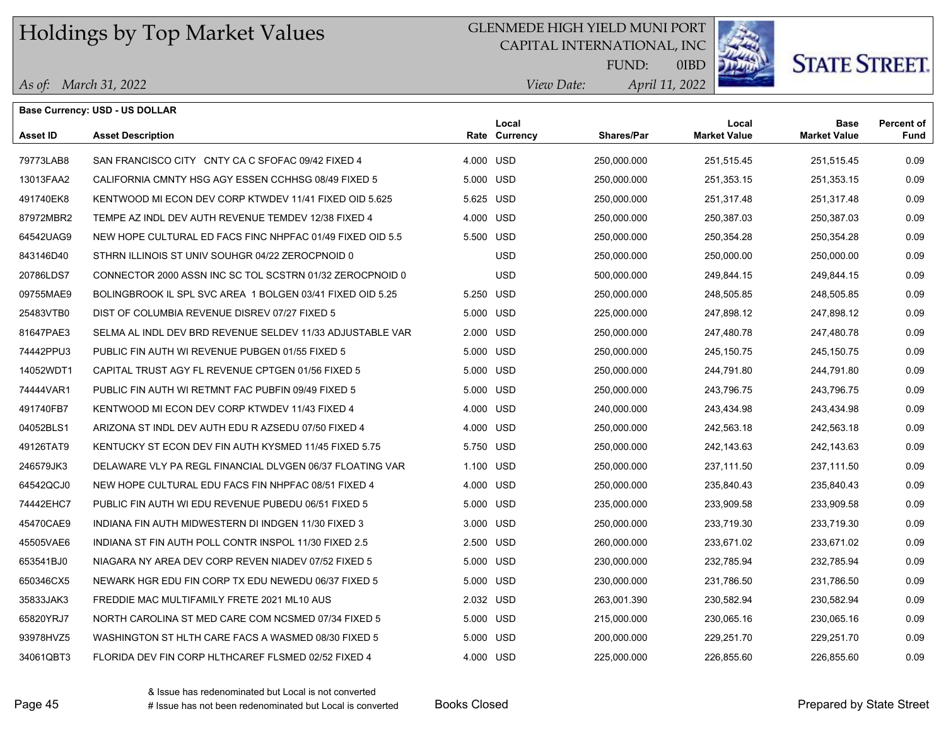## GLENMEDE HIGH YIELD MUNI PORT

CAPITAL INTERNATIONAL, INC



**STATE STREET.** 

*April 11, 2022 View Date:* FUND:

| As of: March 31, 2022 |  |
|-----------------------|--|
|                       |  |

|           | <b>Base Currency: USD - US DOLLAR</b>                     |           |                        |                   |                              |                                    |                           |
|-----------|-----------------------------------------------------------|-----------|------------------------|-------------------|------------------------------|------------------------------------|---------------------------|
| Asset ID  | <b>Asset Description</b>                                  |           | Local<br>Rate Currency | <b>Shares/Par</b> | Local<br><b>Market Value</b> | <b>Base</b><br><b>Market Value</b> | <b>Percent of</b><br>Fund |
| 79773LAB8 | SAN FRANCISCO CITY CNTY CA C SFOFAC 09/42 FIXED 4         | 4.000 USD |                        | 250,000.000       | 251,515.45                   | 251,515.45                         | 0.09                      |
| 13013FAA2 | CALIFORNIA CMNTY HSG AGY ESSEN CCHHSG 08/49 FIXED 5       | 5.000     | USD                    | 250,000.000       | 251,353.15                   | 251,353.15                         | 0.09                      |
| 491740EK8 | KENTWOOD MI ECON DEV CORP KTWDEV 11/41 FIXED OID 5.625    | 5.625 USD |                        | 250,000.000       | 251,317.48                   | 251,317.48                         | 0.09                      |
| 87972MBR2 | TEMPE AZ INDL DEV AUTH REVENUE TEMDEV 12/38 FIXED 4       | 4.000 USD |                        | 250,000.000       | 250,387.03                   | 250,387.03                         | 0.09                      |
| 64542UAG9 | NEW HOPE CULTURAL ED FACS FINC NHPFAC 01/49 FIXED OID 5.5 | 5.500 USD |                        | 250,000.000       | 250,354.28                   | 250,354.28                         | 0.09                      |
| 843146D40 | STHRN ILLINOIS ST UNIV SOUHGR 04/22 ZEROCPNOID 0          |           | <b>USD</b>             | 250,000.000       | 250,000.00                   | 250,000.00                         | 0.09                      |
| 20786LDS7 | CONNECTOR 2000 ASSN INC SC TOL SCSTRN 01/32 ZEROCPNOID 0  |           | USD                    | 500,000.000       | 249,844.15                   | 249,844.15                         | 0.09                      |
| 09755MAE9 | BOLINGBROOK IL SPL SVC AREA 1 BOLGEN 03/41 FIXED OID 5.25 | 5.250 USD |                        | 250,000.000       | 248,505.85                   | 248,505.85                         | 0.09                      |
| 25483VTB0 | DIST OF COLUMBIA REVENUE DISREV 07/27 FIXED 5             | 5.000 USD |                        | 225,000.000       | 247,898.12                   | 247,898.12                         | 0.09                      |
| 81647PAE3 | SELMA AL INDL DEV BRD REVENUE SELDEV 11/33 ADJUSTABLE VAR | 2.000 USD |                        | 250,000.000       | 247,480.78                   | 247,480.78                         | 0.09                      |
| 74442PPU3 | PUBLIC FIN AUTH WI REVENUE PUBGEN 01/55 FIXED 5           | 5.000 USD |                        | 250,000.000       | 245,150.75                   | 245,150.75                         | 0.09                      |
| 14052WDT1 | CAPITAL TRUST AGY FL REVENUE CPTGEN 01/56 FIXED 5         | 5.000 USD |                        | 250,000.000       | 244,791.80                   | 244,791.80                         | 0.09                      |
| 74444VAR1 | PUBLIC FIN AUTH WI RETMNT FAC PUBFIN 09/49 FIXED 5        | 5.000 USD |                        | 250,000.000       | 243,796.75                   | 243,796.75                         | 0.09                      |
| 491740FB7 | KENTWOOD MI ECON DEV CORP KTWDEV 11/43 FIXED 4            | 4.000 USD |                        | 240,000.000       | 243,434.98                   | 243,434.98                         | 0.09                      |
| 04052BLS1 | ARIZONA ST INDL DEV AUTH EDU R AZSEDU 07/50 FIXED 4       | 4.000 USD |                        | 250,000.000       | 242,563.18                   | 242,563.18                         | 0.09                      |
| 49126TAT9 | KENTUCKY ST ECON DEV FIN AUTH KYSMED 11/45 FIXED 5.75     | 5.750     | USD                    | 250,000.000       | 242,143.63                   | 242,143.63                         | 0.09                      |
| 246579JK3 | DELAWARE VLY PA REGL FINANCIAL DLVGEN 06/37 FLOATING VAR  | 1.100 USD |                        | 250,000.000       | 237,111.50                   | 237,111.50                         | 0.09                      |
| 64542QCJ0 | NEW HOPE CULTURAL EDU FACS FIN NHPFAC 08/51 FIXED 4       | 4.000 USD |                        | 250,000.000       | 235,840.43                   | 235,840.43                         | 0.09                      |
| 74442EHC7 | PUBLIC FIN AUTH WI EDU REVENUE PUBEDU 06/51 FIXED 5       | 5.000 USD |                        | 235,000.000       | 233,909.58                   | 233,909.58                         | 0.09                      |
| 45470CAE9 | INDIANA FIN AUTH MIDWESTERN DI INDGEN 11/30 FIXED 3       | 3.000 USD |                        | 250,000.000       | 233,719.30                   | 233,719.30                         | 0.09                      |
| 45505VAE6 | INDIANA ST FIN AUTH POLL CONTR INSPOL 11/30 FIXED 2.5     | 2.500 USD |                        | 260,000.000       | 233,671.02                   | 233,671.02                         | 0.09                      |
| 653541BJ0 | NIAGARA NY AREA DEV CORP REVEN NIADEV 07/52 FIXED 5       | 5.000 USD |                        | 230,000.000       | 232,785.94                   | 232,785.94                         | 0.09                      |
| 650346CX5 | NEWARK HGR EDU FIN CORP TX EDU NEWEDU 06/37 FIXED 5       | 5.000     | USD                    | 230,000.000       | 231,786.50                   | 231,786.50                         | 0.09                      |
| 35833JAK3 | FREDDIE MAC MULTIFAMILY FRETE 2021 ML10 AUS               | 2.032 USD |                        | 263,001.390       | 230,582.94                   | 230,582.94                         | 0.09                      |
| 65820YRJ7 | NORTH CAROLINA ST MED CARE COM NCSMED 07/34 FIXED 5       | 5.000 USD |                        | 215,000.000       | 230,065.16                   | 230,065.16                         | 0.09                      |
| 93978HVZ5 | WASHINGTON ST HLTH CARE FACS A WASMED 08/30 FIXED 5       | 5.000 USD |                        | 200,000.000       | 229,251.70                   | 229,251.70                         | 0.09                      |
| 34061QBT3 | FLORIDA DEV FIN CORP HLTHCAREF FLSMED 02/52 FIXED 4       | 4.000 USD |                        | 225,000.000       | 226,855.60                   | 226,855.60                         | 0.09                      |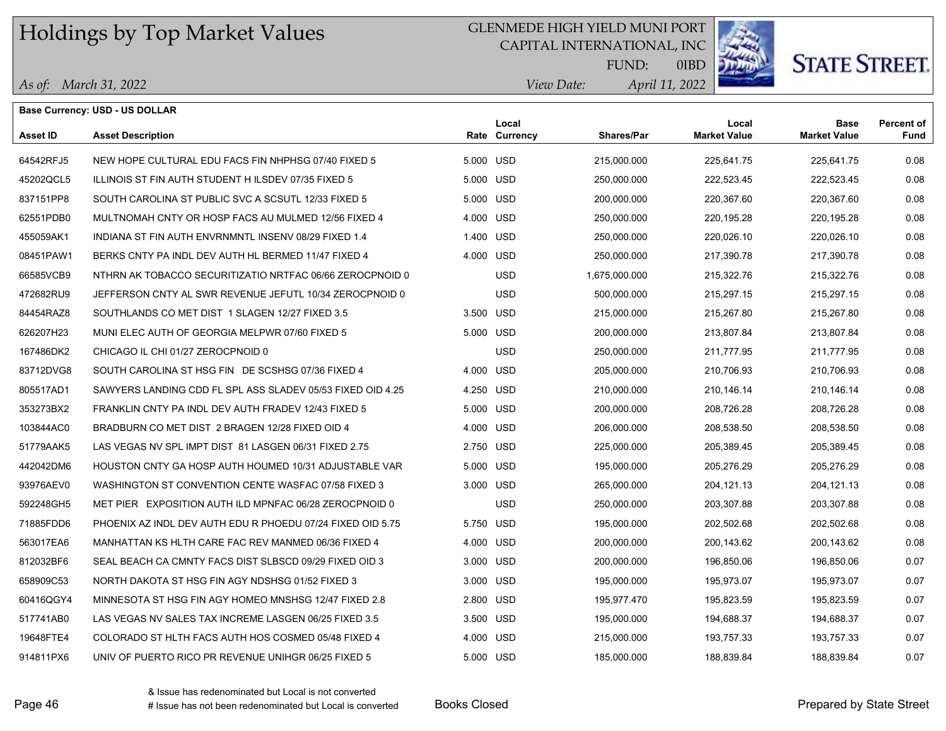## GLENMEDE HIGH YIELD MUNI PORT

CAPITAL INTERNATIONAL, INC



**STATE STREET.** 

*April 11, 2022 View Date:* FUND:

| As of: March 31, 2022 |  |
|-----------------------|--|
|-----------------------|--|

|                 | <b>Base Currency: USD - US DOLLAR</b>                      |           |                        |                   |                              |                                    |                           |
|-----------------|------------------------------------------------------------|-----------|------------------------|-------------------|------------------------------|------------------------------------|---------------------------|
| <b>Asset ID</b> | <b>Asset Description</b>                                   |           | Local<br>Rate Currency | <b>Shares/Par</b> | Local<br><b>Market Value</b> | <b>Base</b><br><b>Market Value</b> | <b>Percent of</b><br>Fund |
| 64542RFJ5       | NEW HOPE CULTURAL EDU FACS FIN NHPHSG 07/40 FIXED 5        | 5.000 USD |                        | 215,000.000       | 225,641.75                   | 225,641.75                         | 0.08                      |
| 45202QCL5       | ILLINOIS ST FIN AUTH STUDENT HILSDEV 07/35 FIXED 5         | 5.000 USD |                        | 250,000.000       | 222,523.45                   | 222,523.45                         | 0.08                      |
| 837151PP8       | SOUTH CAROLINA ST PUBLIC SVC A SCSUTL 12/33 FIXED 5        | 5.000 USD |                        | 200,000.000       | 220,367.60                   | 220,367.60                         | 0.08                      |
| 62551PDB0       | MULTNOMAH CNTY OR HOSP FACS AU MULMED 12/56 FIXED 4        | 4.000 USD |                        | 250,000.000       | 220,195.28                   | 220,195.28                         | 0.08                      |
| 455059AK1       | INDIANA ST FIN AUTH ENVRNMNTL INSENV 08/29 FIXED 1.4       | 1.400 USD |                        | 250,000.000       | 220,026.10                   | 220,026.10                         | 0.08                      |
| 08451PAW1       | BERKS CNTY PA INDL DEV AUTH HL BERMED 11/47 FIXED 4        | 4.000 USD |                        | 250,000.000       | 217,390.78                   | 217,390.78                         | 0.08                      |
| 66585VCB9       | NTHRN AK TOBACCO SECURITIZATIO NRTFAC 06/66 ZEROCPNOID 0   |           | <b>USD</b>             | 1,675,000.000     | 215,322.76                   | 215,322.76                         | 0.08                      |
| 472682RU9       | JEFFERSON CNTY AL SWR REVENUE JEFUTL 10/34 ZEROCPNOID 0    |           | <b>USD</b>             | 500,000.000       | 215,297.15                   | 215,297.15                         | 0.08                      |
| 84454RAZ8       | SOUTHLANDS CO MET DIST 1 SLAGEN 12/27 FIXED 3.5            | 3.500 USD |                        | 215,000.000       | 215,267.80                   | 215,267.80                         | 0.08                      |
| 626207H23       | MUNI ELEC AUTH OF GEORGIA MELPWR 07/60 FIXED 5             | 5.000 USD |                        | 200,000.000       | 213,807.84                   | 213,807.84                         | 0.08                      |
| 167486DK2       | CHICAGO IL CHI 01/27 ZEROCPNOID 0                          |           | <b>USD</b>             | 250,000.000       | 211,777.95                   | 211,777.95                         | 0.08                      |
| 83712DVG8       | SOUTH CAROLINA ST HSG FIN DE SCSHSG 07/36 FIXED 4          | 4.000 USD |                        | 205,000.000       | 210,706.93                   | 210,706.93                         | 0.08                      |
| 805517AD1       | SAWYERS LANDING CDD FL SPL ASS SLADEV 05/53 FIXED OID 4.25 | 4.250 USD |                        | 210,000.000       | 210,146.14                   | 210,146.14                         | 0.08                      |
| 353273BX2       | FRANKLIN CNTY PA INDL DEV AUTH FRADEV 12/43 FIXED 5        | 5.000 USD |                        | 200,000.000       | 208,726.28                   | 208,726.28                         | 0.08                      |
| 103844AC0       | BRADBURN CO MET DIST 2 BRAGEN 12/28 FIXED OID 4            | 4.000 USD |                        | 206,000.000       | 208,538.50                   | 208,538.50                         | 0.08                      |
| 51779AAK5       | LAS VEGAS NV SPL IMPT DIST 81 LASGEN 06/31 FIXED 2.75      | 2.750 USD |                        | 225,000.000       | 205.389.45                   | 205,389.45                         | 0.08                      |
| 442042DM6       | HOUSTON CNTY GA HOSP AUTH HOUMED 10/31 ADJUSTABLE VAR      | 5.000 USD |                        | 195,000.000       | 205,276.29                   | 205,276.29                         | 0.08                      |
| 93976AEV0       | WASHINGTON ST CONVENTION CENTE WASFAC 07/58 FIXED 3        | 3.000 USD |                        | 265,000.000       | 204, 121.13                  | 204,121.13                         | 0.08                      |
| 592248GH5       | MET PIER EXPOSITION AUTH ILD MPNFAC 06/28 ZEROCPNOID 0     |           | <b>USD</b>             | 250,000.000       | 203,307.88                   | 203,307.88                         | 0.08                      |
| 71885FDD6       | PHOENIX AZ INDL DEV AUTH EDU R PHOEDU 07/24 FIXED OID 5.75 | 5.750 USD |                        | 195,000.000       | 202,502.68                   | 202,502.68                         | 0.08                      |
| 563017EA6       | MANHATTAN KS HLTH CARE FAC REV MANMED 06/36 FIXED 4        | 4.000 USD |                        | 200,000.000       | 200,143.62                   | 200,143.62                         | 0.08                      |
| 812032BF6       | SEAL BEACH CA CMNTY FACS DIST SLBSCD 09/29 FIXED OID 3     | 3.000 USD |                        | 200,000.000       | 196,850.06                   | 196,850.06                         | 0.07                      |
| 658909C53       | NORTH DAKOTA ST HSG FIN AGY NDSHSG 01/52 FIXED 3           | 3.000 USD |                        | 195,000.000       | 195,973.07                   | 195,973.07                         | 0.07                      |
| 60416QGY4       | MINNESOTA ST HSG FIN AGY HOMEO MNSHSG 12/47 FIXED 2.8      | 2.800 USD |                        | 195,977.470       | 195,823.59                   | 195,823.59                         | 0.07                      |
| 517741AB0       | LAS VEGAS NV SALES TAX INCREME LASGEN 06/25 FIXED 3.5      | 3.500 USD |                        | 195,000.000       | 194,688.37                   | 194,688.37                         | 0.07                      |
| 19648FTE4       | COLORADO ST HLTH FACS AUTH HOS COSMED 05/48 FIXED 4        | 4.000 USD |                        | 215,000.000       | 193,757.33                   | 193,757.33                         | 0.07                      |
| 914811PX6       | UNIV OF PUERTO RICO PR REVENUE UNIHGR 06/25 FIXED 5        | 5.000 USD |                        | 185,000.000       | 188,839.84                   | 188,839.84                         | 0.07                      |
|                 |                                                            |           |                        |                   |                              |                                    |                           |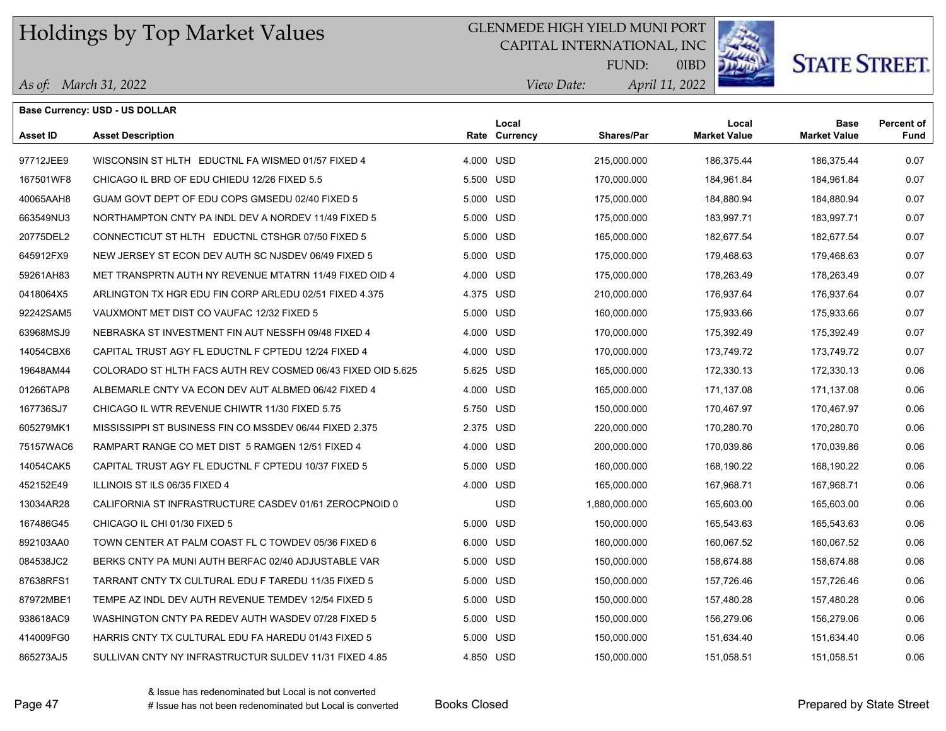## GLENMEDE HIGH YIELD MUNI PORT

CAPITAL INTERNATIONAL, INC



**STATE STREET.** 

*April 11, 2022 View Date:* FUND:

|  | As of: March 31, 2022 |  |
|--|-----------------------|--|
|--|-----------------------|--|

|                 | <b>Base Currency: USD - US DOLLAR</b>                       |           |                        |                   |                              |                                    |                           |
|-----------------|-------------------------------------------------------------|-----------|------------------------|-------------------|------------------------------|------------------------------------|---------------------------|
| <b>Asset ID</b> | <b>Asset Description</b>                                    |           | Local<br>Rate Currency | <b>Shares/Par</b> | Local<br><b>Market Value</b> | <b>Base</b><br><b>Market Value</b> | <b>Percent of</b><br>Fund |
| 97712JEE9       | WISCONSIN ST HLTH EDUCTNL FA WISMED 01/57 FIXED 4           | 4.000 USD |                        | 215,000.000       | 186,375.44                   | 186,375.44                         | 0.07                      |
| 167501WF8       | CHICAGO IL BRD OF EDU CHIEDU 12/26 FIXED 5.5                | 5.500 USD |                        | 170,000.000       | 184,961.84                   | 184,961.84                         | 0.07                      |
| 40065AAH8       | GUAM GOVT DEPT OF EDU COPS GMSEDU 02/40 FIXED 5             | 5.000 USD |                        | 175,000.000       | 184,880.94                   | 184,880.94                         | 0.07                      |
| 663549NU3       | NORTHAMPTON CNTY PA INDL DEV A NORDEV 11/49 FIXED 5         | 5.000 USD |                        | 175,000.000       | 183,997.71                   | 183,997.71                         | 0.07                      |
| 20775DEL2       | CONNECTICUT ST HLTH EDUCTNL CTSHGR 07/50 FIXED 5            | 5.000 USD |                        | 165,000.000       | 182,677.54                   | 182,677.54                         | 0.07                      |
| 645912FX9       | NEW JERSEY ST ECON DEV AUTH SC NJSDEV 06/49 FIXED 5         | 5.000 USD |                        | 175,000.000       | 179,468.63                   | 179,468.63                         | 0.07                      |
| 59261AH83       | MET TRANSPRTN AUTH NY REVENUE MTATRN 11/49 FIXED OID 4      | 4.000 USD |                        | 175,000.000       | 178,263.49                   | 178,263.49                         | 0.07                      |
| 0418064X5       | ARLINGTON TX HGR EDU FIN CORP ARLEDU 02/51 FIXED 4.375      | 4.375 USD |                        | 210,000.000       | 176,937.64                   | 176,937.64                         | 0.07                      |
| 92242SAM5       | VAUXMONT MET DIST CO VAUFAC 12/32 FIXED 5                   | 5.000 USD |                        | 160,000.000       | 175,933.66                   | 175,933.66                         | 0.07                      |
| 63968MSJ9       | NEBRASKA ST INVESTMENT FIN AUT NESSFH 09/48 FIXED 4         | 4.000 USD |                        | 170,000.000       | 175,392.49                   | 175,392.49                         | 0.07                      |
| 14054CBX6       | CAPITAL TRUST AGY FL EDUCTNL F CPTEDU 12/24 FIXED 4         | 4.000 USD |                        | 170,000.000       | 173,749.72                   | 173,749.72                         | 0.07                      |
| 19648AM44       | COLORADO ST HLTH FACS AUTH REV COSMED 06/43 FIXED OID 5.625 | 5.625 USD |                        | 165,000.000       | 172,330.13                   | 172,330.13                         | 0.06                      |
| 01266TAP8       | ALBEMARLE CNTY VA ECON DEV AUT ALBMED 06/42 FIXED 4         | 4.000 USD |                        | 165,000.000       | 171.137.08                   | 171,137.08                         | 0.06                      |
| 167736SJ7       | CHICAGO IL WTR REVENUE CHIWTR 11/30 FIXED 5.75              | 5.750 USD |                        | 150,000.000       | 170,467.97                   | 170,467.97                         | 0.06                      |
| 605279MK1       | MISSISSIPPI ST BUSINESS FIN CO MSSDEV 06/44 FIXED 2.375     | 2.375 USD |                        | 220,000.000       | 170,280.70                   | 170,280.70                         | 0.06                      |
| 75157WAC6       | RAMPART RANGE CO MET DIST 5 RAMGEN 12/51 FIXED 4            | 4.000 USD |                        | 200,000.000       | 170.039.86                   | 170.039.86                         | 0.06                      |
| 14054CAK5       | CAPITAL TRUST AGY FL EDUCTNL F CPTEDU 10/37 FIXED 5         | 5.000 USD |                        | 160,000.000       | 168,190.22                   | 168,190.22                         | 0.06                      |
| 452152E49       | ILLINOIS ST ILS 06/35 FIXED 4                               | 4.000 USD |                        | 165,000.000       | 167,968.71                   | 167,968.71                         | 0.06                      |
| 13034AR28       | CALIFORNIA ST INFRASTRUCTURE CASDEV 01/61 ZEROCPNOID 0      |           | <b>USD</b>             | 1,880,000.000     | 165,603.00                   | 165,603.00                         | 0.06                      |
| 167486G45       | CHICAGO IL CHI 01/30 FIXED 5                                | 5.000 USD |                        | 150,000.000       | 165,543.63                   | 165,543.63                         | 0.06                      |
| 892103AA0       | TOWN CENTER AT PALM COAST FL C TOWDEV 05/36 FIXED 6         | 6.000 USD |                        | 160,000.000       | 160,067.52                   | 160,067.52                         | 0.06                      |
| 084538JC2       | BERKS CNTY PA MUNI AUTH BERFAC 02/40 ADJUSTABLE VAR         | 5.000 USD |                        | 150,000.000       | 158,674.88                   | 158,674.88                         | 0.06                      |
| 87638RFS1       | TARRANT CNTY TX CULTURAL EDU F TAREDU 11/35 FIXED 5         | 5.000 USD |                        | 150,000.000       | 157,726.46                   | 157,726.46                         | 0.06                      |
| 87972MBE1       | TEMPE AZ INDL DEV AUTH REVENUE TEMDEV 12/54 FIXED 5         | 5.000 USD |                        | 150,000.000       | 157,480.28                   | 157,480.28                         | 0.06                      |
| 938618AC9       | WASHINGTON CNTY PA REDEV AUTH WASDEV 07/28 FIXED 5          | 5.000 USD |                        | 150,000.000       | 156,279.06                   | 156,279.06                         | 0.06                      |
| 414009FG0       | HARRIS CNTY TX CULTURAL EDU FA HAREDU 01/43 FIXED 5         | 5.000 USD |                        | 150,000.000       | 151,634.40                   | 151,634.40                         | 0.06                      |
| 865273AJ5       | SULLIVAN CNTY NY INFRASTRUCTUR SULDEV 11/31 FIXED 4.85      | 4.850 USD |                        | 150,000.000       | 151,058.51                   | 151,058.51                         | 0.06                      |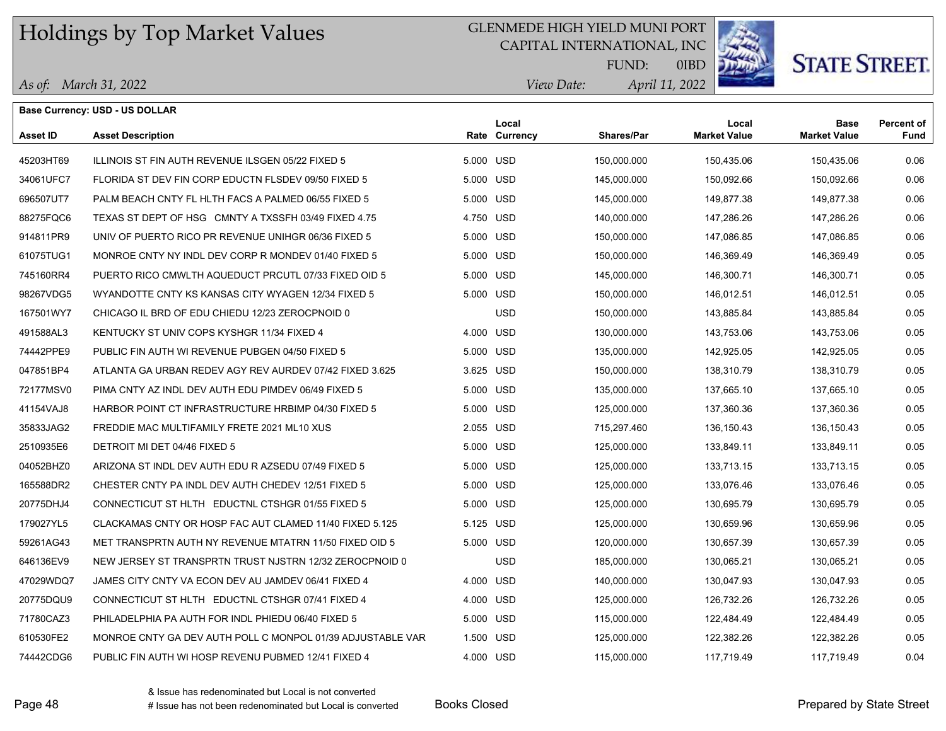## GLENMEDE HIGH YIELD MUNI PORT

CAPITAL INTERNATIONAL, INC



0IBD

# **STATE STREET.**

*April 11, 2022 View Date:* FUND:

|  | As of: March 31, 2022 |  |
|--|-----------------------|--|
|--|-----------------------|--|

| Base Currency: USD - US DOLLAR |                                                            |           |                        |                   |                              |                                    |                           |  |
|--------------------------------|------------------------------------------------------------|-----------|------------------------|-------------------|------------------------------|------------------------------------|---------------------------|--|
| <b>Asset ID</b>                | <b>Asset Description</b>                                   |           | Local<br>Rate Currency | <b>Shares/Par</b> | Local<br><b>Market Value</b> | <b>Base</b><br><b>Market Value</b> | <b>Percent of</b><br>Fund |  |
| 45203HT69                      | ILLINOIS ST FIN AUTH REVENUE ILSGEN 05/22 FIXED 5          | 5.000 USD |                        | 150,000.000       | 150,435.06                   | 150,435.06                         | 0.06                      |  |
| 34061UFC7                      | FLORIDA ST DEV FIN CORP EDUCTN FLSDEV 09/50 FIXED 5        | 5.000 USD |                        | 145,000.000       | 150,092.66                   | 150,092.66                         | 0.06                      |  |
| 696507UT7                      | PALM BEACH CNTY FL HLTH FACS A PALMED 06/55 FIXED 5        | 5.000 USD |                        | 145,000.000       | 149.877.38                   | 149,877.38                         | 0.06                      |  |
| 88275FQC6                      | TEXAS ST DEPT OF HSG CMNTY A TXSSFH 03/49 FIXED 4.75       | 4.750 USD |                        | 140,000.000       | 147,286.26                   | 147,286.26                         | 0.06                      |  |
| 914811PR9                      | UNIV OF PUERTO RICO PR REVENUE UNIHGR 06/36 FIXED 5        | 5.000 USD |                        | 150,000.000       | 147,086.85                   | 147,086.85                         | 0.06                      |  |
| 61075TUG1                      | MONROE CNTY NY INDL DEV CORP R MONDEV 01/40 FIXED 5        | 5.000 USD |                        | 150,000.000       | 146,369.49                   | 146,369.49                         | 0.05                      |  |
| 745160RR4                      | PUERTO RICO CMWLTH AQUEDUCT PRCUTL 07/33 FIXED OID 5       | 5.000 USD |                        | 145,000.000       | 146,300.71                   | 146,300.71                         | 0.05                      |  |
| 98267VDG5                      | WYANDOTTE CNTY KS KANSAS CITY WYAGEN 12/34 FIXED 5         | 5.000 USD |                        | 150,000.000       | 146,012.51                   | 146,012.51                         | 0.05                      |  |
| 167501WY7                      | CHICAGO IL BRD OF EDU CHIEDU 12/23 ZEROCPNOID 0            |           | <b>USD</b>             | 150,000.000       | 143,885.84                   | 143,885.84                         | 0.05                      |  |
| 491588AL3                      | KENTUCKY ST UNIV COPS KYSHGR 11/34 FIXED 4                 | 4.000 USD |                        | 130,000.000       | 143.753.06                   | 143,753.06                         | 0.05                      |  |
| 74442PPE9                      | PUBLIC FIN AUTH WI REVENUE PUBGEN 04/50 FIXED 5            | 5.000 USD |                        | 135,000.000       | 142,925.05                   | 142,925.05                         | 0.05                      |  |
| 047851BP4                      | ATLANTA GA URBAN REDEV AGY REV AURDEV 07/42 FIXED 3.625    | 3.625 USD |                        | 150,000.000       | 138,310.79                   | 138,310.79                         | 0.05                      |  |
| 72177MSV0                      | PIMA CNTY AZ INDL DEV AUTH EDU PIMDEV 06/49 FIXED 5        | 5.000 USD |                        | 135,000.000       | 137,665.10                   | 137,665.10                         | 0.05                      |  |
| 41154VAJ8                      | HARBOR POINT CT INFRASTRUCTURE HRBIMP 04/30 FIXED 5        | 5.000 USD |                        | 125,000.000       | 137,360.36                   | 137,360.36                         | 0.05                      |  |
| 35833JAG2                      | FREDDIE MAC MULTIFAMILY FRETE 2021 ML10 XUS                | 2.055 USD |                        | 715,297.460       | 136,150.43                   | 136,150.43                         | 0.05                      |  |
| 2510935E6                      | DETROIT MI DET 04/46 FIXED 5                               | 5.000 USD |                        | 125,000.000       | 133,849.11                   | 133,849.11                         | 0.05                      |  |
| 04052BHZ0                      | ARIZONA ST INDL DEV AUTH EDU R AZSEDU 07/49 FIXED 5        | 5.000 USD |                        | 125,000.000       | 133,713.15                   | 133,713.15                         | 0.05                      |  |
| 165588DR2                      | CHESTER CNTY PA INDL DEV AUTH CHEDEV 12/51 FIXED 5         | 5.000 USD |                        | 125,000.000       | 133,076.46                   | 133,076.46                         | 0.05                      |  |
| 20775DHJ4                      | CONNECTICUT ST HLTH EDUCTNL CTSHGR 01/55 FIXED 5           | 5.000 USD |                        | 125,000.000       | 130,695.79                   | 130,695.79                         | 0.05                      |  |
| 179027YL5                      | CLACKAMAS CNTY OR HOSP FAC AUT CLAMED 11/40 FIXED 5.125    | 5.125 USD |                        | 125,000.000       | 130,659.96                   | 130,659.96                         | 0.05                      |  |
| 59261AG43                      | MET TRANSPRTN AUTH NY REVENUE MTATRN 11/50 FIXED OID 5     | 5.000 USD |                        | 120,000.000       | 130,657.39                   | 130,657.39                         | 0.05                      |  |
| 646136EV9                      | NEW JERSEY ST TRANSPRTN TRUST NJSTRN 12/32 ZEROCPNOID 0    |           | <b>USD</b>             | 185,000.000       | 130,065.21                   | 130,065.21                         | 0.05                      |  |
| 47029WDQ7                      | JAMES CITY CNTY VA ECON DEV AU JAMDEV 06/41 FIXED 4        | 4.000 USD |                        | 140,000.000       | 130,047.93                   | 130,047.93                         | 0.05                      |  |
| 20775DQU9                      | CONNECTICUT ST HLTH EDUCTNL CTSHGR 07/41 FIXED 4           | 4.000 USD |                        | 125,000.000       | 126,732.26                   | 126,732.26                         | 0.05                      |  |
| 71780CAZ3                      | PHILADELPHIA PA AUTH FOR INDL PHIEDU 06/40 FIXED 5         | 5.000 USD |                        | 115,000.000       | 122,484.49                   | 122,484.49                         | 0.05                      |  |
| 610530FE2                      | MONROE CNTY GA DEV AUTH POLL C MONPOL 01/39 ADJUSTABLE VAR | 1.500 USD |                        | 125,000.000       | 122,382.26                   | 122,382.26                         | 0.05                      |  |
| 74442CDG6                      | PUBLIC FIN AUTH WI HOSP REVENU PUBMED 12/41 FIXED 4        | 4.000 USD |                        | 115,000.000       | 117,719.49                   | 117,719.49                         | 0.04                      |  |

& Issue has redenominated but Local is not converted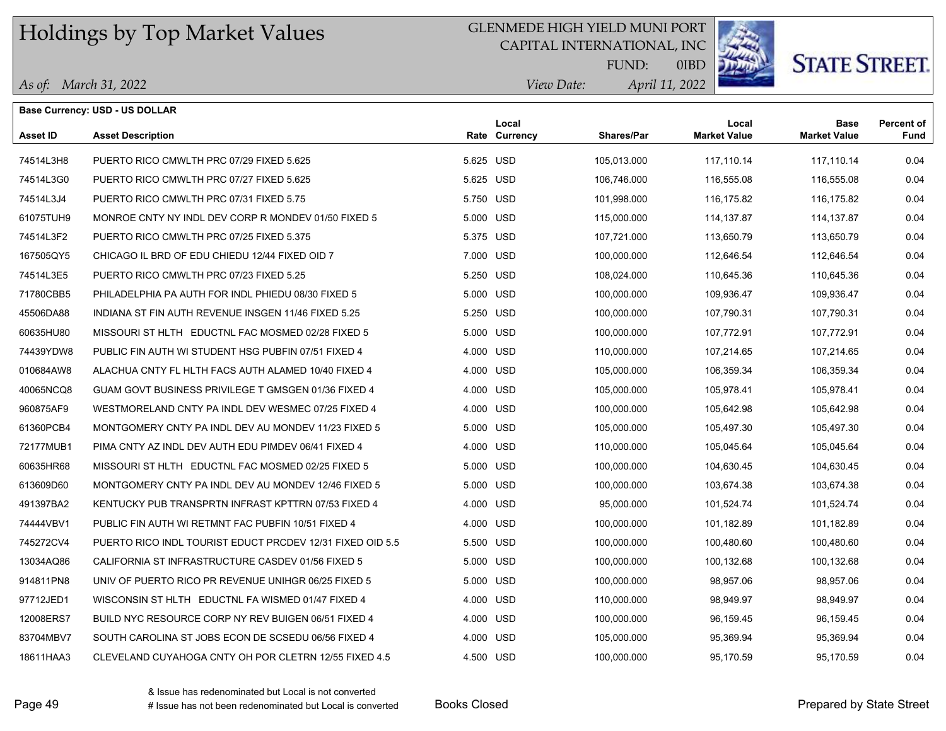## GLENMEDE HIGH YIELD MUNI PORT

CAPITAL INTERNATIONAL, INC



# **STATE STREET.**

*April 11, 2022 View Date:* FUND:

| As of: March 31, 2022 |  |  |
|-----------------------|--|--|
|-----------------------|--|--|

| <b>Base Currency: USD - US DOLLAR</b> |                                                           |           |                        |                   |                              |                                    |                                  |  |
|---------------------------------------|-----------------------------------------------------------|-----------|------------------------|-------------------|------------------------------|------------------------------------|----------------------------------|--|
| Asset ID                              | <b>Asset Description</b>                                  |           | Local<br>Rate Currency | <b>Shares/Par</b> | Local<br><b>Market Value</b> | <b>Base</b><br><b>Market Value</b> | <b>Percent of</b><br><b>Fund</b> |  |
| 74514L3H8                             | PUERTO RICO CMWLTH PRC 07/29 FIXED 5.625                  | 5.625 USD |                        | 105,013.000       | 117,110.14                   | 117,110.14                         | 0.04                             |  |
| 74514L3G0                             | PUERTO RICO CMWLTH PRC 07/27 FIXED 5.625                  | 5.625 USD |                        | 106,746.000       | 116,555.08                   | 116,555.08                         | 0.04                             |  |
| 74514L3J4                             | PUERTO RICO CMWLTH PRC 07/31 FIXED 5.75                   | 5.750 USD |                        | 101,998.000       | 116.175.82                   | 116,175.82                         | 0.04                             |  |
| 61075TUH9                             | MONROE CNTY NY INDL DEV CORP R MONDEV 01/50 FIXED 5       | 5.000 USD |                        | 115,000.000       | 114,137.87                   | 114,137.87                         | 0.04                             |  |
| 74514L3F2                             | PUERTO RICO CMWLTH PRC 07/25 FIXED 5.375                  | 5.375 USD |                        | 107,721.000       | 113,650.79                   | 113,650.79                         | 0.04                             |  |
| 167505QY5                             | CHICAGO IL BRD OF EDU CHIEDU 12/44 FIXED OID 7            | 7.000 USD |                        | 100,000.000       | 112,646.54                   | 112,646.54                         | 0.04                             |  |
| 74514L3E5                             | PUERTO RICO CMWLTH PRC 07/23 FIXED 5.25                   | 5.250 USD |                        | 108,024.000       | 110,645.36                   | 110,645.36                         | 0.04                             |  |
| 71780CBB5                             | PHILADELPHIA PA AUTH FOR INDL PHIEDU 08/30 FIXED 5        | 5.000 USD |                        | 100,000.000       | 109,936.47                   | 109,936.47                         | 0.04                             |  |
| 45506DA88                             | INDIANA ST FIN AUTH REVENUE INSGEN 11/46 FIXED 5.25       | 5.250 USD |                        | 100,000.000       | 107,790.31                   | 107,790.31                         | 0.04                             |  |
| 60635HU80                             | MISSOURI ST HLTH EDUCTNL FAC MOSMED 02/28 FIXED 5         | 5.000 USD |                        | 100,000.000       | 107,772.91                   | 107,772.91                         | 0.04                             |  |
| 74439YDW8                             | PUBLIC FIN AUTH WI STUDENT HSG PUBFIN 07/51 FIXED 4       | 4.000 USD |                        | 110,000.000       | 107,214.65                   | 107,214.65                         | 0.04                             |  |
| 010684AW8                             | ALACHUA CNTY FL HLTH FACS AUTH ALAMED 10/40 FIXED 4       | 4.000 USD |                        | 105,000.000       | 106,359.34                   | 106,359.34                         | 0.04                             |  |
| 40065NCQ8                             | GUAM GOVT BUSINESS PRIVILEGE T GMSGEN 01/36 FIXED 4       | 4.000 USD |                        | 105,000.000       | 105,978.41                   | 105,978.41                         | 0.04                             |  |
| 960875AF9                             | WESTMORELAND CNTY PA INDL DEV WESMEC 07/25 FIXED 4        | 4.000 USD |                        | 100,000.000       | 105,642.98                   | 105,642.98                         | 0.04                             |  |
| 61360PCB4                             | MONTGOMERY CNTY PA INDL DEV AU MONDEV 11/23 FIXED 5       | 5.000 USD |                        | 105,000.000       | 105,497.30                   | 105,497.30                         | 0.04                             |  |
| 72177MUB1                             | PIMA CNTY AZ INDL DEV AUTH EDU PIMDEV 06/41 FIXED 4       | 4.000 USD |                        | 110,000.000       | 105,045.64                   | 105,045.64                         | 0.04                             |  |
| 60635HR68                             | MISSOURI ST HLTH EDUCTNL FAC MOSMED 02/25 FIXED 5         | 5.000 USD |                        | 100,000.000       | 104,630.45                   | 104,630.45                         | 0.04                             |  |
| 613609D60                             | MONTGOMERY CNTY PA INDL DEV AU MONDEV 12/46 FIXED 5       | 5.000 USD |                        | 100,000.000       | 103,674.38                   | 103,674.38                         | 0.04                             |  |
| 491397BA2                             | KENTUCKY PUB TRANSPRTN INFRAST KPTTRN 07/53 FIXED 4       | 4.000 USD |                        | 95,000.000        | 101,524.74                   | 101,524.74                         | 0.04                             |  |
| 74444VBV1                             | PUBLIC FIN AUTH WI RETMNT FAC PUBFIN 10/51 FIXED 4        | 4.000 USD |                        | 100,000.000       | 101,182.89                   | 101,182.89                         | 0.04                             |  |
| 745272CV4                             | PUERTO RICO INDL TOURIST EDUCT PRCDEV 12/31 FIXED OID 5.5 | 5.500 USD |                        | 100,000.000       | 100,480.60                   | 100,480.60                         | 0.04                             |  |
| 13034AQ86                             | CALIFORNIA ST INFRASTRUCTURE CASDEV 01/56 FIXED 5         | 5.000 USD |                        | 100,000.000       | 100,132.68                   | 100,132.68                         | 0.04                             |  |
| 914811PN8                             | UNIV OF PUERTO RICO PR REVENUE UNIHGR 06/25 FIXED 5       | 5.000 USD |                        | 100,000.000       | 98,957.06                    | 98,957.06                          | 0.04                             |  |
| 97712JED1                             | WISCONSIN ST HLTH EDUCTNL FA WISMED 01/47 FIXED 4         | 4.000 USD |                        | 110,000.000       | 98,949.97                    | 98,949.97                          | 0.04                             |  |
| 12008ERS7                             | BUILD NYC RESOURCE CORP NY REV BUIGEN 06/51 FIXED 4       | 4.000 USD |                        | 100,000.000       | 96,159.45                    | 96,159.45                          | 0.04                             |  |
| 83704MBV7                             | SOUTH CAROLINA ST JOBS ECON DE SCSEDU 06/56 FIXED 4       | 4.000 USD |                        | 105,000.000       | 95,369.94                    | 95,369.94                          | 0.04                             |  |
| 18611HAA3                             | CLEVELAND CUYAHOGA CNTY OH POR CLETRN 12/55 FIXED 4.5     | 4.500 USD |                        | 100,000.000       | 95,170.59                    | 95,170.59                          | 0.04                             |  |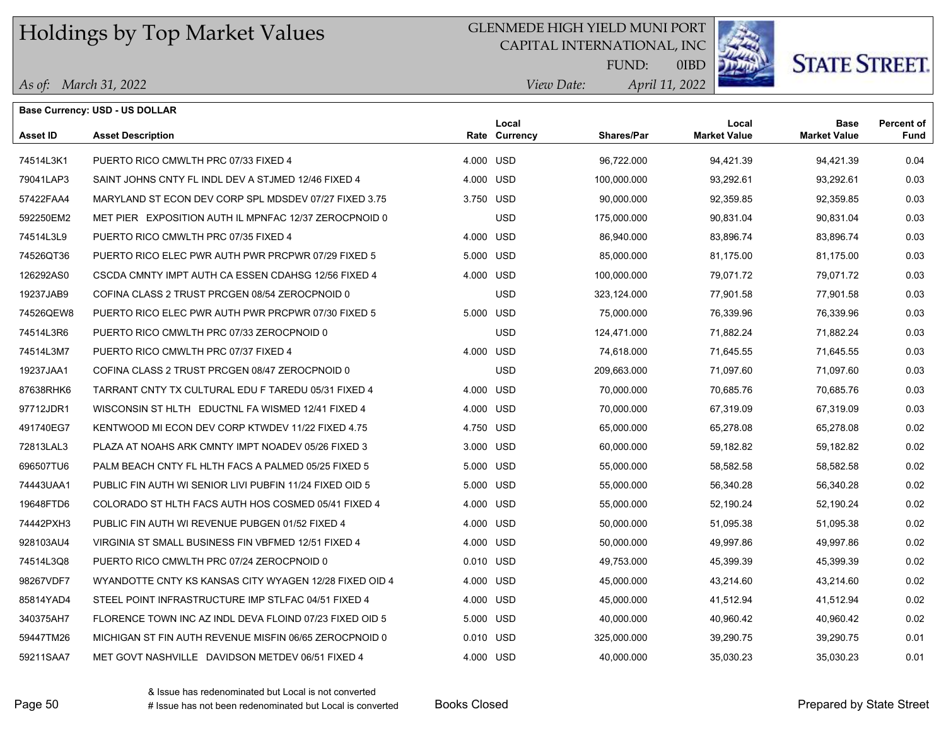## GLENMEDE HIGH YIELD MUNI PORT

CAPITAL INTERNATIONAL, INC



**STATE STREET.** 

*April 11, 2022 View Date:* FUND:

|  | As of: March 31, 2022 |
|--|-----------------------|
|--|-----------------------|

|                 | <b>Base Currency: USD - US DOLLAR</b>                   |           |                        |                   |                              |                                    |                           |
|-----------------|---------------------------------------------------------|-----------|------------------------|-------------------|------------------------------|------------------------------------|---------------------------|
| <b>Asset ID</b> | <b>Asset Description</b>                                |           | Local<br>Rate Currency | <b>Shares/Par</b> | Local<br><b>Market Value</b> | <b>Base</b><br><b>Market Value</b> | <b>Percent of</b><br>Fund |
| 74514L3K1       | PUERTO RICO CMWLTH PRC 07/33 FIXED 4                    | 4.000 USD |                        | 96,722.000        | 94,421.39                    | 94,421.39                          | 0.04                      |
| 79041LAP3       | SAINT JOHNS CNTY FL INDL DEV A STJMED 12/46 FIXED 4     | 4.000 USD |                        | 100,000.000       | 93,292.61                    | 93,292.61                          | 0.03                      |
| 57422FAA4       | MARYLAND ST ECON DEV CORP SPL MDSDEV 07/27 FIXED 3.75   | 3.750 USD |                        | 90,000.000        | 92,359.85                    | 92,359.85                          | 0.03                      |
| 592250EM2       | MET PIER EXPOSITION AUTH IL MPNFAC 12/37 ZEROCPNOID 0   |           | <b>USD</b>             | 175,000.000       | 90,831.04                    | 90,831.04                          | 0.03                      |
| 74514L3L9       | PUERTO RICO CMWLTH PRC 07/35 FIXED 4                    | 4.000 USD |                        | 86,940.000        | 83,896.74                    | 83,896.74                          | 0.03                      |
| 74526QT36       | PUERTO RICO ELEC PWR AUTH PWR PRCPWR 07/29 FIXED 5      | 5.000 USD |                        | 85,000.000        | 81,175.00                    | 81,175.00                          | 0.03                      |
| 126292AS0       | CSCDA CMNTY IMPT AUTH CA ESSEN CDAHSG 12/56 FIXED 4     | 4.000 USD |                        | 100,000.000       | 79,071.72                    | 79,071.72                          | 0.03                      |
| 19237JAB9       | COFINA CLASS 2 TRUST PRCGEN 08/54 ZEROCPNOID 0          |           | <b>USD</b>             | 323,124.000       | 77,901.58                    | 77,901.58                          | 0.03                      |
| 74526QEW8       | PUERTO RICO ELEC PWR AUTH PWR PRCPWR 07/30 FIXED 5      | 5.000 USD |                        | 75,000.000        | 76,339.96                    | 76,339.96                          | 0.03                      |
| 74514L3R6       | PUERTO RICO CMWLTH PRC 07/33 ZEROCPNOID 0               |           | <b>USD</b>             | 124,471.000       | 71,882.24                    | 71,882.24                          | 0.03                      |
| 74514L3M7       | PUERTO RICO CMWLTH PRC 07/37 FIXED 4                    | 4.000 USD |                        | 74,618.000        | 71,645.55                    | 71,645.55                          | 0.03                      |
| 19237JAA1       | COFINA CLASS 2 TRUST PRCGEN 08/47 ZEROCPNOID 0          |           | <b>USD</b>             | 209,663.000       | 71,097.60                    | 71,097.60                          | 0.03                      |
| 87638RHK6       | TARRANT CNTY TX CULTURAL EDU F TAREDU 05/31 FIXED 4     | 4.000 USD |                        | 70,000.000        | 70,685.76                    | 70,685.76                          | 0.03                      |
| 97712JDR1       | WISCONSIN ST HLTH EDUCTNL FA WISMED 12/41 FIXED 4       | 4.000 USD |                        | 70,000.000        | 67,319.09                    | 67,319.09                          | 0.03                      |
| 491740EG7       | KENTWOOD MI ECON DEV CORP KTWDEV 11/22 FIXED 4.75       | 4.750 USD |                        | 65,000.000        | 65,278.08                    | 65,278.08                          | 0.02                      |
| 72813LAL3       | PLAZA AT NOAHS ARK CMNTY IMPT NOADEV 05/26 FIXED 3      | 3.000 USD |                        | 60,000.000        | 59,182.82                    | 59,182.82                          | 0.02                      |
| 696507TU6       | PALM BEACH CNTY FL HLTH FACS A PALMED 05/25 FIXED 5     | 5.000 USD |                        | 55,000.000        | 58,582.58                    | 58,582.58                          | 0.02                      |
| 74443UAA1       | PUBLIC FIN AUTH WI SENIOR LIVI PUBFIN 11/24 FIXED OID 5 | 5.000 USD |                        | 55,000.000        | 56,340.28                    | 56,340.28                          | 0.02                      |
| 19648FTD6       | COLORADO ST HLTH FACS AUTH HOS COSMED 05/41 FIXED 4     | 4.000 USD |                        | 55,000.000        | 52,190.24                    | 52,190.24                          | 0.02                      |
| 74442PXH3       | PUBLIC FIN AUTH WI REVENUE PUBGEN 01/52 FIXED 4         | 4.000 USD |                        | 50,000.000        | 51,095.38                    | 51,095.38                          | 0.02                      |
| 928103AU4       | VIRGINIA ST SMALL BUSINESS FIN VBFMED 12/51 FIXED 4     | 4.000 USD |                        | 50,000.000        | 49,997.86                    | 49,997.86                          | 0.02                      |
| 74514L3Q8       | PUERTO RICO CMWLTH PRC 07/24 ZEROCPNOID 0               | 0.010 USD |                        | 49,753.000        | 45,399.39                    | 45,399.39                          | 0.02                      |
| 98267VDF7       | WYANDOTTE CNTY KS KANSAS CITY WYAGEN 12/28 FIXED OID 4  | 4.000 USD |                        | 45,000.000        | 43,214.60                    | 43,214.60                          | 0.02                      |
| 85814YAD4       | STEEL POINT INFRASTRUCTURE IMP STLFAC 04/51 FIXED 4     | 4.000 USD |                        | 45,000.000        | 41,512.94                    | 41,512.94                          | 0.02                      |
| 340375AH7       | FLORENCE TOWN INC AZ INDL DEVA FLOIND 07/23 FIXED OID 5 | 5.000 USD |                        | 40,000.000        | 40,960.42                    | 40,960.42                          | 0.02                      |
| 59447TM26       | MICHIGAN ST FIN AUTH REVENUE MISFIN 06/65 ZEROCPNOID 0  | 0.010 USD |                        | 325,000.000       | 39,290.75                    | 39,290.75                          | 0.01                      |
| 59211SAA7       | MET GOVT NASHVILLE DAVIDSON METDEV 06/51 FIXED 4        | 4.000 USD |                        | 40,000.000        | 35,030.23                    | 35,030.23                          | 0.01                      |
|                 |                                                         |           |                        |                   |                              |                                    |                           |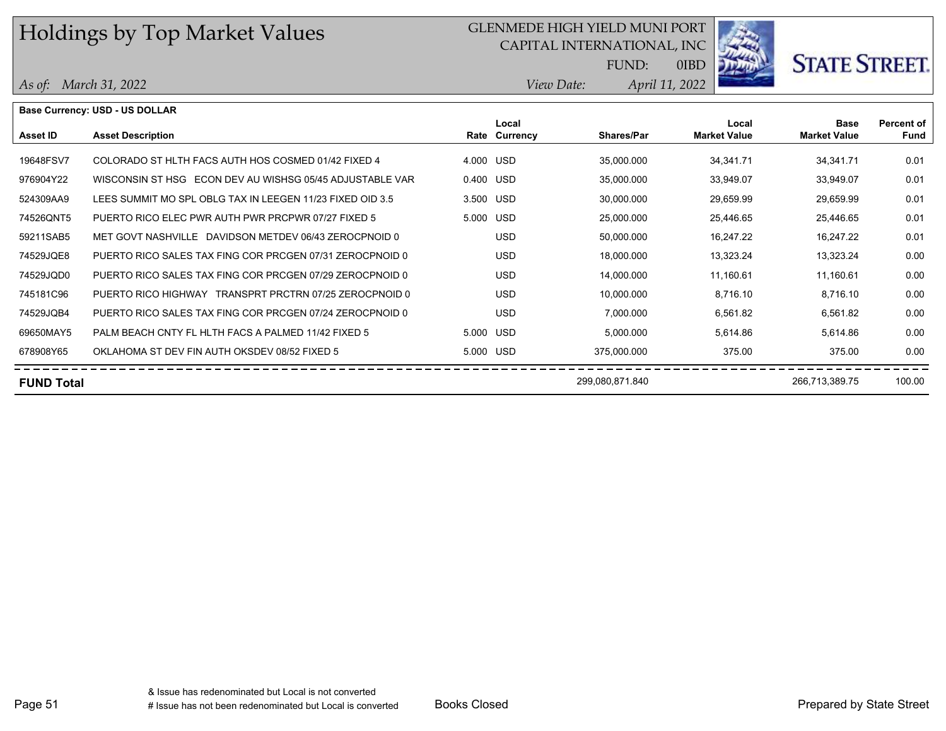## GLENMEDE HIGH YIELD MUNI PORT

CAPITAL INTERNATIONAL, INC



0IBD

**STATE STREET.** 

*April 11, 2022 View Date:* FUND:

|  | As of: March 31, 2022 |
|--|-----------------------|
|--|-----------------------|

|                   | Base Currency: USD - US DOLLAR                            |           |                        |                   |                              |                                    |                           |
|-------------------|-----------------------------------------------------------|-----------|------------------------|-------------------|------------------------------|------------------------------------|---------------------------|
| Asset ID          | <b>Asset Description</b>                                  |           | Local<br>Rate Currency | <b>Shares/Par</b> | Local<br><b>Market Value</b> | <b>Base</b><br><b>Market Value</b> | <b>Percent of</b><br>Fund |
| 19648FSV7         | COLORADO ST HLTH FACS AUTH HOS COSMED 01/42 FIXED 4       | 4.000 USD |                        | 35,000.000        | 34,341.71                    | 34, 341. 71                        | 0.01                      |
| 976904Y22         | WISCONSIN ST HSG ECON DEV AU WISHSG 05/45 ADJUSTABLE VAR  | 0.400 USD |                        | 35,000.000        | 33,949.07                    | 33,949.07                          | 0.01                      |
| 524309AA9         | LEES SUMMIT MO SPL OBLG TAX IN LEEGEN 11/23 FIXED OID 3.5 | 3.500 USD |                        | 30,000.000        | 29,659.99                    | 29,659.99                          | 0.01                      |
| 74526QNT5         | PUERTO RICO ELEC PWR AUTH PWR PRCPWR 07/27 FIXED 5        | 5.000 USD |                        | 25,000.000        | 25,446.65                    | 25,446.65                          | 0.01                      |
| 59211SAB5         | MET GOVT NASHVILLE DAVIDSON METDEV 06/43 ZEROCPNOID 0     |           | <b>USD</b>             | 50,000.000        | 16,247.22                    | 16,247.22                          | 0.01                      |
| 74529JQE8         | PUERTO RICO SALES TAX FING COR PRCGEN 07/31 ZEROCPNOID 0  |           | <b>USD</b>             | 18,000.000        | 13,323.24                    | 13,323.24                          | 0.00                      |
| 74529JQD0         | PUERTO RICO SALES TAX FING COR PRCGEN 07/29 ZEROCPNOID 0  |           | <b>USD</b>             | 14,000.000        | 11,160.61                    | 11,160.61                          | 0.00                      |
| 745181C96         | PUERTO RICO HIGHWAY TRANSPRT PRCTRN 07/25 ZEROCPNOID 0    |           | <b>USD</b>             | 10,000.000        | 8,716.10                     | 8,716.10                           | 0.00                      |
| 74529JQB4         | PUERTO RICO SALES TAX FING COR PRCGEN 07/24 ZEROCPNOID 0  |           | <b>USD</b>             | 7,000.000         | 6,561.82                     | 6,561.82                           | 0.00                      |
| 69650MAY5         | PALM BEACH CNTY FL HLTH FACS A PALMED 11/42 FIXED 5       | 5.000 USD |                        | 5,000.000         | 5,614.86                     | 5,614.86                           | 0.00                      |
| 678908Y65         | OKLAHOMA ST DEV FIN AUTH OKSDEV 08/52 FIXED 5             | 5.000 USD |                        | 375,000.000       | 375.00                       | 375.00                             | 0.00                      |
| <b>FUND Total</b> |                                                           |           |                        | 299,080,871.840   |                              | 266,713,389.75                     | 100.00                    |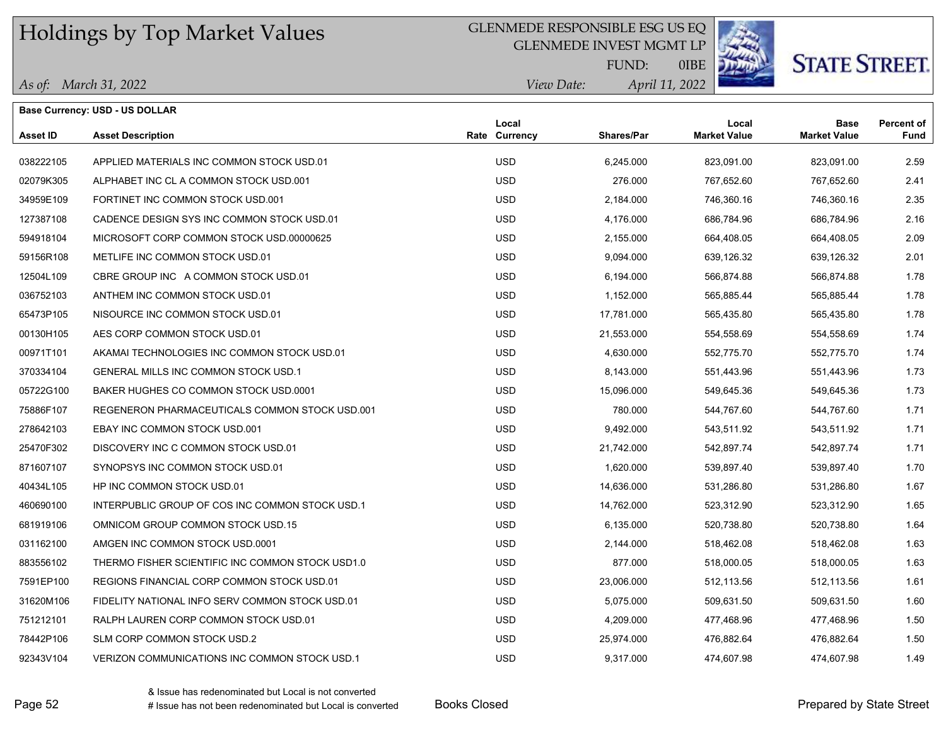### GLENMEDE RESPONSIBLE ESG US EQ

GLENMEDE INVEST MGMT LP



# **STATE STREET**

*April 11, 2022 View Date:* FUND:

0IBE

| As of: March 31, 2022 |  |  |
|-----------------------|--|--|
|-----------------------|--|--|

|                 | Base Currency: USD - US DOLLAR                  |                        |                   |                              |                                    |                           |
|-----------------|-------------------------------------------------|------------------------|-------------------|------------------------------|------------------------------------|---------------------------|
| <b>Asset ID</b> | <b>Asset Description</b>                        | Local<br>Rate Currency | <b>Shares/Par</b> | Local<br><b>Market Value</b> | <b>Base</b><br><b>Market Value</b> | Percent of<br><b>Fund</b> |
| 038222105       | APPLIED MATERIALS INC COMMON STOCK USD.01       | <b>USD</b>             | 6,245.000         | 823,091.00                   | 823,091.00                         | 2.59                      |
| 02079K305       | ALPHABET INC CL A COMMON STOCK USD 001          | <b>USD</b>             | 276.000           | 767,652.60                   | 767,652.60                         | 2.41                      |
| 34959E109       | FORTINET INC COMMON STOCK USD.001               | <b>USD</b>             | 2,184.000         | 746,360.16                   | 746,360.16                         | 2.35                      |
| 127387108       | CADENCE DESIGN SYS INC COMMON STOCK USD.01      | <b>USD</b>             | 4,176.000         | 686,784.96                   | 686,784.96                         | 2.16                      |
| 594918104       | MICROSOFT CORP COMMON STOCK USD 00000625        | <b>USD</b>             | 2,155.000         | 664,408.05                   | 664,408.05                         | 2.09                      |
| 59156R108       | METLIFE INC COMMON STOCK USD.01                 | <b>USD</b>             | 9,094.000         | 639,126.32                   | 639,126.32                         | 2.01                      |
| 12504L109       | CBRE GROUP INC A COMMON STOCK USD.01            | <b>USD</b>             | 6,194.000         | 566,874.88                   | 566,874.88                         | 1.78                      |
| 036752103       | ANTHEM INC COMMON STOCK USD.01                  | <b>USD</b>             | 1,152.000         | 565,885.44                   | 565,885.44                         | 1.78                      |
| 65473P105       | NISOURCE INC COMMON STOCK USD.01                | <b>USD</b>             | 17,781.000        | 565,435.80                   | 565,435.80                         | 1.78                      |
| 00130H105       | AES CORP COMMON STOCK USD 01                    | <b>USD</b>             | 21,553.000        | 554,558.69                   | 554,558.69                         | 1.74                      |
| 00971T101       | AKAMAI TECHNOLOGIES INC COMMON STOCK USD.01     | <b>USD</b>             | 4,630.000         | 552,775.70                   | 552,775.70                         | 1.74                      |
| 370334104       | GENERAL MILLS INC COMMON STOCK USD.1            | <b>USD</b>             | 8,143.000         | 551,443.96                   | 551,443.96                         | 1.73                      |
| 05722G100       | BAKER HUGHES CO COMMON STOCK USD 0001           | <b>USD</b>             | 15,096.000        | 549,645.36                   | 549,645.36                         | 1.73                      |
| 75886F107       | REGENERON PHARMACEUTICALS COMMON STOCK USD.001  | <b>USD</b>             | 780.000           | 544,767.60                   | 544,767.60                         | 1.71                      |
| 278642103       | EBAY INC COMMON STOCK USD.001                   | <b>USD</b>             | 9,492.000         | 543,511.92                   | 543,511.92                         | 1.71                      |
| 25470F302       | DISCOVERY INC C COMMON STOCK USD.01             | <b>USD</b>             | 21,742.000        | 542,897.74                   | 542,897.74                         | 1.71                      |
| 871607107       | SYNOPSYS INC COMMON STOCK USD.01                | <b>USD</b>             | 1,620.000         | 539,897.40                   | 539,897.40                         | 1.70                      |
| 40434L105       | HP INC COMMON STOCK USD.01                      | <b>USD</b>             | 14,636.000        | 531,286.80                   | 531,286.80                         | 1.67                      |
| 460690100       | INTERPUBLIC GROUP OF COS INC COMMON STOCK USD.1 | <b>USD</b>             | 14,762.000        | 523,312.90                   | 523,312.90                         | 1.65                      |
| 681919106       | OMNICOM GROUP COMMON STOCK USD.15               | <b>USD</b>             | 6,135.000         | 520,738.80                   | 520,738.80                         | 1.64                      |
| 031162100       | AMGEN INC COMMON STOCK USD.0001                 | <b>USD</b>             | 2,144.000         | 518,462.08                   | 518,462.08                         | 1.63                      |
|                 |                                                 |                        |                   |                              |                                    |                           |

883556102 THERMO FISHER SCIENTIFIC INC COMMON STOCK USD1.0 USD USD 877.000 518,000.05 518,000.05 518,000.05 1.63 7591EP100 REGIONS FINANCIAL CORP COMMON STOCK USD.01 USD 23,006.000 512,113.56 512,113.56 1.61 31620M106 FIDELITY NATIONAL INFO SERV COMMON STOCK USD.01 USD USD 5,075.000 509,631.50 509,631.50 509,631.50 1.60 751212101 RALPH LAUREN CORP COMMON STOCK USD.01 USD 4,209.000 477,468.96 477,468.96 1.50 78442P106 SLM CORP COMMON STOCK USD.2 USD 25,974.000 476,882.64 476,882.64 1.50 92343V104 VERIZON COMMUNICATIONS INC COMMON STOCK USD.1 USD 9,317.000 474,607.98 474,607.98 1.49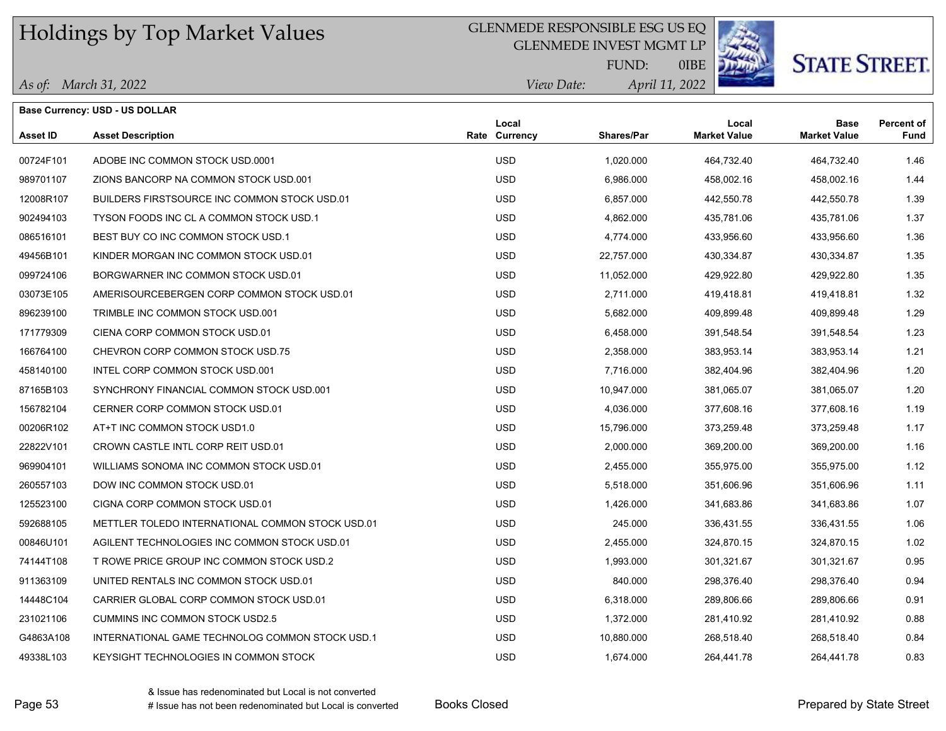## GLENMEDE RESPONSIBLE ESG US EQ

GLENMEDE INVEST MGMT LP



0IBE

*April 11, 2022 View I* 

|  | As of: March 31, 2022 |
|--|-----------------------|
|--|-----------------------|

**Base Currency: USD - US DOLLAR**

| )ate: | April 1 |
|-------|---------|
|       |         |

FUND:

| <b>Asset ID</b> | <b>Asset Description</b>                         | Local<br>Rate Currency | <b>Shares/Par</b> | Local<br><b>Market Value</b> | <b>Base</b><br><b>Market Value</b> | <b>Percent of</b><br><b>Fund</b> |
|-----------------|--------------------------------------------------|------------------------|-------------------|------------------------------|------------------------------------|----------------------------------|
| 00724F101       | ADOBE INC COMMON STOCK USD.0001                  | <b>USD</b>             | 1,020.000         | 464,732.40                   | 464,732.40                         | 1.46                             |
| 989701107       | ZIONS BANCORP NA COMMON STOCK USD.001            | <b>USD</b>             | 6,986.000         | 458,002.16                   | 458,002.16                         | 1.44                             |
| 12008R107       | BUILDERS FIRSTSOURCE INC COMMON STOCK USD.01     | <b>USD</b>             | 6,857,000         | 442,550.78                   | 442,550.78                         | 1.39                             |
| 902494103       | TYSON FOODS INC CL A COMMON STOCK USD.1          | <b>USD</b>             | 4,862.000         | 435,781.06                   | 435,781.06                         | 1.37                             |
| 086516101       | BEST BUY CO INC COMMON STOCK USD.1               | <b>USD</b>             | 4,774.000         | 433,956.60                   | 433,956.60                         | 1.36                             |
| 49456B101       | KINDER MORGAN INC COMMON STOCK USD.01            | <b>USD</b>             | 22,757.000        | 430,334.87                   | 430,334.87                         | 1.35                             |
| 099724106       | BORGWARNER INC COMMON STOCK USD.01               | <b>USD</b>             | 11,052.000        | 429,922.80                   | 429,922.80                         | 1.35                             |
| 03073E105       | AMERISOURCEBERGEN CORP COMMON STOCK USD.01       | <b>USD</b>             | 2,711.000         | 419,418.81                   | 419,418.81                         | 1.32                             |
| 896239100       | TRIMBLE INC COMMON STOCK USD.001                 | <b>USD</b>             | 5,682.000         | 409,899.48                   | 409,899.48                         | 1.29                             |
| 171779309       | CIENA CORP COMMON STOCK USD.01                   | <b>USD</b>             | 6,458.000         | 391,548.54                   | 391,548.54                         | 1.23                             |
| 166764100       | CHEVRON CORP COMMON STOCK USD.75                 | <b>USD</b>             | 2,358.000         | 383,953.14                   | 383,953.14                         | 1.21                             |
| 458140100       | INTEL CORP COMMON STOCK USD.001                  | <b>USD</b>             | 7,716.000         | 382,404.96                   | 382,404.96                         | 1.20                             |
| 87165B103       | SYNCHRONY FINANCIAL COMMON STOCK USD 001         | <b>USD</b>             | 10,947.000        | 381,065.07                   | 381,065.07                         | 1.20                             |
| 156782104       | CERNER CORP COMMON STOCK USD.01                  | <b>USD</b>             | 4,036.000         | 377,608.16                   | 377,608.16                         | 1.19                             |
| 00206R102       | AT+T INC COMMON STOCK USD1.0                     | <b>USD</b>             | 15,796.000        | 373,259.48                   | 373,259.48                         | 1.17                             |
| 22822V101       | CROWN CASTLE INTL CORP REIT USD.01               | <b>USD</b>             | 2,000.000         | 369,200.00                   | 369,200.00                         | 1.16                             |
| 969904101       | WILLIAMS SONOMA INC COMMON STOCK USD.01          | <b>USD</b>             | 2,455.000         | 355,975.00                   | 355,975.00                         | 1.12                             |
| 260557103       | DOW INC COMMON STOCK USD.01                      | <b>USD</b>             | 5,518.000         | 351,606.96                   | 351,606.96                         | 1.11                             |
| 125523100       | CIGNA CORP COMMON STOCK USD.01                   | <b>USD</b>             | 1,426.000         | 341,683.86                   | 341,683.86                         | 1.07                             |
| 592688105       | METTLER TOLEDO INTERNATIONAL COMMON STOCK USD.01 | <b>USD</b>             | 245.000           | 336,431.55                   | 336,431.55                         | 1.06                             |
| 00846U101       | AGILENT TECHNOLOGIES INC COMMON STOCK USD.01     | <b>USD</b>             | 2,455.000         | 324,870.15                   | 324,870.15                         | 1.02                             |
| 74144T108       | T ROWE PRICE GROUP INC COMMON STOCK USD.2        | <b>USD</b>             | 1,993.000         | 301,321.67                   | 301,321.67                         | 0.95                             |
| 911363109       | UNITED RENTALS INC COMMON STOCK USD.01           | <b>USD</b>             | 840.000           | 298,376.40                   | 298,376.40                         | 0.94                             |
| 14448C104       | CARRIER GLOBAL CORP COMMON STOCK USD.01          | <b>USD</b>             | 6,318,000         | 289,806.66                   | 289,806.66                         | 0.91                             |
| 231021106       | <b>CUMMINS INC COMMON STOCK USD2.5</b>           | <b>USD</b>             | 1,372.000         | 281,410.92                   | 281,410.92                         | 0.88                             |
| G4863A108       | INTERNATIONAL GAME TECHNOLOG COMMON STOCK USD.1  | <b>USD</b>             | 10,880.000        | 268,518.40                   | 268,518.40                         | 0.84                             |
| 49338L103       | KEYSIGHT TECHNOLOGIES IN COMMON STOCK            | <b>USD</b>             | 1,674.000         | 264.441.78                   | 264.441.78                         | 0.83                             |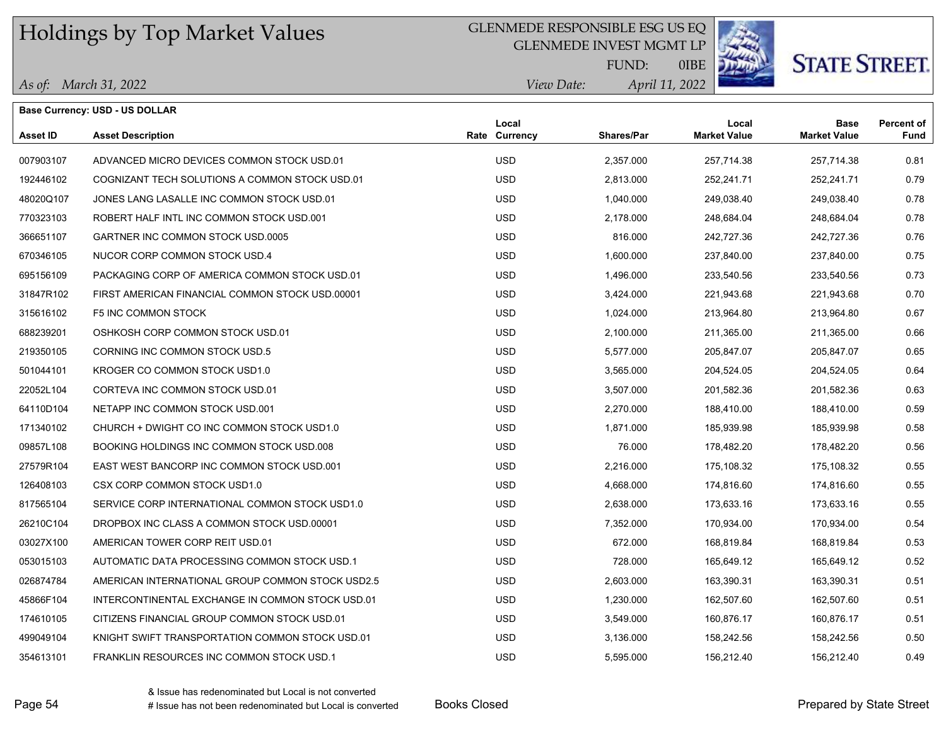## GLENMEDE RESPONSIBLE ESG US EQ

GLENMEDE INVEST MGMT LP



**STATE STREET.** 

*April 11, 2022 View Date:* FUND:

0IBE

|  | As of: March 31, 2022 |
|--|-----------------------|
|--|-----------------------|

|                 | <b>Base Currency: USD - US DOLLAR</b>            |                        |                   |                              | <b>Base</b>         |                                  |
|-----------------|--------------------------------------------------|------------------------|-------------------|------------------------------|---------------------|----------------------------------|
| <b>Asset ID</b> | <b>Asset Description</b>                         | Local<br>Rate Currency | <b>Shares/Par</b> | Local<br><b>Market Value</b> | <b>Market Value</b> | <b>Percent of</b><br><b>Fund</b> |
| 007903107       | ADVANCED MICRO DEVICES COMMON STOCK USD.01       | <b>USD</b>             | 2,357.000         | 257,714.38                   | 257,714.38          | 0.81                             |
| 192446102       | COGNIZANT TECH SOLUTIONS A COMMON STOCK USD.01   | <b>USD</b>             | 2,813.000         | 252,241.71                   | 252,241.71          | 0.79                             |
| 48020Q107       | JONES LANG LASALLE INC COMMON STOCK USD.01       | <b>USD</b>             | 1,040.000         | 249,038.40                   | 249,038.40          | 0.78                             |
| 770323103       | ROBERT HALF INTL INC COMMON STOCK USD.001        | <b>USD</b>             | 2,178.000         | 248,684.04                   | 248,684.04          | 0.78                             |
| 366651107       | GARTNER INC COMMON STOCK USD 0005                | <b>USD</b>             | 816.000           | 242,727.36                   | 242,727.36          | 0.76                             |
| 670346105       | NUCOR CORP COMMON STOCK USD.4                    | <b>USD</b>             | 1,600.000         | 237,840.00                   | 237,840.00          | 0.75                             |
| 695156109       | PACKAGING CORP OF AMERICA COMMON STOCK USD.01    | <b>USD</b>             | 1,496.000         | 233,540.56                   | 233,540.56          | 0.73                             |
| 31847R102       | FIRST AMERICAN FINANCIAL COMMON STOCK USD 00001  | <b>USD</b>             | 3,424.000         | 221,943.68                   | 221,943.68          | 0.70                             |
| 315616102       | <b>F5 INC COMMON STOCK</b>                       | <b>USD</b>             | 1,024.000         | 213,964.80                   | 213,964.80          | 0.67                             |
| 688239201       | OSHKOSH CORP COMMON STOCK USD.01                 | <b>USD</b>             | 2,100.000         | 211,365.00                   | 211,365.00          | 0.66                             |
| 219350105       | CORNING INC COMMON STOCK USD.5                   | <b>USD</b>             | 5,577.000         | 205,847.07                   | 205,847.07          | 0.65                             |
| 501044101       | KROGER CO COMMON STOCK USD1.0                    | <b>USD</b>             | 3,565.000         | 204,524.05                   | 204,524.05          | 0.64                             |
| 22052L104       | CORTEVA INC COMMON STOCK USD.01                  | <b>USD</b>             | 3,507.000         | 201,582.36                   | 201,582.36          | 0.63                             |
| 64110D104       | NETAPP INC COMMON STOCK USD.001                  | <b>USD</b>             | 2,270.000         | 188,410.00                   | 188,410.00          | 0.59                             |
| 171340102       | CHURCH + DWIGHT CO INC COMMON STOCK USD1.0       | <b>USD</b>             | 1,871.000         | 185,939.98                   | 185,939.98          | 0.58                             |
| 09857L108       | BOOKING HOLDINGS INC COMMON STOCK USD 008        | <b>USD</b>             | 76.000            | 178,482.20                   | 178,482.20          | 0.56                             |
| 27579R104       | EAST WEST BANCORP INC COMMON STOCK USD.001       | <b>USD</b>             | 2,216.000         | 175,108.32                   | 175,108.32          | 0.55                             |
| 126408103       | CSX CORP COMMON STOCK USD1.0                     | <b>USD</b>             | 4,668.000         | 174,816.60                   | 174,816.60          | 0.55                             |
| 817565104       | SERVICE CORP INTERNATIONAL COMMON STOCK USD1.0   | <b>USD</b>             | 2,638.000         | 173,633.16                   | 173,633.16          | 0.55                             |
| 26210C104       | DROPBOX INC CLASS A COMMON STOCK USD 00001       | <b>USD</b>             | 7,352.000         | 170,934.00                   | 170,934.00          | 0.54                             |
| 03027X100       | AMERICAN TOWER CORP REIT USD.01                  | <b>USD</b>             | 672.000           | 168,819.84                   | 168,819.84          | 0.53                             |
| 053015103       | AUTOMATIC DATA PROCESSING COMMON STOCK USD.1     | <b>USD</b>             | 728.000           | 165,649.12                   | 165,649.12          | 0.52                             |
| 026874784       | AMERICAN INTERNATIONAL GROUP COMMON STOCK USD2.5 | <b>USD</b>             | 2,603.000         | 163,390.31                   | 163,390.31          | 0.51                             |
| 45866F104       | INTERCONTINENTAL EXCHANGE IN COMMON STOCK USD.01 | <b>USD</b>             | 1,230.000         | 162,507.60                   | 162,507.60          | 0.51                             |
| 174610105       | CITIZENS FINANCIAL GROUP COMMON STOCK USD.01     | <b>USD</b>             | 3,549.000         | 160,876.17                   | 160,876.17          | 0.51                             |
| 499049104       | KNIGHT SWIFT TRANSPORTATION COMMON STOCK USD.01  | <b>USD</b>             | 3,136.000         | 158,242.56                   | 158,242.56          | 0.50                             |
| 354613101       | FRANKLIN RESOURCES INC COMMON STOCK USD.1        | <b>USD</b>             | 5,595.000         | 156,212.40                   | 156,212.40          | 0.49                             |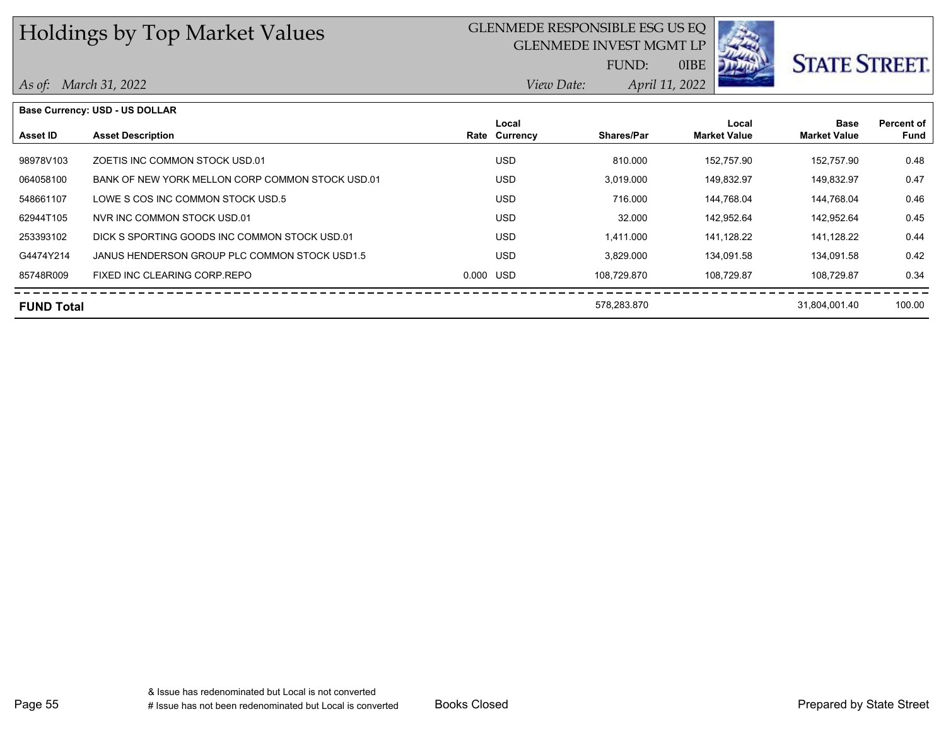## GLENMEDE RESPONSIBLE ESG US EQ

GLENMEDE INVEST MGMT LP



0IBE

*April 11, 2022 View Date:*

FUND:

#### *As of: March 31, 2022*

|                   | <b>Base Currency: USD - US DOLLAR</b>            |           |               |                   |                     |                     |            |
|-------------------|--------------------------------------------------|-----------|---------------|-------------------|---------------------|---------------------|------------|
|                   |                                                  |           | Local         |                   | Local               | <b>Base</b>         | Percent of |
| <b>Asset ID</b>   | <b>Asset Description</b>                         |           | Rate Currency | <b>Shares/Par</b> | <b>Market Value</b> | <b>Market Value</b> | Fund       |
|                   |                                                  |           |               |                   |                     |                     |            |
| 98978V103         | ZOETIS INC COMMON STOCK USD.01                   |           | <b>USD</b>    | 810.000           | 152.757.90          | 152.757.90          | 0.48       |
| 064058100         | BANK OF NEW YORK MELLON CORP COMMON STOCK USD.01 |           | <b>USD</b>    | 3,019.000         | 149.832.97          | 149,832.97          | 0.47       |
| 548661107         | LOWE S COS INC COMMON STOCK USD.5                |           | <b>USD</b>    | 716.000           | 144.768.04          | 144.768.04          | 0.46       |
| 62944T105         | NVR INC COMMON STOCK USD.01                      |           | <b>USD</b>    | 32.000            | 142.952.64          | 142.952.64          | 0.45       |
| 253393102         | DICK S SPORTING GOODS INC COMMON STOCK USD.01    |           | <b>USD</b>    | 1.411.000         | 141.128.22          | 141,128.22          | 0.44       |
| G4474Y214         | JANUS HENDERSON GROUP PLC COMMON STOCK USD1.5    |           | <b>USD</b>    | 3.829.000         | 134.091.58          | 134,091.58          | 0.42       |
| 85748R009         | FIXED INC CLEARING CORP.REPO                     | 0.000 USD |               | 108.729.870       | 108.729.87          | 108.729.87          | 0.34       |
| <b>FUND Total</b> |                                                  |           |               | 578,283.870       |                     | 31,804,001.40       | 100.00     |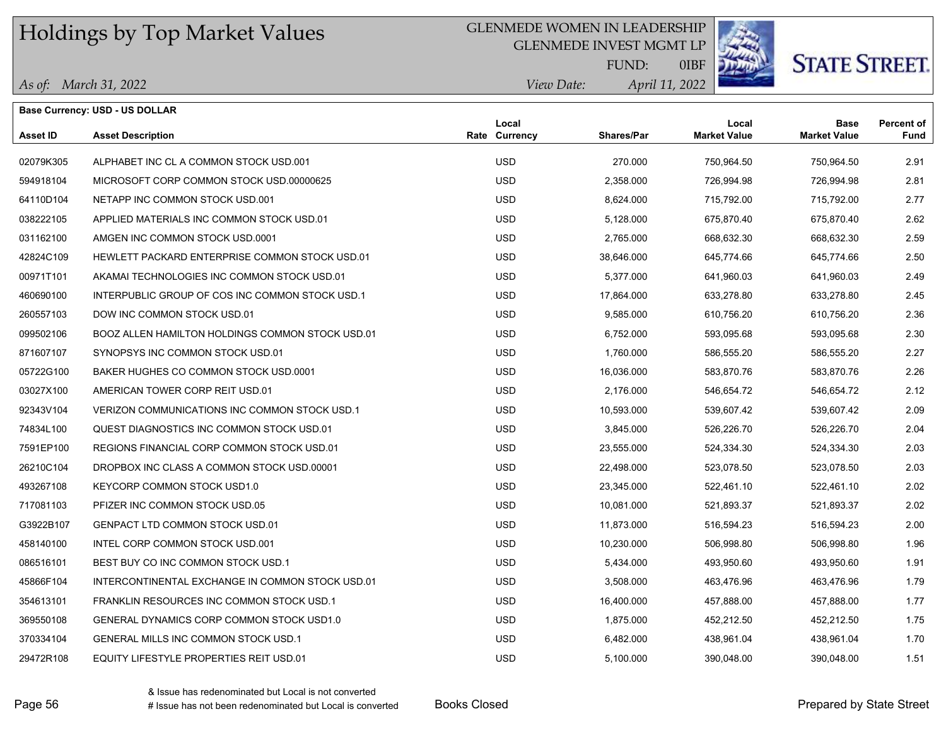#### GLENMEDE WOMEN IN LEADERSHIP

GLENMEDE INVEST MGMT LP



# **STATE STREET.**

*April 11, 2022 View Date:* FUND:

0IBF

*As of: March 31, 2022*

|                 | Base Currency: USD - US DOLLAR                   |                        |            |                              |                                    |                           |
|-----------------|--------------------------------------------------|------------------------|------------|------------------------------|------------------------------------|---------------------------|
| <b>Asset ID</b> | <b>Asset Description</b>                         | Local<br>Rate Currency | Shares/Par | Local<br><b>Market Value</b> | <b>Base</b><br><b>Market Value</b> | <b>Percent of</b><br>Fund |
| 02079K305       | ALPHABET INC CL A COMMON STOCK USD 001           | <b>USD</b>             | 270,000    | 750,964.50                   | 750,964.50                         | 2.91                      |
| 594918104       | MICROSOFT CORP COMMON STOCK USD 00000625         | <b>USD</b>             | 2,358.000  | 726,994.98                   | 726,994.98                         | 2.81                      |
| 64110D104       | NETAPP INC COMMON STOCK USD.001                  | <b>USD</b>             | 8,624.000  | 715,792.00                   | 715,792.00                         | 2.77                      |
| 038222105       | APPLIED MATERIALS INC COMMON STOCK USD.01        | <b>USD</b>             | 5,128.000  | 675,870.40                   | 675,870.40                         | 2.62                      |
| 031162100       | AMGEN INC COMMON STOCK USD.0001                  | <b>USD</b>             | 2,765.000  | 668,632.30                   | 668,632.30                         | 2.59                      |
| 42824C109       | HEWLETT PACKARD ENTERPRISE COMMON STOCK USD.01   | <b>USD</b>             | 38,646.000 | 645,774.66                   | 645,774.66                         | 2.50                      |
| 00971T101       | AKAMAI TECHNOLOGIES INC COMMON STOCK USD.01      | <b>USD</b>             | 5,377.000  | 641,960.03                   | 641,960.03                         | 2.49                      |
| 460690100       | INTERPUBLIC GROUP OF COS INC COMMON STOCK USD.1  | <b>USD</b>             | 17,864.000 | 633,278.80                   | 633,278.80                         | 2.45                      |
| 260557103       | DOW INC COMMON STOCK USD.01                      | <b>USD</b>             | 9,585.000  | 610,756.20                   | 610,756.20                         | 2.36                      |
| 099502106       | BOOZ ALLEN HAMILTON HOLDINGS COMMON STOCK USD.01 | <b>USD</b>             | 6,752.000  | 593,095.68                   | 593,095.68                         | 2.30                      |
| 871607107       | SYNOPSYS INC COMMON STOCK USD.01                 | <b>USD</b>             | 1,760.000  | 586,555.20                   | 586,555.20                         | 2.27                      |
| 05722G100       | BAKER HUGHES CO COMMON STOCK USD 0001            | <b>USD</b>             | 16,036.000 | 583,870.76                   | 583,870.76                         | 2.26                      |
| 03027X100       | AMERICAN TOWER CORP REIT USD.01                  | <b>USD</b>             | 2,176.000  | 546,654.72                   | 546,654.72                         | 2.12                      |
| 92343V104       | VERIZON COMMUNICATIONS INC COMMON STOCK USD.1    | <b>USD</b>             | 10,593.000 | 539,607.42                   | 539,607.42                         | 2.09                      |
| 74834L100       | QUEST DIAGNOSTICS INC COMMON STOCK USD.01        | <b>USD</b>             | 3,845.000  | 526,226.70                   | 526,226.70                         | 2.04                      |
| 7591EP100       | REGIONS FINANCIAL CORP COMMON STOCK USD.01       | <b>USD</b>             | 23,555.000 | 524,334.30                   | 524,334.30                         | 2.03                      |
| 26210C104       | DROPBOX INC CLASS A COMMON STOCK USD 00001       | <b>USD</b>             | 22,498.000 | 523,078.50                   | 523,078.50                         | 2.03                      |
| 493267108       | KEYCORP COMMON STOCK USD1.0                      | <b>USD</b>             | 23,345.000 | 522,461.10                   | 522,461.10                         | 2.02                      |
| 717081103       | PFIZER INC COMMON STOCK USD.05                   | <b>USD</b>             | 10,081.000 | 521,893.37                   | 521,893.37                         | 2.02                      |
| G3922B107       | <b>GENPACT LTD COMMON STOCK USD.01</b>           | <b>USD</b>             | 11,873.000 | 516,594.23                   | 516,594.23                         | 2.00                      |
| 458140100       | INTEL CORP COMMON STOCK USD.001                  | <b>USD</b>             | 10,230.000 | 506,998.80                   | 506,998.80                         | 1.96                      |
| 086516101       | BEST BUY CO INC COMMON STOCK USD.1               | <b>USD</b>             | 5,434.000  | 493,950.60                   | 493,950.60                         | 1.91                      |
| 45866F104       | INTERCONTINENTAL EXCHANGE IN COMMON STOCK USD.01 | <b>USD</b>             | 3,508.000  | 463,476.96                   | 463,476.96                         | 1.79                      |
| 354613101       | FRANKLIN RESOURCES INC COMMON STOCK USD.1        | <b>USD</b>             | 16,400.000 | 457,888.00                   | 457,888.00                         | 1.77                      |
| 369550108       | GENERAL DYNAMICS CORP COMMON STOCK USD1.0        | <b>USD</b>             | 1,875.000  | 452,212.50                   | 452,212.50                         | 1.75                      |
| 370334104       | <b>GENERAL MILLS INC COMMON STOCK USD.1</b>      | <b>USD</b>             | 6,482.000  | 438,961.04                   | 438,961.04                         | 1.70                      |
| 29472R108       | EQUITY LIFESTYLE PROPERTIES REIT USD.01          | <b>USD</b>             | 5.100.000  | 390,048.00                   | 390,048.00                         | 1.51                      |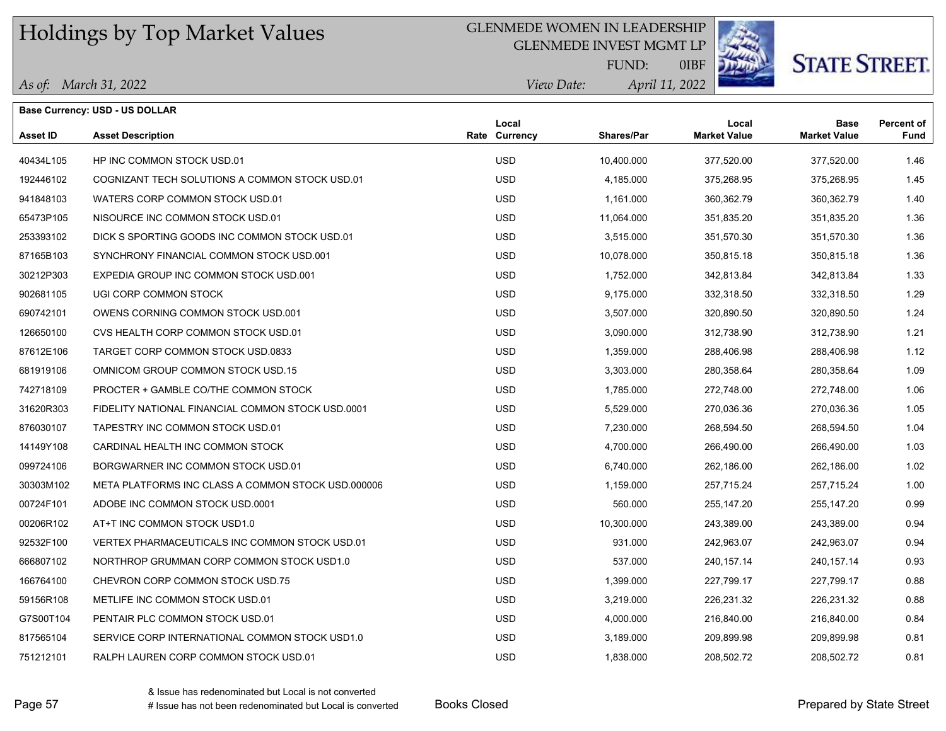#### GLENMEDE WOMEN IN LEADERSHIP

GLENMEDE INVEST MGMT LP



# **STATE STREET.**

*April 11, 2022 View Date:* FUND:

0IBF

|  | As of: March 31, 2022 |
|--|-----------------------|
|--|-----------------------|

|                 | <b>Base Currency: USD - US DOLLAR</b>              |                        |                   |                              |                                    |                           |
|-----------------|----------------------------------------------------|------------------------|-------------------|------------------------------|------------------------------------|---------------------------|
| <b>Asset ID</b> | <b>Asset Description</b>                           | Local<br>Rate Currency | <b>Shares/Par</b> | Local<br><b>Market Value</b> | <b>Base</b><br><b>Market Value</b> | <b>Percent of</b><br>Fund |
| 40434L105       | HP INC COMMON STOCK USD.01                         | <b>USD</b>             | 10,400.000        | 377,520.00                   | 377,520.00                         | 1.46                      |
| 192446102       | COGNIZANT TECH SOLUTIONS A COMMON STOCK USD.01     | <b>USD</b>             | 4,185.000         | 375,268.95                   | 375,268.95                         | 1.45                      |
| 941848103       | WATERS CORP COMMON STOCK USD.01                    | <b>USD</b>             | 1.161.000         | 360,362.79                   | 360,362.79                         | 1.40                      |
| 65473P105       | NISOURCE INC COMMON STOCK USD.01                   | <b>USD</b>             | 11,064.000        | 351,835.20                   | 351,835.20                         | 1.36                      |
| 253393102       | DICK S SPORTING GOODS INC COMMON STOCK USD.01      | <b>USD</b>             | 3,515.000         | 351,570.30                   | 351,570.30                         | 1.36                      |
| 87165B103       | SYNCHRONY FINANCIAL COMMON STOCK USD 001           | <b>USD</b>             | 10,078.000        | 350,815.18                   | 350,815.18                         | 1.36                      |
| 30212P303       | EXPEDIA GROUP INC COMMON STOCK USD.001             | <b>USD</b>             | 1,752.000         | 342,813.84                   | 342,813.84                         | 1.33                      |
| 902681105       | UGI CORP COMMON STOCK                              | <b>USD</b>             | 9,175.000         | 332,318.50                   | 332,318.50                         | 1.29                      |
| 690742101       | OWENS CORNING COMMON STOCK USD.001                 | <b>USD</b>             | 3,507.000         | 320,890.50                   | 320,890.50                         | 1.24                      |
| 126650100       | CVS HEALTH CORP COMMON STOCK USD.01                | <b>USD</b>             | 3,090.000         | 312,738.90                   | 312,738.90                         | 1.21                      |
| 87612E106       | TARGET CORP COMMON STOCK USD.0833                  | <b>USD</b>             | 1,359.000         | 288,406.98                   | 288,406.98                         | 1.12                      |
| 681919106       | OMNICOM GROUP COMMON STOCK USD.15                  | <b>USD</b>             | 3,303.000         | 280,358.64                   | 280,358.64                         | 1.09                      |
| 742718109       | PROCTER + GAMBLE CO/THE COMMON STOCK               | <b>USD</b>             | 1,785.000         | 272,748.00                   | 272,748.00                         | 1.06                      |
| 31620R303       | FIDELITY NATIONAL FINANCIAL COMMON STOCK USD 0001  | <b>USD</b>             | 5,529.000         | 270,036.36                   | 270,036.36                         | 1.05                      |
| 876030107       | TAPESTRY INC COMMON STOCK USD.01                   | <b>USD</b>             | 7,230.000         | 268,594.50                   | 268,594.50                         | 1.04                      |
| 14149Y108       | CARDINAL HEALTH INC COMMON STOCK                   | <b>USD</b>             | 4,700.000         | 266,490.00                   | 266,490.00                         | 1.03                      |
| 099724106       | BORGWARNER INC COMMON STOCK USD.01                 | <b>USD</b>             | 6,740.000         | 262,186.00                   | 262,186.00                         | 1.02                      |
| 30303M102       | META PLATFORMS INC CLASS A COMMON STOCK USD.000006 | <b>USD</b>             | 1,159.000         | 257,715.24                   | 257,715.24                         | 1.00                      |
| 00724F101       | ADOBE INC COMMON STOCK USD.0001                    | <b>USD</b>             | 560.000           | 255,147.20                   | 255,147.20                         | 0.99                      |
| 00206R102       | AT+T INC COMMON STOCK USD1.0                       | <b>USD</b>             | 10,300.000        | 243,389.00                   | 243,389.00                         | 0.94                      |
| 92532F100       | VERTEX PHARMACEUTICALS INC COMMON STOCK USD.01     | <b>USD</b>             | 931.000           | 242,963.07                   | 242,963.07                         | 0.94                      |
| 666807102       | NORTHROP GRUMMAN CORP COMMON STOCK USD1.0          | <b>USD</b>             | 537.000           | 240, 157. 14                 | 240,157.14                         | 0.93                      |
| 166764100       | CHEVRON CORP COMMON STOCK USD.75                   | <b>USD</b>             | 1,399.000         | 227,799.17                   | 227,799.17                         | 0.88                      |
| 59156R108       | METLIFE INC COMMON STOCK USD.01                    | <b>USD</b>             | 3,219.000         | 226,231.32                   | 226,231.32                         | 0.88                      |
| G7S00T104       | PENTAIR PLC COMMON STOCK USD.01                    | <b>USD</b>             | 4,000.000         | 216,840.00                   | 216,840.00                         | 0.84                      |
| 817565104       | SERVICE CORP INTERNATIONAL COMMON STOCK USD1.0     | <b>USD</b>             | 3,189.000         | 209,899.98                   | 209,899.98                         | 0.81                      |
| 751212101       | RALPH LAUREN CORP COMMON STOCK USD.01              | <b>USD</b>             | 1,838.000         | 208,502.72                   | 208,502.72                         | 0.81                      |

& Issue has redenominated but Local is not converted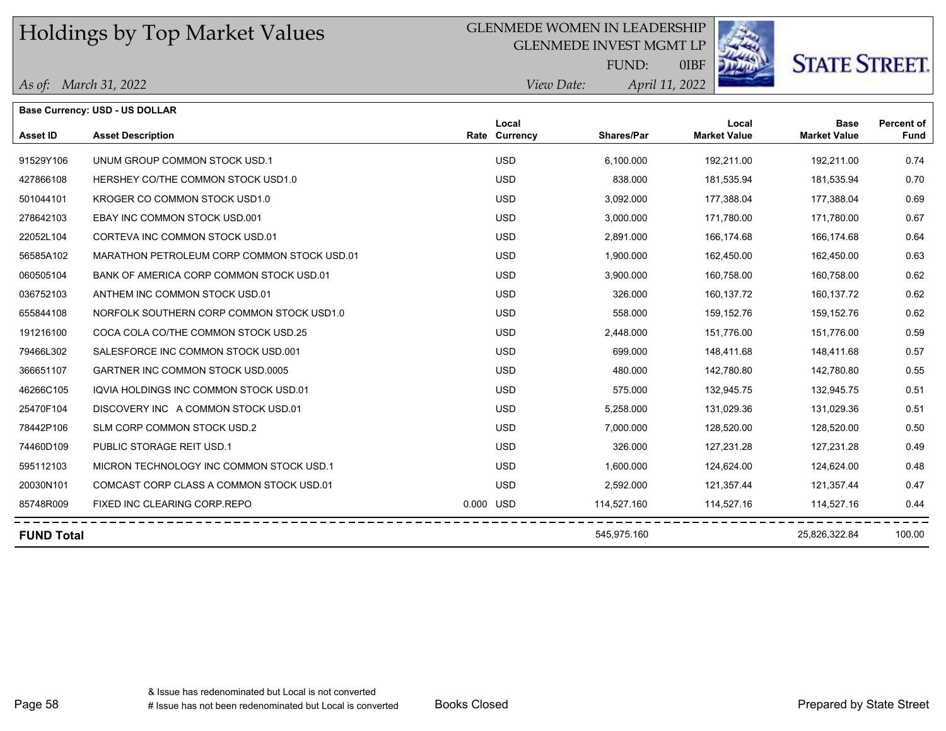#### GLENMEDE WOMEN IN LEADERSHIP

GLENMEDE INVEST MGMT LP



0IBF

**STATE STREET.** 

*April 11, 2022 View Date:* FUND:

|  | As of: March 31, 2022 |  |
|--|-----------------------|--|
|--|-----------------------|--|

|                   | <b>Base Currency: USD - US DOLLAR</b>       |           |                        |                   |                              |                                    |                           |
|-------------------|---------------------------------------------|-----------|------------------------|-------------------|------------------------------|------------------------------------|---------------------------|
| Asset ID          | <b>Asset Description</b>                    |           | Local<br>Rate Currency | <b>Shares/Par</b> | Local<br><b>Market Value</b> | <b>Base</b><br><b>Market Value</b> | <b>Percent of</b><br>Fund |
| 91529Y106         | UNUM GROUP COMMON STOCK USD.1               |           | <b>USD</b>             | 6.100.000         | 192.211.00                   | 192.211.00                         | 0.74                      |
| 427866108         | HERSHEY CO/THE COMMON STOCK USD1.0          |           | <b>USD</b>             | 838,000           | 181,535.94                   | 181,535.94                         | 0.70                      |
| 501044101         | KROGER CO COMMON STOCK USD1.0               |           | <b>USD</b>             | 3,092.000         | 177,388.04                   | 177,388.04                         | 0.69                      |
| 278642103         | EBAY INC COMMON STOCK USD.001               |           | <b>USD</b>             | 3,000.000         | 171,780.00                   | 171,780.00                         | 0.67                      |
| 22052L104         | CORTEVA INC COMMON STOCK USD.01             |           | <b>USD</b>             | 2,891.000         | 166,174.68                   | 166,174.68                         | 0.64                      |
| 56585A102         | MARATHON PETROLEUM CORP COMMON STOCK USD.01 |           | <b>USD</b>             | 1,900.000         | 162,450.00                   | 162,450.00                         | 0.63                      |
| 060505104         | BANK OF AMERICA CORP COMMON STOCK USD.01    |           | <b>USD</b>             | 3,900.000         | 160,758.00                   | 160,758.00                         | 0.62                      |
| 036752103         | ANTHEM INC COMMON STOCK USD.01              |           | <b>USD</b>             | 326.000           | 160,137.72                   | 160,137.72                         | 0.62                      |
| 655844108         | NORFOLK SOUTHERN CORP COMMON STOCK USD1.0   |           | <b>USD</b>             | 558.000           | 159,152.76                   | 159,152.76                         | 0.62                      |
| 191216100         | COCA COLA CO/THE COMMON STOCK USD.25        |           | <b>USD</b>             | 2,448.000         | 151.776.00                   | 151.776.00                         | 0.59                      |
| 79466L302         | SALESFORCE INC COMMON STOCK USD 001         |           | <b>USD</b>             | 699.000           | 148,411.68                   | 148,411.68                         | 0.57                      |
| 366651107         | GARTNER INC COMMON STOCK USD.0005           |           | <b>USD</b>             | 480.000           | 142,780.80                   | 142,780.80                         | 0.55                      |
| 46266C105         | IQVIA HOLDINGS INC COMMON STOCK USD.01      |           | <b>USD</b>             | 575.000           | 132,945.75                   | 132,945.75                         | 0.51                      |
| 25470F104         | DISCOVERY INC A COMMON STOCK USD.01         |           | <b>USD</b>             | 5,258.000         | 131,029.36                   | 131,029.36                         | 0.51                      |
| 78442P106         | SLM CORP COMMON STOCK USD.2                 |           | <b>USD</b>             | 7,000.000         | 128,520.00                   | 128,520.00                         | 0.50                      |
| 74460D109         | PUBLIC STORAGE REIT USD.1                   |           | <b>USD</b>             | 326.000           | 127,231.28                   | 127,231.28                         | 0.49                      |
| 595112103         | MICRON TECHNOLOGY INC COMMON STOCK USD.1    |           | <b>USD</b>             | 1,600.000         | 124,624.00                   | 124,624.00                         | 0.48                      |
| 20030N101         | COMCAST CORP CLASS A COMMON STOCK USD.01    |           | <b>USD</b>             | 2,592.000         | 121,357.44                   | 121,357.44                         | 0.47                      |
| 85748R009         | FIXED INC CLEARING CORP.REPO                | 0.000 USD |                        | 114,527.160       | 114,527.16                   | 114,527.16                         | 0.44                      |
| <b>FUND Total</b> |                                             |           |                        | 545,975.160       |                              | 25,826,322.84                      | 100.00                    |

-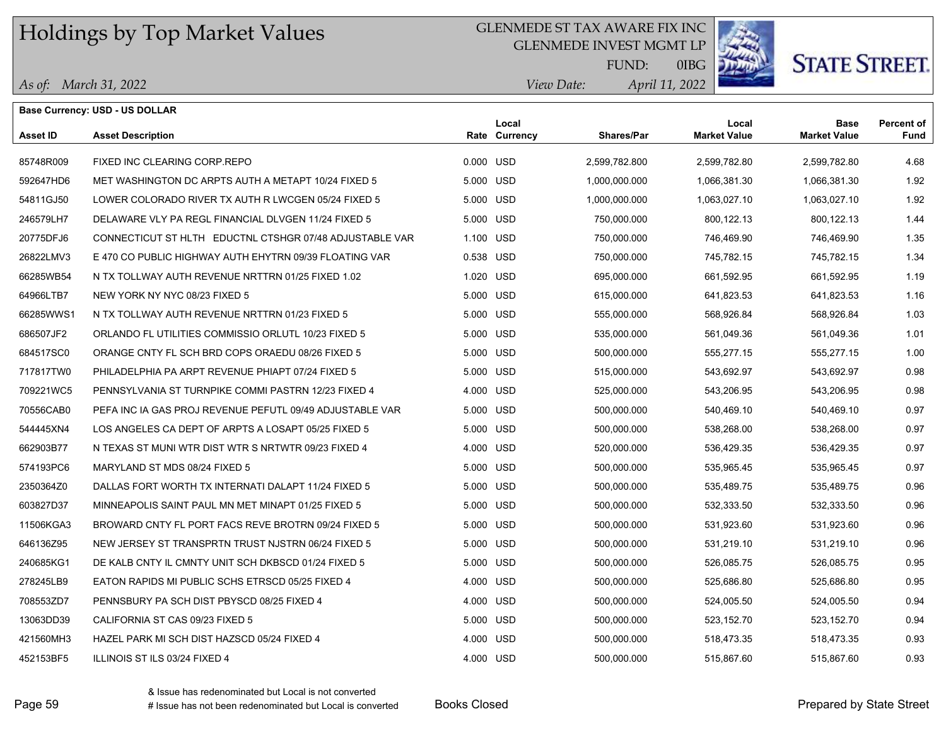### GLENMEDE ST TAX AWARE FIX INC

GLENMEDE INVEST MGMT LP



# **STATE STREET.**

*April 11, 2022 View Date:* FUND:

0IBG

|                 | <b>Base Currency: USD - US DOLLAR</b>                    |           |                        |                   |                              |                                    |                    |
|-----------------|----------------------------------------------------------|-----------|------------------------|-------------------|------------------------------|------------------------------------|--------------------|
| <b>Asset ID</b> | <b>Asset Description</b>                                 |           | Local<br>Rate Currency | <b>Shares/Par</b> | Local<br><b>Market Value</b> | <b>Base</b><br><b>Market Value</b> | Percent of<br>Fund |
| 85748R009       | FIXED INC CLEARING CORP.REPO                             | 0.000 USD |                        | 2.599.782.800     | 2.599.782.80                 | 2,599,782.80                       | 4.68               |
| 592647HD6       | MET WASHINGTON DC ARPTS AUTH A METAPT 10/24 FIXED 5      | 5.000 USD |                        | 1,000,000.000     | 1,066,381.30                 | 1,066,381.30                       | 1.92               |
| 54811GJ50       | LOWER COLORADO RIVER TX AUTH R LWCGEN 05/24 FIXED 5      | 5.000 USD |                        | 1,000,000.000     | 1,063,027.10                 | 1,063,027.10                       | 1.92               |
| 246579LH7       | DELAWARE VLY PA REGL FINANCIAL DLVGEN 11/24 FIXED 5      | 5.000 USD |                        | 750,000.000       | 800,122.13                   | 800,122.13                         | 1.44               |
| 20775DFJ6       | CONNECTICUT ST HLTH EDUCTNL CTSHGR 07/48 ADJUSTABLE VAR  | 1.100 USD |                        | 750,000.000       | 746,469.90                   | 746,469.90                         | 1.35               |
| 26822LMV3       | E 470 CO PUBLIC HIGHWAY AUTH EHYTRN 09/39 FLOATING VAR   | 0.538 USD |                        | 750,000.000       | 745,782.15                   | 745,782.15                         | 1.34               |
| 66285WB54       | N TX TOLLWAY AUTH REVENUE NRTTRN 01/25 FIXED 1.02        | 1.020 USD |                        | 695,000.000       | 661,592.95                   | 661,592.95                         | 1.19               |
| 64966LTB7       | NEW YORK NY NYC 08/23 FIXED 5                            | 5.000 USD |                        | 615,000.000       | 641,823.53                   | 641,823.53                         | 1.16               |
| 66285WWS1       | N TX TOLLWAY AUTH REVENUE NRTTRN 01/23 FIXED 5           | 5.000 USD |                        | 555,000.000       | 568,926.84                   | 568,926.84                         | 1.03               |
| 686507JF2       | ORLANDO FL UTILITIES COMMISSIO ORLUTL 10/23 FIXED 5      | 5.000 USD |                        | 535,000.000       | 561,049.36                   | 561,049.36                         | 1.01               |
| 684517SC0       | ORANGE CNTY FL SCH BRD COPS ORAEDU 08/26 FIXED 5         | 5.000 USD |                        | 500,000.000       | 555,277.15                   | 555,277.15                         | 1.00               |
| 717817TW0       | PHILADELPHIA PA ARPT REVENUE PHIAPT 07/24 FIXED 5        | 5.000 USD |                        | 515,000.000       | 543,692.97                   | 543,692.97                         | 0.98               |
| 709221WC5       | PENNSYLVANIA ST TURNPIKE COMMI PASTRN 12/23 FIXED 4      | 4.000 USD |                        | 525,000.000       | 543,206.95                   | 543,206.95                         | 0.98               |
| 70556CAB0       | PEFA INC IA GAS PROJ REVENUE PEFUTL 09/49 ADJUSTABLE VAR | 5.000 USD |                        | 500,000.000       | 540,469.10                   | 540,469.10                         | 0.97               |
| 544445XN4       | LOS ANGELES CA DEPT OF ARPTS A LOSAPT 05/25 FIXED 5      | 5.000 USD |                        | 500,000.000       | 538,268.00                   | 538,268.00                         | 0.97               |
| 662903B77       | N TEXAS ST MUNI WTR DIST WTR S NRTWTR 09/23 FIXED 4      | 4.000 USD |                        | 520,000.000       | 536,429.35                   | 536,429.35                         | 0.97               |
| 574193PC6       | MARYLAND ST MDS 08/24 FIXED 5                            | 5.000 USD |                        | 500,000.000       | 535,965.45                   | 535,965.45                         | 0.97               |
| 2350364Z0       | DALLAS FORT WORTH TX INTERNATI DALAPT 11/24 FIXED 5      | 5.000 USD |                        | 500,000.000       | 535,489.75                   | 535,489.75                         | 0.96               |
| 603827D37       | MINNEAPOLIS SAINT PAUL MN MET MINAPT 01/25 FIXED 5       | 5.000 USD |                        | 500,000.000       | 532,333.50                   | 532,333.50                         | 0.96               |
| 11506KGA3       | BROWARD CNTY FL PORT FACS REVE BROTRN 09/24 FIXED 5      | 5.000 USD |                        | 500,000.000       | 531,923.60                   | 531,923.60                         | 0.96               |
| 646136Z95       | NEW JERSEY ST TRANSPRTN TRUST NJSTRN 06/24 FIXED 5       | 5.000 USD |                        | 500,000.000       | 531,219.10                   | 531,219.10                         | 0.96               |
| 240685KG1       | DE KALB CNTY IL CMNTY UNIT SCH DKBSCD 01/24 FIXED 5      | 5.000 USD |                        | 500,000.000       | 526,085.75                   | 526,085.75                         | 0.95               |
| 278245LB9       | EATON RAPIDS MI PUBLIC SCHS ETRSCD 05/25 FIXED 4         | 4.000 USD |                        | 500,000.000       | 525,686.80                   | 525,686.80                         | 0.95               |
| 708553ZD7       | PENNSBURY PA SCH DIST PBYSCD 08/25 FIXED 4               | 4.000 USD |                        | 500,000.000       | 524,005.50                   | 524,005.50                         | 0.94               |
| 13063DD39       | CALIFORNIA ST CAS 09/23 FIXED 5                          | 5.000 USD |                        | 500,000.000       | 523,152.70                   | 523,152.70                         | 0.94               |
| 421560MH3       | HAZEL PARK MI SCH DIST HAZSCD 05/24 FIXED 4              | 4.000 USD |                        | 500,000.000       | 518,473.35                   | 518,473.35                         | 0.93               |
| 452153BF5       | ILLINOIS ST ILS 03/24 FIXED 4                            | 4.000 USD |                        | 500.000.000       | 515.867.60                   | 515.867.60                         | 0.93               |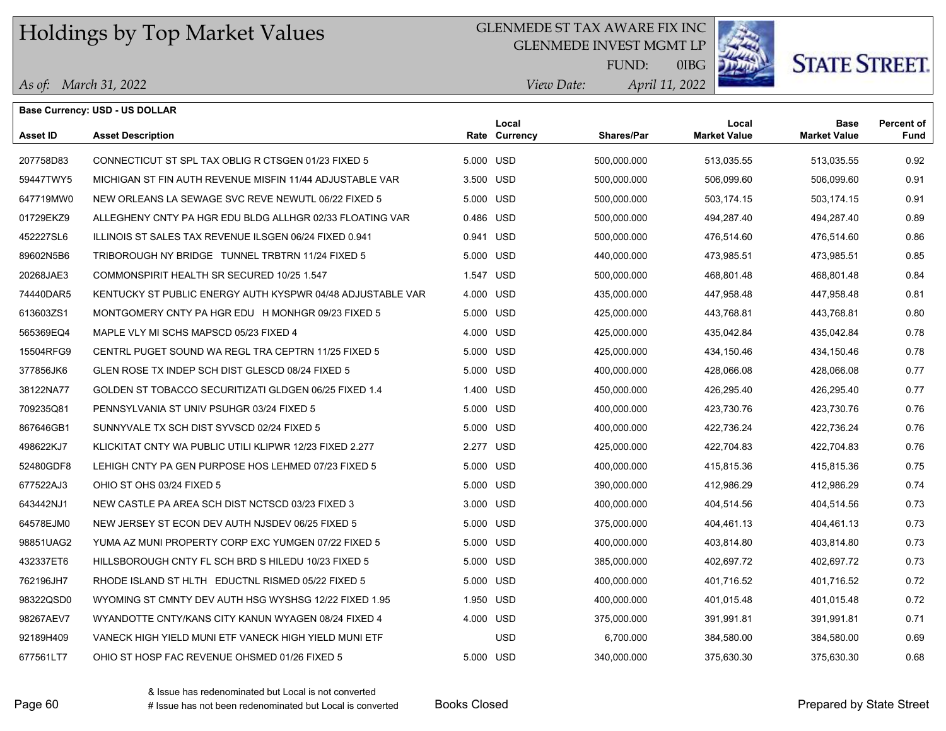### GLENMEDE ST TAX AWARE FIX INC

GLENMEDE INVEST MGMT LP



# **STATE STREET.**

*April 11, 2022 View Date:* FUND:

0IBG

#### *As of: March 31, 2022*

|                 | <b>Base Currency: USD - US DOLLAR</b>                      |           |                        |                   |                              |                                    |                           |
|-----------------|------------------------------------------------------------|-----------|------------------------|-------------------|------------------------------|------------------------------------|---------------------------|
| <b>Asset ID</b> | <b>Asset Description</b>                                   |           | Local<br>Rate Currency | <b>Shares/Par</b> | Local<br><b>Market Value</b> | <b>Base</b><br><b>Market Value</b> | <b>Percent of</b><br>Fund |
| 207758D83       | CONNECTICUT ST SPL TAX OBLIG R CTSGEN 01/23 FIXED 5        | 5.000 USD |                        | 500,000.000       | 513,035.55                   | 513,035.55                         | 0.92                      |
| 59447TWY5       | MICHIGAN ST FIN AUTH REVENUE MISFIN 11/44 ADJUSTABLE VAR   | 3.500 USD |                        | 500,000.000       | 506,099.60                   | 506,099.60                         | 0.91                      |
| 647719MW0       | NEW ORLEANS LA SEWAGE SVC REVE NEWUTL 06/22 FIXED 5        | 5.000 USD |                        | 500,000.000       | 503,174.15                   | 503,174.15                         | 0.91                      |
| 01729EKZ9       | ALLEGHENY CNTY PA HGR EDU BLDG ALLHGR 02/33 FLOATING VAR   | 0.486 USD |                        | 500,000.000       | 494,287.40                   | 494,287.40                         | 0.89                      |
| 452227SL6       | ILLINOIS ST SALES TAX REVENUE ILSGEN 06/24 FIXED 0.941     | 0.941 USD |                        | 500,000.000       | 476,514.60                   | 476,514.60                         | 0.86                      |
| 89602N5B6       | TRIBOROUGH NY BRIDGE TUNNEL TRBTRN 11/24 FIXED 5           | 5.000 USD |                        | 440,000.000       | 473,985.51                   | 473,985.51                         | 0.85                      |
| 20268JAE3       | COMMONSPIRIT HEALTH SR SECURED 10/25 1.547                 | 1.547 USD |                        | 500,000.000       | 468,801.48                   | 468,801.48                         | 0.84                      |
| 74440DAR5       | KENTUCKY ST PUBLIC ENERGY AUTH KYSPWR 04/48 ADJUSTABLE VAR | 4.000 USD |                        | 435,000.000       | 447,958.48                   | 447,958.48                         | 0.81                      |
| 613603ZS1       | MONTGOMERY CNTY PA HGR EDU H MONHGR 09/23 FIXED 5          | 5.000 USD |                        | 425,000.000       | 443,768.81                   | 443,768.81                         | 0.80                      |
| 565369EQ4       | MAPLE VLY MI SCHS MAPSCD 05/23 FIXED 4                     | 4.000 USD |                        | 425,000.000       | 435,042.84                   | 435,042.84                         | 0.78                      |
| 15504RFG9       | CENTRL PUGET SOUND WA REGL TRA CEPTRN 11/25 FIXED 5        | 5.000 USD |                        | 425,000.000       | 434,150.46                   | 434,150.46                         | 0.78                      |
| 377856JK6       | GLEN ROSE TX INDEP SCH DIST GLESCD 08/24 FIXED 5           | 5.000 USD |                        | 400,000.000       | 428,066.08                   | 428,066.08                         | 0.77                      |
| 38122NA77       | GOLDEN ST TOBACCO SECURITIZATI GLDGEN 06/25 FIXED 1.4      | 1.400 USD |                        | 450,000.000       | 426,295.40                   | 426,295.40                         | 0.77                      |
| 709235Q81       | PENNSYLVANIA ST UNIV PSUHGR 03/24 FIXED 5                  | 5.000 USD |                        | 400,000.000       | 423,730.76                   | 423,730.76                         | 0.76                      |
| 867646GB1       | SUNNYVALE TX SCH DIST SYVSCD 02/24 FIXED 5                 | 5.000 USD |                        | 400,000.000       | 422,736.24                   | 422,736.24                         | 0.76                      |
| 498622KJ7       | KLICKITAT CNTY WA PUBLIC UTILI KLIPWR 12/23 FIXED 2.277    | 2.277 USD |                        | 425,000.000       | 422,704.83                   | 422,704.83                         | 0.76                      |
| 52480GDF8       | LEHIGH CNTY PA GEN PURPOSE HOS LEHMED 07/23 FIXED 5        | 5.000 USD |                        | 400,000.000       | 415,815.36                   | 415,815.36                         | 0.75                      |
| 677522AJ3       | OHIO ST OHS 03/24 FIXED 5                                  | 5.000 USD |                        | 390,000.000       | 412,986.29                   | 412,986.29                         | 0.74                      |
| 643442NJ1       | NEW CASTLE PA AREA SCH DIST NCTSCD 03/23 FIXED 3           | 3.000 USD |                        | 400,000.000       | 404,514.56                   | 404,514.56                         | 0.73                      |
| 64578EJM0       | NEW JERSEY ST ECON DEV AUTH NJSDEV 06/25 FIXED 5           | 5.000 USD |                        | 375,000.000       | 404,461.13                   | 404,461.13                         | 0.73                      |
| 98851UAG2       | YUMA AZ MUNI PROPERTY CORP EXC YUMGEN 07/22 FIXED 5        | 5.000 USD |                        | 400,000.000       | 403,814.80                   | 403,814.80                         | 0.73                      |
| 432337ET6       | HILLSBOROUGH CNTY FL SCH BRD S HILEDU 10/23 FIXED 5        | 5.000 USD |                        | 385,000.000       | 402,697.72                   | 402,697.72                         | 0.73                      |
| 762196JH7       | RHODE ISLAND ST HLTH EDUCTNL RISMED 05/22 FIXED 5          | 5.000 USD |                        | 400,000.000       | 401,716.52                   | 401,716.52                         | 0.72                      |
| 98322QSD0       | WYOMING ST CMNTY DEV AUTH HSG WYSHSG 12/22 FIXED 1.95      | 1.950 USD |                        | 400,000.000       | 401,015.48                   | 401,015.48                         | 0.72                      |
| 98267AEV7       | WYANDOTTE CNTY/KANS CITY KANUN WYAGEN 08/24 FIXED 4        | 4.000 USD |                        | 375,000.000       | 391,991.81                   | 391,991.81                         | 0.71                      |
| 92189H409       | VANECK HIGH YIELD MUNI ETF VANECK HIGH YIELD MUNI ETF      |           | <b>USD</b>             | 6,700.000         | 384,580.00                   | 384,580.00                         | 0.69                      |
| 677561LT7       | OHIO ST HOSP FAC REVENUE OHSMED 01/26 FIXED 5              | 5.000 USD |                        | 340,000.000       | 375,630.30                   | 375,630.30                         | 0.68                      |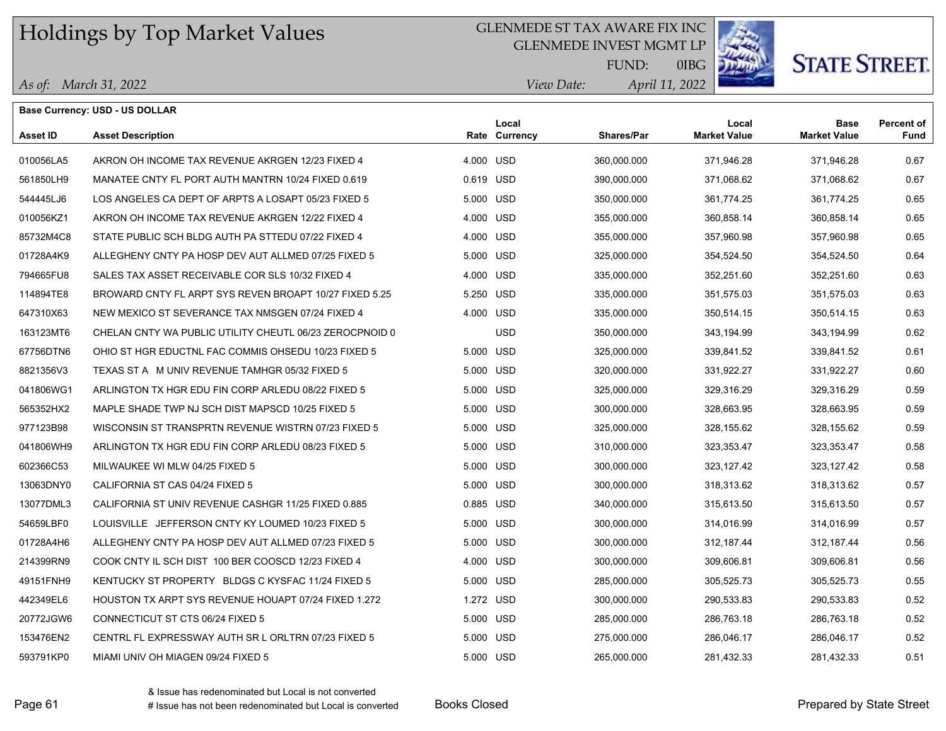#### GLENMEDE ST TAX AWARE FIX INC

GLENMEDE INVEST MGMT LP



0IBG

**STATE STREET.** 

*April 11, 2022 View Date:* FUND:

*As of: March 31, 2022*

|                 | <b>Base Currency: USD - US DOLLAR</b>                   |           |                        |                   |                              |                                    |                           |
|-----------------|---------------------------------------------------------|-----------|------------------------|-------------------|------------------------------|------------------------------------|---------------------------|
| <b>Asset ID</b> | <b>Asset Description</b>                                |           | Local<br>Rate Currency | <b>Shares/Par</b> | Local<br><b>Market Value</b> | <b>Base</b><br><b>Market Value</b> | <b>Percent of</b><br>Fund |
| 010056LA5       | AKRON OH INCOME TAX REVENUE AKRGEN 12/23 FIXED 4        | 4.000 USD |                        | 360,000.000       | 371,946.28                   | 371,946.28                         | 0.67                      |
| 561850LH9       | MANATEE CNTY FL PORT AUTH MANTRN 10/24 FIXED 0.619      | 0.619 USD |                        | 390,000.000       | 371,068.62                   | 371,068.62                         | 0.67                      |
| 544445LJ6       | LOS ANGELES CA DEPT OF ARPTS A LOSAPT 05/23 FIXED 5     | 5.000 USD |                        | 350,000.000       | 361,774.25                   | 361,774.25                         | 0.65                      |
| 010056KZ1       | AKRON OH INCOME TAX REVENUE AKRGEN 12/22 FIXED 4        | 4.000 USD |                        | 355,000.000       | 360,858.14                   | 360,858.14                         | 0.65                      |
| 85732M4C8       | STATE PUBLIC SCH BLDG AUTH PA STTEDU 07/22 FIXED 4      | 4.000 USD |                        | 355,000.000       | 357,960.98                   | 357,960.98                         | 0.65                      |
| 01728A4K9       | ALLEGHENY CNTY PA HOSP DEV AUT ALLMED 07/25 FIXED 5     | 5.000 USD |                        | 325,000.000       | 354,524.50                   | 354,524.50                         | 0.64                      |
| 794665FU8       | SALES TAX ASSET RECEIVABLE COR SLS 10/32 FIXED 4        | 4.000 USD |                        | 335,000.000       | 352,251.60                   | 352,251.60                         | 0.63                      |
| 114894TE8       | BROWARD CNTY FL ARPT SYS REVEN BROAPT 10/27 FIXED 5.25  | 5.250 USD |                        | 335,000.000       | 351,575.03                   | 351,575.03                         | 0.63                      |
| 647310X63       | NEW MEXICO ST SEVERANCE TAX NMSGEN 07/24 FIXED 4        | 4.000 USD |                        | 335,000.000       | 350,514.15                   | 350,514.15                         | 0.63                      |
| 163123MT6       | CHELAN CNTY WA PUBLIC UTILITY CHEUTL 06/23 ZEROCPNOID 0 |           | <b>USD</b>             | 350,000.000       | 343,194.99                   | 343,194.99                         | 0.62                      |
| 67756DTN6       | OHIO ST HGR EDUCTNL FAC COMMIS OHSEDU 10/23 FIXED 5     | 5.000 USD |                        | 325,000.000       | 339,841.52                   | 339,841.52                         | 0.61                      |
| 8821356V3       | TEXAS ST A M UNIV REVENUE TAMHGR 05/32 FIXED 5          | 5.000 USD |                        | 320,000.000       | 331,922.27                   | 331,922.27                         | 0.60                      |
| 041806WG1       | ARLINGTON TX HGR EDU FIN CORP ARLEDU 08/22 FIXED 5      | 5.000 USD |                        | 325,000.000       | 329,316.29                   | 329,316.29                         | 0.59                      |
| 565352HX2       | MAPLE SHADE TWP NJ SCH DIST MAPSCD 10/25 FIXED 5        | 5.000 USD |                        | 300,000.000       | 328,663.95                   | 328,663.95                         | 0.59                      |
| 977123B98       | WISCONSIN ST TRANSPRTN REVENUE WISTRN 07/23 FIXED 5     | 5.000 USD |                        | 325,000.000       | 328,155.62                   | 328,155.62                         | 0.59                      |
| 041806WH9       | ARLINGTON TX HGR EDU FIN CORP ARLEDU 08/23 FIXED 5      | 5.000 USD |                        | 310,000.000       | 323,353.47                   | 323,353.47                         | 0.58                      |
| 602366C53       | MILWAUKEE WI MLW 04/25 FIXED 5                          | 5.000 USD |                        | 300,000.000       | 323,127.42                   | 323,127.42                         | 0.58                      |
| 13063DNY0       | CALIFORNIA ST CAS 04/24 FIXED 5                         | 5.000 USD |                        | 300,000.000       | 318,313.62                   | 318,313.62                         | 0.57                      |
| 13077DML3       | CALIFORNIA ST UNIV REVENUE CASHGR 11/25 FIXED 0.885     | 0.885 USD |                        | 340,000.000       | 315,613.50                   | 315.613.50                         | 0.57                      |
| 54659LBF0       | LOUISVILLE JEFFERSON CNTY KY LOUMED 10/23 FIXED 5       | 5.000 USD |                        | 300,000.000       | 314,016.99                   | 314,016.99                         | 0.57                      |
| 01728A4H6       | ALLEGHENY CNTY PA HOSP DEV AUT ALLMED 07/23 FIXED 5     | 5.000 USD |                        | 300,000.000       | 312, 187.44                  | 312, 187.44                        | 0.56                      |
| 214399RN9       | COOK CNTY IL SCH DIST 100 BER COOSCD 12/23 FIXED 4      | 4.000 USD |                        | 300,000.000       | 309,606.81                   | 309,606.81                         | 0.56                      |
| 49151FNH9       | KENTUCKY ST PROPERTY BLDGS C KYSFAC 11/24 FIXED 5       | 5.000 USD |                        | 285,000.000       | 305,525.73                   | 305,525.73                         | 0.55                      |
| 442349EL6       | HOUSTON TX ARPT SYS REVENUE HOUAPT 07/24 FIXED 1.272    | 1.272 USD |                        | 300,000.000       | 290,533.83                   | 290,533.83                         | 0.52                      |
| 20772JGW6       | CONNECTICUT ST CTS 06/24 FIXED 5                        | 5.000 USD |                        | 285,000.000       | 286,763.18                   | 286,763.18                         | 0.52                      |
| 153476EN2       | CENTRL FL EXPRESSWAY AUTH SR L ORLTRN 07/23 FIXED 5     | 5.000 USD |                        | 275,000.000       | 286,046.17                   | 286,046.17                         | 0.52                      |
| 593791KP0       | MIAMI UNIV OH MIAGEN 09/24 FIXED 5                      | 5.000 USD |                        | 265.000.000       | 281.432.33                   | 281.432.33                         | 0.51                      |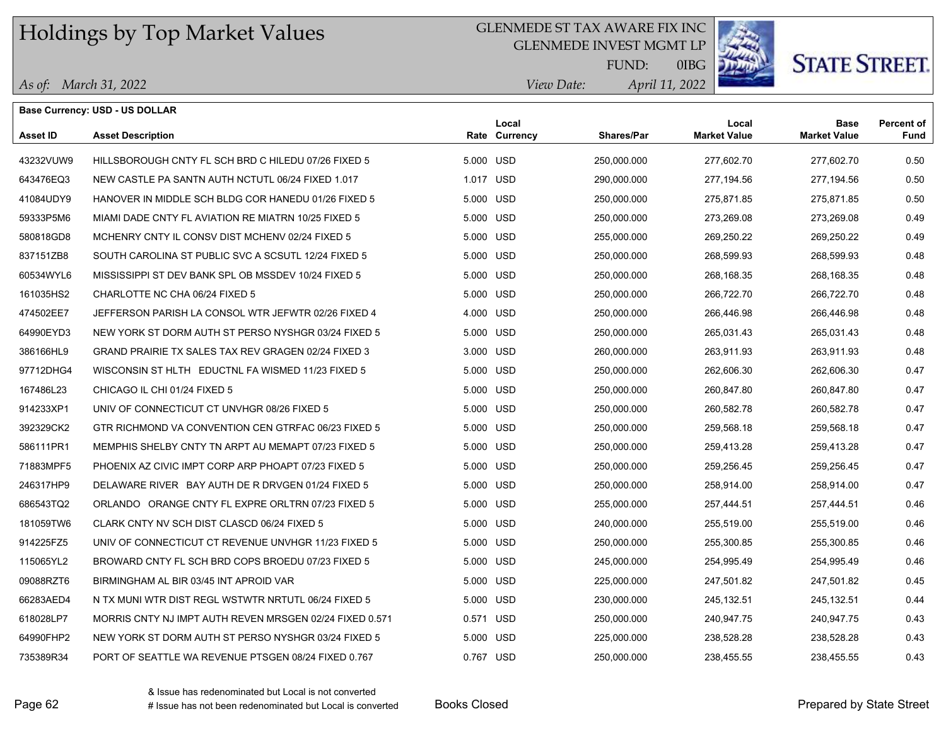#### GLENMEDE ST TAX AWARE FIX INC

GLENMEDE INVEST MGMT LP



# **STATE STREET.**

*April 11, 2022 View Date:* FUND:

0IBG

| As of: March 31, 2022 |  |
|-----------------------|--|
|-----------------------|--|

|           | Base Currency: USD - US DOLLAR                          |           |                        |             |                              |                             |                           |
|-----------|---------------------------------------------------------|-----------|------------------------|-------------|------------------------------|-----------------------------|---------------------------|
| Asset ID  | <b>Asset Description</b>                                |           | Local<br>Rate Currency | Shares/Par  | Local<br><b>Market Value</b> | Base<br><b>Market Value</b> | <b>Percent of</b><br>Fund |
| 43232VUW9 | HILLSBOROUGH CNTY FL SCH BRD C HILEDU 07/26 FIXED 5     |           | 5.000 USD              | 250,000.000 | 277,602.70                   | 277,602.70                  | 0.50                      |
| 643476EQ3 | NEW CASTLE PA SANTN AUTH NCTUTL 06/24 FIXED 1.017       |           | 1.017 USD              | 290,000.000 | 277,194.56                   | 277,194.56                  | 0.50                      |
| 41084UDY9 | HANOVER IN MIDDLE SCH BLDG COR HANEDU 01/26 FIXED 5     | 5.000 USD |                        | 250.000.000 | 275.871.85                   | 275.871.85                  | 0.50                      |
| 59333P5M6 | MIAMI DADE CNTY FL AVIATION RE MIATRN 10/25 FIXED 5     | 5.000 USD |                        | 250,000.000 | 273,269.08                   | 273,269.08                  | 0.49                      |
| 580818GD8 | MCHENRY CNTY IL CONSV DIST MCHENV 02/24 FIXED 5         | 5.000 USD |                        | 255,000.000 | 269,250.22                   | 269,250.22                  | 0.49                      |
| 837151ZB8 | SOUTH CAROLINA ST PUBLIC SVC A SCSUTL 12/24 FIXED 5     |           | 5.000 USD              | 250,000.000 | 268,599.93                   | 268,599.93                  | 0.48                      |
| 60534WYL6 | MISSISSIPPI ST DEV BANK SPL OB MSSDEV 10/24 FIXED 5     |           | 5.000 USD              | 250,000.000 | 268.168.35                   | 268,168.35                  | 0.48                      |
| 161035HS2 | CHARLOTTE NC CHA 06/24 FIXED 5                          |           | 5.000 USD              | 250,000.000 | 266,722.70                   | 266,722.70                  | 0.48                      |
| 474502EE7 | JEFFERSON PARISH LA CONSOL WTR JEFWTR 02/26 FIXED 4     | 4.000 USD |                        | 250,000.000 | 266,446.98                   | 266,446.98                  | 0.48                      |
| 64990EYD3 | NEW YORK ST DORM AUTH ST PERSO NYSHGR 03/24 FIXED 5     |           | 5.000 USD              | 250,000.000 | 265,031.43                   | 265,031.43                  | 0.48                      |
| 386166HL9 | GRAND PRAIRIE TX SALES TAX REV GRAGEN 02/24 FIXED 3     |           | 3.000 USD              | 260,000.000 | 263,911.93                   | 263,911.93                  | 0.48                      |
| 97712DHG4 | WISCONSIN ST HLTH EDUCTNL FA WISMED 11/23 FIXED 5       |           | 5.000 USD              | 250,000.000 | 262,606.30                   | 262,606.30                  | 0.47                      |
| 167486L23 | CHICAGO IL CHI 01/24 FIXED 5                            | 5.000 USD |                        | 250,000.000 | 260,847.80                   | 260,847.80                  | 0.47                      |
| 914233XP1 | UNIV OF CONNECTICUT CT UNVHGR 08/26 FIXED 5             | 5.000 USD |                        | 250,000.000 | 260,582.78                   | 260,582.78                  | 0.47                      |
| 392329CK2 | GTR RICHMOND VA CONVENTION CEN GTRFAC 06/23 FIXED 5     |           | 5.000 USD              | 250,000.000 | 259,568.18                   | 259,568.18                  | 0.47                      |
| 586111PR1 | MEMPHIS SHELBY CNTY TN ARPT AU MEMAPT 07/23 FIXED 5     |           | 5.000 USD              | 250,000.000 | 259,413.28                   | 259,413.28                  | 0.47                      |
| 71883MPF5 | PHOENIX AZ CIVIC IMPT CORP ARP PHOAPT 07/23 FIXED 5     | 5.000 USD |                        | 250,000.000 | 259,256.45                   | 259,256.45                  | 0.47                      |
| 246317HP9 | DELAWARE RIVER BAY AUTH DE R DRVGEN 01/24 FIXED 5       |           | 5.000 USD              | 250,000.000 | 258,914.00                   | 258,914.00                  | 0.47                      |
| 686543TQ2 | ORLANDO ORANGE CNTY FL EXPRE ORLTRN 07/23 FIXED 5       |           | 5.000 USD              | 255,000.000 | 257,444.51                   | 257,444.51                  | 0.46                      |
| 181059TW6 | CLARK CNTY NV SCH DIST CLASCD 06/24 FIXED 5             |           | 5.000 USD              | 240,000.000 | 255,519.00                   | 255,519.00                  | 0.46                      |
| 914225FZ5 | UNIV OF CONNECTICUT CT REVENUE UNVHGR 11/23 FIXED 5     | 5.000 USD |                        | 250,000.000 | 255,300.85                   | 255,300.85                  | 0.46                      |
| 115065YL2 | BROWARD CNTY FL SCH BRD COPS BROEDU 07/23 FIXED 5       |           | 5.000 USD              | 245,000.000 | 254,995.49                   | 254,995.49                  | 0.46                      |
| 09088RZT6 | BIRMINGHAM AL BIR 03/45 INT APROID VAR                  |           | 5.000 USD              | 225,000.000 | 247,501.82                   | 247,501.82                  | 0.45                      |
| 66283AED4 | N TX MUNI WTR DIST REGL WSTWTR NRTUTL 06/24 FIXED 5     |           | 5.000 USD              | 230,000.000 | 245, 132.51                  | 245, 132.51                 | 0.44                      |
| 618028LP7 | MORRIS CNTY NJ IMPT AUTH REVEN MRSGEN 02/24 FIXED 0.571 | 0.571 USD |                        | 250,000.000 | 240,947.75                   | 240,947.75                  | 0.43                      |
| 64990FHP2 | NEW YORK ST DORM AUTH ST PERSO NYSHGR 03/24 FIXED 5     | 5.000 USD |                        | 225,000.000 | 238,528.28                   | 238,528.28                  | 0.43                      |
| 735389R34 | PORT OF SEATTLE WA REVENUE PTSGEN 08/24 FIXED 0.767     | 0.767 USD |                        | 250,000.000 | 238,455.55                   | 238,455.55                  | 0.43                      |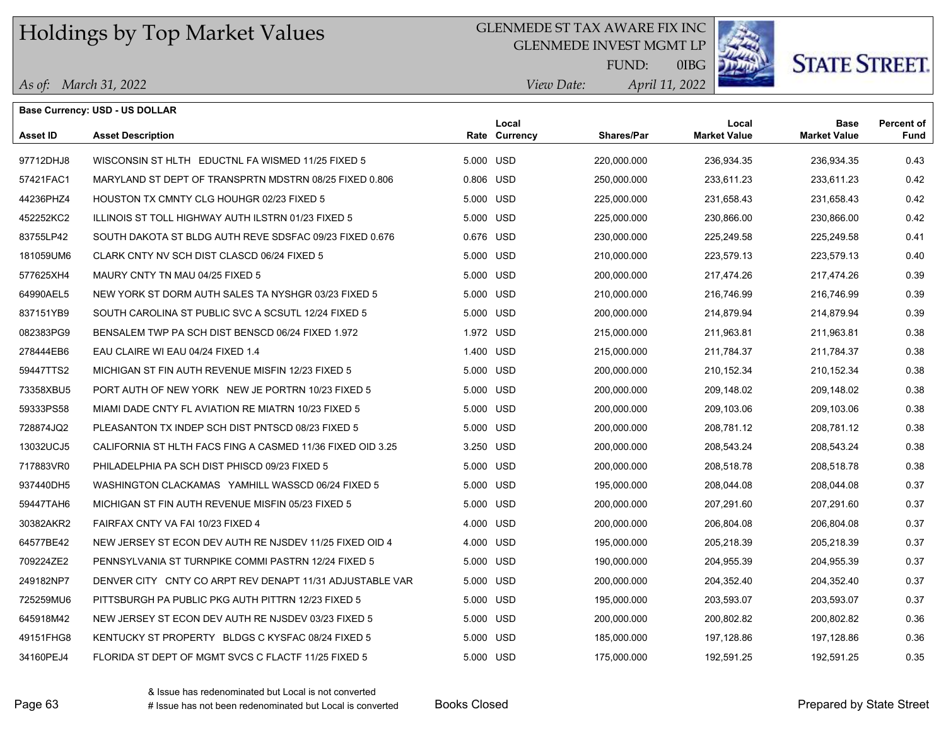#### GLENMEDE ST TAX AWARE FIX INC

GLENMEDE INVEST MGMT LP



# **STATE STREET.**

*April 11, 2022 View Date:* FUND:

0IBG

| As of: March 31, 2022 |  |
|-----------------------|--|
|                       |  |

|                 | <b>Base Currency: USD - US DOLLAR</b>                      |           |                        |                   |                              |                                    |                           |
|-----------------|------------------------------------------------------------|-----------|------------------------|-------------------|------------------------------|------------------------------------|---------------------------|
| <b>Asset ID</b> | <b>Asset Description</b>                                   |           | Local<br>Rate Currency | <b>Shares/Par</b> | Local<br><b>Market Value</b> | <b>Base</b><br><b>Market Value</b> | <b>Percent of</b><br>Fund |
| 97712DHJ8       | WISCONSIN ST HLTH EDUCTNL FA WISMED 11/25 FIXED 5          | 5.000 USD |                        | 220,000.000       | 236,934.35                   | 236,934.35                         | 0.43                      |
| 57421FAC1       | MARYLAND ST DEPT OF TRANSPRTN MDSTRN 08/25 FIXED 0.806     | 0.806 USD |                        | 250,000.000       | 233,611.23                   | 233,611.23                         | 0.42                      |
| 44236PHZ4       | HOUSTON TX CMNTY CLG HOUHGR 02/23 FIXED 5                  | 5.000 USD |                        | 225,000.000       | 231,658.43                   | 231,658.43                         | 0.42                      |
| 452252KC2       | ILLINOIS ST TOLL HIGHWAY AUTH ILSTRN 01/23 FIXED 5         | 5.000 USD |                        | 225,000.000       | 230,866.00                   | 230,866.00                         | 0.42                      |
| 83755LP42       | SOUTH DAKOTA ST BLDG AUTH REVE SDSFAC 09/23 FIXED 0.676    | 0.676 USD |                        | 230,000.000       | 225,249.58                   | 225,249.58                         | 0.41                      |
| 181059UM6       | CLARK CNTY NV SCH DIST CLASCD 06/24 FIXED 5                | 5.000 USD |                        | 210,000.000       | 223,579.13                   | 223,579.13                         | 0.40                      |
| 577625XH4       | MAURY CNTY TN MAU 04/25 FIXED 5                            | 5.000 USD |                        | 200,000.000       | 217,474.26                   | 217,474.26                         | 0.39                      |
| 64990AEL5       | NEW YORK ST DORM AUTH SALES TA NYSHGR 03/23 FIXED 5        | 5.000 USD |                        | 210,000.000       | 216,746.99                   | 216,746.99                         | 0.39                      |
| 837151YB9       | SOUTH CAROLINA ST PUBLIC SVC A SCSUTL 12/24 FIXED 5        | 5.000 USD |                        | 200,000.000       | 214,879.94                   | 214,879.94                         | 0.39                      |
| 082383PG9       | BENSALEM TWP PA SCH DIST BENSCD 06/24 FIXED 1.972          | 1.972 USD |                        | 215,000.000       | 211,963.81                   | 211,963.81                         | 0.38                      |
| 278444EB6       | EAU CLAIRE WI EAU 04/24 FIXED 1.4                          | 1.400 USD |                        | 215,000.000       | 211,784.37                   | 211,784.37                         | 0.38                      |
| 59447TTS2       | MICHIGAN ST FIN AUTH REVENUE MISFIN 12/23 FIXED 5          | 5.000 USD |                        | 200,000.000       | 210,152.34                   | 210,152.34                         | 0.38                      |
| 73358XBU5       | PORT AUTH OF NEW YORK NEW JE PORTRN 10/23 FIXED 5          | 5.000 USD |                        | 200,000.000       | 209,148.02                   | 209,148.02                         | 0.38                      |
| 59333PS58       | MIAMI DADE CNTY FL AVIATION RE MIATRN 10/23 FIXED 5        | 5.000 USD |                        | 200,000.000       | 209,103.06                   | 209,103.06                         | 0.38                      |
| 728874JQ2       | PLEASANTON TX INDEP SCH DIST PNTSCD 08/23 FIXED 5          | 5.000 USD |                        | 200,000.000       | 208,781.12                   | 208,781.12                         | 0.38                      |
| 13032UCJ5       | CALIFORNIA ST HLTH FACS FING A CASMED 11/36 FIXED OID 3.25 | 3.250 USD |                        | 200,000.000       | 208,543.24                   | 208,543.24                         | 0.38                      |
| 717883VR0       | PHILADELPHIA PA SCH DIST PHISCD 09/23 FIXED 5              | 5.000 USD |                        | 200,000.000       | 208,518.78                   | 208,518.78                         | 0.38                      |
| 937440DH5       | WASHINGTON CLACKAMAS YAMHILL WASSCD 06/24 FIXED 5          | 5.000 USD |                        | 195,000.000       | 208,044.08                   | 208,044.08                         | 0.37                      |
| 59447TAH6       | MICHIGAN ST FIN AUTH REVENUE MISFIN 05/23 FIXED 5          | 5.000 USD |                        | 200,000.000       | 207,291.60                   | 207,291.60                         | 0.37                      |
| 30382AKR2       | FAIRFAX CNTY VA FAI 10/23 FIXED 4                          | 4.000 USD |                        | 200,000.000       | 206,804.08                   | 206,804.08                         | 0.37                      |
| 64577BE42       | NEW JERSEY ST ECON DEV AUTH RE NJSDEV 11/25 FIXED OID 4    | 4.000 USD |                        | 195,000.000       | 205,218.39                   | 205,218.39                         | 0.37                      |
| 709224ZE2       | PENNSYLVANIA ST TURNPIKE COMMI PASTRN 12/24 FIXED 5        | 5.000 USD |                        | 190,000.000       | 204,955.39                   | 204,955.39                         | 0.37                      |
| 249182NP7       | DENVER CITY CNTY CO ARPT REV DENAPT 11/31 ADJUSTABLE VAR   | 5.000 USD |                        | 200,000.000       | 204,352.40                   | 204,352.40                         | 0.37                      |
| 725259MU6       | PITTSBURGH PA PUBLIC PKG AUTH PITTRN 12/23 FIXED 5         | 5.000 USD |                        | 195,000.000       | 203,593.07                   | 203,593.07                         | 0.37                      |
| 645918M42       | NEW JERSEY ST ECON DEV AUTH RE NJSDEV 03/23 FIXED 5        | 5.000 USD |                        | 200,000.000       | 200,802.82                   | 200,802.82                         | 0.36                      |
| 49151FHG8       | KENTUCKY ST PROPERTY BLDGS C KYSFAC 08/24 FIXED 5          | 5.000 USD |                        | 185,000.000       | 197,128.86                   | 197,128.86                         | 0.36                      |
| 34160PEJ4       | FLORIDA ST DEPT OF MGMT SVCS C FLACTF 11/25 FIXED 5        | 5.000 USD |                        | 175,000.000       | 192,591.25                   | 192,591.25                         | 0.35                      |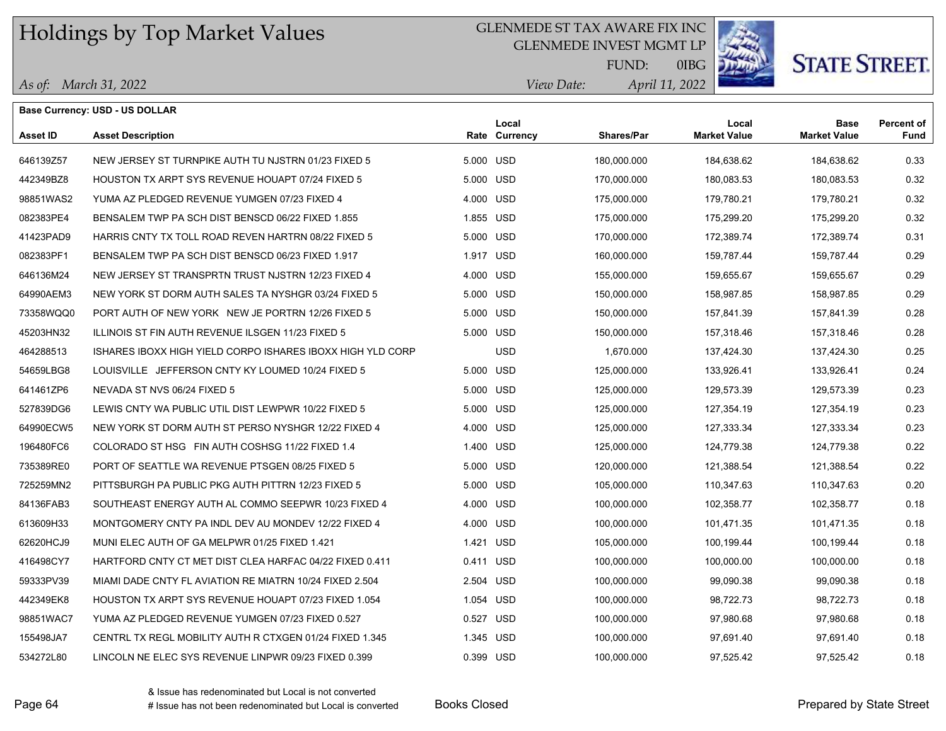#### GLENMEDE ST TAX AWARE FIX INC

GLENMEDE INVEST MGMT LP



0IBG

# **STATE STREET.**

*April 11, 2022 View Date:* FUND:

*As of: March 31, 2022*

|                 | <b>Base Currency: USD - US DOLLAR</b>                      |           |                        |                   |                              |                                    |                    |
|-----------------|------------------------------------------------------------|-----------|------------------------|-------------------|------------------------------|------------------------------------|--------------------|
| <b>Asset ID</b> | <b>Asset Description</b>                                   |           | Local<br>Rate Currency | <b>Shares/Par</b> | Local<br><b>Market Value</b> | <b>Base</b><br><b>Market Value</b> | Percent of<br>Fund |
| 646139Z57       | NEW JERSEY ST TURNPIKE AUTH TU NJSTRN 01/23 FIXED 5        | 5.000 USD |                        | 180,000.000       | 184,638.62                   | 184,638.62                         | 0.33               |
| 442349BZ8       | HOUSTON TX ARPT SYS REVENUE HOUAPT 07/24 FIXED 5           | 5.000 USD |                        | 170,000.000       | 180,083.53                   | 180,083.53                         | 0.32               |
| 98851WAS2       | YUMA AZ PLEDGED REVENUE YUMGEN 07/23 FIXED 4               | 4.000 USD |                        | 175,000.000       | 179,780.21                   | 179,780.21                         | 0.32               |
| 082383PE4       | BENSALEM TWP PA SCH DIST BENSCD 06/22 FIXED 1.855          | 1.855 USD |                        | 175,000.000       | 175,299.20                   | 175,299.20                         | 0.32               |
| 41423PAD9       | HARRIS CNTY TX TOLL ROAD REVEN HARTRN 08/22 FIXED 5        | 5.000 USD |                        | 170,000.000       | 172,389.74                   | 172,389.74                         | 0.31               |
| 082383PF1       | BENSALEM TWP PA SCH DIST BENSCD 06/23 FIXED 1.917          | 1.917 USD |                        | 160,000.000       | 159,787.44                   | 159,787.44                         | 0.29               |
| 646136M24       | NEW JERSEY ST TRANSPRTN TRUST NJSTRN 12/23 FIXED 4         | 4.000 USD |                        | 155,000.000       | 159,655.67                   | 159,655.67                         | 0.29               |
| 64990AEM3       | NEW YORK ST DORM AUTH SALES TA NYSHGR 03/24 FIXED 5        | 5.000 USD |                        | 150,000.000       | 158,987.85                   | 158,987.85                         | 0.29               |
| 73358WQQ0       | PORT AUTH OF NEW YORK NEW JE PORTRN 12/26 FIXED 5          | 5.000 USD |                        | 150,000.000       | 157,841.39                   | 157,841.39                         | 0.28               |
| 45203HN32       | ILLINOIS ST FIN AUTH REVENUE ILSGEN 11/23 FIXED 5          | 5.000 USD |                        | 150,000.000       | 157,318.46                   | 157,318.46                         | 0.28               |
| 464288513       | ISHARES IBOXX HIGH YIELD CORPO ISHARES IBOXX HIGH YLD CORP |           | <b>USD</b>             | 1,670.000         | 137,424.30                   | 137,424.30                         | 0.25               |
| 54659LBG8       | LOUISVILLE JEFFERSON CNTY KY LOUMED 10/24 FIXED 5          | 5.000 USD |                        | 125,000.000       | 133,926.41                   | 133,926.41                         | 0.24               |
| 641461ZP6       | NEVADA ST NVS 06/24 FIXED 5                                | 5.000 USD |                        | 125,000.000       | 129,573.39                   | 129,573.39                         | 0.23               |
| 527839DG6       | LEWIS CNTY WA PUBLIC UTIL DIST LEWPWR 10/22 FIXED 5        | 5.000 USD |                        | 125,000.000       | 127,354.19                   | 127,354.19                         | 0.23               |
| 64990ECW5       | NEW YORK ST DORM AUTH ST PERSO NYSHGR 12/22 FIXED 4        | 4.000 USD |                        | 125,000.000       | 127,333.34                   | 127,333.34                         | 0.23               |
| 196480FC6       | COLORADO ST HSG FIN AUTH COSHSG 11/22 FIXED 1.4            | 1.400 USD |                        | 125,000.000       | 124,779.38                   | 124,779.38                         | 0.22               |
| 735389RE0       | PORT OF SEATTLE WA REVENUE PTSGEN 08/25 FIXED 5            | 5.000 USD |                        | 120,000.000       | 121,388.54                   | 121,388.54                         | 0.22               |
| 725259MN2       | PITTSBURGH PA PUBLIC PKG AUTH PITTRN 12/23 FIXED 5         | 5.000 USD |                        | 105,000.000       | 110,347.63                   | 110,347.63                         | 0.20               |
| 84136FAB3       | SOUTHEAST ENERGY AUTH AL COMMO SEEPWR 10/23 FIXED 4        | 4.000 USD |                        | 100,000.000       | 102,358.77                   | 102,358.77                         | 0.18               |
| 613609H33       | MONTGOMERY CNTY PA INDL DEV AU MONDEV 12/22 FIXED 4        | 4.000 USD |                        | 100,000.000       | 101,471.35                   | 101,471.35                         | 0.18               |
| 62620HCJ9       | MUNI ELEC AUTH OF GA MELPWR 01/25 FIXED 1.421              | 1.421 USD |                        | 105,000.000       | 100,199.44                   | 100,199.44                         | 0.18               |
| 416498CY7       | HARTFORD CNTY CT MET DIST CLEA HARFAC 04/22 FIXED 0.411    | 0.411 USD |                        | 100,000.000       | 100,000.00                   | 100,000.00                         | 0.18               |
| 59333PV39       | MIAMI DADE CNTY FL AVIATION RE MIATRN 10/24 FIXED 2.504    | 2.504 USD |                        | 100,000.000       | 99,090.38                    | 99,090.38                          | 0.18               |
| 442349EK8       | HOUSTON TX ARPT SYS REVENUE HOUAPT 07/23 FIXED 1.054       | 1.054 USD |                        | 100,000.000       | 98,722.73                    | 98,722.73                          | 0.18               |
| 98851WAC7       | YUMA AZ PLEDGED REVENUE YUMGEN 07/23 FIXED 0.527           | 0.527 USD |                        | 100,000.000       | 97,980.68                    | 97,980.68                          | 0.18               |
| 155498JA7       | CENTRL TX REGL MOBILITY AUTH R CTXGEN 01/24 FIXED 1.345    | 1.345 USD |                        | 100,000.000       | 97,691.40                    | 97,691.40                          | 0.18               |
| 534272L80       | LINCOLN NE ELEC SYS REVENUE LINPWR 09/23 FIXED 0.399       | 0.399 USD |                        | 100,000.000       | 97,525.42                    | 97,525.42                          | 0.18               |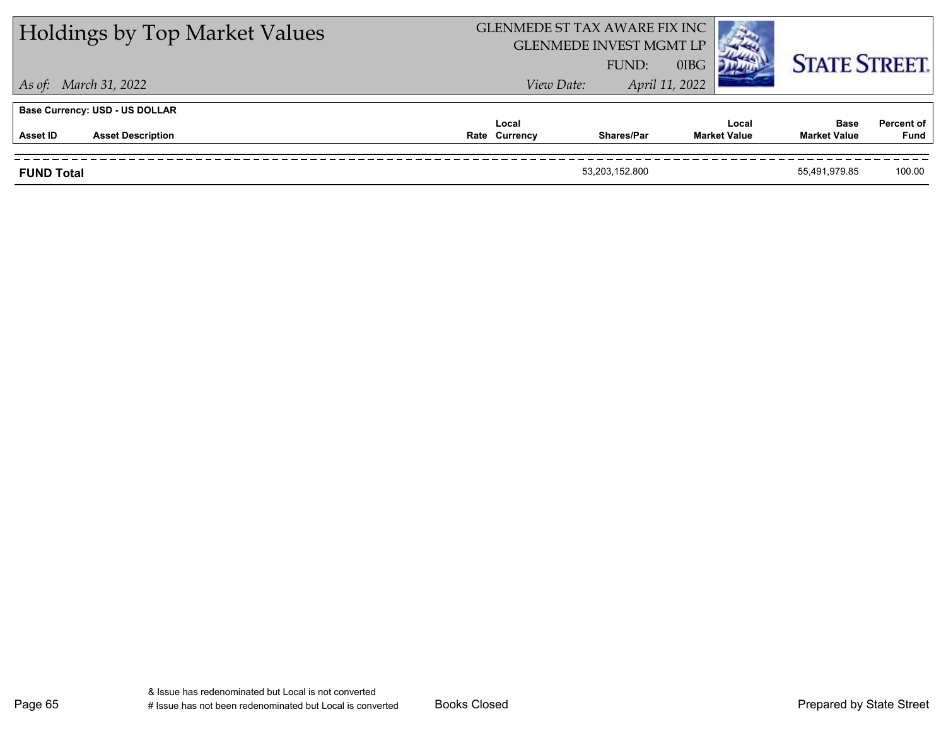| <b>Holdings by Top Market Values</b> | GLENMEDE ST TAX AWARE FIX INC<br><b>GLENMEDE INVEST MGMT LP</b> | FUND:          | 0IBG                         | <b>STATE STREET.</b>               |                           |
|--------------------------------------|-----------------------------------------------------------------|----------------|------------------------------|------------------------------------|---------------------------|
| As of: March 31, 2022                | View Date:                                                      |                | April 11, 2022               |                                    |                           |
| Base Currency: USD - US DOLLAR       |                                                                 |                |                              |                                    |                           |
| <b>Asset Description</b><br>Asset ID | Local<br>Rate Currency                                          | Shares/Par     | Local<br><b>Market Value</b> | <b>Base</b><br><b>Market Value</b> | <b>Percent of</b><br>Fund |
| <b>FUND Total</b>                    |                                                                 | 53,203,152.800 |                              | 55.491.979.85                      | 100.00                    |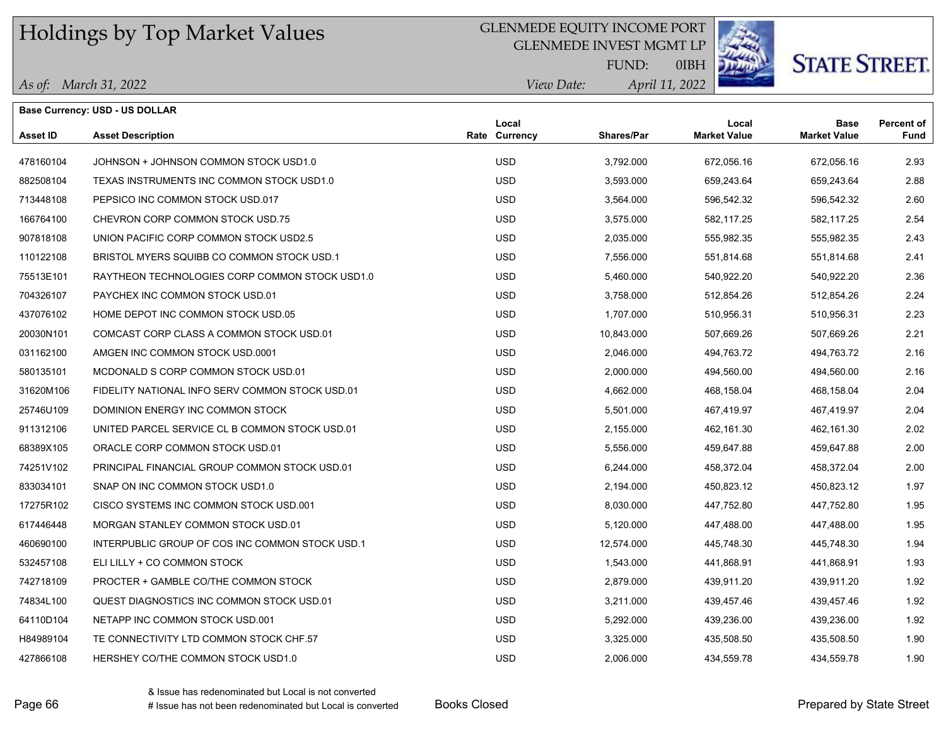### GLENMEDE EQUITY INCOME PORT

GLENMEDE INVEST MGMT LP



*April 11, 2022 View Date:* FUND:

0IBH

|                 | <b>Base Currency: USD - US DOLLAR</b>           |                        |            |                              |                                    |                           |
|-----------------|-------------------------------------------------|------------------------|------------|------------------------------|------------------------------------|---------------------------|
| <b>Asset ID</b> | <b>Asset Description</b>                        | Local<br>Rate Currency | Shares/Par | Local<br><b>Market Value</b> | <b>Base</b><br><b>Market Value</b> | <b>Percent of</b><br>Fund |
| 478160104       | JOHNSON + JOHNSON COMMON STOCK USD1.0           | <b>USD</b>             | 3,792.000  | 672,056.16                   | 672,056.16                         | 2.93                      |
| 882508104       | TEXAS INSTRUMENTS INC COMMON STOCK USD1.0       | <b>USD</b>             | 3,593,000  | 659,243.64                   | 659,243.64                         | 2.88                      |
| 713448108       | PEPSICO INC COMMON STOCK USD.017                | <b>USD</b>             | 3,564.000  | 596,542.32                   | 596,542.32                         | 2.60                      |
| 166764100       | CHEVRON CORP COMMON STOCK USD.75                | <b>USD</b>             | 3,575.000  | 582,117.25                   | 582,117.25                         | 2.54                      |
| 907818108       | UNION PACIFIC CORP COMMON STOCK USD2.5          | <b>USD</b>             | 2,035.000  | 555,982.35                   | 555,982.35                         | 2.43                      |
| 110122108       | BRISTOL MYERS SQUIBB CO COMMON STOCK USD.1      | <b>USD</b>             | 7,556.000  | 551,814.68                   | 551,814.68                         | 2.41                      |
| 75513E101       | RAYTHEON TECHNOLOGIES CORP COMMON STOCK USD1.0  | <b>USD</b>             | 5,460.000  | 540,922.20                   | 540,922.20                         | 2.36                      |
| 704326107       | PAYCHEX INC COMMON STOCK USD.01                 | <b>USD</b>             | 3,758.000  | 512,854.26                   | 512,854.26                         | 2.24                      |
| 437076102       | HOME DEPOT INC COMMON STOCK USD.05              | <b>USD</b>             | 1,707.000  | 510,956.31                   | 510,956.31                         | 2.23                      |
| 20030N101       | COMCAST CORP CLASS A COMMON STOCK USD.01        | <b>USD</b>             | 10,843.000 | 507,669.26                   | 507,669.26                         | 2.21                      |
| 031162100       | AMGEN INC COMMON STOCK USD.0001                 | <b>USD</b>             | 2,046.000  | 494,763.72                   | 494,763.72                         | 2.16                      |
| 580135101       | MCDONALD S CORP COMMON STOCK USD.01             | <b>USD</b>             | 2,000.000  | 494,560.00                   | 494,560.00                         | 2.16                      |
| 31620M106       | FIDELITY NATIONAL INFO SERV COMMON STOCK USD.01 | <b>USD</b>             | 4,662.000  | 468,158.04                   | 468,158.04                         | 2.04                      |
| 25746U109       | DOMINION ENERGY INC COMMON STOCK                | <b>USD</b>             | 5,501.000  | 467,419.97                   | 467,419.97                         | 2.04                      |
| 911312106       | UNITED PARCEL SERVICE CL B COMMON STOCK USD.01  | <b>USD</b>             | 2,155.000  | 462,161.30                   | 462,161.30                         | 2.02                      |
| 68389X105       | ORACLE CORP COMMON STOCK USD.01                 | <b>USD</b>             | 5,556.000  | 459,647.88                   | 459,647.88                         | 2.00                      |
| 74251V102       | PRINCIPAL FINANCIAL GROUP COMMON STOCK USD.01   | <b>USD</b>             | 6,244.000  | 458,372.04                   | 458,372.04                         | 2.00                      |
| 833034101       | SNAP ON INC COMMON STOCK USD1.0                 | <b>USD</b>             | 2,194.000  | 450,823.12                   | 450,823.12                         | 1.97                      |
| 17275R102       | CISCO SYSTEMS INC COMMON STOCK USD 001          | <b>USD</b>             | 8,030.000  | 447,752.80                   | 447,752.80                         | 1.95                      |
| 617446448       | MORGAN STANLEY COMMON STOCK USD.01              | <b>USD</b>             | 5,120.000  | 447,488.00                   | 447,488.00                         | 1.95                      |
| 460690100       | INTERPUBLIC GROUP OF COS INC COMMON STOCK USD.1 | <b>USD</b>             | 12,574.000 | 445,748.30                   | 445,748.30                         | 1.94                      |
| 532457108       | ELI LILLY + CO COMMON STOCK                     | <b>USD</b>             | 1,543.000  | 441,868.91                   | 441,868.91                         | 1.93                      |
| 742718109       | PROCTER + GAMBLE CO/THE COMMON STOCK            | <b>USD</b>             | 2,879.000  | 439,911.20                   | 439,911.20                         | 1.92                      |
| 74834L100       | QUEST DIAGNOSTICS INC COMMON STOCK USD.01       | <b>USD</b>             | 3,211.000  | 439,457.46                   | 439,457.46                         | 1.92                      |
| 64110D104       | NETAPP INC COMMON STOCK USD.001                 | <b>USD</b>             | 5,292.000  | 439,236.00                   | 439,236.00                         | 1.92                      |
| H84989104       | TE CONNECTIVITY LTD COMMON STOCK CHF.57         | <b>USD</b>             | 3,325.000  | 435,508.50                   | 435,508.50                         | 1.90                      |
| 427866108       | HERSHEY CO/THE COMMON STOCK USD1.0              | <b>USD</b>             | 2,006.000  | 434,559.78                   | 434,559.78                         | 1.90                      |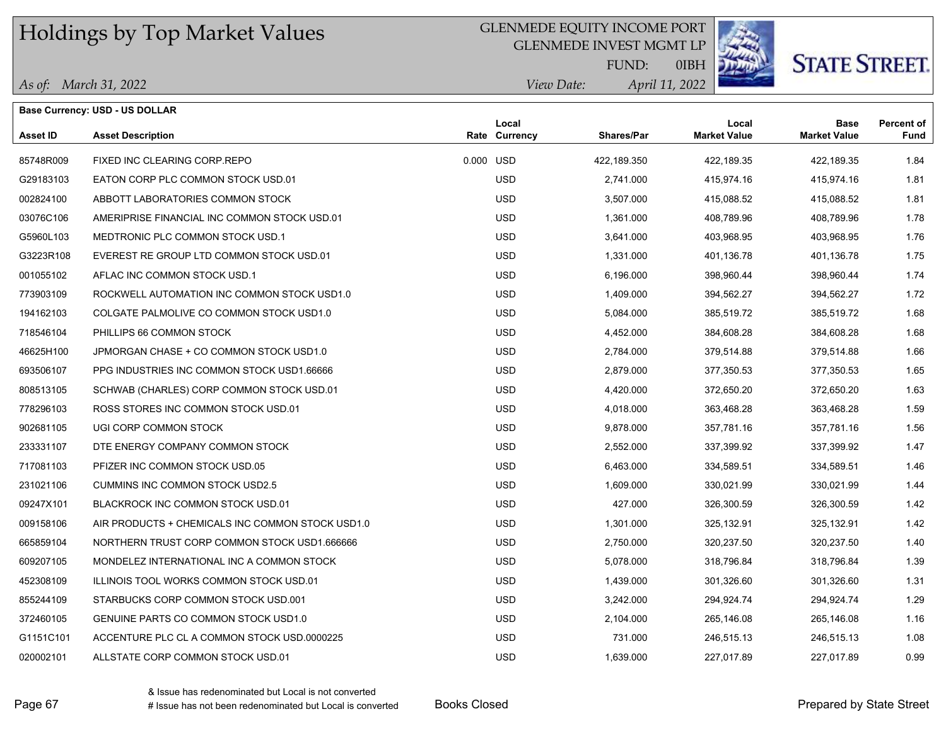### GLENMEDE EQUITY INCOME PORT

GLENMEDE INVEST MGMT LP



# **STATE STREET.**

*April 11, 2022 View Date:* FUND:

0IBH

| As of: March 31, 2022 |
|-----------------------|
|-----------------------|

|                 | <b>Base Currency: USD - US DOLLAR</b>            |                        |             |                              |                                    |                           |
|-----------------|--------------------------------------------------|------------------------|-------------|------------------------------|------------------------------------|---------------------------|
| <b>Asset ID</b> | <b>Asset Description</b>                         | Local<br>Rate Currency | Shares/Par  | Local<br><b>Market Value</b> | <b>Base</b><br><b>Market Value</b> | <b>Percent of</b><br>Fund |
| 85748R009       | FIXED INC CLEARING CORP REPO                     | 0.000 USD              | 422,189.350 | 422,189.35                   | 422,189.35                         | 1.84                      |
| G29183103       | EATON CORP PLC COMMON STOCK USD.01               | <b>USD</b>             | 2,741.000   | 415,974.16                   | 415,974.16                         | 1.81                      |
| 002824100       | ABBOTT LABORATORIES COMMON STOCK                 | <b>USD</b>             | 3,507.000   | 415,088.52                   | 415,088.52                         | 1.81                      |
| 03076C106       | AMERIPRISE FINANCIAL INC COMMON STOCK USD.01     | <b>USD</b>             | 1,361.000   | 408,789.96                   | 408,789.96                         | 1.78                      |
| G5960L103       | MEDTRONIC PLC COMMON STOCK USD.1                 | <b>USD</b>             | 3,641.000   | 403,968.95                   | 403,968.95                         | 1.76                      |
| G3223R108       | EVEREST RE GROUP LTD COMMON STOCK USD.01         | <b>USD</b>             | 1,331.000   | 401,136.78                   | 401,136.78                         | 1.75                      |
| 001055102       | AFLAC INC COMMON STOCK USD.1                     | <b>USD</b>             | 6,196.000   | 398,960.44                   | 398,960.44                         | 1.74                      |
| 773903109       | ROCKWELL AUTOMATION INC COMMON STOCK USD1.0      | <b>USD</b>             | 1,409.000   | 394,562.27                   | 394,562.27                         | 1.72                      |
| 194162103       | COLGATE PALMOLIVE CO COMMON STOCK USD1.0         | <b>USD</b>             | 5,084.000   | 385,519.72                   | 385,519.72                         | 1.68                      |
| 718546104       | PHILLIPS 66 COMMON STOCK                         | <b>USD</b>             | 4,452.000   | 384,608.28                   | 384,608.28                         | 1.68                      |
| 46625H100       | JPMORGAN CHASE + CO COMMON STOCK USD1.0          | <b>USD</b>             | 2,784.000   | 379,514.88                   | 379,514.88                         | 1.66                      |
| 693506107       | PPG INDUSTRIES INC COMMON STOCK USD1.66666       | <b>USD</b>             | 2,879.000   | 377,350.53                   | 377,350.53                         | 1.65                      |
| 808513105       | SCHWAB (CHARLES) CORP COMMON STOCK USD.01        | <b>USD</b>             | 4,420.000   | 372,650.20                   | 372,650.20                         | 1.63                      |
| 778296103       | ROSS STORES INC COMMON STOCK USD.01              | <b>USD</b>             | 4,018.000   | 363,468.28                   | 363,468.28                         | 1.59                      |
| 902681105       | UGI CORP COMMON STOCK                            | <b>USD</b>             | 9,878.000   | 357,781.16                   | 357,781.16                         | 1.56                      |
| 233331107       | DTE ENERGY COMPANY COMMON STOCK                  | <b>USD</b>             | 2,552.000   | 337,399.92                   | 337,399.92                         | 1.47                      |
| 717081103       | PFIZER INC COMMON STOCK USD.05                   | <b>USD</b>             | 6,463.000   | 334,589.51                   | 334,589.51                         | 1.46                      |
| 231021106       | CUMMINS INC COMMON STOCK USD2.5                  | <b>USD</b>             | 1,609.000   | 330,021.99                   | 330,021.99                         | 1.44                      |
| 09247X101       | BLACKROCK INC COMMON STOCK USD.01                | <b>USD</b>             | 427.000     | 326,300.59                   | 326,300.59                         | 1.42                      |
| 009158106       | AIR PRODUCTS + CHEMICALS INC COMMON STOCK USD1.0 | <b>USD</b>             | 1,301.000   | 325,132.91                   | 325,132.91                         | 1.42                      |
| 665859104       | NORTHERN TRUST CORP COMMON STOCK USD1.666666     | <b>USD</b>             | 2,750.000   | 320,237.50                   | 320,237.50                         | 1.40                      |
| 609207105       | MONDELEZ INTERNATIONAL INC A COMMON STOCK        | <b>USD</b>             | 5,078.000   | 318,796.84                   | 318,796.84                         | 1.39                      |
| 452308109       | ILLINOIS TOOL WORKS COMMON STOCK USD.01          | <b>USD</b>             | 1,439.000   | 301,326.60                   | 301,326.60                         | 1.31                      |
| 855244109       | STARBUCKS CORP COMMON STOCK USD.001              | <b>USD</b>             | 3,242.000   | 294,924.74                   | 294,924.74                         | 1.29                      |
| 372460105       | <b>GENUINE PARTS CO COMMON STOCK USD1.0</b>      | <b>USD</b>             | 2,104.000   | 265,146.08                   | 265,146.08                         | 1.16                      |
| G1151C101       | ACCENTURE PLC CL A COMMON STOCK USD 0000225      | <b>USD</b>             | 731.000     | 246,515.13                   | 246,515.13                         | 1.08                      |
| 020002101       | ALLSTATE CORP COMMON STOCK USD.01                | <b>USD</b>             | 1,639.000   | 227,017.89                   | 227,017.89                         | 0.99                      |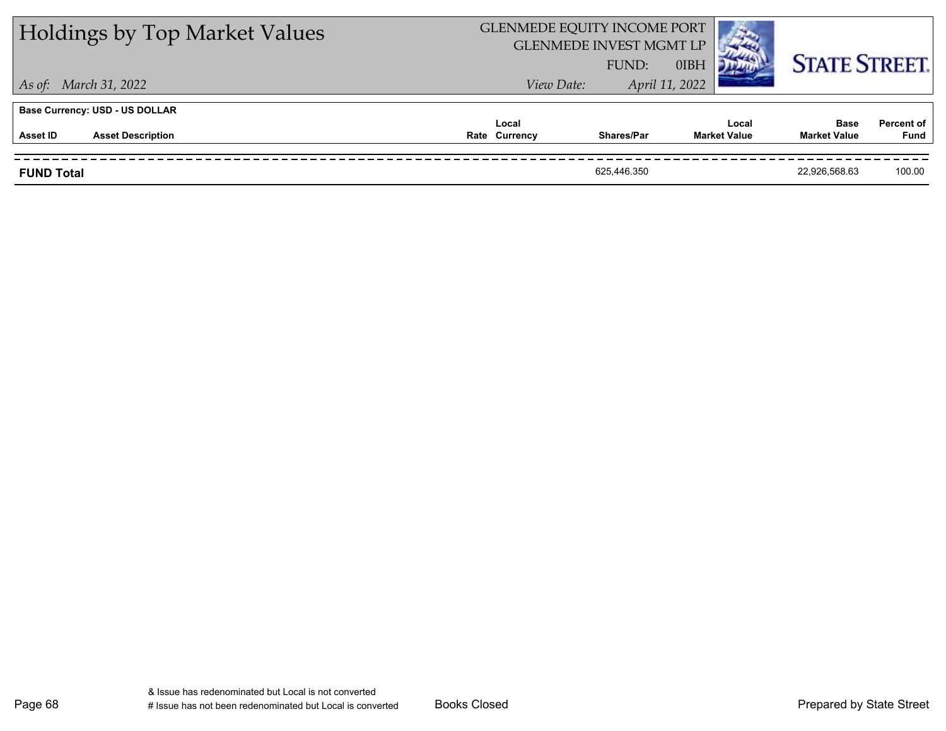| <b>Holdings by Top Market Values</b>  | GLENMEDE EQUITY INCOME PORT | <b>GLENMEDE INVEST MGMT LP</b><br>FUND: | 0IBH                         | <b>STATE STREET.</b>               |                           |
|---------------------------------------|-----------------------------|-----------------------------------------|------------------------------|------------------------------------|---------------------------|
| As of: March 31, 2022                 | View Date:                  |                                         | April 11, 2022               |                                    |                           |
| <b>Base Currency: USD - US DOLLAR</b> |                             |                                         |                              |                                    |                           |
| <b>Asset Description</b><br>Asset ID  | Local<br>Rate Currency      | Shares/Par                              | Local<br><b>Market Value</b> | <b>Base</b><br><b>Market Value</b> | <b>Percent of</b><br>Fund |
| <b>FUND Total</b>                     |                             | 625.446.350                             |                              | 22.926.568.63                      | 100.00                    |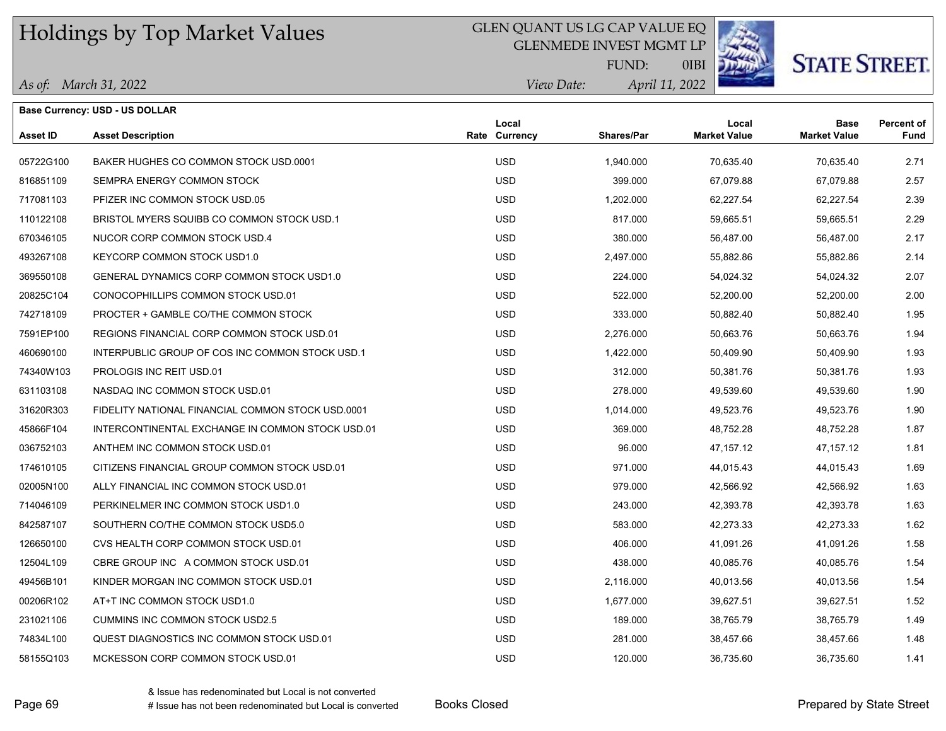### GLEN QUANT US LG CAP VALUE EQ

GLENMEDE INVEST MGMT LP



**STATE STREET.** 

*April 11, 2022 View Date:* FUND:

0IBI

| As of: March 31, 2022 |  |
|-----------------------|--|
|                       |  |

|           | Base Currency: USD - US DOLLAR                    |                        |                   |                              |                                    |                           |
|-----------|---------------------------------------------------|------------------------|-------------------|------------------------------|------------------------------------|---------------------------|
| Asset ID  | <b>Asset Description</b>                          | Local<br>Rate Currency | <b>Shares/Par</b> | Local<br><b>Market Value</b> | <b>Base</b><br><b>Market Value</b> | <b>Percent of</b><br>Fund |
| 05722G100 | BAKER HUGHES CO COMMON STOCK USD 0001             | <b>USD</b>             | 1,940.000         | 70,635.40                    | 70,635.40                          | 2.71                      |
| 816851109 | SEMPRA ENERGY COMMON STOCK                        | <b>USD</b>             | 399.000           | 67,079.88                    | 67,079.88                          | 2.57                      |
| 717081103 | PFIZER INC COMMON STOCK USD.05                    | <b>USD</b>             | 1,202.000         | 62,227.54                    | 62,227.54                          | 2.39                      |
| 110122108 | BRISTOL MYERS SQUIBB CO COMMON STOCK USD 1        | <b>USD</b>             | 817.000           | 59,665.51                    | 59,665.51                          | 2.29                      |
| 670346105 | NUCOR CORP COMMON STOCK USD.4                     | <b>USD</b>             | 380.000           | 56,487.00                    | 56,487.00                          | 2.17                      |
| 493267108 | KEYCORP COMMON STOCK USD1.0                       | <b>USD</b>             | 2,497.000         | 55,882.86                    | 55,882.86                          | 2.14                      |
| 369550108 | GENERAL DYNAMICS CORP COMMON STOCK USD1.0         | <b>USD</b>             | 224.000           | 54,024.32                    | 54,024.32                          | 2.07                      |
| 20825C104 | CONOCOPHILLIPS COMMON STOCK USD.01                | <b>USD</b>             | 522.000           | 52,200.00                    | 52,200.00                          | 2.00                      |
| 742718109 | PROCTER + GAMBLE CO/THE COMMON STOCK              | <b>USD</b>             | 333.000           | 50,882.40                    | 50,882.40                          | 1.95                      |
| 7591EP100 | REGIONS FINANCIAL CORP COMMON STOCK USD.01        | <b>USD</b>             | 2,276.000         | 50,663.76                    | 50,663.76                          | 1.94                      |
| 460690100 | INTERPUBLIC GROUP OF COS INC COMMON STOCK USD.1   | <b>USD</b>             | 1,422.000         | 50,409.90                    | 50,409.90                          | 1.93                      |
| 74340W103 | PROLOGIS INC REIT USD.01                          | <b>USD</b>             | 312.000           | 50,381.76                    | 50,381.76                          | 1.93                      |
| 631103108 | NASDAQ INC COMMON STOCK USD.01                    | <b>USD</b>             | 278.000           | 49,539.60                    | 49,539.60                          | 1.90                      |
| 31620R303 | FIDELITY NATIONAL FINANCIAL COMMON STOCK USD 0001 | <b>USD</b>             | 1,014.000         | 49,523.76                    | 49,523.76                          | 1.90                      |
| 45866F104 | INTERCONTINENTAL EXCHANGE IN COMMON STOCK USD.01  | <b>USD</b>             | 369.000           | 48,752.28                    | 48,752.28                          | 1.87                      |
| 036752103 | ANTHEM INC COMMON STOCK USD.01                    | <b>USD</b>             | 96.000            | 47, 157. 12                  | 47, 157. 12                        | 1.81                      |
| 174610105 | CITIZENS FINANCIAL GROUP COMMON STOCK USD.01      | <b>USD</b>             | 971.000           | 44,015.43                    | 44,015.43                          | 1.69                      |
| 02005N100 | ALLY FINANCIAL INC COMMON STOCK USD.01            | <b>USD</b>             | 979.000           | 42,566.92                    | 42,566.92                          | 1.63                      |
| 714046109 | PERKINELMER INC COMMON STOCK USD1.0               | <b>USD</b>             | 243.000           | 42,393.78                    | 42,393.78                          | 1.63                      |
| 842587107 | SOUTHERN CO/THE COMMON STOCK USD5.0               | <b>USD</b>             | 583.000           | 42,273.33                    | 42,273.33                          | 1.62                      |
| 126650100 | CVS HEALTH CORP COMMON STOCK USD.01               | <b>USD</b>             | 406.000           | 41,091.26                    | 41,091.26                          | 1.58                      |
| 12504L109 | CBRE GROUP INC A COMMON STOCK USD.01              | <b>USD</b>             | 438.000           | 40,085.76                    | 40,085.76                          | 1.54                      |
| 49456B101 | KINDER MORGAN INC COMMON STOCK USD.01             | <b>USD</b>             | 2,116.000         | 40,013.56                    | 40,013.56                          | 1.54                      |
| 00206R102 | AT+T INC COMMON STOCK USD1.0                      | <b>USD</b>             | 1,677.000         | 39,627.51                    | 39,627.51                          | 1.52                      |
| 231021106 | <b>CUMMINS INC COMMON STOCK USD2.5</b>            | <b>USD</b>             | 189.000           | 38,765.79                    | 38,765.79                          | 1.49                      |
| 74834L100 | QUEST DIAGNOSTICS INC COMMON STOCK USD.01         | <b>USD</b>             | 281.000           | 38,457.66                    | 38,457.66                          | 1.48                      |
| 58155Q103 | MCKESSON CORP COMMON STOCK USD.01                 | <b>USD</b>             | 120,000           | 36,735.60                    | 36,735.60                          | 1.41                      |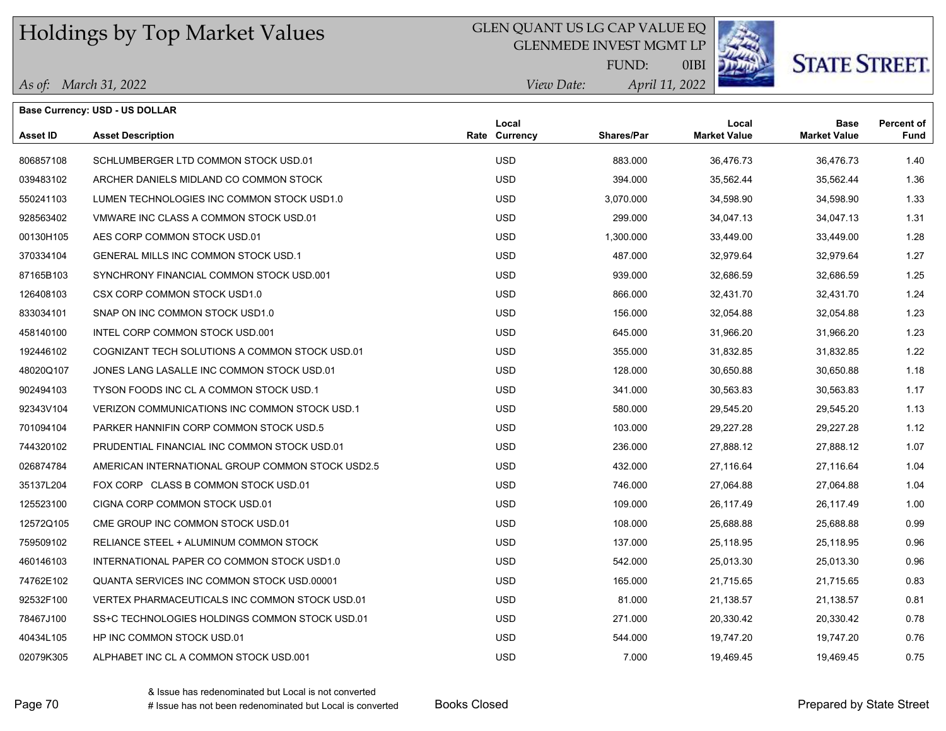#### GLEN QUANT US LG CAP VALUE EQ

GLENMEDE INVEST MGMT LP



0IBI

**STATE STREET** 

*April 11, 2022 View Date:* FUND:

|  | As of: March 31, 2022 |
|--|-----------------------|
|--|-----------------------|

**Base Currency: USD - US DOLLAR**

| Asset ID  | <b>Asset Description</b>                         | Local<br><b>Rate Currency</b> | Shares/Par | Local<br><b>Market Value</b> | <b>Base</b><br><b>Market Value</b> | Percent of<br><b>Fund</b> |
|-----------|--------------------------------------------------|-------------------------------|------------|------------------------------|------------------------------------|---------------------------|
| 806857108 | SCHLUMBERGER LTD COMMON STOCK USD.01             | <b>USD</b>                    | 883.000    | 36,476.73                    | 36,476.73                          | 1.40                      |
| 039483102 | ARCHER DANIELS MIDLAND CO COMMON STOCK           | <b>USD</b>                    | 394.000    | 35,562.44                    | 35,562.44                          | 1.36                      |
| 550241103 | LUMEN TECHNOLOGIES INC COMMON STOCK USD1.0       | <b>USD</b>                    | 3,070.000  | 34,598.90                    | 34,598.90                          | 1.33                      |
| 928563402 | VMWARE INC CLASS A COMMON STOCK USD.01           | <b>USD</b>                    | 299.000    | 34,047.13                    | 34,047.13                          | 1.31                      |
| 00130H105 | AES CORP COMMON STOCK USD.01                     | <b>USD</b>                    | 1,300.000  | 33,449.00                    | 33,449.00                          | 1.28                      |
| 370334104 | <b>GENERAL MILLS INC COMMON STOCK USD.1</b>      | <b>USD</b>                    | 487.000    | 32,979.64                    | 32,979.64                          | 1.27                      |
| 87165B103 | SYNCHRONY FINANCIAL COMMON STOCK USD 001         | <b>USD</b>                    | 939.000    | 32,686.59                    | 32,686.59                          | 1.25                      |
| 126408103 | CSX CORP COMMON STOCK USD1.0                     | <b>USD</b>                    | 866.000    | 32,431.70                    | 32,431.70                          | 1.24                      |
| 833034101 | SNAP ON INC COMMON STOCK USD1.0                  | <b>USD</b>                    | 156,000    | 32,054.88                    | 32,054.88                          | 1.23                      |
| 458140100 | INTEL CORP COMMON STOCK USD.001                  | <b>USD</b>                    | 645.000    | 31,966.20                    | 31,966.20                          | 1.23                      |
| 192446102 | COGNIZANT TECH SOLUTIONS A COMMON STOCK USD.01   | <b>USD</b>                    | 355.000    | 31,832.85                    | 31,832.85                          | 1.22                      |
| 48020Q107 | JONES LANG LASALLE INC COMMON STOCK USD.01       | <b>USD</b>                    | 128.000    | 30,650.88                    | 30,650.88                          | 1.18                      |
| 902494103 | TYSON FOODS INC CL A COMMON STOCK USD.1          | <b>USD</b>                    | 341.000    | 30,563.83                    | 30,563.83                          | 1.17                      |
| 92343V104 | VERIZON COMMUNICATIONS INC COMMON STOCK USD.1    | <b>USD</b>                    | 580.000    | 29,545.20                    | 29,545.20                          | 1.13                      |
| 701094104 | PARKER HANNIFIN CORP COMMON STOCK USD.5          | <b>USD</b>                    | 103.000    | 29,227.28                    | 29,227.28                          | 1.12                      |
| 744320102 | PRUDENTIAL FINANCIAL INC COMMON STOCK USD.01     | <b>USD</b>                    | 236.000    | 27.888.12                    | 27,888.12                          | 1.07                      |
| 026874784 | AMERICAN INTERNATIONAL GROUP COMMON STOCK USD2.5 | <b>USD</b>                    | 432.000    | 27,116.64                    | 27,116.64                          | 1.04                      |
| 35137L204 | FOX CORP CLASS B COMMON STOCK USD.01             | <b>USD</b>                    | 746.000    | 27,064.88                    | 27,064.88                          | 1.04                      |
| 125523100 | CIGNA CORP COMMON STOCK USD.01                   | <b>USD</b>                    | 109.000    | 26,117.49                    | 26,117.49                          | 1.00                      |
| 12572Q105 | CME GROUP INC COMMON STOCK USD 01                | <b>USD</b>                    | 108.000    | 25,688.88                    | 25,688.88                          | 0.99                      |
| 759509102 | RELIANCE STEEL + ALUMINUM COMMON STOCK           | <b>USD</b>                    | 137.000    | 25,118.95                    | 25,118.95                          | 0.96                      |
| 460146103 | INTERNATIONAL PAPER CO COMMON STOCK USD1.0       | <b>USD</b>                    | 542.000    | 25,013.30                    | 25,013.30                          | 0.96                      |
| 74762E102 | QUANTA SERVICES INC COMMON STOCK USD 00001       | <b>USD</b>                    | 165.000    | 21.715.65                    | 21,715.65                          | 0.83                      |
| 92532F100 | VERTEX PHARMACEUTICALS INC COMMON STOCK USD.01   | <b>USD</b>                    | 81.000     | 21,138.57                    | 21,138.57                          | 0.81                      |
| 78467J100 | SS+C TECHNOLOGIES HOLDINGS COMMON STOCK USD.01   | <b>USD</b>                    | 271.000    | 20,330.42                    | 20.330.42                          | 0.78                      |
| 40434L105 | HP INC COMMON STOCK USD.01                       | <b>USD</b>                    | 544.000    | 19,747.20                    | 19,747.20                          | 0.76                      |

02079K305 ALPHABET INC CL A COMMON STOCK USD.001 **19,469.45** USD 7.000 19,469.45 19,469.45 19,469.45 0.75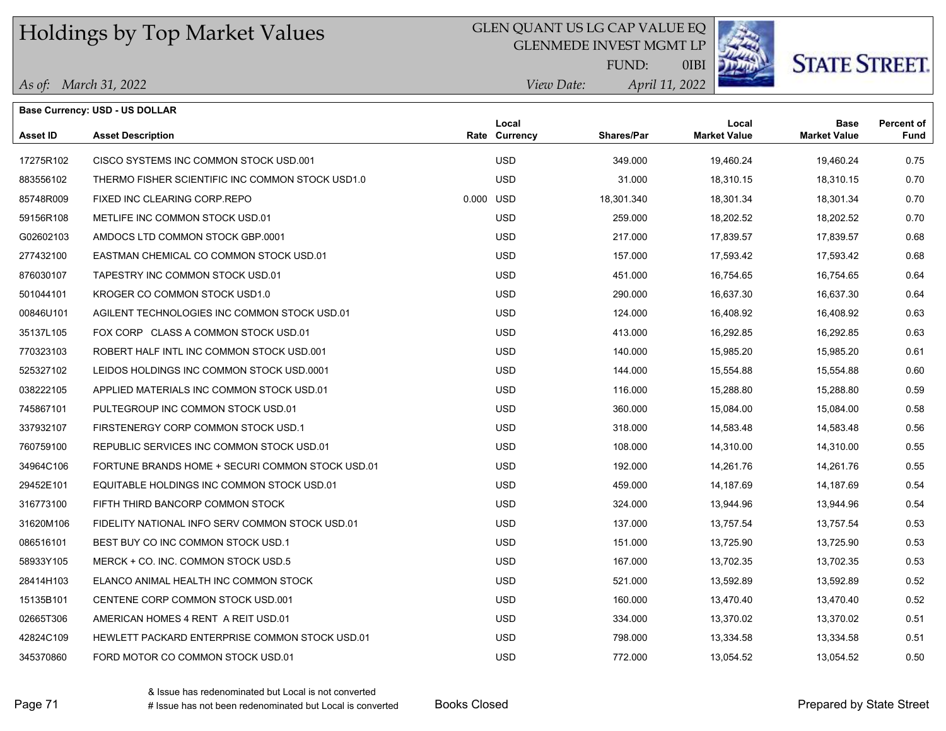### GLEN QUANT US LG CAP VALUE EQ

GLENMEDE INVEST MGMT LP



0IBI

**STATE STREET.** 

*April 11, 2022* FUND:

|  | As of: March 31, 2022 |
|--|-----------------------|
|--|-----------------------|

**Base Currency: USD - US DOLLAR**

| View Date: | April 11 |
|------------|----------|
|            |          |

| <b>Asset ID</b> | <b>Asset Description</b>                         |           | Local<br>Rate Currency | Shares/Par | Local<br><b>Market Value</b> | <b>Base</b><br><b>Market Value</b> | <b>Percent of</b><br>Fund |
|-----------------|--------------------------------------------------|-----------|------------------------|------------|------------------------------|------------------------------------|---------------------------|
| 17275R102       | CISCO SYSTEMS INC COMMON STOCK USD 001           |           | <b>USD</b>             | 349.000    | 19,460.24                    | 19,460.24                          | 0.75                      |
| 883556102       | THERMO FISHER SCIENTIFIC INC COMMON STOCK USD1.0 |           | <b>USD</b>             | 31.000     | 18,310.15                    | 18,310.15                          | 0.70                      |
| 85748R009       | FIXED INC CLEARING CORP.REPO                     | 0.000 USD |                        | 18,301.340 | 18,301.34                    | 18,301.34                          | 0.70                      |
| 59156R108       | METLIFE INC COMMON STOCK USD.01                  |           | <b>USD</b>             | 259.000    | 18,202.52                    | 18,202.52                          | 0.70                      |
| G02602103       | AMDOCS LTD COMMON STOCK GBP.0001                 |           | <b>USD</b>             | 217.000    | 17,839.57                    | 17,839.57                          | 0.68                      |
| 277432100       | EASTMAN CHEMICAL CO COMMON STOCK USD.01          |           | <b>USD</b>             | 157.000    | 17,593.42                    | 17,593.42                          | 0.68                      |
| 876030107       | TAPESTRY INC COMMON STOCK USD.01                 |           | <b>USD</b>             | 451.000    | 16,754.65                    | 16,754.65                          | 0.64                      |
| 501044101       | KROGER CO COMMON STOCK USD1.0                    |           | <b>USD</b>             | 290.000    | 16,637.30                    | 16,637.30                          | 0.64                      |
| 00846U101       | AGILENT TECHNOLOGIES INC COMMON STOCK USD.01     |           | <b>USD</b>             | 124.000    | 16,408.92                    | 16,408.92                          | 0.63                      |
| 35137L105       | FOX CORP CLASS A COMMON STOCK USD 01             |           | <b>USD</b>             | 413.000    | 16,292.85                    | 16,292.85                          | 0.63                      |
| 770323103       | ROBERT HALF INTL INC COMMON STOCK USD.001        |           | <b>USD</b>             | 140.000    | 15,985.20                    | 15,985.20                          | 0.61                      |
| 525327102       | LEIDOS HOLDINGS INC COMMON STOCK USD.0001        |           | <b>USD</b>             | 144.000    | 15,554.88                    | 15,554.88                          | 0.60                      |
| 038222105       | APPLIED MATERIALS INC COMMON STOCK USD.01        |           | <b>USD</b>             | 116.000    | 15,288.80                    | 15,288.80                          | 0.59                      |
| 745867101       | PULTEGROUP INC COMMON STOCK USD.01               |           | <b>USD</b>             | 360.000    | 15,084.00                    | 15,084.00                          | 0.58                      |
| 337932107       | FIRSTENERGY CORP COMMON STOCK USD.1              |           | <b>USD</b>             | 318,000    | 14,583.48                    | 14,583.48                          | 0.56                      |
| 760759100       | REPUBLIC SERVICES INC COMMON STOCK USD.01        |           | <b>USD</b>             | 108.000    | 14,310.00                    | 14,310.00                          | 0.55                      |
| 34964C106       | FORTUNE BRANDS HOME + SECURI COMMON STOCK USD.01 |           | <b>USD</b>             | 192.000    | 14,261.76                    | 14,261.76                          | 0.55                      |
| 29452E101       | EQUITABLE HOLDINGS INC COMMON STOCK USD.01       |           | <b>USD</b>             | 459.000    | 14,187.69                    | 14,187.69                          | 0.54                      |
| 316773100       | FIFTH THIRD BANCORP COMMON STOCK                 |           | <b>USD</b>             | 324.000    | 13,944.96                    | 13,944.96                          | 0.54                      |
| 31620M106       | FIDELITY NATIONAL INFO SERV COMMON STOCK USD.01  |           | <b>USD</b>             | 137.000    | 13,757.54                    | 13,757.54                          | 0.53                      |
| 086516101       | BEST BUY CO INC COMMON STOCK USD.1               |           | <b>USD</b>             | 151.000    | 13,725.90                    | 13,725.90                          | 0.53                      |
| 58933Y105       | MERCK + CO. INC. COMMON STOCK USD.5              |           | <b>USD</b>             | 167.000    | 13,702.35                    | 13,702.35                          | 0.53                      |
| 28414H103       | ELANCO ANIMAL HEALTH INC COMMON STOCK            |           | <b>USD</b>             | 521.000    | 13,592.89                    | 13,592.89                          | 0.52                      |
| 15135B101       | CENTENE CORP COMMON STOCK USD.001                |           | <b>USD</b>             | 160.000    | 13,470.40                    | 13,470.40                          | 0.52                      |
| 02665T306       | AMERICAN HOMES 4 RENT A REIT USD.01              |           | <b>USD</b>             | 334.000    | 13,370.02                    | 13,370.02                          | 0.51                      |
| 42824C109       | HEWLETT PACKARD ENTERPRISE COMMON STOCK USD.01   |           | <b>USD</b>             | 798,000    | 13,334.58                    | 13,334.58                          | 0.51                      |
| 345370860       | FORD MOTOR CO COMMON STOCK USD.01                |           | <b>USD</b>             | 772.000    | 13,054.52                    | 13,054.52                          | 0.50                      |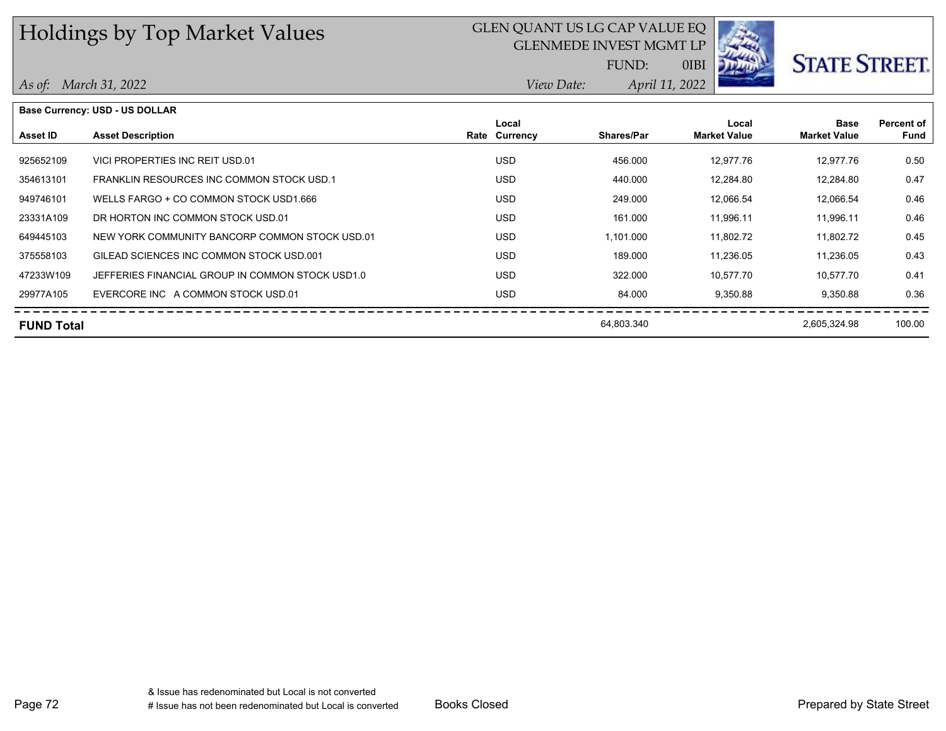## GLEN QUANT US LG CAP VALUE EQ

GLENMEDE INVEST MGMT LP



# **STATE STREET.**

*April 11, 2022 View Date:* FUND:

0IBI

|  | As of: March 31, 2022 |  |
|--|-----------------------|--|
|--|-----------------------|--|

| <b>Base Currency: USD - US DOLLAR</b> |                                                  |  |                        |                   |                              |                                    |                           |
|---------------------------------------|--------------------------------------------------|--|------------------------|-------------------|------------------------------|------------------------------------|---------------------------|
| Asset ID                              | <b>Asset Description</b>                         |  | Local<br>Rate Currency | <b>Shares/Par</b> | Local<br><b>Market Value</b> | <b>Base</b><br><b>Market Value</b> | <b>Percent of</b><br>Fund |
| 925652109                             | VICI PROPERTIES INC REIT USD.01                  |  | USD.                   | 456.000           | 12,977.76                    | 12,977.76                          | 0.50                      |
| 354613101                             | FRANKLIN RESOURCES INC COMMON STOCK USD.1        |  | USD.                   | 440.000           | 12,284.80                    | 12,284.80                          | 0.47                      |
| 949746101                             | WELLS FARGO + CO COMMON STOCK USD1.666           |  | <b>USD</b>             | 249.000           | 12,066.54                    | 12,066.54                          | 0.46                      |
| 23331A109                             | DR HORTON INC COMMON STOCK USD 01                |  | <b>USD</b>             | 161.000           | 11.996.11                    | 11,996.11                          | 0.46                      |
| 649445103                             | NEW YORK COMMUNITY BANCORP COMMON STOCK USD.01   |  | <b>USD</b>             | 1,101.000         | 11,802.72                    | 11,802.72                          | 0.45                      |
| 375558103                             | GILEAD SCIENCES INC COMMON STOCK USD 001         |  | <b>USD</b>             | 189.000           | 11,236.05                    | 11,236.05                          | 0.43                      |
| 47233W109                             | JEFFERIES FINANCIAL GROUP IN COMMON STOCK USD1.0 |  | USD.                   | 322.000           | 10.577.70                    | 10.577.70                          | 0.41                      |
| 29977A105                             | EVERCORE INC A COMMON STOCK USD.01               |  | USD.                   | 84.000            | 9,350.88                     | 9.350.88                           | 0.36                      |
| <b>FUND Total</b>                     |                                                  |  |                        | 64,803.340        |                              | 2,605,324.98                       | 100.00                    |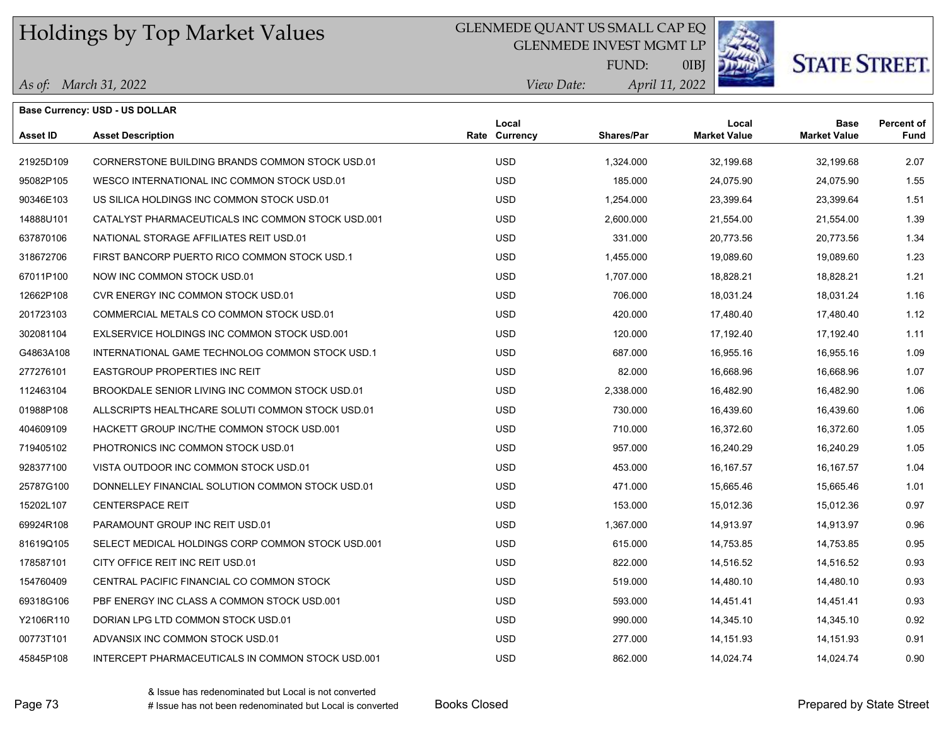### GLENMEDE QUANT US SMALL CAP EQ

GLENMEDE INVEST MGMT LP



**STATE STREET.** 

*April 11, 2022 View Date:* FUND:

0IBJ

|  | As of: March 31, 2022 |
|--|-----------------------|
|--|-----------------------|

|                 | <b>Base Currency: USD - US DOLLAR</b>             |                        |                   |                              |                                    |                           |
|-----------------|---------------------------------------------------|------------------------|-------------------|------------------------------|------------------------------------|---------------------------|
| <b>Asset ID</b> | <b>Asset Description</b>                          | Local<br>Rate Currency | <b>Shares/Par</b> | Local<br><b>Market Value</b> | <b>Base</b><br><b>Market Value</b> | <b>Percent of</b><br>Fund |
| 21925D109       | CORNERSTONE BUILDING BRANDS COMMON STOCK USD.01   | <b>USD</b>             | 1,324.000         | 32,199.68                    | 32,199.68                          | 2.07                      |
| 95082P105       | WESCO INTERNATIONAL INC COMMON STOCK USD.01       | <b>USD</b>             | 185.000           | 24,075.90                    | 24,075.90                          | 1.55                      |
| 90346E103       | US SILICA HOLDINGS INC COMMON STOCK USD.01        | <b>USD</b>             | 1,254.000         | 23,399.64                    | 23,399.64                          | 1.51                      |
| 14888U101       | CATALYST PHARMACEUTICALS INC COMMON STOCK USD.001 | <b>USD</b>             | 2,600.000         | 21,554.00                    | 21,554.00                          | 1.39                      |
| 637870106       | NATIONAL STORAGE AFFILIATES REIT USD.01           | <b>USD</b>             | 331.000           | 20,773.56                    | 20,773.56                          | 1.34                      |
| 318672706       | FIRST BANCORP PUERTO RICO COMMON STOCK USD.1      | <b>USD</b>             | 1,455.000         | 19,089.60                    | 19,089.60                          | 1.23                      |
| 67011P100       | NOW INC COMMON STOCK USD.01                       | <b>USD</b>             | 1,707.000         | 18,828.21                    | 18,828.21                          | 1.21                      |
| 12662P108       | CVR ENERGY INC COMMON STOCK USD.01                | <b>USD</b>             | 706.000           | 18,031.24                    | 18,031.24                          | 1.16                      |
| 201723103       | COMMERCIAL METALS CO COMMON STOCK USD.01          | <b>USD</b>             | 420.000           | 17,480.40                    | 17,480.40                          | 1.12                      |
| 302081104       | EXLSERVICE HOLDINGS INC COMMON STOCK USD.001      | <b>USD</b>             | 120.000           | 17,192.40                    | 17,192.40                          | 1.11                      |
| G4863A108       | INTERNATIONAL GAME TECHNOLOG COMMON STOCK USD.1   | <b>USD</b>             | 687.000           | 16,955.16                    | 16,955.16                          | 1.09                      |
| 277276101       | <b>EASTGROUP PROPERTIES INC REIT</b>              | <b>USD</b>             | 82.000            | 16,668.96                    | 16,668.96                          | 1.07                      |
| 112463104       | BROOKDALE SENIOR LIVING INC COMMON STOCK USD.01   | <b>USD</b>             | 2,338.000         | 16,482.90                    | 16,482.90                          | 1.06                      |
| 01988P108       | ALLSCRIPTS HEALTHCARE SOLUTI COMMON STOCK USD.01  | <b>USD</b>             | 730.000           | 16,439.60                    | 16,439.60                          | 1.06                      |
| 404609109       | HACKETT GROUP INC/THE COMMON STOCK USD 001        | <b>USD</b>             | 710.000           | 16,372.60                    | 16,372.60                          | 1.05                      |
| 719405102       | PHOTRONICS INC COMMON STOCK USD.01                | <b>USD</b>             | 957.000           | 16,240.29                    | 16,240.29                          | 1.05                      |
| 928377100       | VISTA OUTDOOR INC COMMON STOCK USD.01             | <b>USD</b>             | 453.000           | 16, 167.57                   | 16, 167.57                         | 1.04                      |
| 25787G100       | DONNELLEY FINANCIAL SOLUTION COMMON STOCK USD.01  | <b>USD</b>             | 471.000           | 15,665.46                    | 15,665.46                          | 1.01                      |
| 15202L107       | <b>CENTERSPACE REIT</b>                           | <b>USD</b>             | 153.000           | 15,012.36                    | 15,012.36                          | 0.97                      |
| 69924R108       | PARAMOUNT GROUP INC REIT USD.01                   | <b>USD</b>             | 1,367.000         | 14,913.97                    | 14,913.97                          | 0.96                      |
| 81619Q105       | SELECT MEDICAL HOLDINGS CORP COMMON STOCK USD.001 | <b>USD</b>             | 615.000           | 14,753.85                    | 14,753.85                          | 0.95                      |
| 178587101       | CITY OFFICE REIT INC REIT USD.01                  | <b>USD</b>             | 822.000           | 14,516.52                    | 14,516.52                          | 0.93                      |
| 154760409       | CENTRAL PACIFIC FINANCIAL CO COMMON STOCK         | <b>USD</b>             | 519.000           | 14,480.10                    | 14,480.10                          | 0.93                      |
| 69318G106       | PBF ENERGY INC CLASS A COMMON STOCK USD.001       | <b>USD</b>             | 593.000           | 14,451.41                    | 14,451.41                          | 0.93                      |
| Y2106R110       | DORIAN LPG LTD COMMON STOCK USD.01                | <b>USD</b>             | 990.000           | 14,345.10                    | 14,345.10                          | 0.92                      |
| 00773T101       | ADVANSIX INC COMMON STOCK USD.01                  | <b>USD</b>             | 277.000           | 14, 151.93                   | 14,151.93                          | 0.91                      |
| 45845P108       | INTERCEPT PHARMACEUTICALS IN COMMON STOCK USD.001 | <b>USD</b>             | 862.000           | 14,024.74                    | 14.024.74                          | 0.90                      |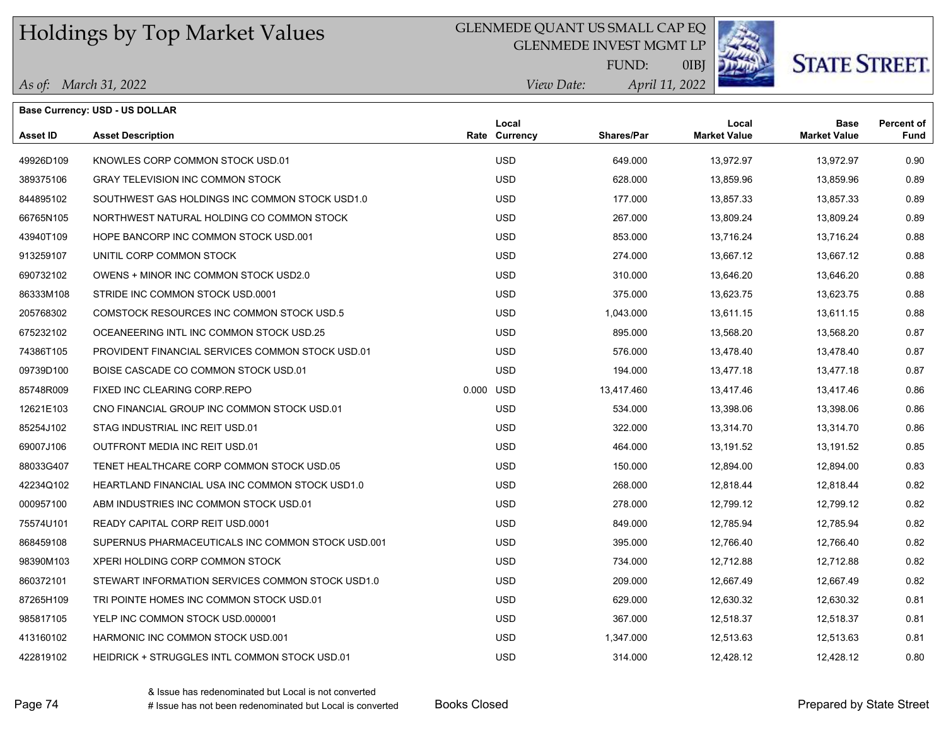#### GLENMEDE QUANT US SMALL CAP EQ

GLENMEDE INVEST MGMT LP



**STATE STREET.** 

*April 11, 2022 View Date:* FUND:

0IBJ

|                 | <b>Base Currency: USD - US DOLLAR</b>             |           |                        |                   |                              |                                    |                    |
|-----------------|---------------------------------------------------|-----------|------------------------|-------------------|------------------------------|------------------------------------|--------------------|
| <b>Asset ID</b> | <b>Asset Description</b>                          |           | Local<br>Rate Currency | <b>Shares/Par</b> | Local<br><b>Market Value</b> | <b>Base</b><br><b>Market Value</b> | Percent of<br>Fund |
| 49926D109       | KNOWLES CORP COMMON STOCK USD.01                  |           | <b>USD</b>             | 649.000           | 13,972.97                    | 13,972.97                          | 0.90               |
| 389375106       | <b>GRAY TELEVISION INC COMMON STOCK</b>           |           | <b>USD</b>             | 628.000           | 13,859.96                    | 13,859.96                          | 0.89               |
| 844895102       | SOUTHWEST GAS HOLDINGS INC COMMON STOCK USD1.0    |           | <b>USD</b>             | 177.000           | 13,857.33                    | 13,857.33                          | 0.89               |
| 66765N105       | NORTHWEST NATURAL HOLDING CO COMMON STOCK         |           | <b>USD</b>             | 267.000           | 13,809.24                    | 13,809.24                          | 0.89               |
| 43940T109       | HOPE BANCORP INC COMMON STOCK USD.001             |           | <b>USD</b>             | 853.000           | 13,716.24                    | 13,716.24                          | 0.88               |
| 913259107       | UNITIL CORP COMMON STOCK                          |           | <b>USD</b>             | 274.000           | 13,667.12                    | 13,667.12                          | 0.88               |
| 690732102       | OWENS + MINOR INC COMMON STOCK USD2.0             |           | <b>USD</b>             | 310.000           | 13,646.20                    | 13,646.20                          | 0.88               |
| 86333M108       | STRIDE INC COMMON STOCK USD.0001                  |           | <b>USD</b>             | 375.000           | 13,623.75                    | 13,623.75                          | 0.88               |
| 205768302       | COMSTOCK RESOURCES INC COMMON STOCK USD.5         |           | <b>USD</b>             | 1,043.000         | 13,611.15                    | 13,611.15                          | 0.88               |
| 675232102       | OCEANEERING INTL INC COMMON STOCK USD.25          |           | <b>USD</b>             | 895.000           | 13,568.20                    | 13,568.20                          | 0.87               |
| 74386T105       | PROVIDENT FINANCIAL SERVICES COMMON STOCK USD.01  |           | <b>USD</b>             | 576.000           | 13,478.40                    | 13,478.40                          | 0.87               |
| 09739D100       | BOISE CASCADE CO COMMON STOCK USD.01              |           | <b>USD</b>             | 194.000           | 13,477.18                    | 13,477.18                          | 0.87               |
| 85748R009       | FIXED INC CLEARING CORP REPO                      | 0.000 USD |                        | 13,417.460        | 13,417.46                    | 13,417.46                          | 0.86               |
| 12621E103       | CNO FINANCIAL GROUP INC COMMON STOCK USD.01       |           | <b>USD</b>             | 534.000           | 13,398.06                    | 13,398.06                          | 0.86               |
| 85254J102       | STAG INDUSTRIAL INC REIT USD.01                   |           | <b>USD</b>             | 322.000           | 13,314.70                    | 13,314.70                          | 0.86               |
| 69007J106       | OUTFRONT MEDIA INC REIT USD.01                    |           | <b>USD</b>             | 464.000           | 13,191.52                    | 13,191.52                          | 0.85               |
| 88033G407       | TENET HEALTHCARE CORP COMMON STOCK USD.05         |           | <b>USD</b>             | 150.000           | 12,894.00                    | 12,894.00                          | 0.83               |
| 42234Q102       | HEARTLAND FINANCIAL USA INC COMMON STOCK USD1.0   |           | <b>USD</b>             | 268.000           | 12,818.44                    | 12,818.44                          | 0.82               |
| 000957100       | ABM INDUSTRIES INC COMMON STOCK USD.01            |           | <b>USD</b>             | 278.000           | 12,799.12                    | 12,799.12                          | 0.82               |
| 75574U101       | READY CAPITAL CORP REIT USD.0001                  |           | <b>USD</b>             | 849.000           | 12,785.94                    | 12,785.94                          | 0.82               |
| 868459108       | SUPERNUS PHARMACEUTICALS INC COMMON STOCK USD.001 |           | <b>USD</b>             | 395.000           | 12,766.40                    | 12,766.40                          | 0.82               |
| 98390M103       | XPERI HOLDING CORP COMMON STOCK                   |           | <b>USD</b>             | 734.000           | 12,712.88                    | 12,712.88                          | 0.82               |
| 860372101       | STEWART INFORMATION SERVICES COMMON STOCK USD1.0  |           | <b>USD</b>             | 209.000           | 12,667.49                    | 12,667.49                          | 0.82               |
| 87265H109       | TRI POINTE HOMES INC COMMON STOCK USD.01          |           | <b>USD</b>             | 629.000           | 12,630.32                    | 12,630.32                          | 0.81               |
| 985817105       | YELP INC COMMON STOCK USD.000001                  |           | <b>USD</b>             | 367.000           | 12,518.37                    | 12,518.37                          | 0.81               |
| 413160102       | HARMONIC INC COMMON STOCK USD.001                 |           | <b>USD</b>             | 1,347.000         | 12,513.63                    | 12,513.63                          | 0.81               |
| 422819102       | HEIDRICK + STRUGGLES INTL COMMON STOCK USD.01     |           | <b>USD</b>             | 314.000           | 12,428.12                    | 12,428.12                          | 0.80               |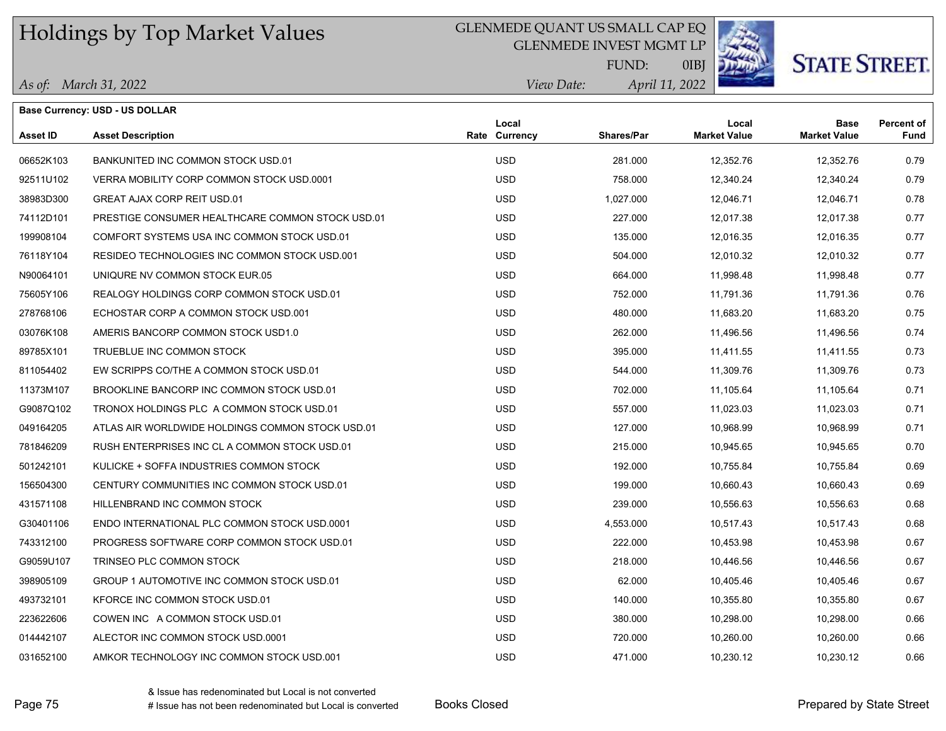#### GLENMEDE QUANT US SMALL CAP EQ

GLENMEDE INVEST MGMT LP



**STATE STREET.** 

*April 11, 2022 View Date:* FUND:

0IBJ

|  | As of: March 31, 2022 |
|--|-----------------------|
|--|-----------------------|

|                 | <b>Base Currency: USD - US DOLLAR</b>            |                        |            |                              |                                    |                                  |
|-----------------|--------------------------------------------------|------------------------|------------|------------------------------|------------------------------------|----------------------------------|
| <b>Asset ID</b> | <b>Asset Description</b>                         | Local<br>Rate Currency | Shares/Par | Local<br><b>Market Value</b> | <b>Base</b><br><b>Market Value</b> | <b>Percent of</b><br><b>Fund</b> |
| 06652K103       | BANKUNITED INC COMMON STOCK USD.01               | <b>USD</b>             | 281.000    | 12,352.76                    | 12,352.76                          | 0.79                             |
| 92511U102       | VERRA MOBILITY CORP COMMON STOCK USD.0001        | <b>USD</b>             | 758.000    | 12,340.24                    | 12,340.24                          | 0.79                             |
| 38983D300       | <b>GREAT AJAX CORP REIT USD.01</b>               | <b>USD</b>             | 1,027.000  | 12,046.71                    | 12,046.71                          | 0.78                             |
| 74112D101       | PRESTIGE CONSUMER HEALTHCARE COMMON STOCK USD.01 | <b>USD</b>             | 227.000    | 12,017.38                    | 12,017.38                          | 0.77                             |
| 199908104       | COMFORT SYSTEMS USA INC COMMON STOCK USD.01      | <b>USD</b>             | 135.000    | 12,016.35                    | 12,016.35                          | 0.77                             |
| 76118Y104       | RESIDEO TECHNOLOGIES INC COMMON STOCK USD.001    | <b>USD</b>             | 504.000    | 12.010.32                    | 12.010.32                          | 0.77                             |
| N90064101       | UNIQURE NV COMMON STOCK EUR.05                   | <b>USD</b>             | 664.000    | 11,998.48                    | 11,998.48                          | 0.77                             |
| 75605Y106       | REALOGY HOLDINGS CORP COMMON STOCK USD.01        | <b>USD</b>             | 752.000    | 11,791.36                    | 11,791.36                          | 0.76                             |
| 278768106       | ECHOSTAR CORP A COMMON STOCK USD.001             | <b>USD</b>             | 480.000    | 11,683.20                    | 11,683.20                          | 0.75                             |
| 03076K108       | AMERIS BANCORP COMMON STOCK USD1.0               | <b>USD</b>             | 262.000    | 11,496.56                    | 11,496.56                          | 0.74                             |
| 89785X101       | TRUEBLUE INC COMMON STOCK                        | <b>USD</b>             | 395.000    | 11,411.55                    | 11,411.55                          | 0.73                             |
| 811054402       | EW SCRIPPS CO/THE A COMMON STOCK USD.01          | <b>USD</b>             | 544.000    | 11,309.76                    | 11,309.76                          | 0.73                             |
| 11373M107       | BROOKLINE BANCORP INC COMMON STOCK USD.01        | <b>USD</b>             | 702.000    | 11,105.64                    | 11,105.64                          | 0.71                             |
| G9087Q102       | TRONOX HOLDINGS PLC A COMMON STOCK USD.01        | <b>USD</b>             | 557.000    | 11,023.03                    | 11,023.03                          | 0.71                             |
| 049164205       | ATLAS AIR WORLDWIDE HOLDINGS COMMON STOCK USD.01 | <b>USD</b>             | 127.000    | 10,968.99                    | 10,968.99                          | 0.71                             |
| 781846209       | RUSH ENTERPRISES INC CL A COMMON STOCK USD.01    | <b>USD</b>             | 215.000    | 10,945.65                    | 10,945.65                          | 0.70                             |
| 501242101       | KULICKE + SOFFA INDUSTRIES COMMON STOCK          | <b>USD</b>             | 192.000    | 10,755.84                    | 10,755.84                          | 0.69                             |
| 156504300       | CENTURY COMMUNITIES INC COMMON STOCK USD.01      | <b>USD</b>             | 199.000    | 10,660.43                    | 10,660.43                          | 0.69                             |
| 431571108       | HILLENBRAND INC COMMON STOCK                     | <b>USD</b>             | 239.000    | 10.556.63                    | 10.556.63                          | 0.68                             |
| G30401106       | ENDO INTERNATIONAL PLC COMMON STOCK USD.0001     | <b>USD</b>             | 4,553.000  | 10,517.43                    | 10,517.43                          | 0.68                             |
| 743312100       | PROGRESS SOFTWARE CORP COMMON STOCK USD.01       | <b>USD</b>             | 222.000    | 10,453.98                    | 10,453.98                          | 0.67                             |
| G9059U107       | TRINSEO PLC COMMON STOCK                         | <b>USD</b>             | 218.000    | 10,446.56                    | 10,446.56                          | 0.67                             |
| 398905109       | GROUP 1 AUTOMOTIVE INC COMMON STOCK USD.01       | <b>USD</b>             | 62.000     | 10,405.46                    | 10,405.46                          | 0.67                             |
|                 |                                                  |                        |            |                              |                                    |                                  |

493732101 KFORCE INC COMMON STOCK USD.01 USD 140.000 10,355.80 10,355.80 0.67 223622606 COWEN INC A COMMON STOCK USD.01 USD 380.000 10,298.00 10,298.00 0.66 014442107 ALECTOR INC COMMON STOCK USD.0001 0.66 ALECTOR INC COMMON STOCK USD.000 USD 720.000 10,260.00 10,260 031652100 AMKOR TECHNOLOGY INC COMMON STOCK USD.001 USD USD 471.000 10,230.12 10,230.12 10,230.12 0.66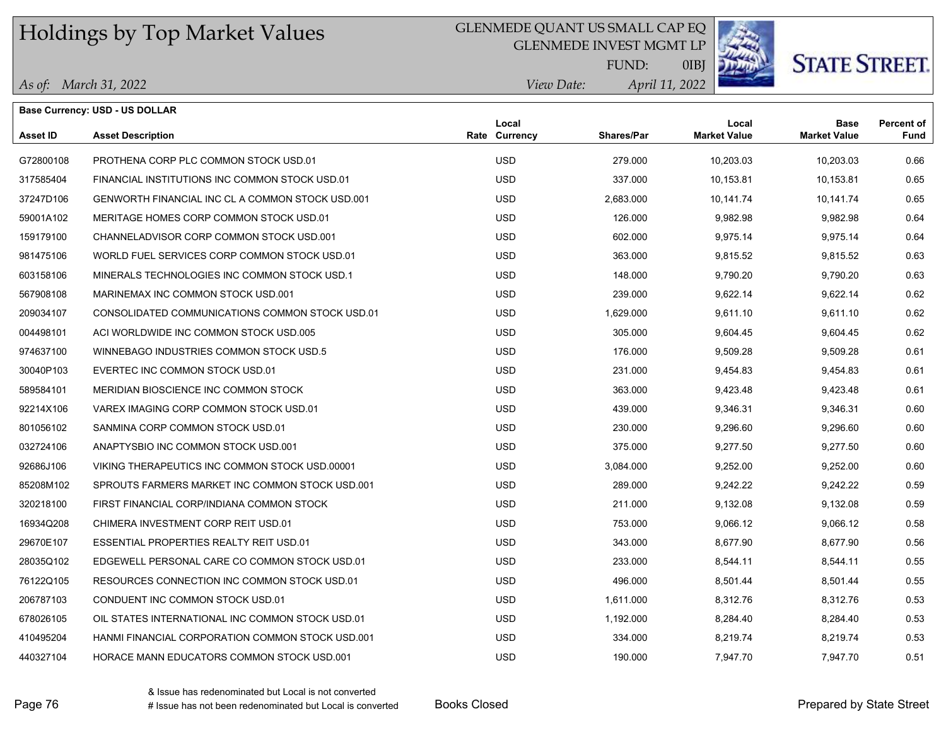### GLENMEDE QUANT US SMALL CAP EQ

GLENMEDE INVEST MGMT LP



0IBJ

**STATE STREET.** 

*April 11, 2022 View Date:* FUND:

|  | As of: March 31, 2022 |  |
|--|-----------------------|--|
|--|-----------------------|--|

|                 | <b>Base Currency: USD - US DOLLAR</b>            |                        |                   |                              |                                    |                           |
|-----------------|--------------------------------------------------|------------------------|-------------------|------------------------------|------------------------------------|---------------------------|
| <b>Asset ID</b> | <b>Asset Description</b>                         | Local<br>Rate Currency | <b>Shares/Par</b> | Local<br><b>Market Value</b> | <b>Base</b><br><b>Market Value</b> | <b>Percent of</b><br>Fund |
| G72800108       | PROTHENA CORP PLC COMMON STOCK USD.01            | <b>USD</b>             | 279.000           | 10,203.03                    | 10,203.03                          | 0.66                      |
| 317585404       | FINANCIAL INSTITUTIONS INC COMMON STOCK USD.01   | <b>USD</b>             | 337.000           | 10,153.81                    | 10,153.81                          | 0.65                      |
| 37247D106       | GENWORTH FINANCIAL INC CL A COMMON STOCK USD.001 | <b>USD</b>             | 2,683.000         | 10,141.74                    | 10,141.74                          | 0.65                      |
| 59001A102       | MERITAGE HOMES CORP COMMON STOCK USD.01          | <b>USD</b>             | 126.000           | 9,982.98                     | 9,982.98                           | 0.64                      |
| 159179100       | CHANNELADVISOR CORP COMMON STOCK USD.001         | <b>USD</b>             | 602.000           | 9,975.14                     | 9,975.14                           | 0.64                      |
| 981475106       | WORLD FUEL SERVICES CORP COMMON STOCK USD.01     | <b>USD</b>             | 363.000           | 9,815.52                     | 9,815.52                           | 0.63                      |
| 603158106       | MINERALS TECHNOLOGIES INC COMMON STOCK USD.1     | <b>USD</b>             | 148.000           | 9,790.20                     | 9,790.20                           | 0.63                      |
| 567908108       | MARINEMAX INC COMMON STOCK USD.001               | <b>USD</b>             | 239.000           | 9,622.14                     | 9,622.14                           | 0.62                      |
| 209034107       | CONSOLIDATED COMMUNICATIONS COMMON STOCK USD.01  | <b>USD</b>             | 1,629.000         | 9,611.10                     | 9,611.10                           | 0.62                      |
| 004498101       | ACI WORLDWIDE INC COMMON STOCK USD.005           | <b>USD</b>             | 305.000           | 9,604.45                     | 9,604.45                           | 0.62                      |
| 974637100       | WINNEBAGO INDUSTRIES COMMON STOCK USD.5          | <b>USD</b>             | 176,000           | 9,509.28                     | 9,509.28                           | 0.61                      |
| 30040P103       | EVERTEC INC COMMON STOCK USD.01                  | <b>USD</b>             | 231.000           | 9,454.83                     | 9,454.83                           | 0.61                      |
| 589584101       | MERIDIAN BIOSCIENCE INC COMMON STOCK             | <b>USD</b>             | 363.000           | 9,423.48                     | 9,423.48                           | 0.61                      |
| 92214X106       | VAREX IMAGING CORP COMMON STOCK USD.01           | <b>USD</b>             | 439.000           | 9,346.31                     | 9,346.31                           | 0.60                      |
| 801056102       | SANMINA CORP COMMON STOCK USD.01                 | <b>USD</b>             | 230.000           | 9,296.60                     | 9,296.60                           | 0.60                      |
| 032724106       | ANAPTYSBIO INC COMMON STOCK USD.001              | <b>USD</b>             | 375.000           | 9,277.50                     | 9,277.50                           | 0.60                      |
| 92686J106       | VIKING THERAPEUTICS INC COMMON STOCK USD.00001   | <b>USD</b>             | 3,084.000         | 9,252.00                     | 9,252.00                           | 0.60                      |
| 85208M102       | SPROUTS FARMERS MARKET INC COMMON STOCK USD.001  | <b>USD</b>             | 289.000           | 9,242.22                     | 9,242.22                           | 0.59                      |
| 320218100       | FIRST FINANCIAL CORP/INDIANA COMMON STOCK        | <b>USD</b>             | 211.000           | 9,132.08                     | 9,132.08                           | 0.59                      |
| 16934Q208       | CHIMERA INVESTMENT CORP REIT USD.01              | <b>USD</b>             | 753.000           | 9,066.12                     | 9,066.12                           | 0.58                      |
| 29670E107       | ESSENTIAL PROPERTIES REALTY REIT USD.01          | <b>USD</b>             | 343.000           | 8,677.90                     | 8,677.90                           | 0.56                      |
| 28035Q102       | EDGEWELL PERSONAL CARE CO COMMON STOCK USD.01    | <b>USD</b>             | 233.000           | 8,544.11                     | 8,544.11                           | 0.55                      |
| 76122Q105       | RESOURCES CONNECTION INC COMMON STOCK USD.01     | <b>USD</b>             | 496.000           | 8,501.44                     | 8,501.44                           | 0.55                      |
| 206787103       | CONDUENT INC COMMON STOCK USD.01                 | <b>USD</b>             | 1,611.000         | 8,312.76                     | 8,312.76                           | 0.53                      |
| 678026105       | OIL STATES INTERNATIONAL INC COMMON STOCK USD.01 | <b>USD</b>             | 1,192.000         | 8,284.40                     | 8,284.40                           | 0.53                      |
| 410495204       | HANMI FINANCIAL CORPORATION COMMON STOCK USD.001 | <b>USD</b>             | 334.000           | 8,219.74                     | 8,219.74                           | 0.53                      |
| 440327104       | HORACE MANN EDUCATORS COMMON STOCK USD.001       | <b>USD</b>             | 190.000           | 7,947.70                     | 7,947.70                           | 0.51                      |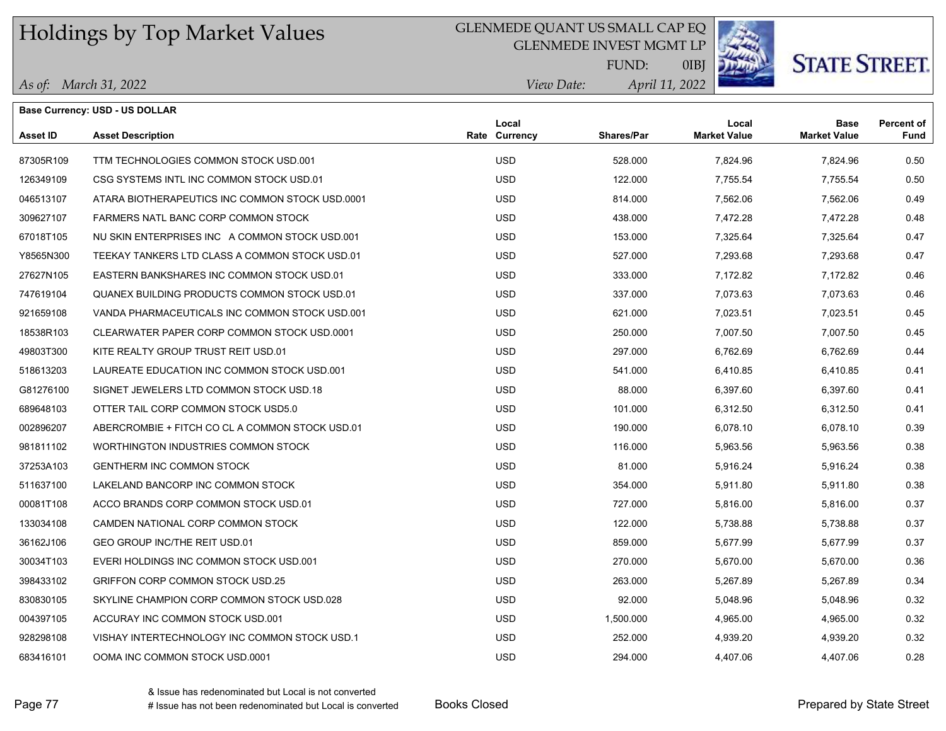### GLENMEDE QUANT US SMALL CAP EQ

GLENMEDE INVEST MGMT LP



**STATE STREET.** 

*April 11, 2022 View Date:* FUND:

0IBJ

|  | As of: March 31, 2022 |
|--|-----------------------|
|--|-----------------------|

|                 | <b>Base Currency: USD - US DOLLAR</b>           |                        |                   |                              |                                    |                           |
|-----------------|-------------------------------------------------|------------------------|-------------------|------------------------------|------------------------------------|---------------------------|
| <b>Asset ID</b> | <b>Asset Description</b>                        | Local<br>Rate Currency | <b>Shares/Par</b> | Local<br><b>Market Value</b> | <b>Base</b><br><b>Market Value</b> | <b>Percent of</b><br>Fund |
| 87305R109       | TTM TECHNOLOGIES COMMON STOCK USD 001           | <b>USD</b>             | 528.000           | 7,824.96                     | 7,824.96                           | 0.50                      |
| 126349109       | CSG SYSTEMS INTL INC COMMON STOCK USD.01        | <b>USD</b>             | 122.000           | 7,755.54                     | 7,755.54                           | 0.50                      |
| 046513107       | ATARA BIOTHERAPEUTICS INC COMMON STOCK USD.0001 | <b>USD</b>             | 814.000           | 7,562.06                     | 7,562.06                           | 0.49                      |
| 309627107       | FARMERS NATL BANC CORP COMMON STOCK             | <b>USD</b>             | 438.000           | 7,472.28                     | 7,472.28                           | 0.48                      |
| 67018T105       | NU SKIN ENTERPRISES INC A COMMON STOCK USD.001  | <b>USD</b>             | 153.000           | 7,325.64                     | 7,325.64                           | 0.47                      |
| Y8565N300       | TEEKAY TANKERS LTD CLASS A COMMON STOCK USD 01  | <b>USD</b>             | 527.000           | 7,293.68                     | 7,293.68                           | 0.47                      |
| 27627N105       | EASTERN BANKSHARES INC COMMON STOCK USD.01      | <b>USD</b>             | 333.000           | 7,172.82                     | 7,172.82                           | 0.46                      |
| 747619104       | QUANEX BUILDING PRODUCTS COMMON STOCK USD.01    | <b>USD</b>             | 337.000           | 7,073.63                     | 7,073.63                           | 0.46                      |
| 921659108       | VANDA PHARMACEUTICALS INC COMMON STOCK USD.001  | <b>USD</b>             | 621.000           | 7,023.51                     | 7,023.51                           | 0.45                      |
| 18538R103       | CLEARWATER PAPER CORP COMMON STOCK USD 0001     | <b>USD</b>             | 250.000           | 7,007.50                     | 7,007.50                           | 0.45                      |
| 49803T300       | KITE REALTY GROUP TRUST REIT USD.01             | <b>USD</b>             | 297.000           | 6,762.69                     | 6,762.69                           | 0.44                      |
| 518613203       | LAUREATE EDUCATION INC COMMON STOCK USD.001     | <b>USD</b>             | 541.000           | 6,410.85                     | 6,410.85                           | 0.41                      |
| G81276100       | SIGNET JEWELERS LTD COMMON STOCK USD.18         | <b>USD</b>             | 88.000            | 6,397.60                     | 6,397.60                           | 0.41                      |
| 689648103       | OTTER TAIL CORP COMMON STOCK USD5.0             | <b>USD</b>             | 101.000           | 6,312.50                     | 6,312.50                           | 0.41                      |
| 002896207       | ABERCROMBIE + FITCH CO CL A COMMON STOCK USD.01 | <b>USD</b>             | 190.000           | 6,078.10                     | 6,078.10                           | 0.39                      |
| 981811102       | WORTHINGTON INDUSTRIES COMMON STOCK             | <b>USD</b>             | 116.000           | 5,963.56                     | 5,963.56                           | 0.38                      |
| 37253A103       | <b>GENTHERM INC COMMON STOCK</b>                | <b>USD</b>             | 81.000            | 5,916.24                     | 5,916.24                           | 0.38                      |
| 511637100       | LAKELAND BANCORP INC COMMON STOCK               | <b>USD</b>             | 354.000           | 5,911.80                     | 5,911.80                           | 0.38                      |
| 00081T108       | ACCO BRANDS CORP COMMON STOCK USD.01            | <b>USD</b>             | 727.000           | 5,816.00                     | 5,816.00                           | 0.37                      |
| 133034108       | CAMDEN NATIONAL CORP COMMON STOCK               | <b>USD</b>             | 122.000           | 5,738.88                     | 5,738.88                           | 0.37                      |
| 36162J106       | GEO GROUP INC/THE REIT USD.01                   | <b>USD</b>             | 859.000           | 5,677.99                     | 5,677.99                           | 0.37                      |
| 30034T103       | EVERI HOLDINGS INC COMMON STOCK USD.001         | <b>USD</b>             | 270.000           | 5,670.00                     | 5,670.00                           | 0.36                      |
| 398433102       | <b>GRIFFON CORP COMMON STOCK USD.25</b>         | <b>USD</b>             | 263.000           | 5,267.89                     | 5,267.89                           | 0.34                      |
| 830830105       | SKYLINE CHAMPION CORP COMMON STOCK USD 028      | <b>USD</b>             | 92.000            | 5,048.96                     | 5,048.96                           | 0.32                      |
| 004397105       | ACCURAY INC COMMON STOCK USD.001                | <b>USD</b>             | 1,500.000         | 4,965.00                     | 4,965.00                           | 0.32                      |
| 928298108       | VISHAY INTERTECHNOLOGY INC COMMON STOCK USD.1   | <b>USD</b>             | 252.000           | 4,939.20                     | 4,939.20                           | 0.32                      |
| 683416101       | OOMA INC COMMON STOCK USD.0001                  | <b>USD</b>             | 294.000           | 4,407.06                     | 4,407.06                           | 0.28                      |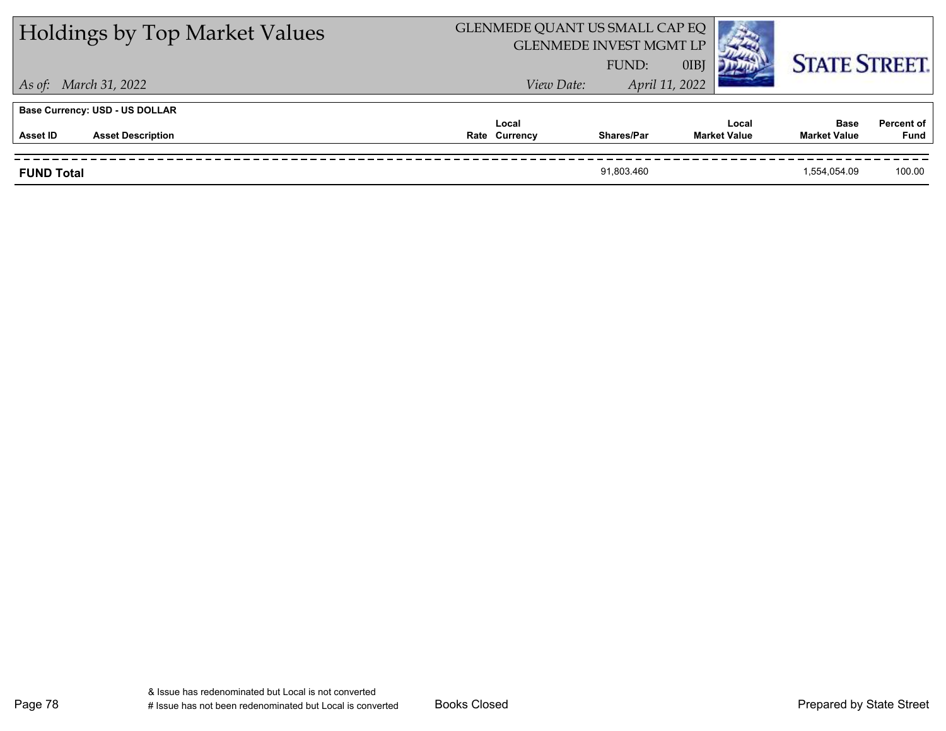| <b>Holdings by Top Market Values</b>  | GLENMEDE QUANT US SMALL CAP EQ<br><b>GLENMEDE INVEST MGMT LP</b> |                   |      |                              |                                    |                                  |  |
|---------------------------------------|------------------------------------------------------------------|-------------------|------|------------------------------|------------------------------------|----------------------------------|--|
|                                       |                                                                  | FUND:             | 0IBJ |                              | <b>STATE STREET.</b>               |                                  |  |
| As of: March 31, 2022                 | View Date:                                                       | April 11, 2022    |      |                              |                                    |                                  |  |
| <b>Base Currency: USD - US DOLLAR</b> |                                                                  |                   |      |                              |                                    |                                  |  |
| Asset ID<br><b>Asset Description</b>  | Local<br>Rate Currency                                           | <b>Shares/Par</b> |      | Local<br><b>Market Value</b> | <b>Base</b><br><b>Market Value</b> | <b>Percent of</b><br><b>Fund</b> |  |
| <b>FUND Total</b>                     |                                                                  | 91.803.460        |      |                              | 1.554.054.09                       | 100.00                           |  |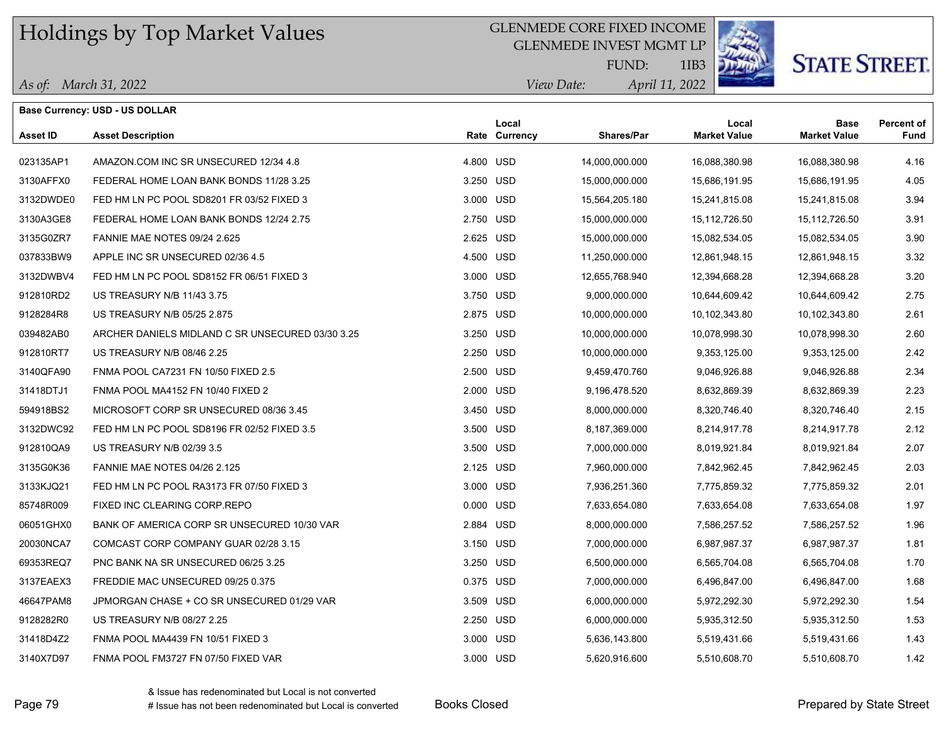#### GLENMEDE CORE FIXED INCOME

GLENMEDE INVEST MGMT LP



1IB3

# **STATE STREET.**

*April 11, 2022 View Date:* FUND:

|           | <b>Base Currency: USD - US DOLLAR</b>            |           |                        |                   |                              |                                    |                           |
|-----------|--------------------------------------------------|-----------|------------------------|-------------------|------------------------------|------------------------------------|---------------------------|
| Asset ID  | <b>Asset Description</b>                         |           | Local<br>Rate Currency | <b>Shares/Par</b> | Local<br><b>Market Value</b> | <b>Base</b><br><b>Market Value</b> | <b>Percent of</b><br>Fund |
| 023135AP1 | AMAZON COM INC SR UNSECURED 12/34 4.8            | 4.800 USD |                        | 14,000,000.000    | 16,088,380.98                | 16,088,380.98                      | 4.16                      |
| 3130AFFX0 | FEDERAL HOME LOAN BANK BONDS 11/28 3.25          | 3.250 USD |                        | 15,000,000.000    | 15,686,191.95                | 15,686,191.95                      | 4.05                      |
| 3132DWDE0 | FED HM LN PC POOL SD8201 FR 03/52 FIXED 3        | 3.000 USD |                        | 15,564,205.180    | 15,241,815.08                | 15,241,815.08                      | 3.94                      |
| 3130A3GE8 | FEDERAL HOME LOAN BANK BONDS 12/24 2.75          | 2.750 USD |                        | 15,000,000.000    | 15,112,726.50                | 15,112,726.50                      | 3.91                      |
| 3135G0ZR7 | <b>FANNIE MAE NOTES 09/24 2.625</b>              | 2.625 USD |                        | 15,000,000.000    | 15,082,534.05                | 15,082,534.05                      | 3.90                      |
| 037833BW9 | APPLE INC SR UNSECURED 02/36 4.5                 | 4.500 USD |                        | 11,250,000.000    | 12,861,948.15                | 12,861,948.15                      | 3.32                      |
| 3132DWBV4 | FED HM LN PC POOL SD8152 FR 06/51 FIXED 3        | 3.000 USD |                        | 12,655,768.940    | 12,394,668.28                | 12,394,668.28                      | 3.20                      |
| 912810RD2 | US TREASURY N/B 11/43 3.75                       | 3.750 USD |                        | 9,000,000.000     | 10,644,609.42                | 10,644,609.42                      | 2.75                      |
| 9128284R8 | US TREASURY N/B 05/25 2.875                      | 2.875 USD |                        | 10,000,000.000    | 10,102,343.80                | 10,102,343.80                      | 2.61                      |
| 039482AB0 | ARCHER DANIELS MIDLAND C SR UNSECURED 03/30 3.25 | 3.250 USD |                        | 10,000,000.000    | 10,078,998.30                | 10,078,998.30                      | 2.60                      |
| 912810RT7 | US TREASURY N/B 08/46 2.25                       | 2.250 USD |                        | 10,000,000.000    | 9,353,125.00                 | 9,353,125.00                       | 2.42                      |
| 3140QFA90 | FNMA POOL CA7231 FN 10/50 FIXED 2.5              | 2.500 USD |                        | 9,459,470.760     | 9,046,926.88                 | 9,046,926.88                       | 2.34                      |
| 31418DTJ1 | FNMA POOL MA4152 FN 10/40 FIXED 2                | 2.000 USD |                        | 9,196,478.520     | 8,632,869.39                 | 8,632,869.39                       | 2.23                      |
| 594918BS2 | MICROSOFT CORP SR UNSECURED 08/36 3.45           | 3.450 USD |                        | 8,000,000.000     | 8,320,746.40                 | 8,320,746.40                       | 2.15                      |
| 3132DWC92 | FED HM LN PC POOL SD8196 FR 02/52 FIXED 3.5      | 3.500 USD |                        | 8,187,369.000     | 8,214,917.78                 | 8,214,917.78                       | 2.12                      |
| 912810QA9 | US TREASURY N/B 02/39 3.5                        | 3.500 USD |                        | 7,000,000.000     | 8,019,921.84                 | 8,019,921.84                       | 2.07                      |
| 3135G0K36 | <b>FANNIE MAE NOTES 04/26 2.125</b>              | 2.125 USD |                        | 7,960,000.000     | 7,842,962.45                 | 7,842,962.45                       | 2.03                      |
| 3133KJQ21 | FED HM LN PC POOL RA3173 FR 07/50 FIXED 3        | 3.000 USD |                        | 7,936,251.360     | 7,775,859.32                 | 7,775,859.32                       | 2.01                      |
| 85748R009 | FIXED INC CLEARING CORP.REPO                     | 0.000 USD |                        | 7,633,654.080     | 7,633,654.08                 | 7,633,654.08                       | 1.97                      |
| 06051GHX0 | BANK OF AMERICA CORP SR UNSECURED 10/30 VAR      | 2.884 USD |                        | 8,000,000.000     | 7,586,257.52                 | 7,586,257.52                       | 1.96                      |
| 20030NCA7 | COMCAST CORP COMPANY GUAR 02/28 3.15             | 3.150 USD |                        | 7,000,000.000     | 6,987,987.37                 | 6,987,987.37                       | 1.81                      |
| 69353REQ7 | PNC BANK NA SR UNSECURED 06/25 3.25              | 3.250 USD |                        | 6,500,000.000     | 6,565,704.08                 | 6,565,704.08                       | 1.70                      |
| 3137EAEX3 | FREDDIE MAC UNSECURED 09/25 0.375                | 0.375 USD |                        | 7,000,000.000     | 6,496,847.00                 | 6,496,847.00                       | 1.68                      |
| 46647PAM8 | JPMORGAN CHASE + CO SR UNSECURED 01/29 VAR       | 3.509 USD |                        | 6,000,000.000     | 5,972,292.30                 | 5,972,292.30                       | 1.54                      |
| 9128282R0 | US TREASURY N/B 08/27 2.25                       | 2.250 USD |                        | 6,000,000.000     | 5,935,312.50                 | 5,935,312.50                       | 1.53                      |
| 31418D4Z2 | FNMA POOL MA4439 FN 10/51 FIXED 3                | 3.000 USD |                        | 5,636,143.800     | 5,519,431.66                 | 5,519,431.66                       | 1.43                      |
| 3140X7D97 | FNMA POOL FM3727 FN 07/50 FIXED VAR              | 3.000 USD |                        | 5,620,916.600     | 5,510,608.70                 | 5,510,608.70                       | 1.42                      |

Page 79 **Books Account 20 Books Closed Prepared Prepared by State Street** Prepared by State Street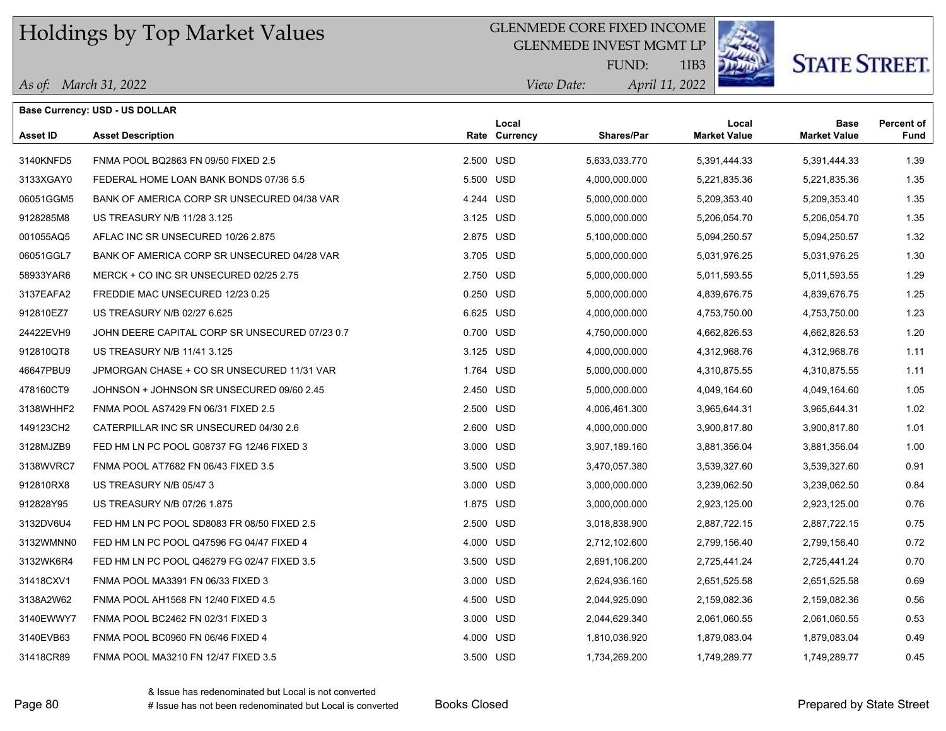*As of: March 31, 2022*

#### GLENMEDE CORE FIXED INCOME

GLENMEDE INVEST MGMT LP



1IB3

# **STATE STREET.**

*April 11, 2022 View Date:* FUND:

| As of $\cdot$ | March 31 |
|---------------|----------|
|               |          |

|                 | <b>Base Currency: USD - US DOLLAR</b>          |                        |                   |                              |                             |                           |
|-----------------|------------------------------------------------|------------------------|-------------------|------------------------------|-----------------------------|---------------------------|
| <b>Asset ID</b> | <b>Asset Description</b>                       | Local<br>Rate Currency | <b>Shares/Par</b> | Local<br><b>Market Value</b> | Base<br><b>Market Value</b> | <b>Percent of</b><br>Fund |
| 3140KNFD5       | FNMA POOL BQ2863 FN 09/50 FIXED 2.5            | 2.500 USD              | 5,633,033.770     | 5,391,444.33                 | 5,391,444.33                | 1.39                      |
| 3133XGAY0       | FEDERAL HOME LOAN BANK BONDS 07/36 5.5         | 5.500 USD              | 4,000,000.000     | 5,221,835.36                 | 5,221,835.36                | 1.35                      |
| 06051GGM5       | BANK OF AMERICA CORP SR UNSECURED 04/38 VAR    | 4.244 USD              | 5,000,000.000     | 5,209,353.40                 | 5,209,353.40                | 1.35                      |
| 9128285M8       | US TREASURY N/B 11/28 3.125                    | 3.125 USD              | 5,000,000.000     | 5,206,054.70                 | 5,206,054.70                | 1.35                      |
| 001055AQ5       | AFLAC INC SR UNSECURED 10/26 2.875             | 2.875 USD              | 5,100,000.000     | 5,094,250.57                 | 5,094,250.57                | 1.32                      |
| 06051GGL7       | BANK OF AMERICA CORP SR UNSECURED 04/28 VAR    | 3.705 USD              | 5,000,000.000     | 5,031,976.25                 | 5,031,976.25                | 1.30                      |
| 58933YAR6       | MERCK + CO INC SR UNSECURED 02/25 2.75         | 2.750 USD              | 5,000,000.000     | 5,011,593.55                 | 5,011,593.55                | 1.29                      |
| 3137EAFA2       | FREDDIE MAC UNSECURED 12/23 0.25               | 0.250 USD              | 5,000,000.000     | 4,839,676.75                 | 4,839,676.75                | 1.25                      |
| 912810EZ7       | US TREASURY N/B 02/27 6.625                    | 6.625 USD              | 4,000,000.000     | 4,753,750.00                 | 4,753,750.00                | 1.23                      |
| 24422EVH9       | JOHN DEERE CAPITAL CORP SR UNSECURED 07/23 0.7 | 0.700 USD              | 4,750,000.000     | 4,662,826.53                 | 4,662,826.53                | 1.20                      |
| 912810QT8       | US TREASURY N/B 11/41 3.125                    | 3.125 USD              | 4,000,000.000     | 4,312,968.76                 | 4,312,968.76                | 1.11                      |
| 46647PBU9       | JPMORGAN CHASE + CO SR UNSECURED 11/31 VAR     | 1.764 USD              | 5,000,000.000     | 4,310,875.55                 | 4,310,875.55                | 1.11                      |
| 478160CT9       | JOHNSON + JOHNSON SR UNSECURED 09/60 2.45      | 2.450 USD              | 5,000,000.000     | 4,049,164.60                 | 4,049,164.60                | 1.05                      |
| 3138WHHF2       | FNMA POOL AS7429 FN 06/31 FIXED 2.5            | 2.500 USD              | 4,006,461.300     | 3,965,644.31                 | 3,965,644.31                | 1.02                      |
| 149123CH2       | CATERPILLAR INC SR UNSECURED 04/30 2.6         | 2.600 USD              | 4,000,000.000     | 3,900,817.80                 | 3,900,817.80                | 1.01                      |
| 3128MJZB9       | FED HM LN PC POOL G08737 FG 12/46 FIXED 3      | 3.000 USD              | 3,907,189.160     | 3,881,356.04                 | 3,881,356.04                | 1.00                      |
| 3138WVRC7       | FNMA POOL AT7682 FN 06/43 FIXED 3.5            | 3.500 USD              | 3,470,057.380     | 3,539,327.60                 | 3,539,327.60                | 0.91                      |
| 912810RX8       | US TREASURY N/B 05/47 3                        | 3.000 USD              | 3,000,000.000     | 3,239,062.50                 | 3,239,062.50                | 0.84                      |
| 912828Y95       | US TREASURY N/B 07/26 1.875                    | 1.875 USD              | 3,000,000.000     | 2,923,125.00                 | 2,923,125.00                | 0.76                      |
| 3132DV6U4       | FED HM LN PC POOL SD8083 FR 08/50 FIXED 2.5    | 2.500 USD              | 3,018,838.900     | 2,887,722.15                 | 2,887,722.15                | 0.75                      |
| 3132WMNN0       | FED HM LN PC POOL Q47596 FG 04/47 FIXED 4      | 4.000 USD              | 2,712,102.600     | 2,799,156.40                 | 2,799,156.40                | 0.72                      |
| 3132WK6R4       | FED HM LN PC POOL Q46279 FG 02/47 FIXED 3.5    | 3.500 USD              | 2,691,106.200     | 2,725,441.24                 | 2,725,441.24                | 0.70                      |
| 31418CXV1       | FNMA POOL MA3391 FN 06/33 FIXED 3              | 3.000 USD              | 2,624,936.160     | 2,651,525.58                 | 2,651,525.58                | 0.69                      |
| 3138A2W62       | FNMA POOL AH1568 FN 12/40 FIXED 4.5            | 4.500 USD              | 2,044,925.090     | 2,159,082.36                 | 2,159,082.36                | 0.56                      |
| 3140EWWY7       | FNMA POOL BC2462 FN 02/31 FIXED 3              | 3.000 USD              | 2,044,629.340     | 2,061,060.55                 | 2,061,060.55                | 0.53                      |
| 3140EVB63       | FNMA POOL BC0960 FN 06/46 FIXED 4              | 4.000 USD              | 1,810,036.920     | 1,879,083.04                 | 1,879,083.04                | 0.49                      |
| 31418CR89       | FNMA POOL MA3210 FN 12/47 FIXED 3.5            | 3.500 USD              | 1,734,269.200     | 1,749,289.77                 | 1,749,289.77                | 0.45                      |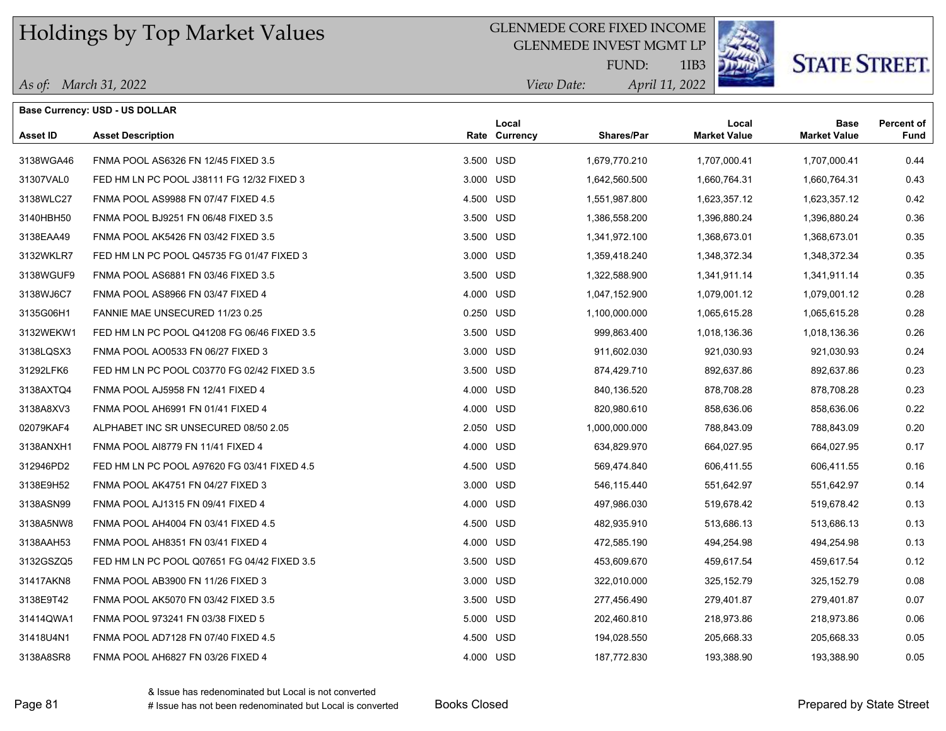#### GLENMEDE CORE FIXED INCOME

GLENMEDE INVEST MGMT LP



1IB3

# **STATE STREET.**

*April 11, 2022 View Date:* FUND:

|  | As of: March 31, 2022 |  |
|--|-----------------------|--|
|  |                       |  |

| Base Currency: USD - US DOLLAR |                                             |           |                        |                   |                              |                                    |                           |
|--------------------------------|---------------------------------------------|-----------|------------------------|-------------------|------------------------------|------------------------------------|---------------------------|
| Asset ID                       | <b>Asset Description</b>                    |           | Local<br>Rate Currency | <b>Shares/Par</b> | Local<br><b>Market Value</b> | <b>Base</b><br><b>Market Value</b> | <b>Percent of</b><br>Fund |
| 3138WGA46                      | FNMA POOL AS6326 FN 12/45 FIXED 3.5         | 3.500 USD |                        | 1,679,770.210     | 1,707,000.41                 | 1,707,000.41                       | 0.44                      |
| 31307VAL0                      | FED HM LN PC POOL J38111 FG 12/32 FIXED 3   | 3.000 USD |                        | 1,642,560.500     | 1,660,764.31                 | 1,660,764.31                       | 0.43                      |
| 3138WLC27                      | FNMA POOL AS9988 FN 07/47 FIXED 4.5         | 4.500 USD |                        | 1,551,987.800     | 1,623,357.12                 | 1,623,357.12                       | 0.42                      |
| 3140HBH50                      | FNMA POOL BJ9251 FN 06/48 FIXED 3.5         | 3.500 USD |                        | 1,386,558.200     | 1,396,880.24                 | 1,396,880.24                       | 0.36                      |
| 3138EAA49                      | FNMA POOL AK5426 FN 03/42 FIXED 3.5         | 3.500 USD |                        | 1,341,972.100     | 1,368,673.01                 | 1,368,673.01                       | 0.35                      |
| 3132WKLR7                      | FED HM LN PC POOL Q45735 FG 01/47 FIXED 3   | 3.000 USD |                        | 1,359,418.240     | 1,348,372.34                 | 1,348,372.34                       | 0.35                      |
| 3138WGUF9                      | FNMA POOL AS6881 FN 03/46 FIXED 3.5         | 3.500 USD |                        | 1,322,588.900     | 1,341,911.14                 | 1,341,911.14                       | 0.35                      |
| 3138WJ6C7                      | FNMA POOL AS8966 FN 03/47 FIXED 4           | 4.000 USD |                        | 1,047,152.900     | 1,079,001.12                 | 1,079,001.12                       | 0.28                      |
| 3135G06H1                      | FANNIE MAE UNSECURED 11/23 0.25             | 0.250 USD |                        | 1,100,000.000     | 1,065,615.28                 | 1,065,615.28                       | 0.28                      |
| 3132WEKW1                      | FED HM LN PC POOL Q41208 FG 06/46 FIXED 3.5 | 3.500 USD |                        | 999,863.400       | 1,018,136.36                 | 1,018,136.36                       | 0.26                      |
| 3138LQSX3                      | FNMA POOL AO0533 FN 06/27 FIXED 3           | 3.000 USD |                        | 911,602.030       | 921,030.93                   | 921,030.93                         | 0.24                      |
| 31292LFK6                      | FED HM LN PC POOL C03770 FG 02/42 FIXED 3.5 | 3.500 USD |                        | 874,429.710       | 892,637.86                   | 892,637.86                         | 0.23                      |
| 3138AXTQ4                      | FNMA POOL AJ5958 FN 12/41 FIXED 4           | 4.000 USD |                        | 840,136.520       | 878,708.28                   | 878,708.28                         | 0.23                      |
| 3138A8XV3                      | FNMA POOL AH6991 FN 01/41 FIXED 4           | 4.000 USD |                        | 820,980.610       | 858,636.06                   | 858,636.06                         | 0.22                      |
| 02079KAF4                      | ALPHABET INC SR UNSECURED 08/50 2.05        | 2.050 USD |                        | 1,000,000.000     | 788,843.09                   | 788,843.09                         | 0.20                      |
| 3138ANXH1                      | FNMA POOL AI8779 FN 11/41 FIXED 4           | 4.000 USD |                        | 634,829.970       | 664,027.95                   | 664,027.95                         | 0.17                      |
| 312946PD2                      | FED HM LN PC POOL A97620 FG 03/41 FIXED 4.5 | 4.500 USD |                        | 569,474.840       | 606,411.55                   | 606,411.55                         | 0.16                      |
| 3138E9H52                      | FNMA POOL AK4751 FN 04/27 FIXED 3           | 3.000 USD |                        | 546,115.440       | 551,642.97                   | 551,642.97                         | 0.14                      |
| 3138ASN99                      | FNMA POOL AJ1315 FN 09/41 FIXED 4           | 4.000 USD |                        | 497,986.030       | 519,678.42                   | 519,678.42                         | 0.13                      |
| 3138A5NW8                      | FNMA POOL AH4004 FN 03/41 FIXED 4.5         | 4.500 USD |                        | 482,935.910       | 513,686.13                   | 513,686.13                         | 0.13                      |
| 3138AAH53                      | FNMA POOL AH8351 FN 03/41 FIXED 4           | 4.000 USD |                        | 472,585.190       | 494,254.98                   | 494,254.98                         | 0.13                      |
| 3132GSZQ5                      | FED HM LN PC POOL Q07651 FG 04/42 FIXED 3.5 | 3.500 USD |                        | 453,609.670       | 459,617.54                   | 459,617.54                         | 0.12                      |
| 31417AKN8                      | FNMA POOL AB3900 FN 11/26 FIXED 3           | 3.000 USD |                        | 322,010.000       | 325, 152.79                  | 325, 152. 79                       | 0.08                      |
| 3138E9T42                      | FNMA POOL AK5070 FN 03/42 FIXED 3.5         | 3.500 USD |                        | 277,456.490       | 279,401.87                   | 279,401.87                         | 0.07                      |
| 31414QWA1                      | FNMA POOL 973241 FN 03/38 FIXED 5           | 5.000 USD |                        | 202,460.810       | 218,973.86                   | 218,973.86                         | 0.06                      |
| 31418U4N1                      | FNMA POOL AD7128 FN 07/40 FIXED 4.5         | 4.500 USD |                        | 194,028.550       | 205,668.33                   | 205,668.33                         | 0.05                      |
| 3138A8SR8                      | FNMA POOL AH6827 FN 03/26 FIXED 4           | 4.000 USD |                        | 187,772.830       | 193,388.90                   | 193,388.90                         | 0.05                      |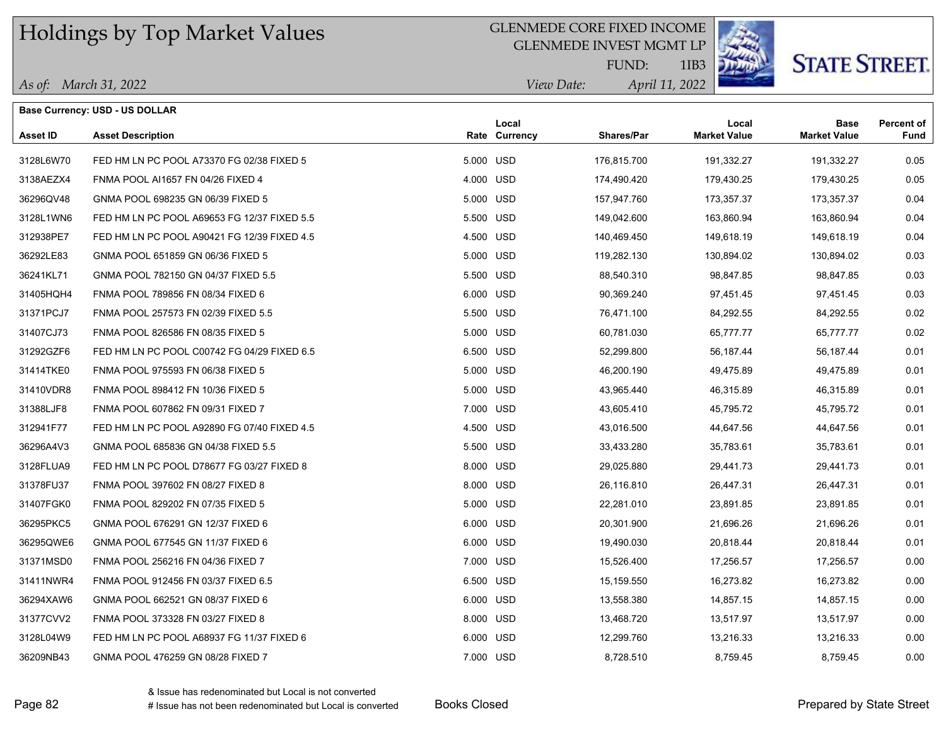#### GLENMEDE CORE FIXED INCOME

GLENMEDE INVEST MGMT LP



1IB3

# **STATE STREET.**

*April 11, 2022 View Date:* FUND:

|                 | <b>Base Currency: USD - US DOLLAR</b>       |           |                        |                   |                              |                             |                           |
|-----------------|---------------------------------------------|-----------|------------------------|-------------------|------------------------------|-----------------------------|---------------------------|
| <b>Asset ID</b> | <b>Asset Description</b>                    |           | Local<br>Rate Currency | <b>Shares/Par</b> | Local<br><b>Market Value</b> | Base<br><b>Market Value</b> | <b>Percent of</b><br>Fund |
| 3128L6W70       | FED HM LN PC POOL A73370 FG 02/38 FIXED 5   |           | 5.000 USD              | 176,815.700       | 191,332.27                   | 191,332.27                  | 0.05                      |
| 3138AEZX4       | FNMA POOL AI1657 FN 04/26 FIXED 4           | 4.000 USD |                        | 174,490.420       | 179,430.25                   | 179,430.25                  | 0.05                      |
| 36296QV48       | GNMA POOL 698235 GN 06/39 FIXED 5           |           | 5.000 USD              | 157,947.760       | 173,357.37                   | 173,357.37                  | 0.04                      |
| 3128L1WN6       | FED HM LN PC POOL A69653 FG 12/37 FIXED 5.5 |           | 5.500 USD              | 149,042.600       | 163,860.94                   | 163,860.94                  | 0.04                      |
| 312938PE7       | FED HM LN PC POOL A90421 FG 12/39 FIXED 4.5 |           | 4.500 USD              | 140,469.450       | 149,618.19                   | 149,618.19                  | 0.04                      |
| 36292LE83       | GNMA POOL 651859 GN 06/36 FIXED 5           |           | 5.000 USD              | 119,282.130       | 130,894.02                   | 130,894.02                  | 0.03                      |
| 36241KL71       | GNMA POOL 782150 GN 04/37 FIXED 5.5         |           | 5.500 USD              | 88,540.310        | 98,847.85                    | 98,847.85                   | 0.03                      |
| 31405HQH4       | FNMA POOL 789856 FN 08/34 FIXED 6           |           | 6.000 USD              | 90,369.240        | 97,451.45                    | 97,451.45                   | 0.03                      |
| 31371PCJ7       | FNMA POOL 257573 FN 02/39 FIXED 5.5         |           | 5.500 USD              | 76,471.100        | 84,292.55                    | 84,292.55                   | 0.02                      |
| 31407CJ73       | FNMA POOL 826586 FN 08/35 FIXED 5           |           | 5.000 USD              | 60,781.030        | 65,777.77                    | 65,777.77                   | 0.02                      |
| 31292GZF6       | FED HM LN PC POOL C00742 FG 04/29 FIXED 6.5 |           | 6.500 USD              | 52,299.800        | 56,187.44                    | 56,187.44                   | 0.01                      |
| 31414TKE0       | FNMA POOL 975593 FN 06/38 FIXED 5           |           | 5.000 USD              | 46,200.190        | 49,475.89                    | 49,475.89                   | 0.01                      |
| 31410VDR8       | FNMA POOL 898412 FN 10/36 FIXED 5           |           | 5.000 USD              | 43,965.440        | 46,315.89                    | 46,315.89                   | 0.01                      |
| 31388LJF8       | FNMA POOL 607862 FN 09/31 FIXED 7           |           | 7.000 USD              | 43,605.410        | 45,795.72                    | 45,795.72                   | 0.01                      |
| 312941F77       | FED HM LN PC POOL A92890 FG 07/40 FIXED 4.5 |           | 4.500 USD              | 43,016.500        | 44,647.56                    | 44,647.56                   | 0.01                      |
| 36296A4V3       | GNMA POOL 685836 GN 04/38 FIXED 5.5         |           | 5.500 USD              | 33,433.280        | 35,783.61                    | 35,783.61                   | 0.01                      |
| 3128FLUA9       | FED HM LN PC POOL D78677 FG 03/27 FIXED 8   |           | 8.000 USD              | 29,025.880        | 29,441.73                    | 29,441.73                   | 0.01                      |
| 31378FU37       | FNMA POOL 397602 FN 08/27 FIXED 8           |           | 8.000 USD              | 26,116.810        | 26,447.31                    | 26,447.31                   | 0.01                      |
| 31407FGK0       | FNMA POOL 829202 FN 07/35 FIXED 5           |           | 5.000 USD              | 22,281.010        | 23,891.85                    | 23,891.85                   | 0.01                      |
| 36295PKC5       | GNMA POOL 676291 GN 12/37 FIXED 6           |           | 6.000 USD              | 20,301.900        | 21,696.26                    | 21,696.26                   | 0.01                      |
| 36295QWE6       | GNMA POOL 677545 GN 11/37 FIXED 6           |           | 6.000 USD              | 19,490.030        | 20,818.44                    | 20,818.44                   | 0.01                      |
| 31371MSD0       | FNMA POOL 256216 FN 04/36 FIXED 7           |           | 7.000 USD              | 15,526.400        | 17,256.57                    | 17,256.57                   | 0.00                      |
| 31411NWR4       | FNMA POOL 912456 FN 03/37 FIXED 6.5         |           | 6.500 USD              | 15,159.550        | 16,273.82                    | 16,273.82                   | 0.00                      |
| 36294XAW6       | GNMA POOL 662521 GN 08/37 FIXED 6           |           | 6.000 USD              | 13,558.380        | 14,857.15                    | 14,857.15                   | 0.00                      |
| 31377CVV2       | FNMA POOL 373328 FN 03/27 FIXED 8           |           | 8.000 USD              | 13,468.720        | 13,517.97                    | 13,517.97                   | 0.00                      |
| 3128L04W9       | FED HM LN PC POOL A68937 FG 11/37 FIXED 6   |           | 6.000 USD              | 12,299.760        | 13,216.33                    | 13,216.33                   | 0.00                      |
| 36209NB43       | GNMA POOL 476259 GN 08/28 FIXED 7           |           | 7.000 USD              | 8,728.510         | 8,759.45                     | 8,759.45                    | 0.00                      |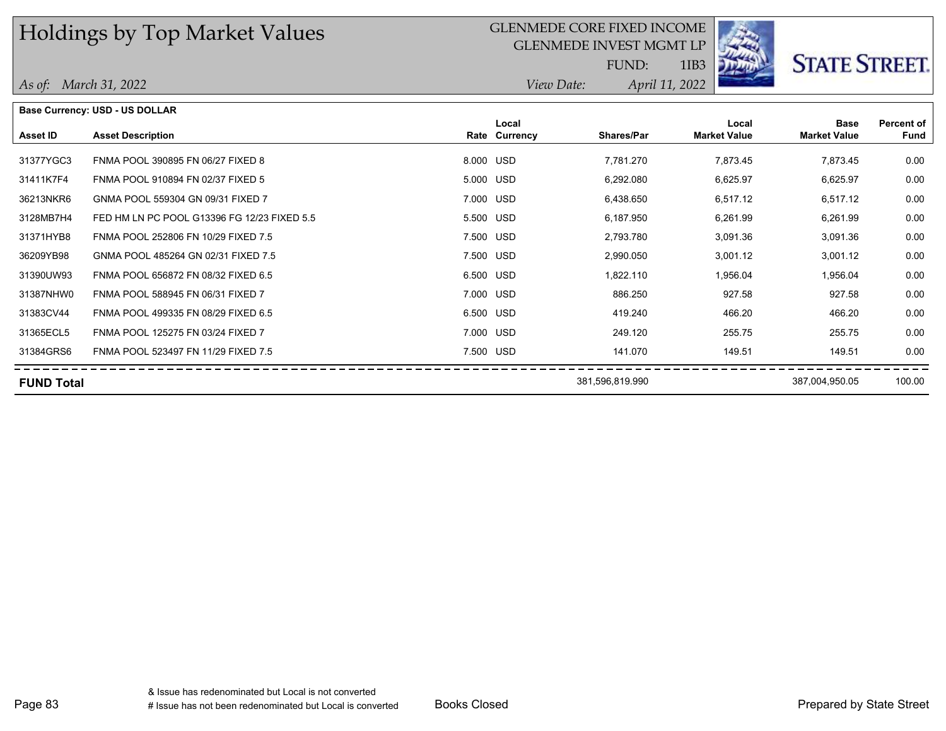#### GLENMEDE CORE FIXED INCOME

GLENMEDE INVEST MGMT LP



1IB3

*April 11, 2022 View Date:*

FUND:

|                   | <b>Base Currency: USD - US DOLLAR</b>       |           |                        |                   |                              |                                    |                           |
|-------------------|---------------------------------------------|-----------|------------------------|-------------------|------------------------------|------------------------------------|---------------------------|
| Asset ID          | <b>Asset Description</b>                    |           | Local<br>Rate Currency | <b>Shares/Par</b> | Local<br><b>Market Value</b> | <b>Base</b><br><b>Market Value</b> | Percent of<br><b>Fund</b> |
|                   |                                             |           |                        |                   |                              |                                    |                           |
| 31377YGC3         | FNMA POOL 390895 FN 06/27 FIXED 8           | 8.000 USD |                        | 7,781.270         | 7,873.45                     | 7,873.45                           | 0.00                      |
| 31411K7F4         | FNMA POOL 910894 FN 02/37 FIXED 5           | 5.000 USD |                        | 6,292.080         | 6,625.97                     | 6,625.97                           | 0.00                      |
| 36213NKR6         | GNMA POOL 559304 GN 09/31 FIXED 7           | 7.000 USD |                        | 6,438.650         | 6,517.12                     | 6,517.12                           | 0.00                      |
| 3128MB7H4         | FED HM LN PC POOL G13396 FG 12/23 FIXED 5.5 | 5.500 USD |                        | 6,187.950         | 6,261.99                     | 6,261.99                           | 0.00                      |
| 31371HYB8         | FNMA POOL 252806 FN 10/29 FIXED 7.5         | 7.500 USD |                        | 2,793.780         | 3,091.36                     | 3,091.36                           | 0.00                      |
| 36209YB98         | GNMA POOL 485264 GN 02/31 FIXED 7.5         | 7.500 USD |                        | 2,990.050         | 3,001.12                     | 3,001.12                           | 0.00                      |
| 31390UW93         | FNMA POOL 656872 FN 08/32 FIXED 6.5         | 6.500 USD |                        | 1,822.110         | 1,956.04                     | 1,956.04                           | 0.00                      |
| 31387NHW0         | FNMA POOL 588945 FN 06/31 FIXED 7           | 7.000 USD |                        | 886.250           | 927.58                       | 927.58                             | 0.00                      |
| 31383CV44         | FNMA POOL 499335 FN 08/29 FIXED 6.5         | 6.500 USD |                        | 419.240           | 466.20                       | 466.20                             | 0.00                      |
| 31365ECL5         | FNMA POOL 125275 FN 03/24 FIXED 7           | 7.000 USD |                        | 249.120           | 255.75                       | 255.75                             | 0.00                      |
| 31384GRS6         | FNMA POOL 523497 FN 11/29 FIXED 7.5         | 7.500 USD |                        | 141.070           | 149.51                       | 149.51                             | 0.00                      |
| <b>FUND Total</b> |                                             |           |                        | 381,596,819.990   |                              | 387,004,950.05                     | 100.00                    |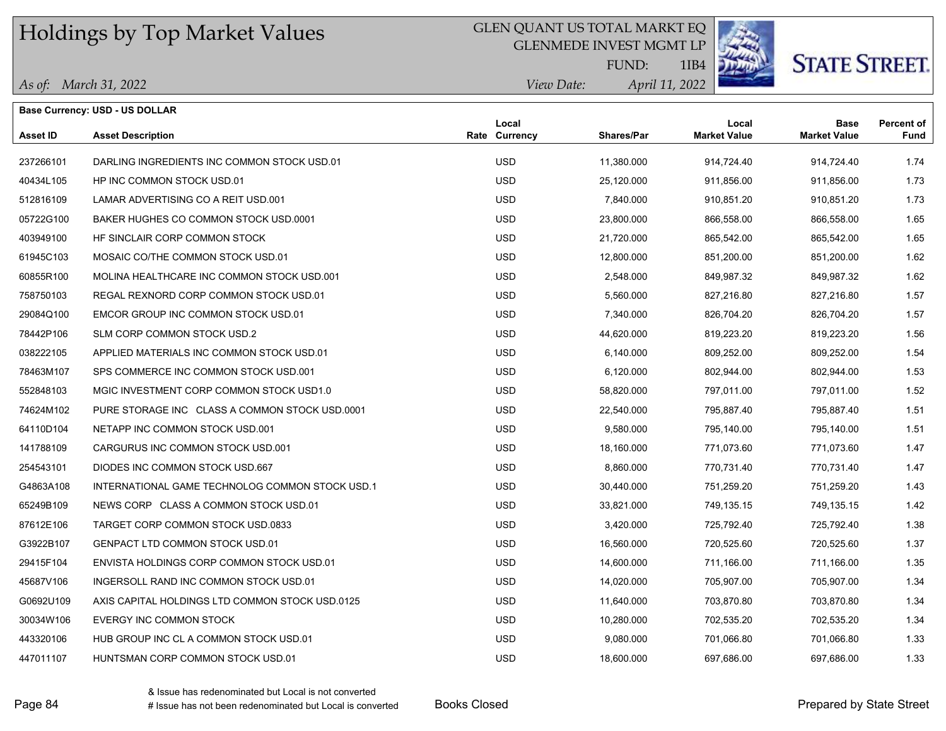#### GLEN QUANT US TOTAL MARKT EQ

GLENMEDE INVEST MGMT LP



# **STATE STREET.**

*April 11, 2022 View Date:* FUND:

1IB4

|                 | <b>Base Currency: USD - US DOLLAR</b>           |                        |                   |                              |                                    |                                  |
|-----------------|-------------------------------------------------|------------------------|-------------------|------------------------------|------------------------------------|----------------------------------|
| <b>Asset ID</b> | <b>Asset Description</b>                        | Local<br>Rate Currency | <b>Shares/Par</b> | Local<br><b>Market Value</b> | <b>Base</b><br><b>Market Value</b> | <b>Percent of</b><br><b>Fund</b> |
| 237266101       | DARLING INGREDIENTS INC COMMON STOCK USD.01     | <b>USD</b>             | 11,380.000        | 914,724.40                   | 914,724.40                         | 1.74                             |
| 40434L105       | HP INC COMMON STOCK USD.01                      | <b>USD</b>             | 25,120.000        | 911,856.00                   | 911,856.00                         | 1.73                             |
| 512816109       | LAMAR ADVERTISING CO A REIT USD.001             | <b>USD</b>             | 7,840.000         | 910,851.20                   | 910,851.20                         | 1.73                             |
| 05722G100       | BAKER HUGHES CO COMMON STOCK USD.0001           | <b>USD</b>             | 23,800.000        | 866,558.00                   | 866,558.00                         | 1.65                             |
| 403949100       | HE SINCLAIR CORP COMMON STOCK                   | <b>USD</b>             | 21,720.000        | 865,542.00                   | 865,542.00                         | 1.65                             |
| 61945C103       | MOSAIC CO/THE COMMON STOCK USD.01               | <b>USD</b>             | 12,800.000        | 851,200.00                   | 851,200.00                         | 1.62                             |
| 60855R100       | MOLINA HEALTHCARE INC COMMON STOCK USD.001      | <b>USD</b>             | 2,548.000         | 849,987.32                   | 849,987.32                         | 1.62                             |
| 758750103       | REGAL REXNORD CORP COMMON STOCK USD.01          | <b>USD</b>             | 5,560.000         | 827,216.80                   | 827,216.80                         | 1.57                             |
| 29084Q100       | EMCOR GROUP INC COMMON STOCK USD.01             | <b>USD</b>             | 7,340.000         | 826,704.20                   | 826,704.20                         | 1.57                             |
| 78442P106       | SLM CORP COMMON STOCK USD.2                     | <b>USD</b>             | 44,620.000        | 819,223.20                   | 819,223.20                         | 1.56                             |
| 038222105       | APPLIED MATERIALS INC COMMON STOCK USD.01       | <b>USD</b>             | 6,140.000         | 809,252.00                   | 809,252.00                         | 1.54                             |
| 78463M107       | SPS COMMERCE INC COMMON STOCK USD.001           | <b>USD</b>             | 6,120.000         | 802,944.00                   | 802,944.00                         | 1.53                             |
| 552848103       | MGIC INVESTMENT CORP COMMON STOCK USD1.0        | <b>USD</b>             | 58,820.000        | 797,011.00                   | 797,011.00                         | 1.52                             |
| 74624M102       | PURE STORAGE INC CLASS A COMMON STOCK USD 0001  | <b>USD</b>             | 22,540.000        | 795,887.40                   | 795,887.40                         | 1.51                             |
| 64110D104       | NETAPP INC COMMON STOCK USD.001                 | <b>USD</b>             | 9,580.000         | 795,140.00                   | 795,140.00                         | 1.51                             |
| 141788109       | CARGURUS INC COMMON STOCK USD.001               | <b>USD</b>             | 18,160.000        | 771,073.60                   | 771,073.60                         | 1.47                             |
| 254543101       | DIODES INC COMMON STOCK USD 667                 | <b>USD</b>             | 8,860.000         | 770,731.40                   | 770,731.40                         | 1.47                             |
| G4863A108       | INTERNATIONAL GAME TECHNOLOG COMMON STOCK USD.1 | <b>USD</b>             | 30,440.000        | 751,259.20                   | 751,259.20                         | 1.43                             |
| 65249B109       | NEWS CORP CLASS A COMMON STOCK USD.01           | <b>USD</b>             | 33,821.000        | 749,135.15                   | 749,135.15                         | 1.42                             |
| 87612E106       | TARGET CORP COMMON STOCK USD.0833               | <b>USD</b>             | 3,420.000         | 725,792.40                   | 725,792.40                         | 1.38                             |
| G3922B107       | <b>GENPACT LTD COMMON STOCK USD 01</b>          | <b>USD</b>             | 16,560.000        | 720,525.60                   | 720,525.60                         | 1.37                             |
| 29415F104       | ENVISTA HOLDINGS CORP COMMON STOCK USD.01       | <b>USD</b>             | 14,600.000        | 711,166.00                   | 711,166.00                         | 1.35                             |
| 45687V106       | INGERSOLL RAND INC COMMON STOCK USD.01          | <b>USD</b>             | 14,020.000        | 705,907.00                   | 705,907.00                         | 1.34                             |
| G0692U109       | AXIS CAPITAL HOLDINGS LTD COMMON STOCK USD.0125 | <b>USD</b>             | 11,640.000        | 703,870.80                   | 703,870.80                         | 1.34                             |
| 30034W106       | EVERGY INC COMMON STOCK                         | <b>USD</b>             | 10,280.000        | 702,535.20                   | 702,535.20                         | 1.34                             |
| 443320106       | HUB GROUP INC CL A COMMON STOCK USD.01          | <b>USD</b>             | 9,080.000         | 701,066.80                   | 701,066.80                         | 1.33                             |
| 447011107       | HUNTSMAN CORP COMMON STOCK USD 01               | <b>USD</b>             | 18,600.000        | 697,686.00                   | 697,686.00                         | 1.33                             |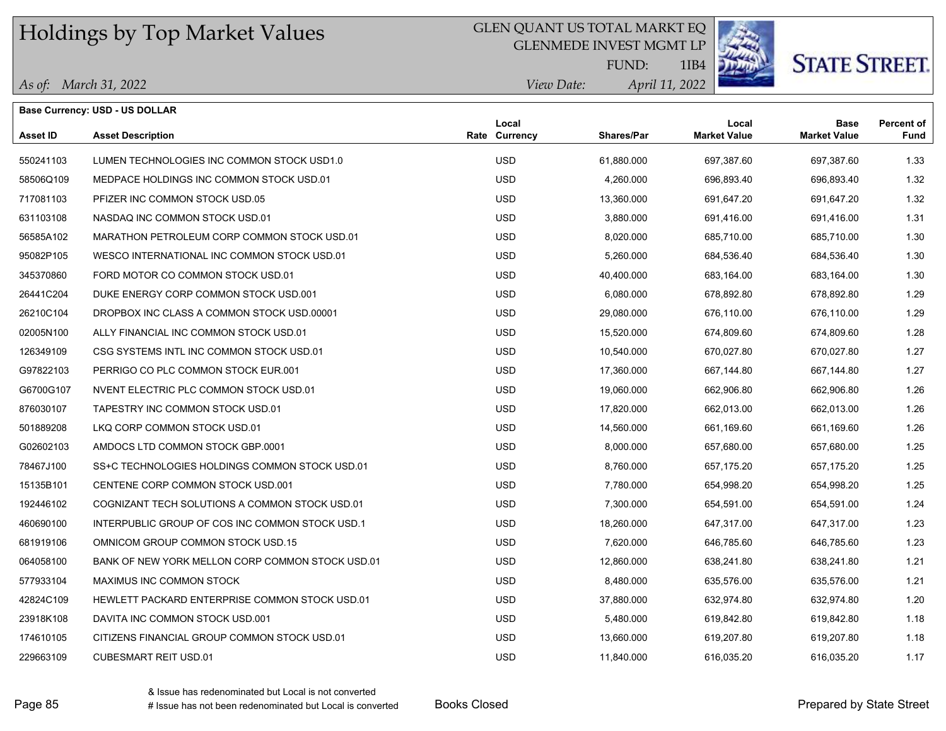#### GLEN QUANT US TOTAL MARKT EQ

GLENMEDE INVEST MGMT LP



# **STATE STREET.**

*April 11, 2022 View Date:* FUND:

|  | As of: March 31, 2022 |
|--|-----------------------|
|--|-----------------------|

|           | <b>Base Currency: USD - US DOLLAR</b>            |                        |            |                              |                             |                           |
|-----------|--------------------------------------------------|------------------------|------------|------------------------------|-----------------------------|---------------------------|
| Asset ID  | <b>Asset Description</b>                         | Local<br>Rate Currency | Shares/Par | Local<br><b>Market Value</b> | Base<br><b>Market Value</b> | <b>Percent of</b><br>Fund |
| 550241103 | LUMEN TECHNOLOGIES INC COMMON STOCK USD1.0       | <b>USD</b>             | 61,880.000 | 697,387.60                   | 697,387.60                  | 1.33                      |
| 58506Q109 | MEDPACE HOLDINGS INC COMMON STOCK USD.01         | <b>USD</b>             | 4,260.000  | 696,893.40                   | 696,893.40                  | 1.32                      |
| 717081103 | PFIZER INC COMMON STOCK USD.05                   | <b>USD</b>             | 13,360.000 | 691,647.20                   | 691,647.20                  | 1.32                      |
| 631103108 | NASDAQ INC COMMON STOCK USD.01                   | <b>USD</b>             | 3,880.000  | 691,416.00                   | 691,416.00                  | 1.31                      |
| 56585A102 | MARATHON PETROLEUM CORP COMMON STOCK USD.01      | <b>USD</b>             | 8,020.000  | 685,710.00                   | 685,710.00                  | 1.30                      |
| 95082P105 | WESCO INTERNATIONAL INC COMMON STOCK USD.01      | <b>USD</b>             | 5,260.000  | 684,536.40                   | 684,536.40                  | 1.30                      |
| 345370860 | FORD MOTOR CO COMMON STOCK USD.01                | <b>USD</b>             | 40,400.000 | 683,164.00                   | 683,164.00                  | 1.30                      |
| 26441C204 | DUKE ENERGY CORP COMMON STOCK USD.001            | <b>USD</b>             | 6,080.000  | 678,892.80                   | 678,892.80                  | 1.29                      |
| 26210C104 | DROPBOX INC CLASS A COMMON STOCK USD 00001       | <b>USD</b>             | 29,080.000 | 676,110.00                   | 676,110.00                  | 1.29                      |
| 02005N100 | ALLY FINANCIAL INC COMMON STOCK USD.01           | <b>USD</b>             | 15,520.000 | 674,809.60                   | 674,809.60                  | 1.28                      |
| 126349109 | CSG SYSTEMS INTL INC COMMON STOCK USD.01         | <b>USD</b>             | 10,540.000 | 670,027.80                   | 670,027.80                  | 1.27                      |
| G97822103 | PERRIGO CO PLC COMMON STOCK EUR.001              | USD                    | 17,360.000 | 667,144.80                   | 667,144.80                  | 1.27                      |
| G6700G107 | NVENT ELECTRIC PLC COMMON STOCK USD.01           | <b>USD</b>             | 19,060.000 | 662,906.80                   | 662,906.80                  | 1.26                      |
| 876030107 | TAPESTRY INC COMMON STOCK USD.01                 | <b>USD</b>             | 17,820.000 | 662,013.00                   | 662,013.00                  | 1.26                      |
| 501889208 | LKQ CORP COMMON STOCK USD 01                     | <b>USD</b>             | 14,560.000 | 661,169.60                   | 661,169.60                  | 1.26                      |
| G02602103 | AMDOCS LTD COMMON STOCK GBP 0001                 | <b>USD</b>             | 8,000.000  | 657,680.00                   | 657,680.00                  | 1.25                      |
| 78467J100 | SS+C TECHNOLOGIES HOLDINGS COMMON STOCK USD.01   | <b>USD</b>             | 8,760.000  | 657,175.20                   | 657,175.20                  | 1.25                      |
| 15135B101 | CENTENE CORP COMMON STOCK USD.001                | <b>USD</b>             | 7,780.000  | 654,998.20                   | 654,998.20                  | 1.25                      |
| 192446102 | COGNIZANT TECH SOLUTIONS A COMMON STOCK USD.01   | <b>USD</b>             | 7,300.000  | 654,591.00                   | 654,591.00                  | 1.24                      |
| 460690100 | INTERPUBLIC GROUP OF COS INC COMMON STOCK USD.1  | <b>USD</b>             | 18,260.000 | 647,317.00                   | 647,317.00                  | 1.23                      |
| 681919106 | OMNICOM GROUP COMMON STOCK USD.15                | <b>USD</b>             | 7,620.000  | 646,785.60                   | 646,785.60                  | 1.23                      |
| 064058100 | BANK OF NEW YORK MELLON CORP COMMON STOCK USD.01 | <b>USD</b>             | 12,860.000 | 638,241.80                   | 638,241.80                  | 1.21                      |
| 577933104 | MAXIMUS INC COMMON STOCK                         | <b>USD</b>             | 8,480.000  | 635,576.00                   | 635,576.00                  | 1.21                      |
| 42824C109 | HEWLETT PACKARD ENTERPRISE COMMON STOCK USD.01   | <b>USD</b>             | 37,880.000 | 632,974.80                   | 632,974.80                  | 1.20                      |
| 23918K108 | DAVITA INC COMMON STOCK USD.001                  | <b>USD</b>             | 5,480.000  | 619,842.80                   | 619,842.80                  | 1.18                      |
| 174610105 | CITIZENS FINANCIAL GROUP COMMON STOCK USD.01     | <b>USD</b>             | 13,660.000 | 619,207.80                   | 619,207.80                  | 1.18                      |
| 229663109 | <b>CUBESMART REIT USD.01</b>                     | <b>USD</b>             | 11,840.000 | 616.035.20                   | 616.035.20                  | 1.17                      |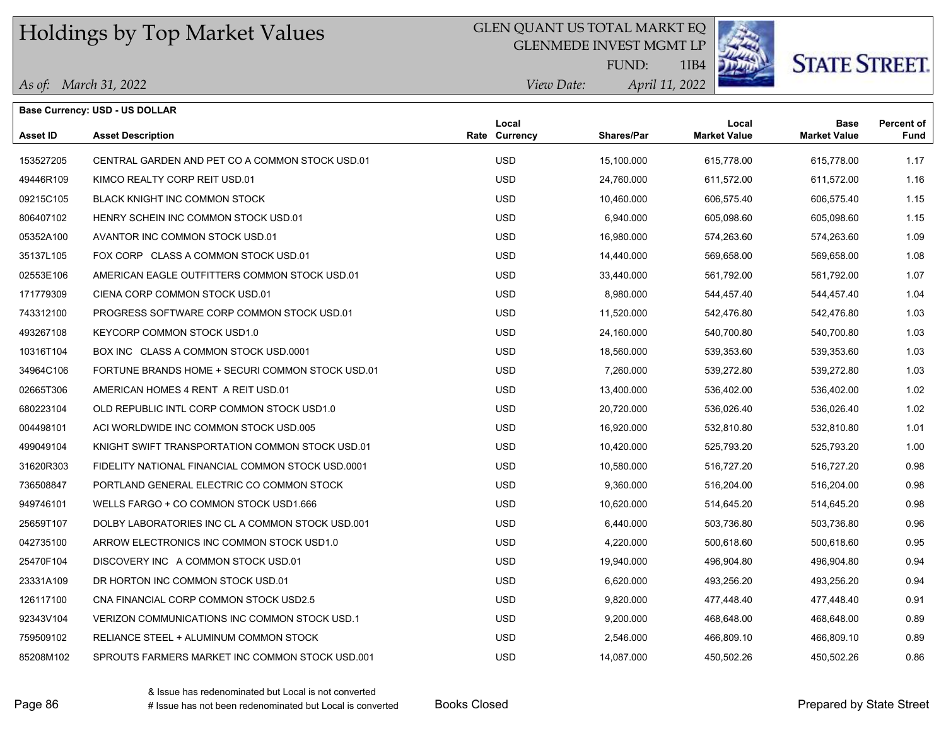### GLEN QUANT US TOTAL MARKT EQ

GLENMEDE INVEST MGMT LP



# **STATE STREET.**

*April 11, 2022 View Date:* FUND:

|  | As of: March 31, 2022 |
|--|-----------------------|
|--|-----------------------|

|           | <b>Base Currency: USD - US DOLLAR</b>             |                        |                   |                              |                                    |                           |
|-----------|---------------------------------------------------|------------------------|-------------------|------------------------------|------------------------------------|---------------------------|
| Asset ID  | <b>Asset Description</b>                          | Local<br>Rate Currency | <b>Shares/Par</b> | Local<br><b>Market Value</b> | <b>Base</b><br><b>Market Value</b> | <b>Percent of</b><br>Fund |
| 153527205 | CENTRAL GARDEN AND PET CO A COMMON STOCK USD.01   | <b>USD</b>             | 15,100.000        | 615,778.00                   | 615,778.00                         | 1.17                      |
| 49446R109 | KIMCO REALTY CORP REIT USD.01                     | <b>USD</b>             | 24,760.000        | 611,572.00                   | 611,572.00                         | 1.16                      |
| 09215C105 | BLACK KNIGHT INC COMMON STOCK                     | <b>USD</b>             | 10,460.000        | 606,575.40                   | 606,575.40                         | 1.15                      |
| 806407102 | HENRY SCHEIN INC COMMON STOCK USD.01              | <b>USD</b>             | 6,940.000         | 605,098.60                   | 605,098.60                         | 1.15                      |
| 05352A100 | AVANTOR INC COMMON STOCK USD.01                   | <b>USD</b>             | 16,980.000        | 574,263.60                   | 574,263.60                         | 1.09                      |
| 35137L105 | FOX CORP CLASS A COMMON STOCK USD.01              | <b>USD</b>             | 14,440.000        | 569,658.00                   | 569,658.00                         | 1.08                      |
| 02553E106 | AMERICAN EAGLE OUTFITTERS COMMON STOCK USD.01     | <b>USD</b>             | 33,440.000        | 561,792.00                   | 561,792.00                         | 1.07                      |
| 171779309 | CIENA CORP COMMON STOCK USD.01                    | <b>USD</b>             | 8,980.000         | 544,457.40                   | 544,457.40                         | 1.04                      |
| 743312100 | PROGRESS SOFTWARE CORP COMMON STOCK USD.01        | <b>USD</b>             | 11,520.000        | 542,476.80                   | 542,476.80                         | 1.03                      |
| 493267108 | <b>KEYCORP COMMON STOCK USD1.0</b>                | <b>USD</b>             | 24,160.000        | 540,700.80                   | 540,700.80                         | 1.03                      |
| 10316T104 | BOX INC CLASS A COMMON STOCK USD 0001             | <b>USD</b>             | 18,560.000        | 539,353.60                   | 539,353.60                         | 1.03                      |
| 34964C106 | FORTUNE BRANDS HOME + SECURI COMMON STOCK USD.01  | <b>USD</b>             | 7,260.000         | 539,272.80                   | 539,272.80                         | 1.03                      |
| 02665T306 | AMERICAN HOMES 4 RENT A REIT USD.01               | <b>USD</b>             | 13,400.000        | 536,402.00                   | 536,402.00                         | 1.02                      |
| 680223104 | OLD REPUBLIC INTL CORP COMMON STOCK USD1.0        | <b>USD</b>             | 20,720.000        | 536,026.40                   | 536,026.40                         | 1.02                      |
| 004498101 | ACI WORLDWIDE INC COMMON STOCK USD.005            | <b>USD</b>             | 16,920.000        | 532,810.80                   | 532,810.80                         | 1.01                      |
| 499049104 | KNIGHT SWIFT TRANSPORTATION COMMON STOCK USD.01   | <b>USD</b>             | 10,420.000        | 525,793.20                   | 525,793.20                         | 1.00                      |
| 31620R303 | FIDELITY NATIONAL FINANCIAL COMMON STOCK USD.0001 | <b>USD</b>             | 10,580.000        | 516,727.20                   | 516,727.20                         | 0.98                      |
| 736508847 | PORTLAND GENERAL ELECTRIC CO COMMON STOCK         | <b>USD</b>             | 9,360.000         | 516,204.00                   | 516,204.00                         | 0.98                      |
| 949746101 | WELLS FARGO + CO COMMON STOCK USD1.666            | <b>USD</b>             | 10,620.000        | 514,645.20                   | 514,645.20                         | 0.98                      |
| 25659T107 | DOLBY LABORATORIES INC CL A COMMON STOCK USD.001  | <b>USD</b>             | 6,440.000         | 503,736.80                   | 503,736.80                         | 0.96                      |
| 042735100 | ARROW ELECTRONICS INC COMMON STOCK USD1.0         | <b>USD</b>             | 4.220.000         | 500,618.60                   | 500,618.60                         | 0.95                      |
| 25470F104 | DISCOVERY INC A COMMON STOCK USD 01               | <b>USD</b>             | 19,940.000        | 496,904.80                   | 496,904.80                         | 0.94                      |
| 23331A109 | DR HORTON INC COMMON STOCK USD.01                 | <b>USD</b>             | 6,620.000         | 493,256.20                   | 493,256.20                         | 0.94                      |
| 126117100 | CNA FINANCIAL CORP COMMON STOCK USD2.5            | <b>USD</b>             | 9,820.000         | 477,448.40                   | 477,448.40                         | 0.91                      |
| 92343V104 | VERIZON COMMUNICATIONS INC COMMON STOCK USD.1     | <b>USD</b>             | 9,200.000         | 468,648.00                   | 468,648.00                         | 0.89                      |
| 759509102 | RELIANCE STEEL + ALUMINUM COMMON STOCK            | <b>USD</b>             | 2,546.000         | 466,809.10                   | 466,809.10                         | 0.89                      |
| 85208M102 | SPROUTS FARMERS MARKET INC COMMON STOCK USD.001   | <b>USD</b>             | 14.087.000        | 450.502.26                   | 450.502.26                         | 0.86                      |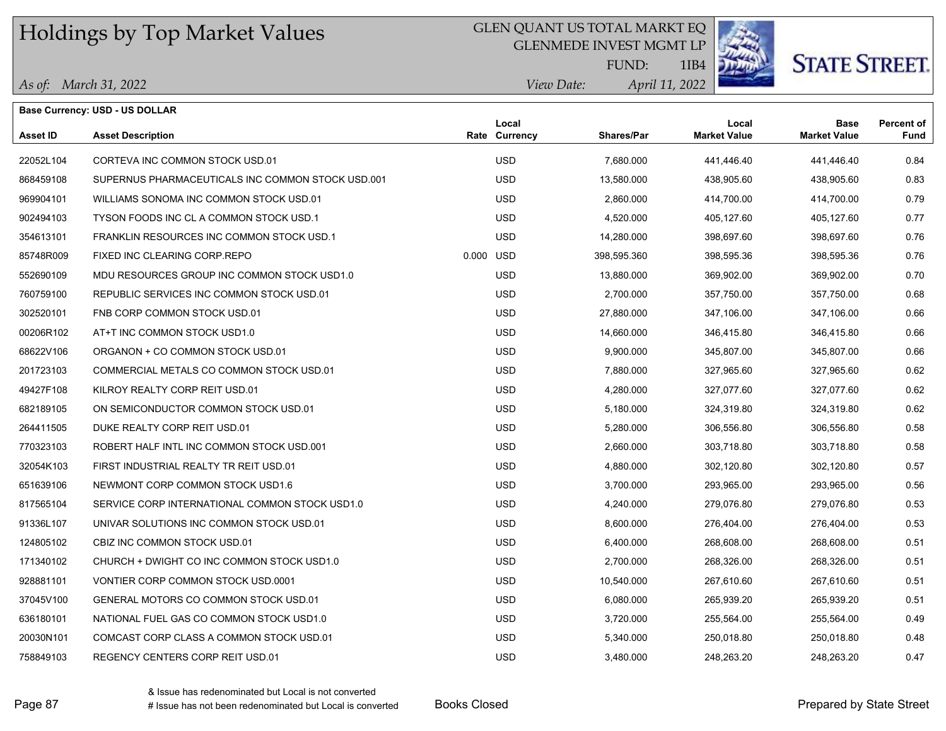#### GLEN QUANT US TOTAL MARKT EQ

GLENMEDE INVEST MGMT LP



1IB4 *April 11, 2022 View Date:* FUND:

#### *As of: March 31, 2022*

| DE TANK | <b>STATE STREET.</b> |
|---------|----------------------|
|---------|----------------------|

 **Fund Percent of**

|                 | <b>Base Currency: USD - US DOLLAR</b> |      |          |                   |                     |                     |
|-----------------|---------------------------------------|------|----------|-------------------|---------------------|---------------------|
|                 |                                       |      | Local    |                   | Local               | Base                |
| <b>Asset ID</b> | <b>Asset Description</b>              | Rate | Currencv | <b>Shares/Par</b> | <b>Market Value</b> | <b>Market Value</b> |
| 22052L104       | CORTEVA INC COMMON STOCK USD.01       |      | USD.     | 7,680.000         | 441.446.40          | 441.446.40          |

| 22052L104 | CORTEVA INC COMMON STOCK USD.01                   | <b>USD</b> | 7,680.000   | 441,446.40 | 441,446.40 | 0.84 |
|-----------|---------------------------------------------------|------------|-------------|------------|------------|------|
| 868459108 | SUPERNUS PHARMACEUTICALS INC COMMON STOCK USD.001 | <b>USD</b> | 13,580.000  | 438,905.60 | 438,905.60 | 0.83 |
| 969904101 | WILLIAMS SONOMA INC COMMON STOCK USD.01           | <b>USD</b> | 2,860.000   | 414,700.00 | 414,700.00 | 0.79 |
| 902494103 | TYSON FOODS INC CL A COMMON STOCK USD.1           | <b>USD</b> | 4,520.000   | 405,127.60 | 405,127.60 | 0.77 |
| 354613101 | FRANKLIN RESOURCES INC COMMON STOCK USD.1         | <b>USD</b> | 14,280.000  | 398,697.60 | 398,697.60 | 0.76 |
| 85748R009 | FIXED INC CLEARING CORP.REPO                      | 0.000 USD  | 398,595.360 | 398,595.36 | 398,595.36 | 0.76 |
| 552690109 | MDU RESOURCES GROUP INC COMMON STOCK USD1.0       | <b>USD</b> | 13,880.000  | 369,902.00 | 369,902.00 | 0.70 |
| 760759100 | REPUBLIC SERVICES INC COMMON STOCK USD.01         | <b>USD</b> | 2,700.000   | 357,750.00 | 357,750.00 | 0.68 |
| 302520101 | FNB CORP COMMON STOCK USD.01                      | <b>USD</b> | 27,880.000  | 347,106.00 | 347,106.00 | 0.66 |
| 00206R102 | AT+T INC COMMON STOCK USD1.0                      | <b>USD</b> | 14,660.000  | 346,415.80 | 346.415.80 | 0.66 |
| 68622V106 | ORGANON + CO COMMON STOCK USD.01                  | <b>USD</b> | 9,900.000   | 345,807.00 | 345,807.00 | 0.66 |
| 201723103 | COMMERCIAL METALS CO COMMON STOCK USD.01          | <b>USD</b> | 7,880.000   | 327,965.60 | 327,965.60 | 0.62 |
| 49427F108 | KILROY REALTY CORP REIT USD.01                    | <b>USD</b> | 4,280.000   | 327,077.60 | 327,077.60 | 0.62 |
| 682189105 | ON SEMICONDUCTOR COMMON STOCK USD.01              | <b>USD</b> | 5,180.000   | 324,319.80 | 324,319.80 | 0.62 |
| 264411505 | DUKE REALTY CORP REIT USD.01                      | <b>USD</b> | 5,280.000   | 306,556.80 | 306.556.80 | 0.58 |
| 770323103 | ROBERT HALF INTL INC COMMON STOCK USD.001         | <b>USD</b> | 2,660.000   | 303,718.80 | 303,718.80 | 0.58 |
| 32054K103 | FIRST INDUSTRIAL REALTY TR REIT USD.01            | <b>USD</b> | 4,880.000   | 302,120.80 | 302,120.80 | 0.57 |
| 651639106 | NEWMONT CORP COMMON STOCK USD1.6                  | <b>USD</b> | 3,700.000   | 293,965.00 | 293,965.00 | 0.56 |
| 817565104 | SERVICE CORP INTERNATIONAL COMMON STOCK USD1.0    | <b>USD</b> | 4,240.000   | 279.076.80 | 279.076.80 | 0.53 |
| 91336L107 | UNIVAR SOLUTIONS INC COMMON STOCK USD.01          | <b>USD</b> | 8,600.000   | 276,404.00 | 276,404.00 | 0.53 |
| 124805102 | CBIZ INC COMMON STOCK USD 01                      | <b>USD</b> | 6,400.000   | 268,608.00 | 268,608.00 | 0.51 |
| 171340102 | CHURCH + DWIGHT CO INC COMMON STOCK USD1.0        | <b>USD</b> | 2,700.000   | 268,326.00 | 268,326.00 | 0.51 |
| 928881101 | VONTIER CORP COMMON STOCK USD.0001                | <b>USD</b> | 10,540.000  | 267,610.60 | 267,610.60 | 0.51 |
| 37045V100 | GENERAL MOTORS CO COMMON STOCK USD.01             | <b>USD</b> | 6,080.000   | 265,939.20 | 265,939.20 | 0.51 |
| 636180101 | NATIONAL FUEL GAS CO COMMON STOCK USD1.0          | <b>USD</b> | 3.720.000   | 255.564.00 | 255.564.00 | 0.49 |
| 20030N101 | COMCAST CORP CLASS A COMMON STOCK USD.01          | <b>USD</b> | 5,340.000   | 250,018.80 | 250,018.80 | 0.48 |
| 758849103 | REGENCY CENTERS CORP REIT USD 01                  | <b>USD</b> | 3,480.000   | 248,263.20 | 248,263.20 | 0.47 |
|           |                                                   |            |             |            |            |      |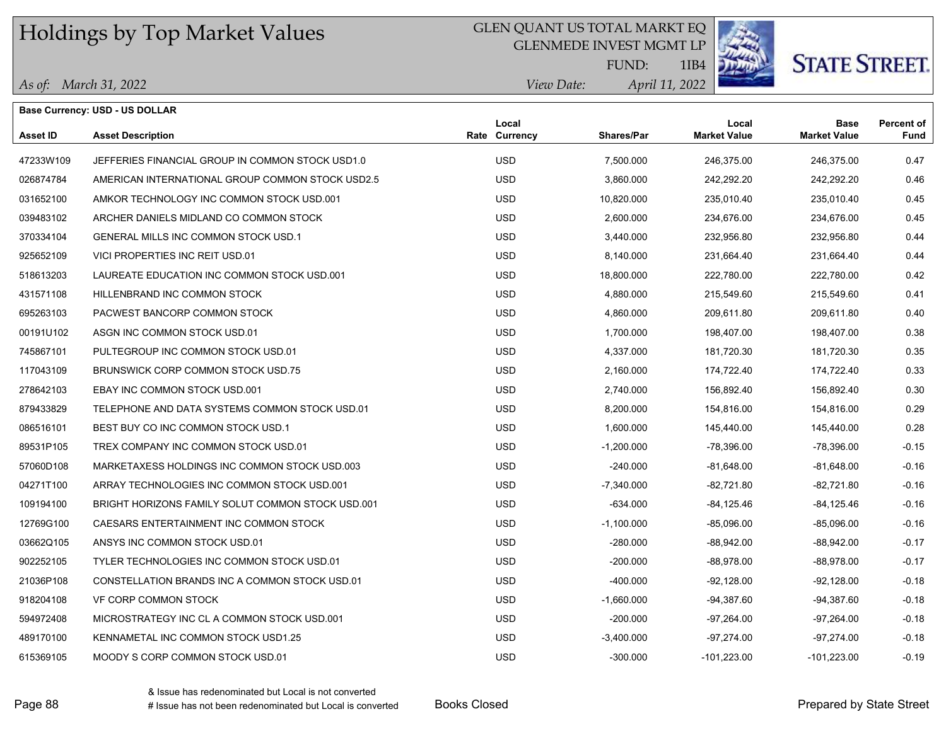### GLEN QUANT US TOTAL MARKT EQ

GLENMEDE INVEST MGMT LP



# **STATE STREET.**

*April 11, 2022 View Date:* FUND:

|  | As of: March 31, 2022 |
|--|-----------------------|
|--|-----------------------|

|           | <b>Base Currency: USD - US DOLLAR</b>             |                        |                   |                              |                                    |                           |
|-----------|---------------------------------------------------|------------------------|-------------------|------------------------------|------------------------------------|---------------------------|
| Asset ID  | <b>Asset Description</b>                          | Local<br>Rate Currency | <b>Shares/Par</b> | Local<br><b>Market Value</b> | <b>Base</b><br><b>Market Value</b> | <b>Percent of</b><br>Fund |
| 47233W109 | JEFFERIES FINANCIAL GROUP IN COMMON STOCK USD1.0  | <b>USD</b>             | 7,500.000         | 246,375.00                   | 246,375.00                         | 0.47                      |
| 026874784 | AMERICAN INTERNATIONAL GROUP COMMON STOCK USD2.5  | <b>USD</b>             | 3,860.000         | 242,292.20                   | 242,292.20                         | 0.46                      |
| 031652100 | AMKOR TECHNOLOGY INC COMMON STOCK USD 001         | <b>USD</b>             | 10,820.000        | 235,010.40                   | 235,010.40                         | 0.45                      |
| 039483102 | ARCHER DANIELS MIDLAND CO COMMON STOCK            | <b>USD</b>             | 2,600.000         | 234,676.00                   | 234,676.00                         | 0.45                      |
| 370334104 | <b>GENERAL MILLS INC COMMON STOCK USD.1</b>       | <b>USD</b>             | 3,440.000         | 232,956.80                   | 232,956.80                         | 0.44                      |
| 925652109 | VICI PROPERTIES INC REIT USD.01                   | <b>USD</b>             | 8,140.000         | 231,664.40                   | 231,664.40                         | 0.44                      |
| 518613203 | LAUREATE EDUCATION INC COMMON STOCK USD.001       | <b>USD</b>             | 18,800.000        | 222,780.00                   | 222,780.00                         | 0.42                      |
| 431571108 | HILLENBRAND INC COMMON STOCK                      | <b>USD</b>             | 4,880.000         | 215,549.60                   | 215,549.60                         | 0.41                      |
| 695263103 | PACWEST BANCORP COMMON STOCK                      | <b>USD</b>             | 4,860.000         | 209,611.80                   | 209,611.80                         | 0.40                      |
| 00191U102 | ASGN INC COMMON STOCK USD 01                      | <b>USD</b>             | 1,700.000         | 198,407.00                   | 198,407.00                         | 0.38                      |
| 745867101 | PULTEGROUP INC COMMON STOCK USD.01                | <b>USD</b>             | 4,337.000         | 181,720.30                   | 181,720.30                         | 0.35                      |
| 117043109 | BRUNSWICK CORP COMMON STOCK USD.75                | <b>USD</b>             | 2,160.000         | 174,722.40                   | 174,722.40                         | 0.33                      |
| 278642103 | EBAY INC COMMON STOCK USD.001                     | <b>USD</b>             | 2,740.000         | 156,892.40                   | 156,892.40                         | 0.30                      |
| 879433829 | TELEPHONE AND DATA SYSTEMS COMMON STOCK USD.01    | <b>USD</b>             | 8,200.000         | 154,816.00                   | 154,816.00                         | 0.29                      |
| 086516101 | BEST BUY CO INC COMMON STOCK USD.1                | <b>USD</b>             | 1,600.000         | 145,440.00                   | 145,440.00                         | 0.28                      |
| 89531P105 | TREX COMPANY INC COMMON STOCK USD.01              | <b>USD</b>             | $-1,200.000$      | -78,396.00                   | $-78,396.00$                       | $-0.15$                   |
| 57060D108 | MARKETAXESS HOLDINGS INC COMMON STOCK USD.003     | <b>USD</b>             | $-240.000$        | $-81,648.00$                 | $-81,648.00$                       | $-0.16$                   |
| 04271T100 | ARRAY TECHNOLOGIES INC COMMON STOCK USD 001       | <b>USD</b>             | -7,340.000        | -82,721.80                   | -82,721.80                         | $-0.16$                   |
| 109194100 | BRIGHT HORIZONS FAMILY SOLUT COMMON STOCK USD.001 | <b>USD</b>             | $-634.000$        | $-84, 125.46$                | -84,125.46                         | $-0.16$                   |
| 12769G100 | CAESARS ENTERTAINMENT INC COMMON STOCK            | <b>USD</b>             | $-1,100.000$      | $-85,096.00$                 | -85,096.00                         | $-0.16$                   |
| 03662Q105 | ANSYS INC COMMON STOCK USD.01                     | <b>USD</b>             | $-280.000$        | $-88,942.00$                 | -88,942.00                         | $-0.17$                   |
| 902252105 | TYLER TECHNOLOGIES INC COMMON STOCK USD.01        | <b>USD</b>             | $-200.000$        | $-88.978.00$                 | $-88,978.00$                       | $-0.17$                   |
| 21036P108 | CONSTELLATION BRANDS INC A COMMON STOCK USD.01    | <b>USD</b>             | $-400.000$        | $-92,128.00$                 | $-92,128.00$                       | $-0.18$                   |
| 918204108 | VF CORP COMMON STOCK                              | <b>USD</b>             | $-1,660.000$      | $-94,387.60$                 | -94,387.60                         | $-0.18$                   |
| 594972408 | MICROSTRATEGY INC CL A COMMON STOCK USD.001       | <b>USD</b>             | $-200.000$        | -97,264.00                   | -97,264.00                         | $-0.18$                   |
| 489170100 | KENNAMETAL INC COMMON STOCK USD1.25               | <b>USD</b>             | $-3,400.000$      | $-97,274.00$                 | $-97,274.00$                       | $-0.18$                   |
| 615369105 | MOODY S CORP COMMON STOCK USD.01                  | <b>USD</b>             | $-300.000$        | $-101,223.00$                | -101,223.00                        | $-0.19$                   |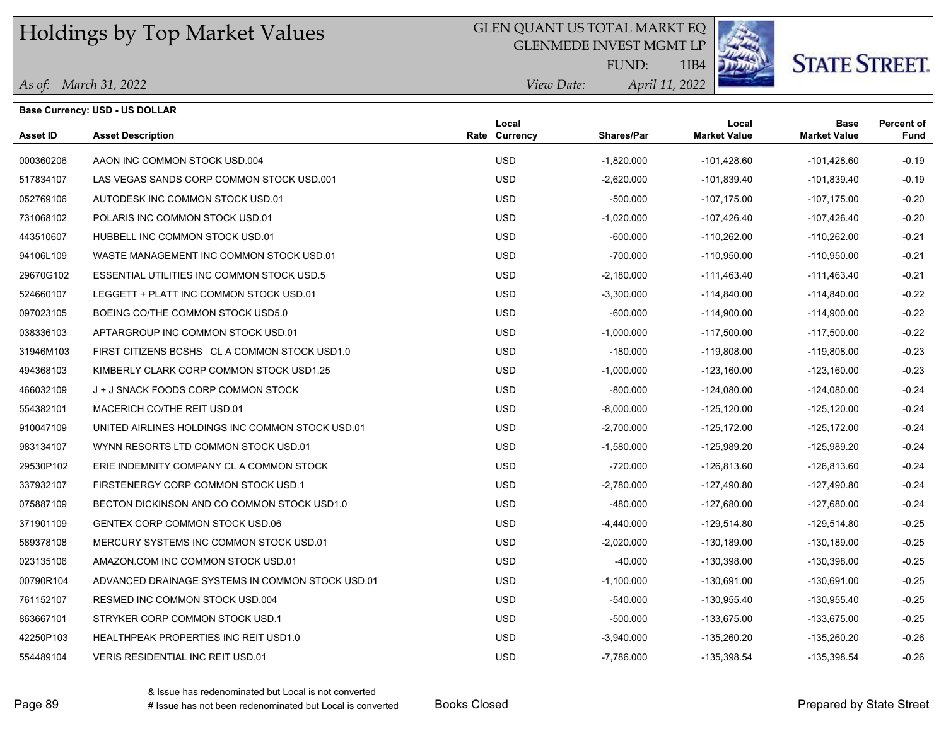#### GLEN QUANT US TOTAL MARKT EQ

GLENMEDE INVEST MGMT LP



## **STATE STREET**

*April 11, 2022 View Date:* FUND:

| As of: March 31, 2022 |  |  |
|-----------------------|--|--|
|-----------------------|--|--|

|           | Base Currency: USD - US DOLLAR                   |                        |              |                              |                                    |                           |
|-----------|--------------------------------------------------|------------------------|--------------|------------------------------|------------------------------------|---------------------------|
| Asset ID  | <b>Asset Description</b>                         | Local<br>Rate Currency | Shares/Par   | Local<br><b>Market Value</b> | <b>Base</b><br><b>Market Value</b> | <b>Percent of</b><br>Fund |
| 000360206 | AAON INC COMMON STOCK USD 004                    | <b>USD</b>             | $-1,820.000$ | $-101,428.60$                | $-101,428.60$                      | $-0.19$                   |
| 517834107 | LAS VEGAS SANDS CORP COMMON STOCK USD.001        | <b>USD</b>             | $-2,620.000$ | -101,839.40                  | -101,839.40                        | $-0.19$                   |
| 052769106 | AUTODESK INC COMMON STOCK USD.01                 | <b>USD</b>             | $-500.000$   | $-107, 175.00$               | $-107, 175.00$                     | $-0.20$                   |
| 731068102 | POLARIS INC COMMON STOCK USD.01                  | <b>USD</b>             | $-1,020.000$ | $-107,426.40$                | $-107,426.40$                      | $-0.20$                   |
| 443510607 | HUBBELL INC COMMON STOCK USD.01                  | <b>USD</b>             | $-600.000$   | $-110,262.00$                | $-110,262.00$                      | $-0.21$                   |
| 94106L109 | WASTE MANAGEMENT INC COMMON STOCK USD.01         | <b>USD</b>             | $-700.000$   | $-110,950.00$                | $-110,950.00$                      | $-0.21$                   |
| 29670G102 | ESSENTIAL UTILITIES INC COMMON STOCK USD.5       | <b>USD</b>             | -2,180.000   | -111,463.40                  | -111,463.40                        | $-0.21$                   |
| 524660107 | LEGGETT + PLATT INC COMMON STOCK USD.01          | <b>USD</b>             | -3,300.000   | $-114,840.00$                | $-114,840.00$                      | $-0.22$                   |
| 097023105 | BOEING CO/THE COMMON STOCK USD5.0                | <b>USD</b>             | $-600.000$   | $-114,900.00$                | $-114,900.00$                      | $-0.22$                   |
| 038336103 | APTARGROUP INC COMMON STOCK USD.01               | <b>USD</b>             | $-1,000.000$ | $-117,500.00$                | $-117,500.00$                      | $-0.22$                   |
| 31946M103 | FIRST CITIZENS BCSHS CL A COMMON STOCK USD1.0    | <b>USD</b>             | $-180.000$   | $-119,808.00$                | $-119,808.00$                      | $-0.23$                   |
| 494368103 | KIMBERLY CLARK CORP COMMON STOCK USD1.25         | <b>USD</b>             | $-1,000.000$ | $-123,160.00$                | $-123,160.00$                      | $-0.23$                   |
| 466032109 | J + J SNACK FOODS CORP COMMON STOCK              | <b>USD</b>             | $-800.000$   | $-124,080.00$                | $-124,080.00$                      | $-0.24$                   |
| 554382101 | MACERICH CO/THE REIT USD.01                      | <b>USD</b>             | $-8,000.000$ | $-125, 120.00$               | $-125,120.00$                      | $-0.24$                   |
| 910047109 | UNITED AIRLINES HOLDINGS INC COMMON STOCK USD.01 | <b>USD</b>             | $-2,700.000$ | $-125, 172.00$               | $-125, 172.00$                     | $-0.24$                   |
| 983134107 | WYNN RESORTS LTD COMMON STOCK USD.01             | <b>USD</b>             | $-1,580.000$ | $-125,989.20$                | $-125,989.20$                      | $-0.24$                   |
| 29530P102 | ERIE INDEMNITY COMPANY CL A COMMON STOCK         | <b>USD</b>             | $-720.000$   | -126,813.60                  | -126,813.60                        | $-0.24$                   |
| 337932107 | FIRSTENERGY CORP COMMON STOCK USD.1              | <b>USD</b>             | -2,780.000   | $-127,490.80$                | $-127,490.80$                      | $-0.24$                   |
| 075887109 | BECTON DICKINSON AND CO COMMON STOCK USD1.0      | <b>USD</b>             | -480.000     | $-127,680.00$                | $-127,680.00$                      | $-0.24$                   |
| 371901109 | GENTEX CORP COMMON STOCK USD.06                  | <b>USD</b>             | $-4,440.000$ | $-129,514.80$                | $-129,514.80$                      | $-0.25$                   |
| 589378108 | MERCURY SYSTEMS INC COMMON STOCK USD.01          | <b>USD</b>             | $-2,020.000$ | $-130, 189.00$               | $-130, 189.00$                     | $-0.25$                   |
| 023135106 | AMAZON COM INC COMMON STOCK USD.01               | <b>USD</b>             | $-40.000$    | -130,398.00                  | $-130,398.00$                      | $-0.25$                   |
| 00790R104 | ADVANCED DRAINAGE SYSTEMS IN COMMON STOCK USD.01 | <b>USD</b>             | $-1,100.000$ | $-130,691.00$                | $-130,691.00$                      | $-0.25$                   |
| 761152107 | RESMED INC COMMON STOCK USD.004                  | <b>USD</b>             | $-540.000$   | -130,955.40                  | $-130,955.40$                      | $-0.25$                   |
| 863667101 | STRYKER CORP COMMON STOCK USD.1                  | <b>USD</b>             | $-500.000$   | $-133,675.00$                | -133,675.00                        | $-0.25$                   |
| 42250P103 | HEALTHPEAK PROPERTIES INC REIT USD1.0            | <b>USD</b>             | -3,940.000   | -135,260.20                  | $-135,260.20$                      | $-0.26$                   |
| 554489104 | <b>VERIS RESIDENTIAL INC REIT USD.01</b>         | <b>USD</b>             | -7,786.000   | -135,398.54                  | -135,398.54                        | $-0.26$                   |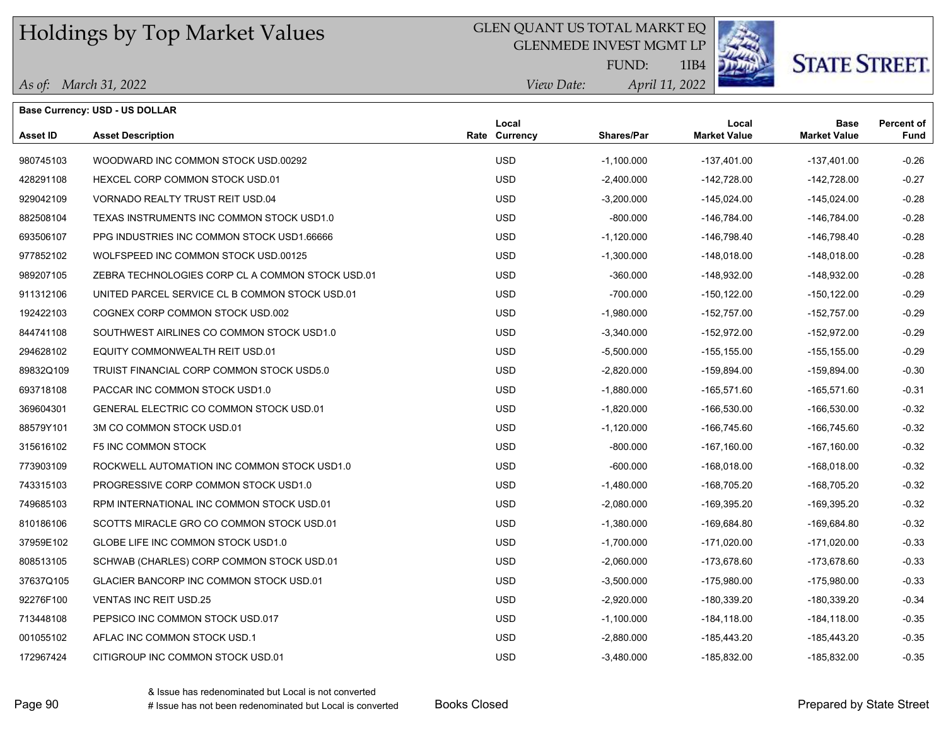#### GLEN QUANT US TOTAL MARKT EQ

GLENMEDE INVEST MGMT LP



# **STATE STREET.**

*April 11, 2022 View Date:* FUND:

1IB4

|  | As of: March 31, 2022 |
|--|-----------------------|
|--|-----------------------|

|                 | <b>Base Currency: USD - US DOLLAR</b>            |                        |              |                              |                                    |                           |
|-----------------|--------------------------------------------------|------------------------|--------------|------------------------------|------------------------------------|---------------------------|
| <b>Asset ID</b> | <b>Asset Description</b>                         | Local<br>Rate Currency | Shares/Par   | Local<br><b>Market Value</b> | <b>Base</b><br><b>Market Value</b> | <b>Percent of</b><br>Fund |
| 980745103       | WOODWARD INC COMMON STOCK USD 00292              | <b>USD</b>             | $-1,100.000$ | $-137,401.00$                | $-137,401.00$                      | $-0.26$                   |
| 428291108       | HEXCEL CORP COMMON STOCK USD.01                  | <b>USD</b>             | $-2,400.000$ | $-142,728.00$                | $-142,728.00$                      | $-0.27$                   |
| 929042109       | VORNADO REALTY TRUST REIT USD.04                 | <b>USD</b>             | $-3,200.000$ | $-145,024.00$                | $-145,024.00$                      | $-0.28$                   |
| 882508104       | TEXAS INSTRUMENTS INC COMMON STOCK USD1.0        | <b>USD</b>             | $-800.000$   | $-146,784.00$                | $-146,784.00$                      | $-0.28$                   |
| 693506107       | PPG INDUSTRIES INC COMMON STOCK USD1.66666       | <b>USD</b>             | $-1,120.000$ | $-146,798.40$                | $-146,798.40$                      | $-0.28$                   |
| 977852102       | WOLFSPEED INC COMMON STOCK USD 00125             | <b>USD</b>             | $-1,300.000$ | $-148,018.00$                | $-148,018.00$                      | $-0.28$                   |
| 989207105       | ZEBRA TECHNOLOGIES CORP CL A COMMON STOCK USD.01 | <b>USD</b>             | $-360.000$   | $-148,932.00$                | $-148,932.00$                      | $-0.28$                   |
| 911312106       | UNITED PARCEL SERVICE CL B COMMON STOCK USD.01   | <b>USD</b>             | $-700.000$   | $-150, 122.00$               | $-150, 122.00$                     | $-0.29$                   |
| 192422103       | COGNEX CORP COMMON STOCK USD.002                 | <b>USD</b>             | $-1,980.000$ | $-152,757.00$                | $-152,757.00$                      | $-0.29$                   |
| 844741108       | SOUTHWEST AIRLINES CO COMMON STOCK USD1.0        | <b>USD</b>             | $-3,340.000$ | $-152,972.00$                | $-152,972.00$                      | $-0.29$                   |
| 294628102       | EQUITY COMMONWEALTH REIT USD.01                  | <b>USD</b>             | $-5,500.000$ | $-155, 155.00$               | $-155, 155.00$                     | $-0.29$                   |
| 89832Q109       | TRUIST FINANCIAL CORP COMMON STOCK USD5.0        | USD.                   | $-2,820.000$ | $-159,894.00$                | $-159,894.00$                      | $-0.30$                   |
| 693718108       | PACCAR INC COMMON STOCK USD1.0                   | <b>USD</b>             | $-1,880.000$ | $-165,571.60$                | $-165,571.60$                      | $-0.31$                   |
| 369604301       | GENERAL ELECTRIC CO COMMON STOCK USD.01          | USD.                   | $-1,820.000$ | -166,530.00                  | $-166,530.00$                      | $-0.32$                   |
| 88579Y101       | 3M CO COMMON STOCK USD.01                        | <b>USD</b>             | $-1,120.000$ | $-166,745.60$                | $-166,745.60$                      | $-0.32$                   |
| 315616102       | <b>F5 INC COMMON STOCK</b>                       | <b>USD</b>             | $-800.000$   | $-167,160.00$                | $-167,160.00$                      | $-0.32$                   |
| 773903109       | ROCKWELL AUTOMATION INC COMMON STOCK USD1.0      | <b>USD</b>             | $-600.000$   | $-168,018.00$                | $-168,018.00$                      | $-0.32$                   |
| 743315103       | PROGRESSIVE CORP COMMON STOCK USD1.0             | <b>USD</b>             | $-1,480.000$ | -168,705.20                  | -168,705.20                        | $-0.32$                   |
| 749685103       | RPM INTERNATIONAL INC COMMON STOCK USD.01        | <b>USD</b>             | $-2,080.000$ | -169,395.20                  | $-169,395.20$                      | $-0.32$                   |
| 810186106       | SCOTTS MIRACLE GRO CO COMMON STOCK USD.01        | <b>USD</b>             | $-1,380.000$ | -169,684.80                  | $-169,684.80$                      | $-0.32$                   |
| 37959E102       | GLOBE LIFE INC COMMON STOCK USD1.0               | <b>USD</b>             | $-1,700.000$ | $-171,020.00$                | $-171,020.00$                      | $-0.33$                   |
| 808513105       | SCHWAB (CHARLES) CORP COMMON STOCK USD.01        | <b>USD</b>             | $-2,060.000$ | $-173,678.60$                | -173,678.60                        | $-0.33$                   |
| 37637Q105       | GLACIER BANCORP INC COMMON STOCK USD.01          | <b>USD</b>             | $-3,500.000$ | $-175,980.00$                | $-175,980.00$                      | $-0.33$                   |
| 92276F100       | <b>VENTAS INC REIT USD.25</b>                    | <b>USD</b>             | $-2,920.000$ | -180,339.20                  | -180,339.20                        | $-0.34$                   |
| 713448108       | PEPSICO INC COMMON STOCK USD.017                 | USD.                   | $-1,100.000$ | $-184, 118.00$               | $-184, 118.00$                     | $-0.35$                   |
| 001055102       | AFLAC INC COMMON STOCK USD.1                     | <b>USD</b>             | $-2,880.000$ | $-185,443.20$                | $-185,443.20$                      | $-0.35$                   |
| 172967424       | CITIGROUP INC COMMON STOCK USD.01                | <b>USD</b>             | $-3,480.000$ | -185,832.00                  | -185,832.00                        | $-0.35$                   |

& Issue has redenominated but Local is not converted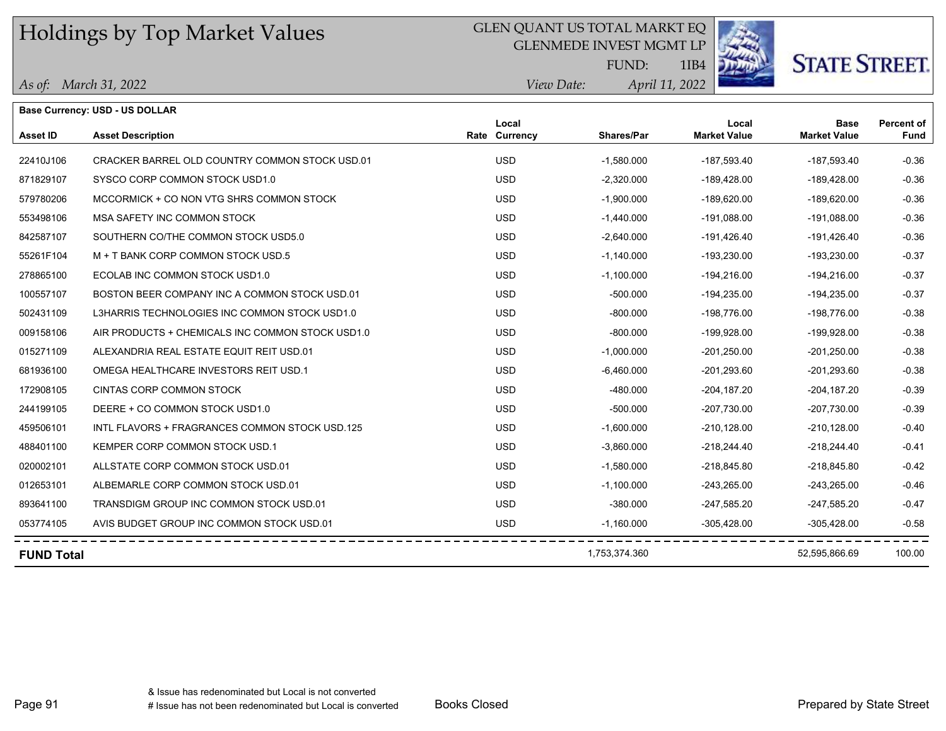### GLEN QUANT US TOTAL MARKT EQ

GLENMEDE INVEST MGMT LP



**STATE STREET.** 

*April 11, 2022 View Date:* FUND:

|  | As of: March 31, 2022 |  |
|--|-----------------------|--|
|--|-----------------------|--|

|                   | <b>Base Currency: USD - US DOLLAR</b>            |                        |               |                              |                                    |                                  |
|-------------------|--------------------------------------------------|------------------------|---------------|------------------------------|------------------------------------|----------------------------------|
| <b>Asset ID</b>   | <b>Asset Description</b>                         | Local<br>Rate Currency | Shares/Par    | Local<br><b>Market Value</b> | <b>Base</b><br><b>Market Value</b> | <b>Percent of</b><br><b>Fund</b> |
| 22410J106         | CRACKER BARREL OLD COUNTRY COMMON STOCK USD.01   | <b>USD</b>             | $-1,580.000$  | -187,593.40                  | $-187,593.40$                      | $-0.36$                          |
| 871829107         | SYSCO CORP COMMON STOCK USD1.0                   | <b>USD</b>             | $-2,320.000$  | -189,428.00                  | $-189,428.00$                      | $-0.36$                          |
| 579780206         | MCCORMICK + CO NON VTG SHRS COMMON STOCK         | <b>USD</b>             | $-1,900.000$  | $-189,620.00$                | $-189,620.00$                      | $-0.36$                          |
| 553498106         | MSA SAFETY INC COMMON STOCK                      | <b>USD</b>             | $-1,440.000$  | $-191.088.00$                | $-191.088.00$                      | $-0.36$                          |
| 842587107         | SOUTHERN CO/THE COMMON STOCK USD5.0              | <b>USD</b>             | $-2,640.000$  | $-191,426.40$                | $-191,426.40$                      | $-0.36$                          |
| 55261F104         | M + T BANK CORP COMMON STOCK USD.5               | <b>USD</b>             | $-1,140.000$  | $-193,230.00$                | $-193,230.00$                      | $-0.37$                          |
| 278865100         | ECOLAB INC COMMON STOCK USD1.0                   | <b>USD</b>             | $-1,100.000$  | $-194.216.00$                | $-194,216.00$                      | $-0.37$                          |
| 100557107         | BOSTON BEER COMPANY INC A COMMON STOCK USD.01    | <b>USD</b>             | $-500.000$    | $-194,235.00$                | $-194,235.00$                      | $-0.37$                          |
| 502431109         | L3HARRIS TECHNOLOGIES INC COMMON STOCK USD1.0    | <b>USD</b>             | $-800.000$    | $-198,776.00$                | $-198,776.00$                      | $-0.38$                          |
| 009158106         | AIR PRODUCTS + CHEMICALS INC COMMON STOCK USD1.0 | <b>USD</b>             | $-800.000$    | $-199,928.00$                | $-199,928.00$                      | $-0.38$                          |
| 015271109         | ALEXANDRIA REAL ESTATE EQUIT REIT USD.01         | <b>USD</b>             | $-1,000.000$  | $-201,250.00$                | $-201,250.00$                      | $-0.38$                          |
| 681936100         | OMEGA HEALTHCARE INVESTORS REIT USD.1            | <b>USD</b>             | $-6,460.000$  | $-201,293.60$                | $-201,293.60$                      | $-0.38$                          |
| 172908105         | CINTAS CORP COMMON STOCK                         | <b>USD</b>             | $-480.000$    | $-204, 187.20$               | $-204, 187.20$                     | $-0.39$                          |
| 244199105         | DEERE + CO COMMON STOCK USD1.0                   | <b>USD</b>             | $-500.000$    | $-207,730.00$                | $-207,730.00$                      | $-0.39$                          |
| 459506101         | INTL FLAVORS + FRAGRANCES COMMON STOCK USD.125   | <b>USD</b>             | $-1,600.000$  | $-210, 128.00$               | $-210, 128.00$                     | $-0.40$                          |
| 488401100         | KEMPER CORP COMMON STOCK USD.1                   | <b>USD</b>             | $-3,860.000$  | $-218,244.40$                | $-218,244.40$                      | $-0.41$                          |
| 020002101         | ALLSTATE CORP COMMON STOCK USD.01                | <b>USD</b>             | $-1,580.000$  | $-218,845.80$                | $-218,845.80$                      | $-0.42$                          |
| 012653101         | ALBEMARLE CORP COMMON STOCK USD.01               | <b>USD</b>             | $-1,100.000$  | $-243,265.00$                | $-243,265.00$                      | $-0.46$                          |
| 893641100         | TRANSDIGM GROUP INC COMMON STOCK USD.01          | <b>USD</b>             | $-380.000$    | $-247,585.20$                | $-247,585.20$                      | $-0.47$                          |
| 053774105         | AVIS BUDGET GROUP INC COMMON STOCK USD.01        | <b>USD</b>             | $-1,160.000$  | $-305,428.00$                | $-305,428.00$                      | $-0.58$                          |
| <b>FUND Total</b> |                                                  |                        | 1,753,374.360 |                              | 52,595,866.69                      | 100.00                           |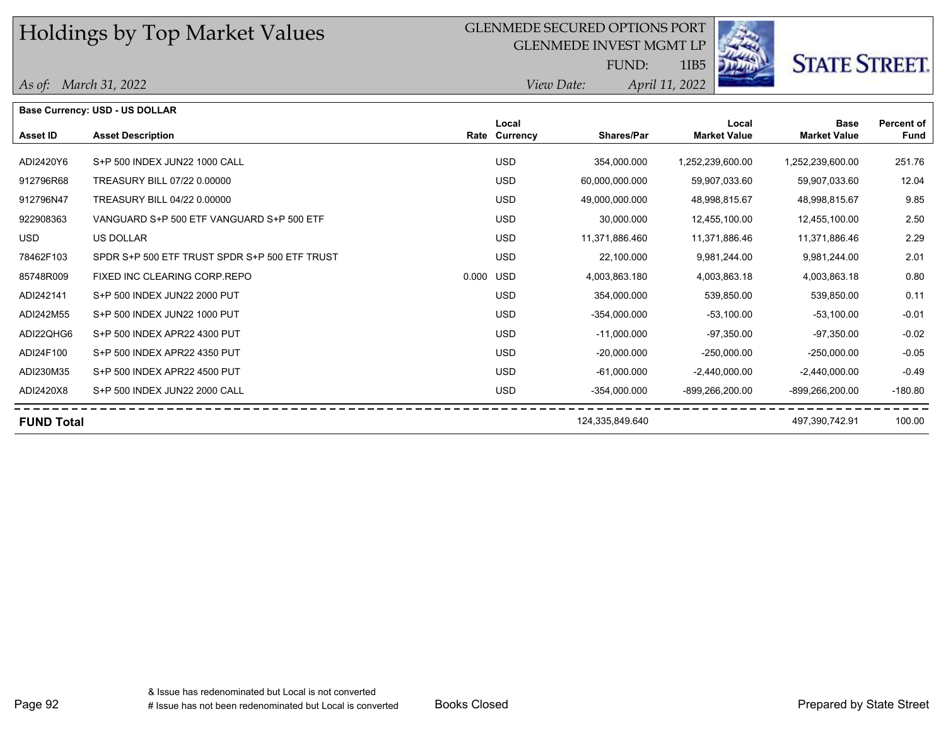#### GLENMEDE SECURED OPTIONS PORT

GLENMEDE INVEST MGMT LP



**STATE STREET.** 

*April 11, 2022 View Date:* FUND:

1IB5

|                   | <b>Base Currency: USD - US DOLLAR</b>         |           |                        |                   |                              |                                    |                           |
|-------------------|-----------------------------------------------|-----------|------------------------|-------------------|------------------------------|------------------------------------|---------------------------|
| Asset ID          | <b>Asset Description</b>                      |           | Local<br>Rate Currency | <b>Shares/Par</b> | Local<br><b>Market Value</b> | <b>Base</b><br><b>Market Value</b> | <b>Percent of</b><br>Fund |
|                   |                                               |           |                        |                   |                              |                                    |                           |
| ADI2420Y6         | S+P 500 INDEX JUN22 1000 CALL                 |           | <b>USD</b>             | 354,000.000       | 1,252,239,600.00             | 1,252,239,600.00                   | 251.76                    |
| 912796R68         | TREASURY BILL 07/22 0.00000                   |           | <b>USD</b>             | 60,000,000.000    | 59,907,033.60                | 59,907,033.60                      | 12.04                     |
| 912796N47         | TREASURY BILL 04/22 0.00000                   |           | <b>USD</b>             | 49,000,000.000    | 48,998,815.67                | 48,998,815.67                      | 9.85                      |
| 922908363         | VANGUARD S+P 500 ETF VANGUARD S+P 500 ETF     |           | <b>USD</b>             | 30,000.000        | 12,455,100.00                | 12,455,100.00                      | 2.50                      |
| <b>USD</b>        | <b>US DOLLAR</b>                              |           | <b>USD</b>             | 11,371,886.460    | 11,371,886.46                | 11,371,886.46                      | 2.29                      |
| 78462F103         | SPDR S+P 500 ETF TRUST SPDR S+P 500 ETF TRUST |           | <b>USD</b>             | 22,100.000        | 9,981,244.00                 | 9,981,244.00                       | 2.01                      |
| 85748R009         | FIXED INC CLEARING CORP.REPO                  | 0.000 USD |                        | 4,003,863.180     | 4,003,863.18                 | 4,003,863.18                       | 0.80                      |
| ADI242141         | S+P 500 INDEX JUN22 2000 PUT                  |           | <b>USD</b>             | 354,000.000       | 539,850.00                   | 539,850.00                         | 0.11                      |
| ADI242M55         | S+P 500 INDEX JUN22 1000 PUT                  |           | <b>USD</b>             | $-354,000.000$    | $-53,100.00$                 | $-53,100.00$                       | $-0.01$                   |
| ADI22QHG6         | S+P 500 INDEX APR22 4300 PUT                  |           | <b>USD</b>             | $-11,000.000$     | $-97.350.00$                 | -97.350.00                         | $-0.02$                   |
| ADI24F100         | S+P 500 INDEX APR22 4350 PUT                  |           | <b>USD</b>             | $-20,000.000$     | $-250,000.00$                | $-250,000.00$                      | $-0.05$                   |
| ADI230M35         | S+P 500 INDEX APR22 4500 PUT                  |           | <b>USD</b>             | $-61,000.000$     | $-2,440,000.00$              | $-2,440,000.00$                    | $-0.49$                   |
| ADI2420X8         | S+P 500 INDEX JUN22 2000 CALL                 |           | <b>USD</b>             | $-354,000.000$    | -899,266,200.00              | -899,266,200.00                    | $-180.80$                 |
| <b>FUND Total</b> |                                               |           |                        | 124,335,849.640   |                              | 497,390,742.91                     | 100.00                    |